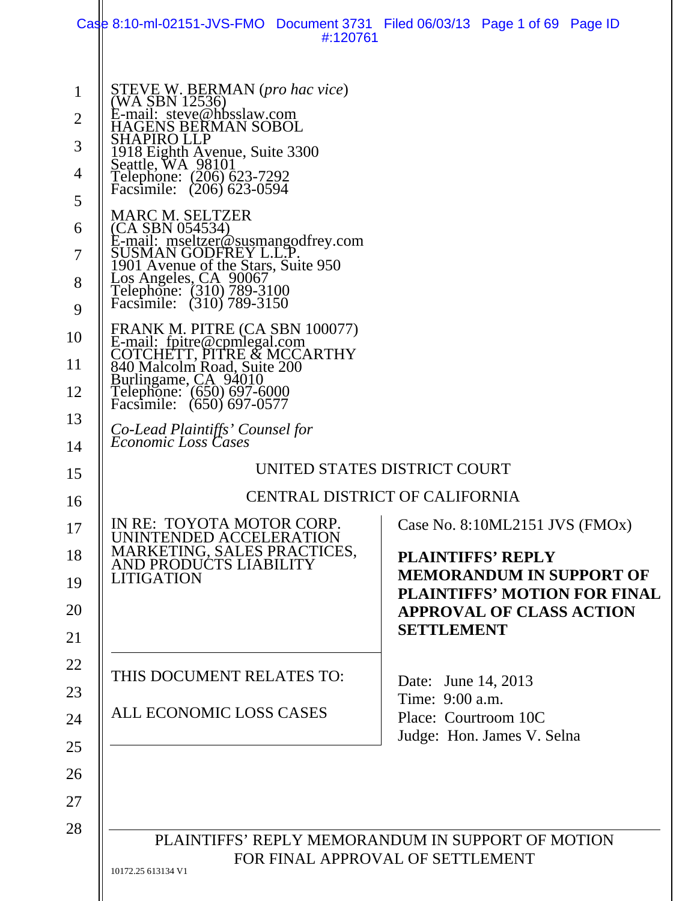|                                                                                                 | Case 8:10-ml-02151-JVS-FMO Document 3731 Filed 06/03/13 Page 1 of 69 Page ID<br>#:120761                                                                                                                                                                                                                                                                                                                                                                                                                                                                                                                                                                                                                                                                  |                                                                                                                                                                                              |
|-------------------------------------------------------------------------------------------------|-----------------------------------------------------------------------------------------------------------------------------------------------------------------------------------------------------------------------------------------------------------------------------------------------------------------------------------------------------------------------------------------------------------------------------------------------------------------------------------------------------------------------------------------------------------------------------------------------------------------------------------------------------------------------------------------------------------------------------------------------------------|----------------------------------------------------------------------------------------------------------------------------------------------------------------------------------------------|
| $\mathbf{1}$<br>$\overline{2}$<br>3<br>4<br>5<br>6<br>7<br>8<br>9<br>10<br>11<br>12<br>13<br>14 | STEVE W. BERMAN (pro hac vice)<br>(WA SBN 12536)<br>E-mail: steve@hbsslaw.com<br><b>GENS BERMAN SOBOL</b><br>SHAPIRO LLP<br>1918 Eighth Avenue, Suite 3300<br>Seattle, WA 98101<br>Telephone: (206) 623-7292<br>Facsimile: (206) 623-0594<br><b>MARC M. SELTZER</b><br>(CA SBN 054534)<br>E-mail: mseltzer@susmangodfrey.com<br>SUSMAN GODFREY L.L.P.<br>1901 Avenue of the Stars, Suite 950<br>Los Angeles, CA 90067<br>Telephone: (310) 789-3100<br>Facsimile: (310) 789-3150<br>FRANK M. PITRE (CA SBN 100077)<br>E-mail: fpitre@cpmlegal.com<br>COTCHETT, PITRE & MCCARTHY<br>840 Malcolm Road, Suite 200<br>Burlingame, CA 94010<br>Telephone: (650) 697-6000<br>Facsimile: (650) 697-0577<br>Co-Lead Plaintiffs' Counsel for<br>Economic Loss Cases |                                                                                                                                                                                              |
| 15                                                                                              |                                                                                                                                                                                                                                                                                                                                                                                                                                                                                                                                                                                                                                                                                                                                                           | UNITED STATES DISTRICT COURT                                                                                                                                                                 |
| 16                                                                                              |                                                                                                                                                                                                                                                                                                                                                                                                                                                                                                                                                                                                                                                                                                                                                           | <b>CENTRAL DISTRICT OF CALIFORNIA</b>                                                                                                                                                        |
| 17<br>18<br>19<br>20<br>21                                                                      | IN RE: TOYOTA MOTOR CORP.<br>UNINTENDED ACCELERATION<br>MARKETING, SALES PRACTICES,<br>AND PRODUCTS LIABILITY<br><b>LITIGATION</b>                                                                                                                                                                                                                                                                                                                                                                                                                                                                                                                                                                                                                        | Case No. 8:10ML2151 JVS (FMOx)<br><b>PLAINTIFFS' REPLY</b><br><b>MEMORANDUM IN SUPPORT OF</b><br><b>PLAINTIFFS' MOTION FOR FINAL</b><br><b>APPROVAL OF CLASS ACTION</b><br><b>SETTLEMENT</b> |
| 22<br>23<br>24<br>25<br>26<br>27                                                                | THIS DOCUMENT RELATES TO:<br>ALL ECONOMIC LOSS CASES                                                                                                                                                                                                                                                                                                                                                                                                                                                                                                                                                                                                                                                                                                      | Date: June 14, 2013<br>Time: 9:00 a.m.<br>Place: Courtroom 10C<br>Judge: Hon. James V. Selna                                                                                                 |
| 28                                                                                              | 10172.25 613134 V1                                                                                                                                                                                                                                                                                                                                                                                                                                                                                                                                                                                                                                                                                                                                        | PLAINTIFFS' REPLY MEMORANDUM IN SUPPORT OF MOTION<br>FOR FINAL APPROVAL OF SETTLEMENT                                                                                                        |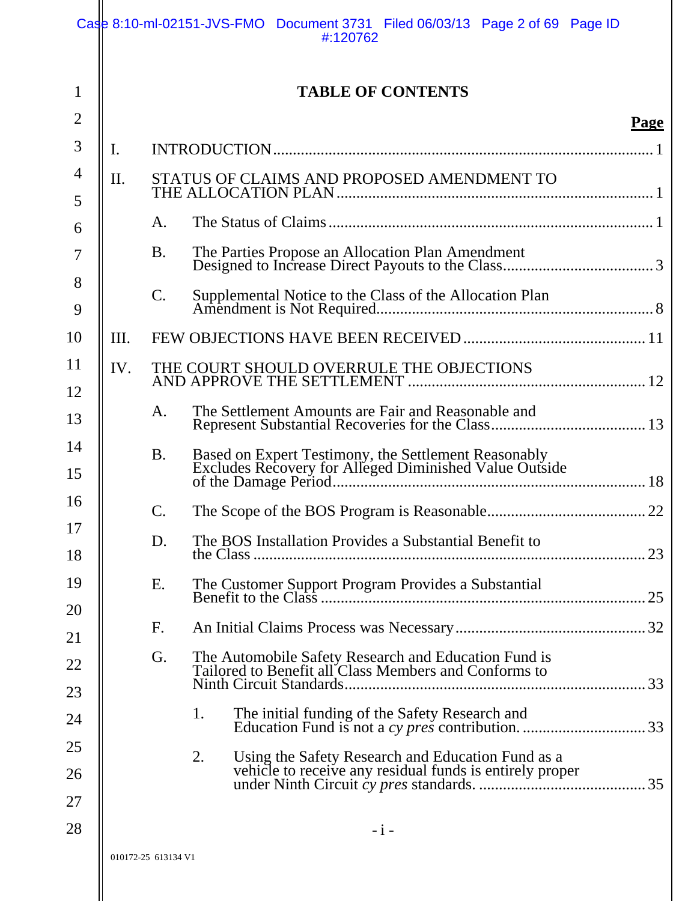|                |      |                     | Case 8:10-ml-02151-JVS-FMO Document 3731 Filed 06/03/13 Page 2 of 69 Page ID<br>#:120762 |
|----------------|------|---------------------|------------------------------------------------------------------------------------------|
| 1              |      |                     | <b>TABLE OF CONTENTS</b>                                                                 |
| $\overline{2}$ |      |                     | <u>Page</u>                                                                              |
| 3              | I.   |                     |                                                                                          |
| $\overline{4}$ | II.  |                     | STATUS OF CLAIMS AND PROPOSED AMENDMENT TO                                               |
| 5              |      |                     |                                                                                          |
| 6              |      | A.                  |                                                                                          |
| 7              |      | <b>B.</b>           |                                                                                          |
| 8<br>9         |      | $\mathcal{C}$ .     |                                                                                          |
| 10             | III. |                     |                                                                                          |
| 11             | IV.  |                     | THE COURT SHOULD OVERRULE THE OBJECTIONS                                                 |
| 12             |      |                     |                                                                                          |
| 13             |      | A.                  | The Settlement Amounts are Fair and Reasonable and                                       |
| 14<br>15       |      | <b>B.</b>           |                                                                                          |
| 16             |      | $\mathcal{C}$ .     |                                                                                          |
| 17<br>18       |      | D.                  | The BOS Installation Provides a Substantial Benefit to                                   |
| 19<br>20       |      | Ε.                  |                                                                                          |
| 21             |      | F.                  |                                                                                          |
| 22             |      | G.                  | The Automobile Safety Research and Education Fund is                                     |
| 23             |      |                     | Tailored to Benefit all Class Members and Conforms to                                    |
| 24             |      |                     | The initial funding of the Safety Research and<br>1.                                     |
| 25             |      |                     |                                                                                          |
| 26             |      |                     | 2.                                                                                       |
| 27             |      |                     |                                                                                          |
| 28             |      |                     | $-i-$                                                                                    |
|                |      | 010172-25 613134 V1 |                                                                                          |

I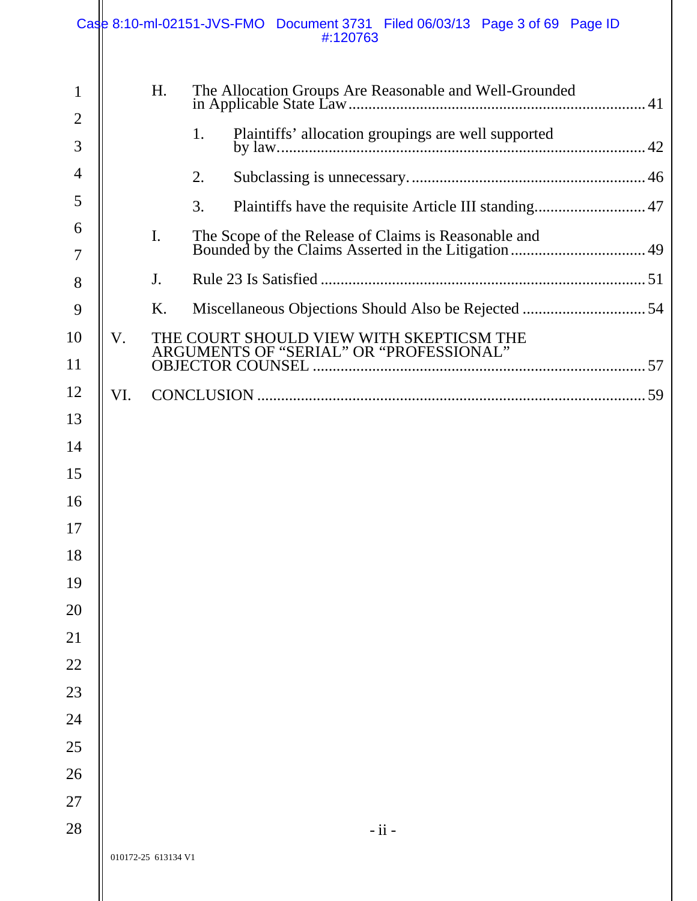|                                     |     |                     | Case 8:10-ml-02151-JVS-FMO Document 3731 Filed 06/03/13 Page 3 of 69 Page ID<br>#:120763 |
|-------------------------------------|-----|---------------------|------------------------------------------------------------------------------------------|
| $\mathbf{1}$<br>$\overline{2}$<br>3 |     | H.                  | Plaintiffs' allocation groupings are well supported<br>1.                                |
| $\overline{4}$                      |     |                     | 2.                                                                                       |
| 5                                   |     |                     | 3.                                                                                       |
| 6<br>7                              |     | I.                  | The Scope of the Release of Claims is Reasonable and                                     |
| 8                                   |     | J.                  |                                                                                          |
| 9                                   |     | Κ.                  |                                                                                          |
| 10                                  | V.  |                     | THE COURT SHOULD VIEW WITH SKEPTICSM THE<br>ARGUMENTS OF "SERIAL" OR "PROFESSIONAL"      |
| 11                                  |     |                     |                                                                                          |
| 12                                  | VI. |                     |                                                                                          |
| 13                                  |     |                     |                                                                                          |
| 14                                  |     |                     |                                                                                          |
| 15                                  |     |                     |                                                                                          |
| 16                                  |     |                     |                                                                                          |
| 17                                  |     |                     |                                                                                          |
| 18<br>19                            |     |                     |                                                                                          |
| 20                                  |     |                     |                                                                                          |
| 21                                  |     |                     |                                                                                          |
| 22                                  |     |                     |                                                                                          |
| 23                                  |     |                     |                                                                                          |
| 24                                  |     |                     |                                                                                          |
| 25                                  |     |                     |                                                                                          |
| 26                                  |     |                     |                                                                                          |
| 27                                  |     |                     |                                                                                          |
| 28                                  |     |                     | $-ii -$                                                                                  |
|                                     |     | 010172-25 613134 V1 |                                                                                          |

 $\blacksquare$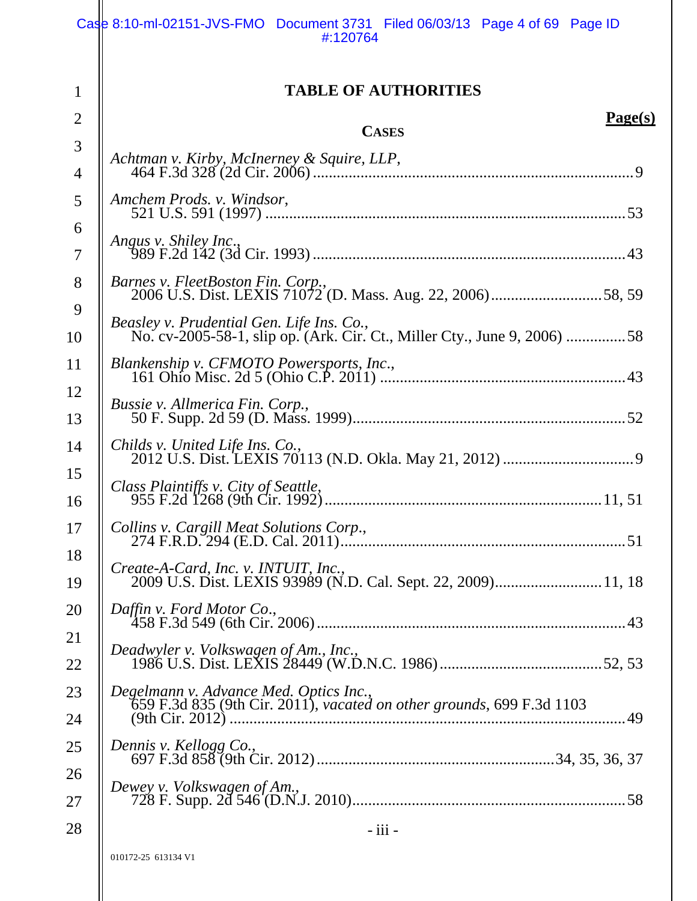|                     | Case 8:10-ml-02151-JVS-FMO Document 3731 Filed 06/03/13 Page 4 of 69 Page ID<br>#:120764                              |
|---------------------|-----------------------------------------------------------------------------------------------------------------------|
| 1                   | <b>TABLE OF AUTHORITIES</b>                                                                                           |
| $\overline{2}$      | Page(s)<br><b>CASES</b>                                                                                               |
| 3                   |                                                                                                                       |
| $\overline{4}$      |                                                                                                                       |
| 5                   | Amchem Prods. v. Windsor,                                                                                             |
| 6<br>$\overline{7}$ | Angus v. Shiley Inc.,                                                                                                 |
| 8                   | Barnes v. FleetBoston Fin. Corp.,                                                                                     |
| 9<br>10             | Beasley v. Prudential Gen. Life Ins. Co.,<br>No. cv-2005-58-1, slip op. (Ark. Cir. Ct., Miller Cty., June 9, 2006) 58 |
| 11                  |                                                                                                                       |
| 12<br>13            |                                                                                                                       |
| 14                  | Childs v. United Life Ins. Co.,                                                                                       |
| 15<br>16            |                                                                                                                       |
| 17                  |                                                                                                                       |
| 18<br>19            | Create-A-Card, Inc. v. INTUIT, Inc.,                                                                                  |
| 20                  | Daffin v. Ford Motor Co.,                                                                                             |
| 21<br>22            | Deadwyler v. Volkswagen of Am., Inc.,                                                                                 |
| 23                  | Degelmann v. Advance Med. Optics Inc.,<br>659 F.3d 835 (9th Cir. 2011), vacated on other grounds, 699 F.3d 1103       |
| 24                  |                                                                                                                       |
| 25<br>26            | Dennis v. Kellogg Co.,                                                                                                |
| 27                  | Dewey v. Volkswagen of Am.,                                                                                           |
| 28                  | $-$ iii $-$                                                                                                           |
|                     | 010172-25 613134 V1                                                                                                   |

010172-25 613134 V1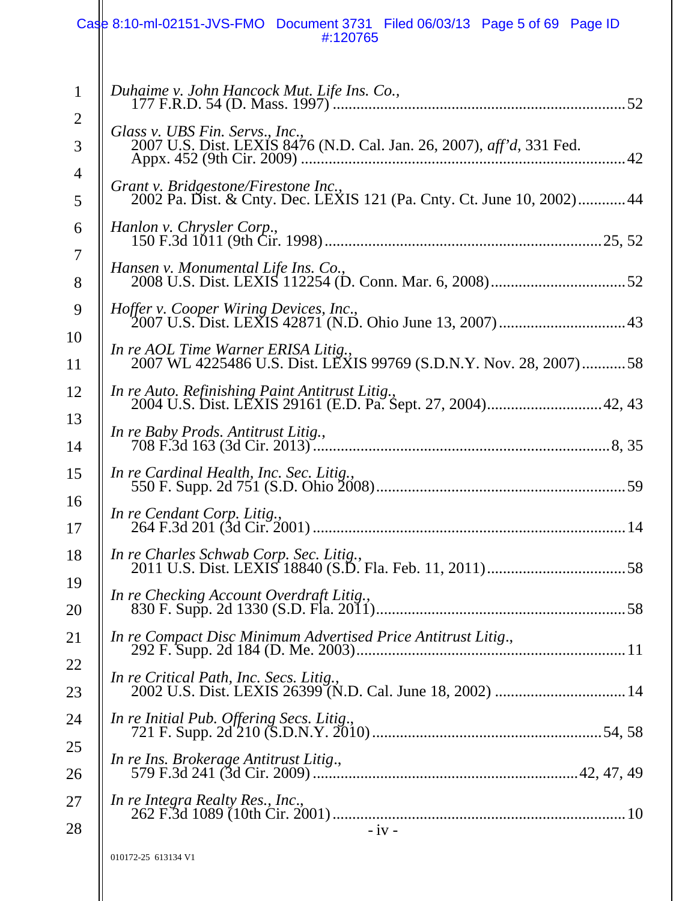|                     | Case 8:10-ml-02151-JVS-FMO Document 3731 Filed 06/03/13 Page 5 of 69 Page ID<br>#:120765                         |
|---------------------|------------------------------------------------------------------------------------------------------------------|
| $\mathbf{1}$        | Duhaime v. John Hancock Mut. Life Ins. Co.,                                                                      |
| $\overline{2}$<br>3 | Glass v. UBS Fin. Servs., Inc.,<br>2007 U.S. Dist. LEXIS 8476 (N.D. Cal. Jan. 26, 2007), <i>aff'd</i> , 331 Fed. |
| $\overline{4}$      |                                                                                                                  |
| 5                   | Grant v. Bridgestone/Firestone Inc.,<br>2002 Pa. Dist. & Cnty. Dec. LEXIS 121 (Pa. Cnty. Ct. June 10, 2002)44    |
| 6                   | Hanlon v. Chrysler Corp.,                                                                                        |
| $\tau$              | Hansen v. Monumental Life Ins. Co.,                                                                              |
| 8<br>9              | Hoffer v. Cooper Wiring Devices, Inc.,                                                                           |
| 10                  |                                                                                                                  |
| 11                  | In re AOL Time Warner ERISA Litig.,<br>2007 WL 4225486 U.S. Dist. LEXIS 99769 (S.D.N.Y. Nov. 28, 2007)58         |
| 12                  | In re Auto. Refinishing Paint Antitrust Litig.,                                                                  |
| 13<br>14            | In re Baby Prods. Antitrust Litig.,                                                                              |
| 15                  | In re Cardinal Health, Inc. Sec. Litig.,                                                                         |
| 16<br>17            |                                                                                                                  |
| 18                  | In re Charles Schwab Corp. Sec. Litig.,                                                                          |
| 19<br>20            | In re Checking Account Overdraft Litig.,                                                                         |
| 21                  | In re Compact Disc Minimum Advertised Price Antitrust Litig.,                                                    |
| 22                  | In re Critical Path, Inc. Secs. Litig.,                                                                          |
| 23                  | 2002 U.S. Dist. LEXIS 26399 (N.D. Cal. June 18, 2002)  14                                                        |
| 24                  | In re Initial Pub. Offering Secs. Litig.,                                                                        |
| 25<br>26            | In re Ins. Brokerage Antitrust Litig.,                                                                           |
| 27                  | In re Integra Realty Res., Inc.,                                                                                 |
| 28                  | $-iv -$                                                                                                          |

010172-25 613134 V1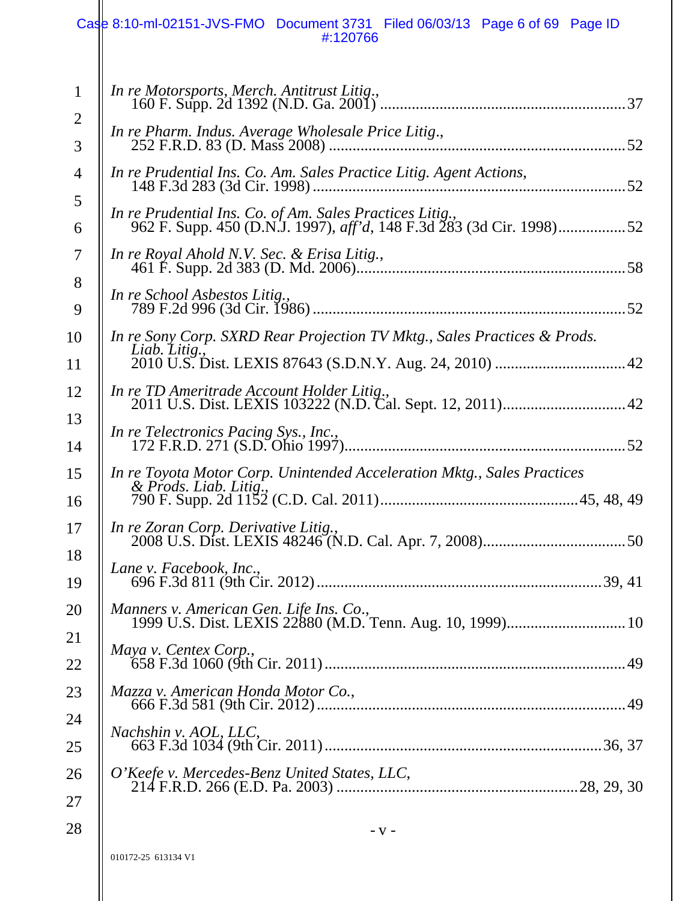## 1 2 3 4 5 6 7 8 9 10 11 12 13 14 15 *In re Motorsports*, *Merch. Antitrust Litig*., 160 F. Supp. 2d 1392 (N.D. Ga. 2001) .............................................................. 37 *In re Pharm. Indus. Average Wholesale Price Litig*., 252 F.R.D. 83 (D. Mass 2008) ........................................................................... 52 *In re Prudential Ins. Co. Am. Sales Practice Litig. Agent Actions*, 148 F.3d 283 (3d Cir. 1998) ............................................................................... 52 *In re Prudential Ins. Co. of Am. Sales Practices Litig.,* 962 F. Supp. 450 (D.N.J. 1997), *aff'd*, 148 F.3d 283 (3d Cir. 1998) ................. 52 *In re Royal Ahold N.V. Sec. & Erisa Litig.*, 461 F. Supp. 2d 383 (D. Md. 2006) .................................................................... 58 *In re School Asbestos Litig.,* 789 F.2d 996 (3d Cir. 1986) ............................................................................... 52 *In re Sony Corp. SXRD Rear Projection TV Mktg., Sales Practices & Prods. Liab. Litig.*, 2010 U.S. Dist. LEXIS 87643 (S.D.N.Y. Aug. 24, 2010) ................................. 42 *In re TD Ameritrade Account Holder Litig*., 2011 U.S. Dist. LEXIS 103222 (N.D. Cal. Sept. 12, 2011) ............................... 42 *In re Telectronics Pacing Sys., Inc.*, 172 F.R.D. 271 (S.D. Ohio 1997) ....................................................................... 52 Case 8:10-ml-02151-JVS-FMO Document 3731 Filed 06/03/13 Page 6 of 69 Page ID #:120766

| 16 |                                                  |
|----|--------------------------------------------------|
|    | 17 $\parallel$ In re Zoran Corn Derivative Litio |

# *Mazza v. American Honda Motor Co.*, 666 F.3d 581 (9th Cir. 2012) .............................................................................. 49 *Nachshin v. AOL, LLC*, 663 F.3d 1034 (9th Cir. 2011) ...................................................................... 36, 37 *O'Keefe v. Mercedes-Benz United States, LLC*, 214 F.R.D. 266 (E.D. Pa. 2003) ............................................................. 28, 29, 30

28

23

24

25

26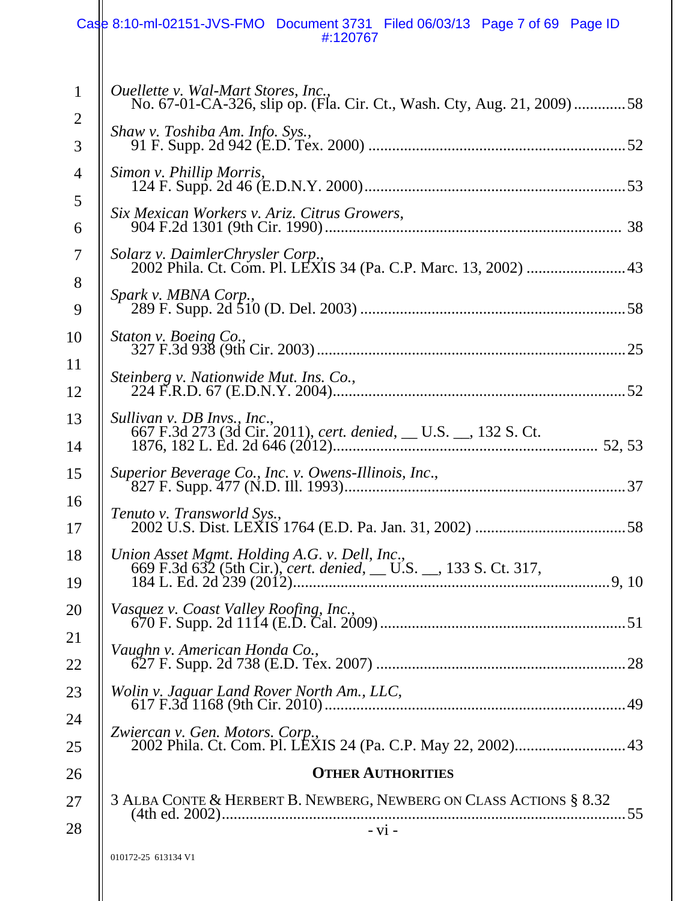#### Case 8:10-ml-02151-JVS-FMO Document 3731 Filed 06/03/13 Page 7 of 69 Page ID #:120767

| $\mathbf{1}$        | <i>Ouellette v. Wal-Mart Stores, Inc.,</i><br>No. 67-01-CA-326, slip op. (Fla. Cir. Ct., Wash. Cty, Aug. 21, 2009) 58 |
|---------------------|-----------------------------------------------------------------------------------------------------------------------|
| $\overline{2}$<br>3 | Shaw v. Toshiba Am. Info. Sys.,                                                                                       |
| $\overline{4}$      | Simon v. Phillip Morris,                                                                                              |
| 5<br>6              | Six Mexican Workers v. Ariz. Citrus Growers,                                                                          |
| $\overline{7}$      | Solarz v. DaimlerChrysler Corp.,                                                                                      |
| 8<br>9              | Spark v. MBNA Corp.,                                                                                                  |
| 10                  | Staton v. Boeing Co.,                                                                                                 |
| 11<br>12            | Steinberg v. Nationwide Mut. Ins. Co.,                                                                                |
| 13<br>14            | Sullivan v. DB Invs., Inc.,<br>667 F.3d 273 (3d Cir. 2011), cert. denied, __ U.S. __, 132 S. Ct.                      |
| 15                  | Superior Beverage Co., Inc. v. Owens-Illinois, Inc.,                                                                  |
| 16<br>17            | Tenuto v. Transworld Sys.,                                                                                            |
| 18<br>19            | Union Asset Mgmt. Holding A.G. v. Dell, Inc.,<br>669 F.3d 632 (5th Cir.), cert. denied, __U.S. __, 133 S. Ct. 317,    |
| 20                  | Vasquez v. Coast Valley Roofing, Inc.,                                                                                |
| 21<br>22            | Vaughn v. American Honda Co.,                                                                                         |
| 23                  | Wolin v. Jaguar Land Rover North Am., LLC,                                                                            |
| 24<br>25            | Zwiercan v. Gen. Motors. Corp.,                                                                                       |
| 26                  | <b>OTHER AUTHORITIES</b>                                                                                              |
| 27                  |                                                                                                                       |
| 28                  | $-vi -$                                                                                                               |
|                     | 010172-25 613134 V1                                                                                                   |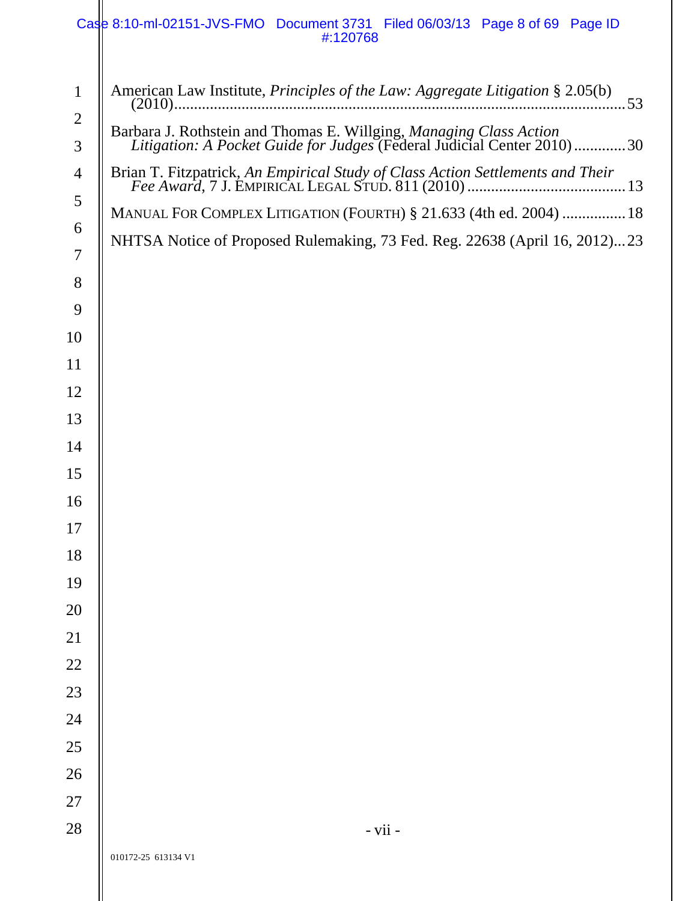## Case 8:10-ml-02151-JVS-FMO Document 3731 Filed 06/03/13 Page 8 of 69 Page ID #:120768

| $\mathbf{1}$   | American Law Institute, <i>Principles of the Law: Aggregate Litigation</i> § 2.05(b)<br>.53                                                  |
|----------------|----------------------------------------------------------------------------------------------------------------------------------------------|
| $\overline{2}$ |                                                                                                                                              |
| 3              | Barbara J. Rothstein and Thomas E. Willging, Managing Class Action<br>Litigation: A Pocket Guide for Judges (Federal Judicial Center 2010)30 |
| $\overline{4}$ |                                                                                                                                              |
| 5              | MANUAL FOR COMPLEX LITIGATION (FOURTH) § 21.633 (4th ed. 2004)  18                                                                           |
| 6              | NHTSA Notice of Proposed Rulemaking, 73 Fed. Reg. 22638 (April 16, 2012)23                                                                   |
| $\tau$         |                                                                                                                                              |
| 8              |                                                                                                                                              |
| 9              |                                                                                                                                              |
| 10             |                                                                                                                                              |
| 11             |                                                                                                                                              |
| 12             |                                                                                                                                              |
| 13             |                                                                                                                                              |
| 14             |                                                                                                                                              |
| 15             |                                                                                                                                              |
| 16             |                                                                                                                                              |
| 17             |                                                                                                                                              |
| 18<br>19       |                                                                                                                                              |
| 20             |                                                                                                                                              |
| 21             |                                                                                                                                              |
| $22\,$         |                                                                                                                                              |
| 23             |                                                                                                                                              |
| 24             |                                                                                                                                              |
| 25             |                                                                                                                                              |
| 26             |                                                                                                                                              |
| 27             |                                                                                                                                              |
| 28             | $- vii -$                                                                                                                                    |
|                | 010172-25 613134 V1                                                                                                                          |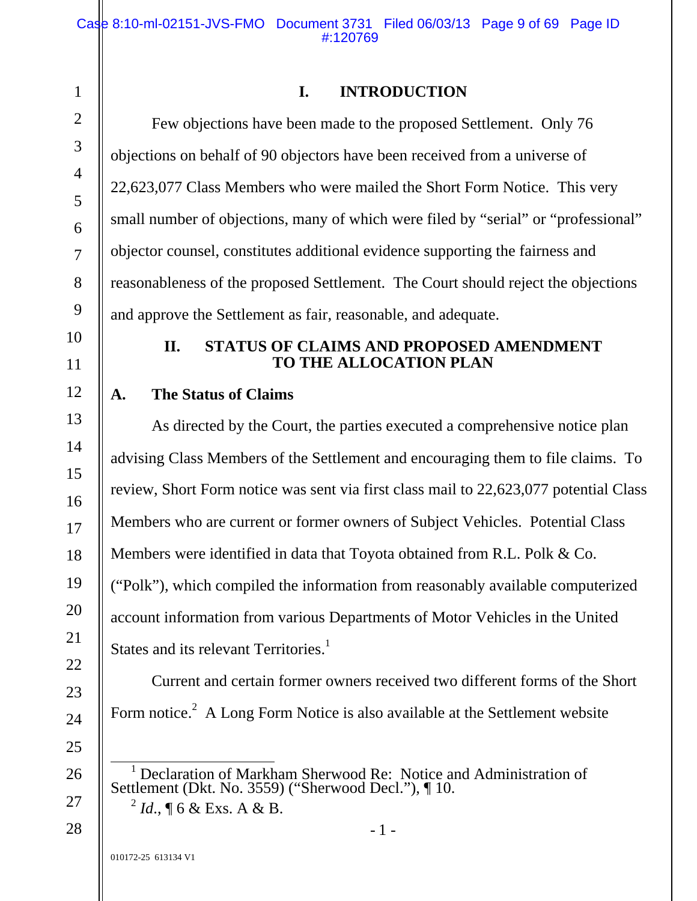## 1 2 3

4

5

6

7

8

9

11

12

13

14

15

16

17

18

19

20

21

22

23

24

25

26

27

28

## **I. INTRODUCTION**

Few objections have been made to the proposed Settlement. Only 76 objections on behalf of 90 objectors have been received from a universe of 22,623,077 Class Members who were mailed the Short Form Notice. This very small number of objections, many of which were filed by "serial" or "professional" objector counsel, constitutes additional evidence supporting the fairness and reasonableness of the proposed Settlement. The Court should reject the objections and approve the Settlement as fair, reasonable, and adequate.

10

## **II. STATUS OF CLAIMS AND PROPOSED AMENDMENT TO THE ALLOCATION PLAN**

## **A. The Status of Claims**

As directed by the Court, the parties executed a comprehensive notice plan advising Class Members of the Settlement and encouraging them to file claims. To review, Short Form notice was sent via first class mail to 22,623,077 potential Class Members who are current or former owners of Subject Vehicles. Potential Class Members were identified in data that Toyota obtained from R.L. Polk & Co. ("Polk"), which compiled the information from reasonably available computerized account information from various Departments of Motor Vehicles in the United States and its relevant Territories.<sup>1</sup>

Current and certain former owners received two different forms of the Short Form notice. $2$  A Long Form Notice is also available at the Settlement website

<sup>&</sup>lt;sup>1</sup> Declaration of Markham Sherwood Re: Notice and Administration of Settlement (Dkt. No. 3559) ("Sherwood Decl."), ¶ 10.

 $^{2}$  *Id.*, **[** 6 & Exs. A & B.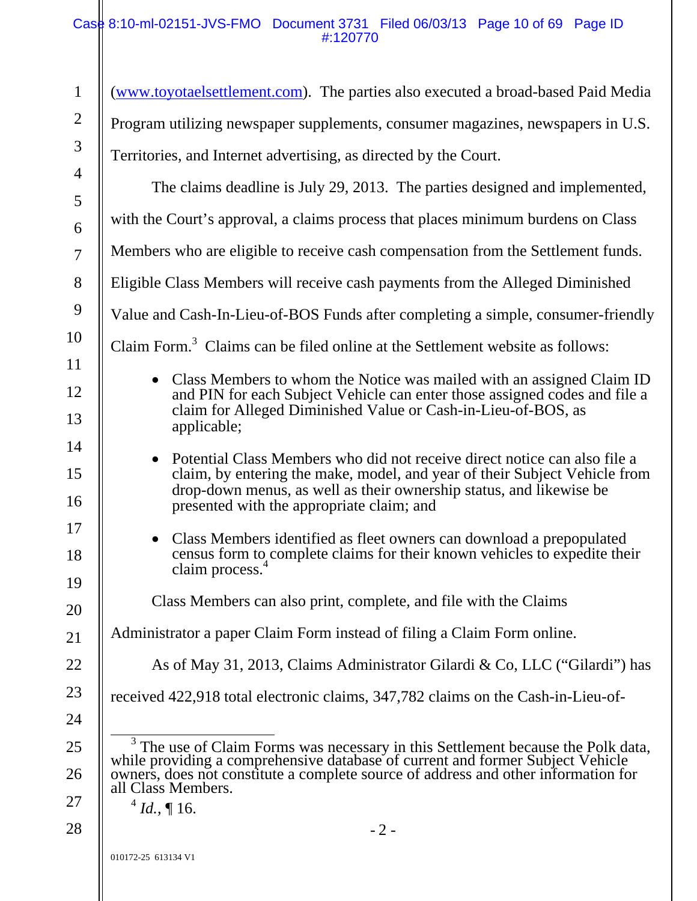## Case 8:10-ml-02151-JVS-FMO Document 3731 Filed 06/03/13 Page 10 of 69 Page ID #:120770

| $\mathbf{1}$   | (www.toyotaelsettlement.com). The parties also executed a broad-based Paid Media                                                                                                               |
|----------------|------------------------------------------------------------------------------------------------------------------------------------------------------------------------------------------------|
| $\overline{2}$ | Program utilizing newspaper supplements, consumer magazines, newspapers in U.S.                                                                                                                |
| 3              | Territories, and Internet advertising, as directed by the Court.                                                                                                                               |
| $\overline{4}$ | The claims deadline is July 29, 2013. The parties designed and implemented,                                                                                                                    |
| 5              | with the Court's approval, a claims process that places minimum burdens on Class                                                                                                               |
| 6              |                                                                                                                                                                                                |
| $\overline{7}$ | Members who are eligible to receive cash compensation from the Settlement funds.                                                                                                               |
| 8              | Eligible Class Members will receive cash payments from the Alleged Diminished                                                                                                                  |
| 9              | Value and Cash-In-Lieu-of-BOS Funds after completing a simple, consumer-friendly                                                                                                               |
| 10             | Claim Form. <sup>3</sup> Claims can be filed online at the Settlement website as follows:                                                                                                      |
| 11             | Class Members to whom the Notice was mailed with an assigned Claim ID                                                                                                                          |
| 12             | and PIN for each Subject Vehicle can enter those assigned codes and file a<br>claim for Alleged Diminished Value or Cash-in-Lieu-of-BOS, as                                                    |
| 13             | applicable;                                                                                                                                                                                    |
| 14             | • Potential Class Members who did not receive direct notice can also file a                                                                                                                    |
| 15<br>16       | claim, by entering the make, model, and year of their Subject Vehicle from<br>drop-down menus, as well as their ownership status, and likewise be<br>presented with the appropriate claim; and |
| 17<br>18<br>19 | Class Members identified as fleet owners can download a prepopulated<br>$\bullet$<br>census form to complete claims for their known vehicles to expedite their<br>claim process. <sup>4</sup>  |
| 20             | Class Members can also print, complete, and file with the Claims                                                                                                                               |
| 21             | Administrator a paper Claim Form instead of filing a Claim Form online.                                                                                                                        |
| 22             | As of May 31, 2013, Claims Administrator Gilardi & Co, LLC ("Gilardi") has                                                                                                                     |
| 23             | received 422,918 total electronic claims, 347,782 claims on the Cash-in-Lieu-of-                                                                                                               |
| 24             |                                                                                                                                                                                                |
| 25             | <sup>3</sup> The use of Claim Forms was necessary in this Settlement because the Polk data,                                                                                                    |
| 26             | while providing a comprehensive database of current and former Subject Vehicle<br>owners, does not constitute a complete source of address and other information for                           |
| 27             | all Class Members.<br>$4$ <i>Id.</i> , ¶ 16.                                                                                                                                                   |
| 28             | $-2-$                                                                                                                                                                                          |
|                | 010172-25 613134 V1                                                                                                                                                                            |
|                |                                                                                                                                                                                                |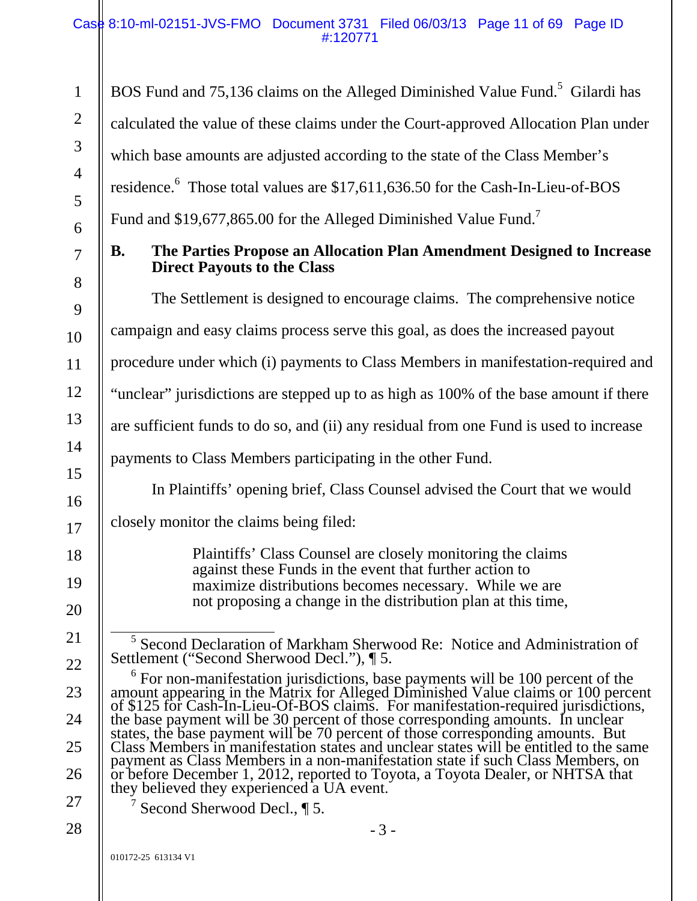- 3 - 010172-25 613134 V1 1 2 3 4 5 6 7 8 9 10 11 12 13 14 15 16 17 18 19 20 21 22 23 24 25 26 27 28 BOS Fund and 75,136 claims on the Alleged Diminished Value Fund.<sup>5</sup> Gilardi has calculated the value of these claims under the Court-approved Allocation Plan under which base amounts are adjusted according to the state of the Class Member's residence.<sup>6</sup> Those total values are \$17,611,636.50 for the Cash-In-Lieu-of-BOS Fund and \$19,677,865.00 for the Alleged Diminished Value Fund.<sup>7</sup> **B. The Parties Propose an Allocation Plan Amendment Designed to Increase Direct Payouts to the Class**  The Settlement is designed to encourage claims. The comprehensive notice campaign and easy claims process serve this goal, as does the increased payout procedure under which (i) payments to Class Members in manifestation-required and "unclear" jurisdictions are stepped up to as high as 100% of the base amount if there are sufficient funds to do so, and (ii) any residual from one Fund is used to increase payments to Class Members participating in the other Fund. In Plaintiffs' opening brief, Class Counsel advised the Court that we would closely monitor the claims being filed: Plaintiffs' Class Counsel are closely monitoring the claims against these Funds in the event that further action to maximize distributions becomes necessary. While we are not proposing a change in the distribution plan at this time, <sup>5</sup> Second Declaration of Markham Sherwood Re: Notice and Administration of Settlement ("Second Sherwood Decl."), ¶ 5. <sup>6</sup> For non-manifestation jurisdictions, base payments will be 100 percent of the amount appearing in the Matrix for Alleged Diminished Value claims or 100 percent of \$125 for Cash-In-Lieu-Of-BOS claims. For manifestation payment as Class Members in a non-manifestation state if such Class Members, on or before December 1, 2012, reported to Toyota, a Toyota Dealer, or NHTSA that they believed they experienced a UA event. <sup>7</sup> Second Sherwood Decl.,  $\P$  5.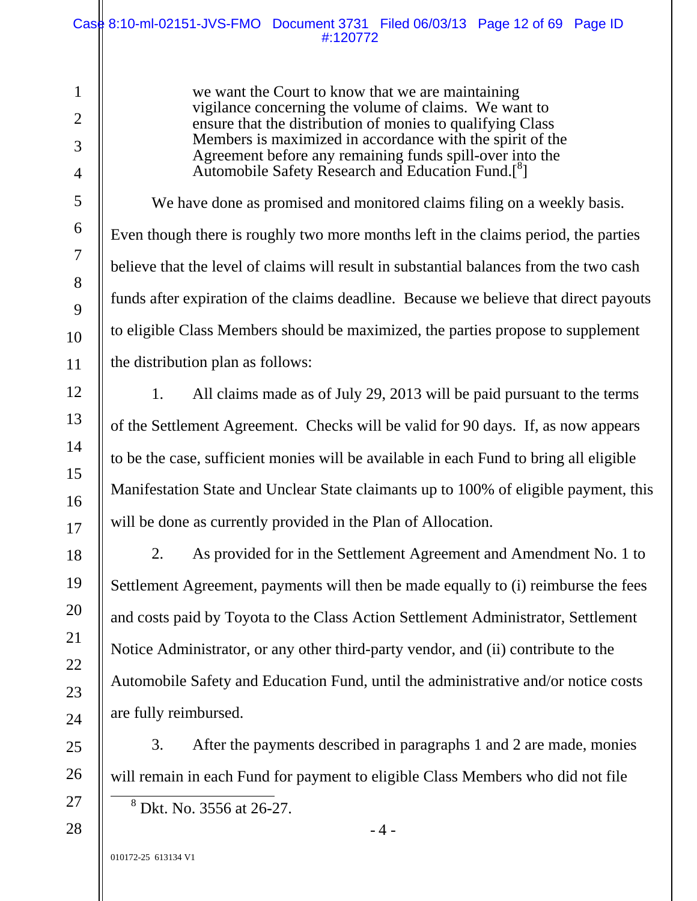|                          | Case 8:10-ml-02151-JVS-FMO Document 3731 Filed 06/03/13 Page 12 of 69 Page ID<br>#:120772                                                                                                                                                                                                                                                                           |
|--------------------------|---------------------------------------------------------------------------------------------------------------------------------------------------------------------------------------------------------------------------------------------------------------------------------------------------------------------------------------------------------------------|
| $\overline{2}$<br>3<br>4 | we want the Court to know that we are maintaining<br>vigilance concerning the volume of claims. We want to<br>ensure that the distribution of monies to qualifying Class<br>Members is maximized in accordance with the spirit of the<br>Agreement before any remaining funds spill-over into the<br>Automobile Safety Research and Education Fund. <sup>[8</sup> ] |
| 5                        | We have done as promised and monitored claims filing on a weekly basis.                                                                                                                                                                                                                                                                                             |
| 6                        | Even though there is roughly two more months left in the claims period, the parties                                                                                                                                                                                                                                                                                 |
| 7                        | believe that the level of claims will result in substantial balances from the two cash                                                                                                                                                                                                                                                                              |
| 8                        |                                                                                                                                                                                                                                                                                                                                                                     |

funds after expiration of the claims deadline. Because we believe that direct payouts to eligible Class Members should be maximized, the parties propose to supplement the distribution plan as follows:

1. All claims made as of July 29, 2013 will be paid pursuant to the terms of the Settlement Agreement. Checks will be valid for 90 days. If, as now appears to be the case, sufficient monies will be available in each Fund to bring all eligible Manifestation State and Unclear State claimants up to 100% of eligible payment, this will be done as currently provided in the Plan of Allocation.

2. As provided for in the Settlement Agreement and Amendment No. 1 to Settlement Agreement, payments will then be made equally to (i) reimburse the fees and costs paid by Toyota to the Class Action Settlement Administrator, Settlement Notice Administrator, or any other third-party vendor, and (ii) contribute to the Automobile Safety and Education Fund, until the administrative and/or notice costs are fully reimbursed.

3. After the payments described in paragraphs 1 and 2 are made, monies will remain in each Fund for payment to eligible Class Members who did not file <sup>8</sup> Dkt. No. 3556 at 26-27.

9

10

11

12

13

14

15

16

17

18

19

20

21

22

23

24

25

26

27

28

 $-4-$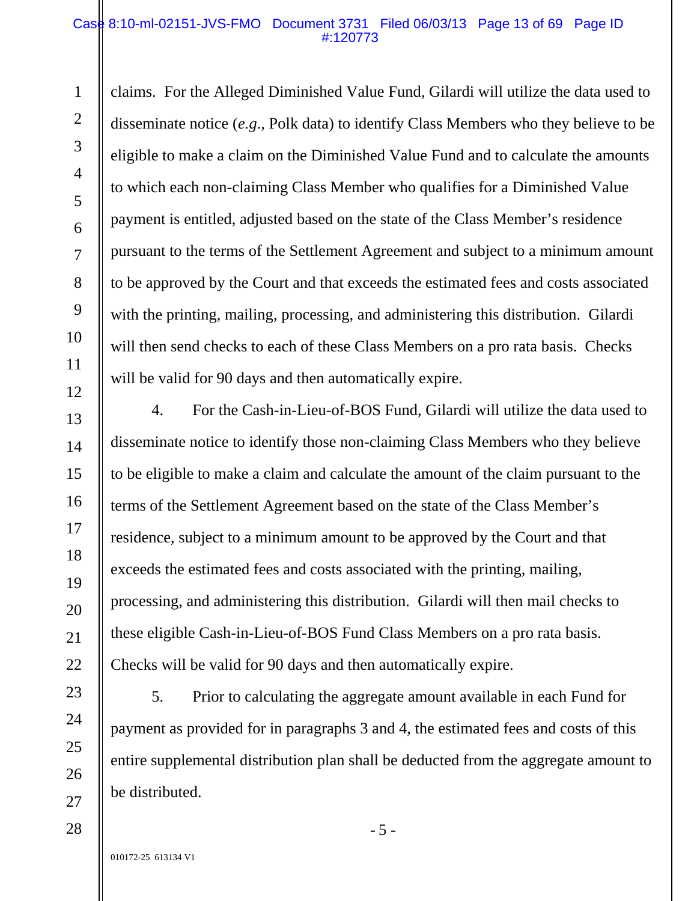### Case 8:10-ml-02151-JVS-FMO Document 3731 Filed 06/03/13 Page 13 of 69 Page ID #:120773

claims. For the Alleged Diminished Value Fund, Gilardi will utilize the data used to disseminate notice (*e.g*., Polk data) to identify Class Members who they believe to be eligible to make a claim on the Diminished Value Fund and to calculate the amounts to which each non-claiming Class Member who qualifies for a Diminished Value payment is entitled, adjusted based on the state of the Class Member's residence pursuant to the terms of the Settlement Agreement and subject to a minimum amount to be approved by the Court and that exceeds the estimated fees and costs associated with the printing, mailing, processing, and administering this distribution. Gilardi will then send checks to each of these Class Members on a pro rata basis. Checks will be valid for 90 days and then automatically expire.

4. For the Cash-in-Lieu-of-BOS Fund, Gilardi will utilize the data used to disseminate notice to identify those non-claiming Class Members who they believe to be eligible to make a claim and calculate the amount of the claim pursuant to the terms of the Settlement Agreement based on the state of the Class Member's residence, subject to a minimum amount to be approved by the Court and that exceeds the estimated fees and costs associated with the printing, mailing, processing, and administering this distribution. Gilardi will then mail checks to these eligible Cash-in-Lieu-of-BOS Fund Class Members on a pro rata basis. Checks will be valid for 90 days and then automatically expire.

5. Prior to calculating the aggregate amount available in each Fund for payment as provided for in paragraphs 3 and 4, the estimated fees and costs of this entire supplemental distribution plan shall be deducted from the aggregate amount to be distributed.

1

2

3

4

5

6

7

8

9

10

11

12

13

14

15

16

17

18

19

20

21

22

23

24

25

26

27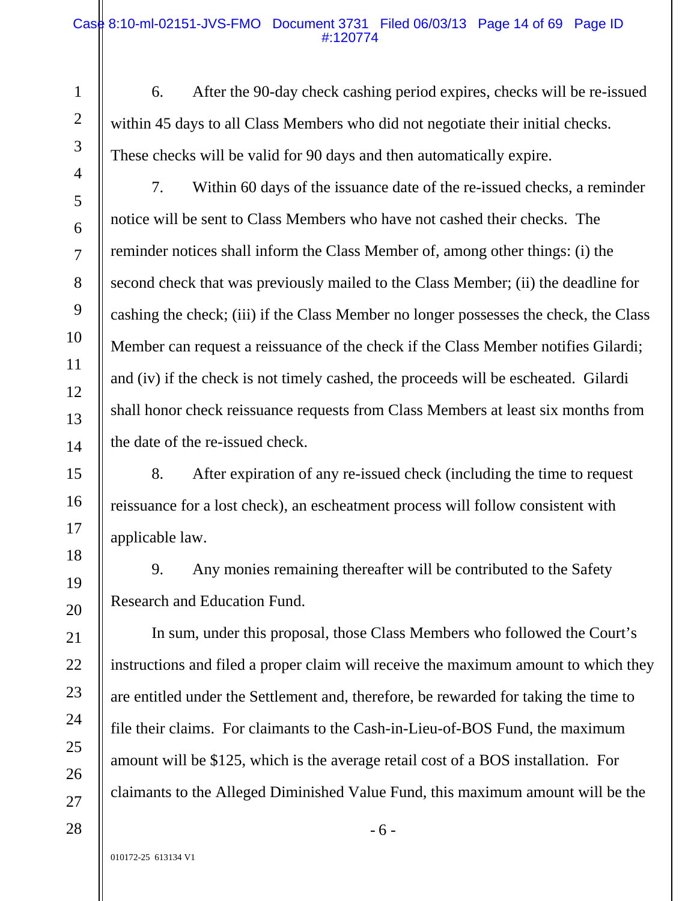#### Case 8:10-ml-02151-JVS-FMO Document 3731 Filed 06/03/13 Page 14 of 69 Page ID #:120774

1 2

3

4

5

6

7

8

9

10

11

12

13

14

15

16

17

6. After the 90-day check cashing period expires, checks will be re-issued within 45 days to all Class Members who did not negotiate their initial checks. These checks will be valid for 90 days and then automatically expire.

7. Within 60 days of the issuance date of the re-issued checks, a reminder notice will be sent to Class Members who have not cashed their checks. The reminder notices shall inform the Class Member of, among other things: (i) the second check that was previously mailed to the Class Member; (ii) the deadline for cashing the check; (iii) if the Class Member no longer possesses the check, the Class Member can request a reissuance of the check if the Class Member notifies Gilardi; and (iv) if the check is not timely cashed, the proceeds will be escheated. Gilardi shall honor check reissuance requests from Class Members at least six months from the date of the re-issued check.

8. After expiration of any re-issued check (including the time to request reissuance for a lost check), an escheatment process will follow consistent with applicable law.

9. Any monies remaining thereafter will be contributed to the Safety Research and Education Fund.

In sum, under this proposal, those Class Members who followed the Court's instructions and filed a proper claim will receive the maximum amount to which they are entitled under the Settlement and, therefore, be rewarded for taking the time to file their claims. For claimants to the Cash-in-Lieu-of-BOS Fund, the maximum amount will be \$125, which is the average retail cost of a BOS installation. For claimants to the Alleged Diminished Value Fund, this maximum amount will be the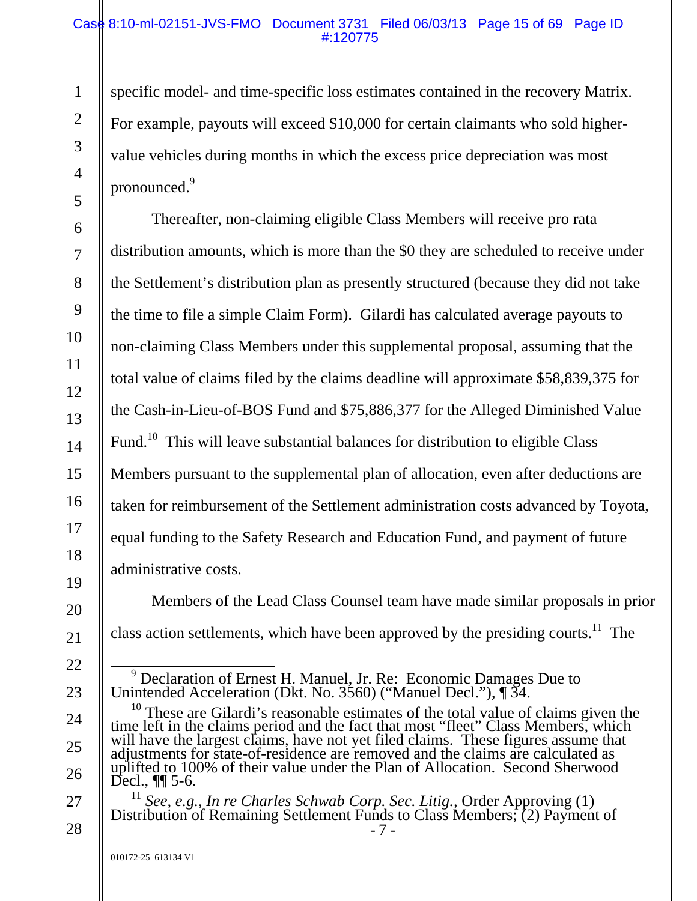### Case 8:10-ml-02151-JVS-FMO Document 3731 Filed 06/03/13 Page 15 of 69 Page ID #:120775

specific model- and time-specific loss estimates contained in the recovery Matrix. For example, payouts will exceed \$10,000 for certain claimants who sold highervalue vehicles during months in which the excess price depreciation was most pronounced.<sup>9</sup>

Thereafter, non-claiming eligible Class Members will receive pro rata distribution amounts, which is more than the \$0 they are scheduled to receive under the Settlement's distribution plan as presently structured (because they did not take the time to file a simple Claim Form). Gilardi has calculated average payouts to non-claiming Class Members under this supplemental proposal, assuming that the total value of claims filed by the claims deadline will approximate \$58,839,375 for the Cash-in-Lieu-of-BOS Fund and \$75,886,377 for the Alleged Diminished Value Fund.<sup>10</sup> This will leave substantial balances for distribution to eligible Class Members pursuant to the supplemental plan of allocation, even after deductions are taken for reimbursement of the Settlement administration costs advanced by Toyota, equal funding to the Safety Research and Education Fund, and payment of future administrative costs.

Members of the Lead Class Counsel team have made similar proposals in prior class action settlements, which have been approved by the presiding courts.<sup>11</sup> The

- 7 - <sup>11</sup> *See*, *e.g.*, *In re Charles Schwab Corp. Sec. Litig.*, Order Approving (1) Distribution of Remaining Settlement Funds to Class Members; (2) Payment of

 $\frac{1}{9}$  $\degree$  Declaration of Ernest H. Manuel, Jr. Re: Economic Damages Due to Unintended Acceleration (Dkt. No. 3560) ("Manuel Decl."), ¶ 34.

 $10$  These are Gilardi's reasonable estimates of the total value of claims given the time left in the claims period and the fact that most "fleet" Class Members, which will have the largest claims, have not yet filed clai will have the largest claims, have not yet filed claims. These figures assume the adjustments for state-of-residence are removed and the claims are calculated as uplifted to 100% of their value under the Plan of Allocation. Second Sherwood Decl., **¶** 5-6.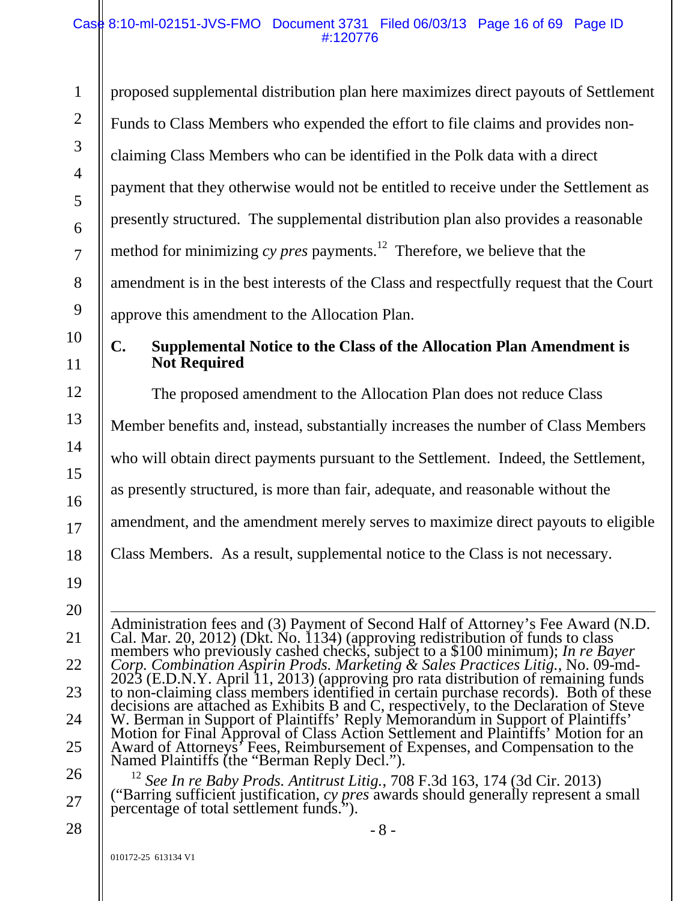## Case 8:10-ml-02151-JVS-FMO Document 3731 Filed 06/03/13 Page 16 of 69 Page ID #:120776

| $\mathbf{1}$        | proposed supplemental distribution plan here maximizes direct payouts of Settlement                                                                                                                                         |
|---------------------|-----------------------------------------------------------------------------------------------------------------------------------------------------------------------------------------------------------------------------|
| $\overline{2}$      | Funds to Class Members who expended the effort to file claims and provides non-                                                                                                                                             |
| 3                   | claiming Class Members who can be identified in the Polk data with a direct                                                                                                                                                 |
| $\overline{4}$      | payment that they otherwise would not be entitled to receive under the Settlement as                                                                                                                                        |
| 5                   | presently structured. The supplemental distribution plan also provides a reasonable                                                                                                                                         |
| 6<br>$\overline{7}$ | method for minimizing cy pres payments. <sup>12</sup> Therefore, we believe that the                                                                                                                                        |
| 8                   | amendment is in the best interests of the Class and respectfully request that the Court                                                                                                                                     |
| 9                   | approve this amendment to the Allocation Plan.                                                                                                                                                                              |
| 10                  | C.<br>Supplemental Notice to the Class of the Allocation Plan Amendment is                                                                                                                                                  |
| 11                  | <b>Not Required</b>                                                                                                                                                                                                         |
| 12                  | The proposed amendment to the Allocation Plan does not reduce Class                                                                                                                                                         |
| 13                  | Member benefits and, instead, substantially increases the number of Class Members                                                                                                                                           |
| 14                  | who will obtain direct payments pursuant to the Settlement. Indeed, the Settlement,                                                                                                                                         |
| 15<br>16            | as presently structured, is more than fair, adequate, and reasonable without the                                                                                                                                            |
| 17                  | amendment, and the amendment merely serves to maximize direct payouts to eligible                                                                                                                                           |
| 18                  | Class Members. As a result, supplemental notice to the Class is not necessary.                                                                                                                                              |
| 19                  |                                                                                                                                                                                                                             |
| 20                  | Administration fees and (3) Payment of Second Half of Attorney's Fee Award (N.D.                                                                                                                                            |
| 21                  | Cal. Mar. 20, 2012) (Dkt. No. 1134) (approving redistribution of funds to class<br>members who previously cashed checks, subject to a \$100 minimum); In re Bayer                                                           |
| 22                  | Corp. Combination Aspirin Prods. Marketing & Sales Practices Litig., No. 09-md-<br>2023 (E.D.N.Y. April 11, 2013) (approving pro rata distribution of remaining funds                                                       |
| 23                  | to non-claiming class members identified in certain purchase records). Both of these<br>decisions are attached as Exhibits B and C, respectively, to the Declaration of Steve                                               |
| 24                  | W. Berman in Support of Plaintiffs' Reply Memorandum in Support of Plaintiffs'<br>Motion for Final Approval of Class Action Settlement and Plaintiffs' Motion for an                                                        |
| 25                  | Award of Attorneys' Fees, Reimbursement of Expenses, and Compensation to the<br>Named Plaintiffs (the "Berman Reply Decl.").                                                                                                |
| 26<br>27            | <sup>12</sup> See In re Baby Prods. Antitrust Litig., 708 F.3d 163, 174 (3d Cir. 2013)<br>("Barring sufficient justification, cy pres awards should generally represent a small<br>percentage of total settlement funds."). |
| 28                  | $-8-$                                                                                                                                                                                                                       |
|                     | 010172-25 613134 V1                                                                                                                                                                                                         |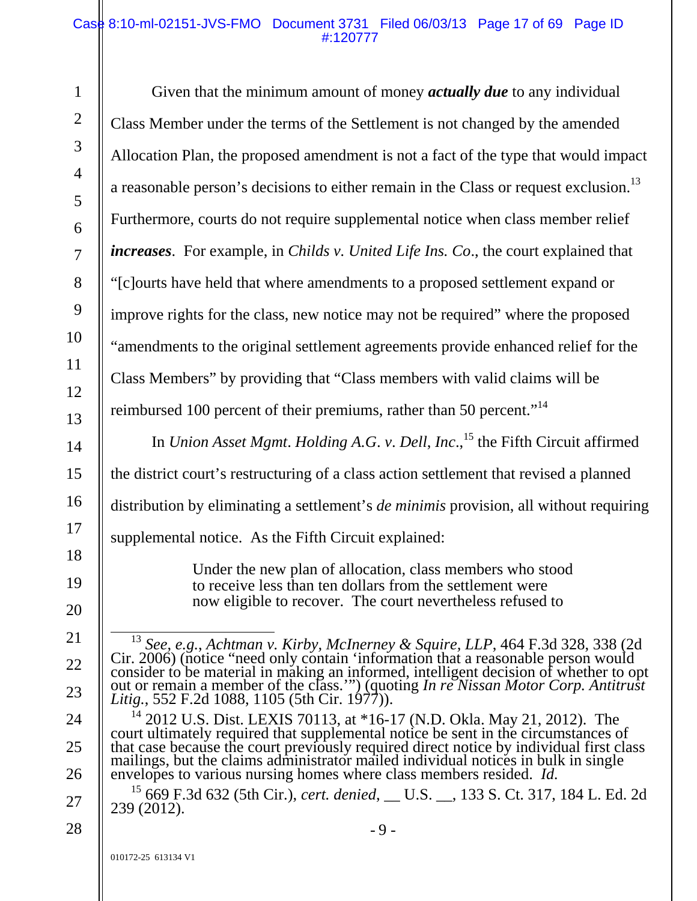## Case 8:10-ml-02151-JVS-FMO Document 3731 Filed 06/03/13 Page 17 of 69 Page ID #:120777

Given that the minimum amount of money *actually due* to any individual Class Member under the terms of the Settlement is not changed by the amended Allocation Plan, the proposed amendment is not a fact of the type that would impact a reasonable person's decisions to either remain in the Class or request exclusion.<sup>13</sup> Furthermore, courts do not require supplemental notice when class member relief *increases*. For example, in *Childs v. United Life Ins. Co*., the court explained that "[c]ourts have held that where amendments to a proposed settlement expand or improve rights for the class, new notice may not be required" where the proposed "amendments to the original settlement agreements provide enhanced relief for the Class Members" by providing that "Class members with valid claims will be reimbursed 100 percent of their premiums, rather than 50 percent."<sup>14</sup>

In *Union Asset Mgmt. Holding A.G. v. Dell, Inc.*<sup>15</sup> the Fifth Circuit affirmed the district court's restructuring of a class action settlement that revised a planned distribution by eliminating a settlement's *de minimis* provision, all without requiring supplemental notice. As the Fifth Circuit explained:

> Under the new plan of allocation, class members who stood to receive less than ten dollars from the settlement were now eligible to recover. The court nevertheless refused to

15 669 F.3d 632 (5th Cir.), *cert. denied*, \_\_ U.S. \_\_, 133 S. Ct. 317, 184 L. Ed. 2d 239 (2012).

28

1

2

3

4

5

6

7

8

9

10

11

12

13

14

15

16

17

18

19

20

21

22

23

24

25

26

<sup>&</sup>lt;sup>13</sup> See, e.g., Achtman v. Kirby, McInerney & Squire, LLP, 464 F.3d 328, 338 (2d Cir. 2006) (notice "need only contain 'information that a reasonable person would consider to be material in making an informed, intelligent *Litig.*, 552 F.2d 1088, 1105 (5th Cir. 1977)).

 $^{14}$  2012 U.S. Dist. LEXIS 70113, at \*16-17 (N.D. Okla. May 21, 2012). The court ultimately required that supplemental notice be sent in the circumstances of that case because the court previously required direct notice by individual first class mailings, but the claims administrator mailed individual notices in bulk in single envelopes to various nursing homes where class members resided. *Id.*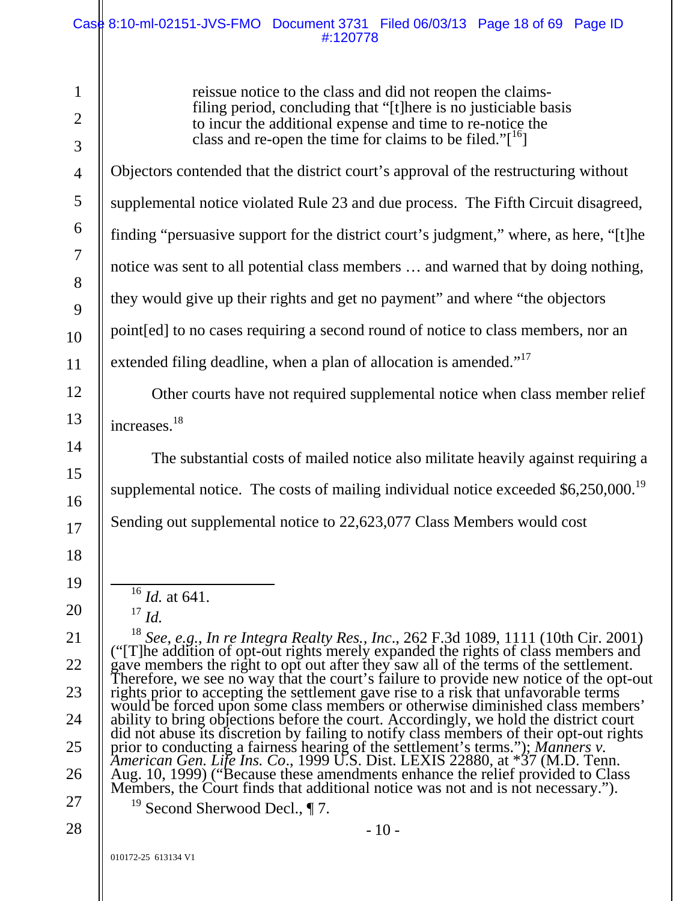reissue notice to the class and did not reopen the claimsfiling period, concluding that "[t]here is no justiciable basis to incur the additional expense and time to re-notice the class and re-open the time for claims to be filed." $[16]$ 

Objectors contended that the district court's approval of the restructuring without supplemental notice violated Rule 23 and due process. The Fifth Circuit disagreed, finding "persuasive support for the district court's judgment," where, as here, "[t]he notice was sent to all potential class members … and warned that by doing nothing, they would give up their rights and get no payment" and where "the objectors point[ed] to no cases requiring a second round of notice to class members, nor an extended filing deadline, when a plan of allocation is amended."<sup>17</sup>

Other courts have not required supplemental notice when class member relief increases.<sup>18</sup>

The substantial costs of mailed notice also militate heavily against requiring a supplemental notice. The costs of mailing individual notice exceeded \$6,250,000.<sup>19</sup> Sending out supplemental notice to 22,623,077 Class Members would cost

1

2

3

4

5

6

7

8

9

10

11

12

13

14

15

16

17

18

19

20

21

22

23

24

25

26

27

28

- 10 - <sup>18</sup> See, e.g., *In re Integra Realty Res.*, *Inc.*, 262 F.3d 1089, 1111 (10th Cir. 2001) ("[T]he addition of opt-out rights merely expanded the rights of class members and gave members the right to opt out after they saw would be forced upon some class members or otherwise diminished class members' ability to bring objections before the court. Accordingly, we hold the district court<br>did not abuse its discretion by failing to notify class members of their opt-out rights<br>prior to conducting a fairness hearing of the s Aug. 10, 1999) ("Because these amendments enhance the relief provided to Class<br>Members, the Court finds that additional notice was not and is not necessary.").  $19$  Second Sherwood Decl.,  $\P$  7.

010172-25 613134 V1

 <sup>16</sup> *Id.* at 641.

 $^{17}$  *Id.*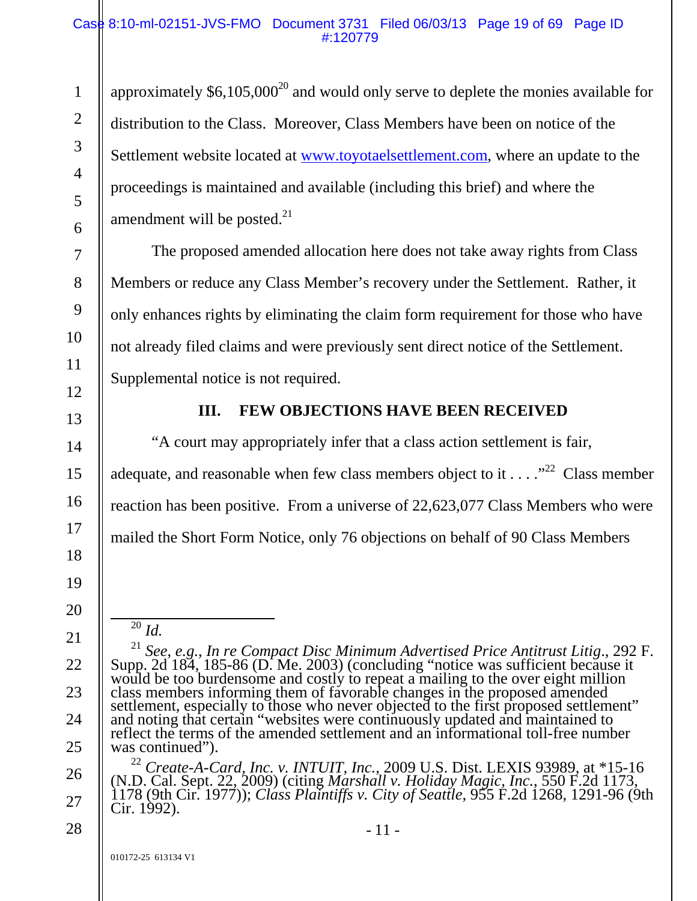## Case 8:10-ml-02151-JVS-FMO Document 3731 Filed 06/03/13 Page 19 of 69 Page ID #:120779

approximately  $$6,105,000^{20}$  and would only serve to deplete the monies available for distribution to the Class. Moreover, Class Members have been on notice of the Settlement website located at www.toyotaelsettlement.com, where an update to the proceedings is maintained and available (including this brief) and where the amendment will be posted. $^{21}$ 

The proposed amended allocation here does not take away rights from Class Members or reduce any Class Member's recovery under the Settlement. Rather, it only enhances rights by eliminating the claim form requirement for those who have not already filed claims and were previously sent direct notice of the Settlement. Supplemental notice is not required.

## **III. FEW OBJECTIONS HAVE BEEN RECEIVED**

"A court may appropriately infer that a class action settlement is fair, adequate, and reasonable when few class members object to it  $\dots$   $\cdot$   $\cdot$   $\cdot$  Class member reaction has been positive. From a universe of 22,623,077 Class Members who were mailed the Short Form Notice, only 76 objections on behalf of 90 Class Members

<sup>22</sup> *Create-A-Card, Inc. v. INTUIT, Inc.*, 2009 U.S. Dist. LEXIS 93989, at \*15-16 (N.D. Cal. Sept. 22, 2009) (citing *Marshall v. Holiday Magic, Inc.*, 550 F.2d 1173, 1178 (9th Cir. 1977)); *Class Plaintiffs v. City of Seattle*, 955 F.2d 1268, 1291-96 (9th Cir. 1992).

23

24

25

26

27

28

1

2

3

4

5

6

 $\overline{20}$  *Id.* 

<sup>21</sup> *See*, *e.g.*, *In re Compact Disc Minimum Advertised Price Antitrust Litig*., 292 F. Supp. 2d 184, 185-86 (D. Me. 2003) (concluding "notice was sufficient because it<br>would be too burdensome and costly to repeat a mailing to the over eight million<br>class members informing them of favorable changes in the pro reflect the terms of the amended settlement and an informational toll-free number was continued").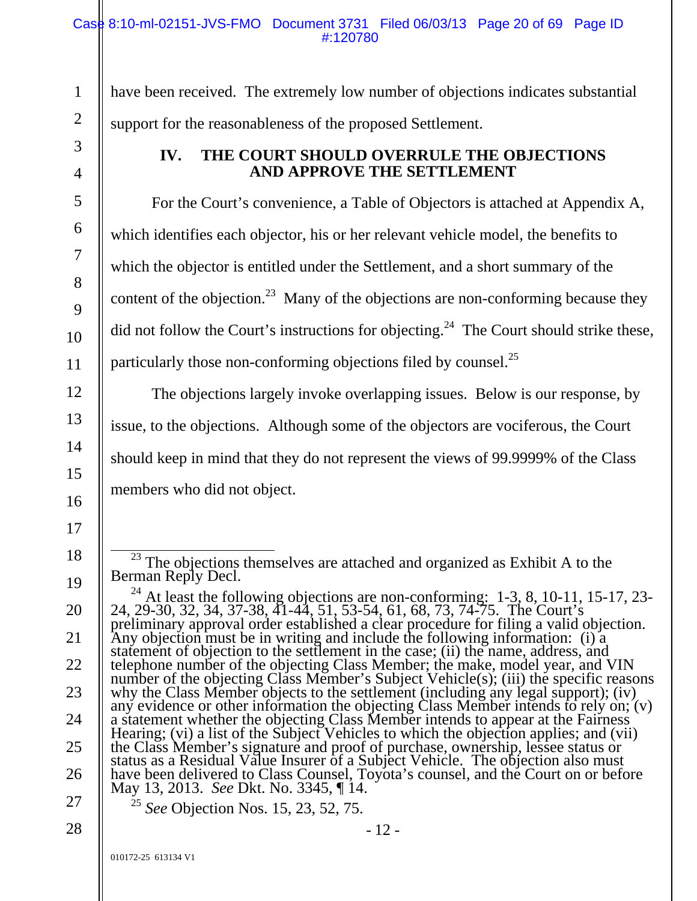#### Case 8:10-ml-02151-JVS-FMO Document 3731 Filed 06/03/13 Page 20 of 69 Page ID #:120780

have been received. The extremely low number of objections indicates substantial support for the reasonableness of the proposed Settlement.

## **IV. THE COURT SHOULD OVERRULE THE OBJECTIONS AND APPROVE THE SETTLEMENT**

For the Court's convenience, a Table of Objectors is attached at Appendix A, which identifies each objector, his or her relevant vehicle model, the benefits to which the objector is entitled under the Settlement, and a short summary of the content of the objection.<sup>23</sup> Many of the objections are non-conforming because they did not follow the Court's instructions for objecting.<sup>24</sup> The Court should strike these, particularly those non-conforming objections filed by counsel.<sup>25</sup>

The objections largely invoke overlapping issues. Below is our response, by

issue, to the objections. Although some of the objectors are vociferous, the Court

should keep in mind that they do not represent the views of 99.9999% of the Class

members who did not object.

27

28

1

2

3

4

5

6

7

8

9

10

11

12

13

14

15

16

17

18

19

20

21

22

23

24

25

 $\frac{23}{23}$  The objections themselves are attached and organized as Exhibit A to the Berman Reply Decl.

<sup>&</sup>lt;sup>24</sup> At least the following objections are non-conforming: 1-3, 8, 10-11, 15-17, 23-<br>24, 29-30, 32, 34, 37-38, 41-44, 51, 53-54, 61, 68, 73, 74-75. The Court's preliminary approval order established a clear procedure for filing a valid objection. Any objection must be in writing and include the following information: (i) a statement of objection to the settlement in the case; (ii) the name, address, and telephone number of the objecting Class Member; the make, model year, and VIN<br>number of the objecting Class Member's Subject Vehicle(s); (iii) the specific reasons<br>why the Class Member objects to the settlement (including a statement whether the objecting Class Member intends to appear at the Fairness<br>Hearing; (vi) a list of the Subject Vehicles to which the objection applies; and (vii)<br>the Class Member's signature and proof of purchase, ow have been delivered to Class Counsel, Toyota's counsel, and the Court on or before May 13, 2013. *See* Dkt. No. 3345,  $\P$  14. <sup>25</sup> *See* Objection Nos. 15, 23, 52, 75.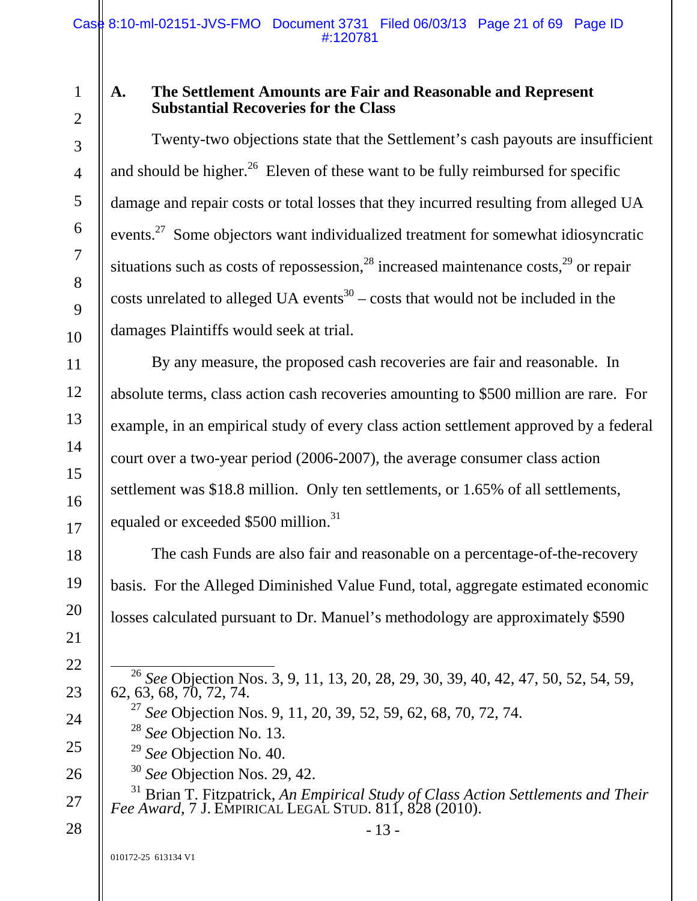2

3

4

5

6

7

8

9

10

11

12

13

14

15

16

17

18

19

20

21

22

23

24

25

26

27

28

1

## **A. The Settlement Amounts are Fair and Reasonable and Represent Substantial Recoveries for the Class**

Twenty-two objections state that the Settlement's cash payouts are insufficient and should be higher.<sup>26</sup> Eleven of these want to be fully reimbursed for specific damage and repair costs or total losses that they incurred resulting from alleged UA events.<sup>27</sup> Some objectors want individualized treatment for somewhat idiosyncratic situations such as costs of repossession,  $28$  increased maintenance costs,  $29$  or repair costs unrelated to alleged UA events $30 - \text{costs}$  that would not be included in the damages Plaintiffs would seek at trial.

By any measure, the proposed cash recoveries are fair and reasonable. In absolute terms, class action cash recoveries amounting to \$500 million are rare. For example, in an empirical study of every class action settlement approved by a federal court over a two-year period (2006-2007), the average consumer class action settlement was \$18.8 million. Only ten settlements, or 1.65% of all settlements, equaled or exceeded \$500 million.<sup>31</sup>

The cash Funds are also fair and reasonable on a percentage-of-the-recovery basis. For the Alleged Diminished Value Fund, total, aggregate estimated economic losses calculated pursuant to Dr. Manuel's methodology are approximately \$590

 26 *See* Objection Nos. 3, 9, 11, 13, 20, 28, 29, 30, 39, 40, 42, 47, 50, 52, 54, 59, 62, 63, 68, 70, 72, 74.

<sup>27</sup> *See* Objection Nos. 9, 11, 20, 39, 52, 59, 62, 68, 70, 72, 74.

<sup>28</sup> *See* Objection No. 13.

<sup>29</sup> *See* Objection No. 40.

<sup>30</sup> *See* Objection Nos. 29, 42.

<sup>31</sup> Brian T. Fitzpatrick, *An Empirical Study of Class Action Settlements and Their Fee Award*, 7 J. EMPIRICAL LEGAL STUD. 811, 828 (2010).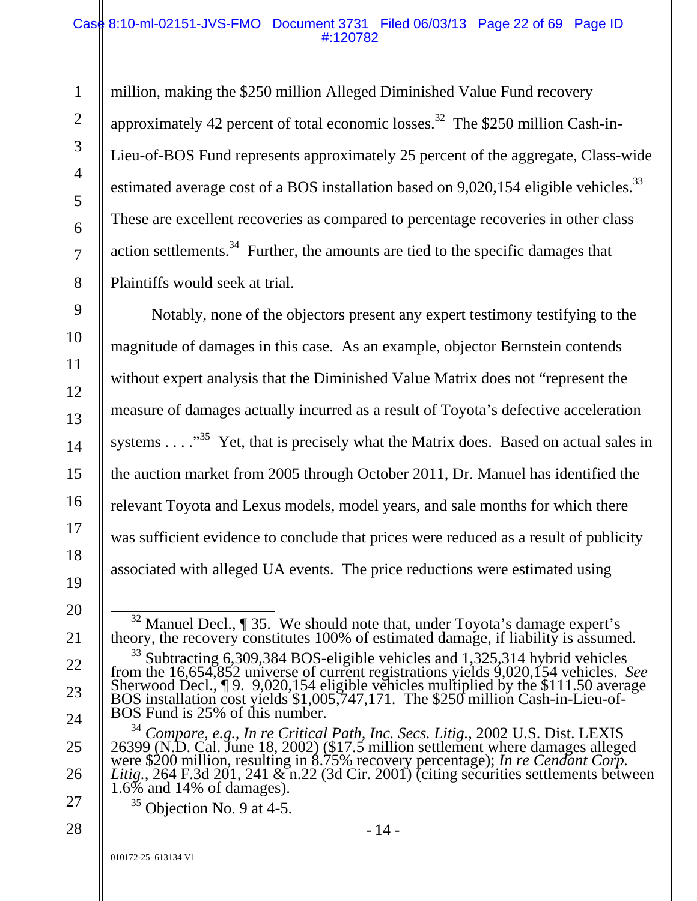## Case 8:10-ml-02151-JVS-FMO Document 3731 Filed 06/03/13 Page 22 of 69 Page ID #:120782

million, making the \$250 million Alleged Diminished Value Fund recovery approximately 42 percent of total economic losses.<sup>32</sup> The \$250 million Cash-in-Lieu-of-BOS Fund represents approximately 25 percent of the aggregate, Class-wide estimated average cost of a BOS installation based on 9,020,154 eligible vehicles.<sup>33</sup> These are excellent recoveries as compared to percentage recoveries in other class action settlements.<sup>34</sup> Further, the amounts are tied to the specific damages that Plaintiffs would seek at trial.

Notably, none of the objectors present any expert testimony testifying to the magnitude of damages in this case. As an example, objector Bernstein contends without expert analysis that the Diminished Value Matrix does not "represent the measure of damages actually incurred as a result of Toyota's defective acceleration systems  $\dots$ <sup>35</sup> Yet, that is precisely what the Matrix does. Based on actual sales in the auction market from 2005 through October 2011, Dr. Manuel has identified the relevant Toyota and Lexus models, model years, and sale months for which there was sufficient evidence to conclude that prices were reduced as a result of publicity associated with alleged UA events. The price reductions were estimated using

BOS Fund is 25% of this number.

1

2

3

4

5

6

7

8

9

10

11

12

13

14

15

16

17

18

19

20

21

22

23

24

25

26

<sup>&</sup>lt;sup>32</sup> Manuel Decl., ¶ 35. We should note that, under Toyota's damage expert's theory, the recovery constitutes 100% of estimated damage, if liability is assumed.<br><sup>33</sup> Subtracting 6,309,384 BOS-eligible vehicles and 1,325,3 <sup>33</sup> Subtracting 6,309,384 BOS-eligible vehicles and 1,325,314 hybrid vehicles from the 16,654,852 universe of current registrations yields 9,020,154 vehicles. *See* Sherwood Decl., ¶ 9. 9,020,154 eligible vehicles multiplied by the \$111.50 average<br>BOS installation cost yields \$1,005,747,171. The \$250 million Cash-in-Lieu-of-

<sup>&</sup>lt;sup>34</sup> Compare, e.g., In re Critical Path, Inc. Secs. Litig., 2002 U.S. Dist. LEXIS 26399 (N.D. Cal. June 18, 2002) (\$17.5 million settlement where damages alleged were \$200 million, resulting in 8.75% recovery percentage); Litig., 264 F.3d 201, 241  $\&$  n.22 (3d Cir. 2001) (citing securities settlements between 1.6% and 14% of damages).

 $35$  Objection No. 9 at 4-5.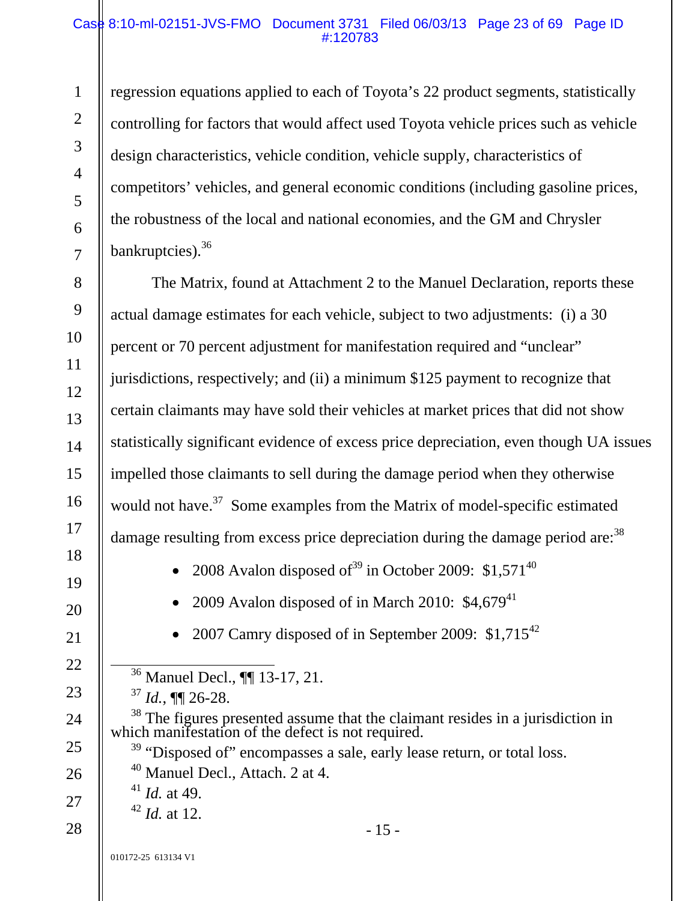## Case 8:10-ml-02151-JVS-FMO Document 3731 Filed 06/03/13 Page 23 of 69 Page ID #:120783

regression equations applied to each of Toyota's 22 product segments, statistically controlling for factors that would affect used Toyota vehicle prices such as vehicle design characteristics, vehicle condition, vehicle supply, characteristics of competitors' vehicles, and general economic conditions (including gasoline prices, the robustness of the local and national economies, and the GM and Chrysler bankruptcies).36

The Matrix, found at Attachment 2 to the Manuel Declaration, reports these actual damage estimates for each vehicle, subject to two adjustments: (i) a 30 percent or 70 percent adjustment for manifestation required and "unclear" jurisdictions, respectively; and (ii) a minimum \$125 payment to recognize that certain claimants may have sold their vehicles at market prices that did not show statistically significant evidence of excess price depreciation, even though UA issues impelled those claimants to sell during the damage period when they otherwise would not have.<sup>37</sup> Some examples from the Matrix of model-specific estimated damage resulting from excess price depreciation during the damage period are:<sup>38</sup>

- 2008 Avalon disposed of<sup>39</sup> in October 2009:  $$1.571<sup>40</sup>$
- 2009 Avalon disposed of in March 2010:  $$4,679^{41}$
- 2007 Camry disposed of in September 2009:  $$1,715^{42}$

<sup>37</sup> *Id.*, ¶¶ 26-28.

 $38$  The figures presented assume that the claimant resides in a jurisdiction in which manifestation of the defect is not required.

- 15 -

<sup>39</sup> "Disposed of" encompasses a sale, early lease return, or total loss. 40 Manuel Decl., Attach. 2 at 4.

<sup>41</sup> *Id.* at 49.

<sup>42</sup> *Id.* at 12.

28

1

2

3

4

5

6

7

8

9

10

11

12

13

14

15

16

17

18

19

20

21

22

23

24

25

26

27

010172-25 613134 V1

 $36$  Manuel Decl.,  $\P\P$  13-17, 21.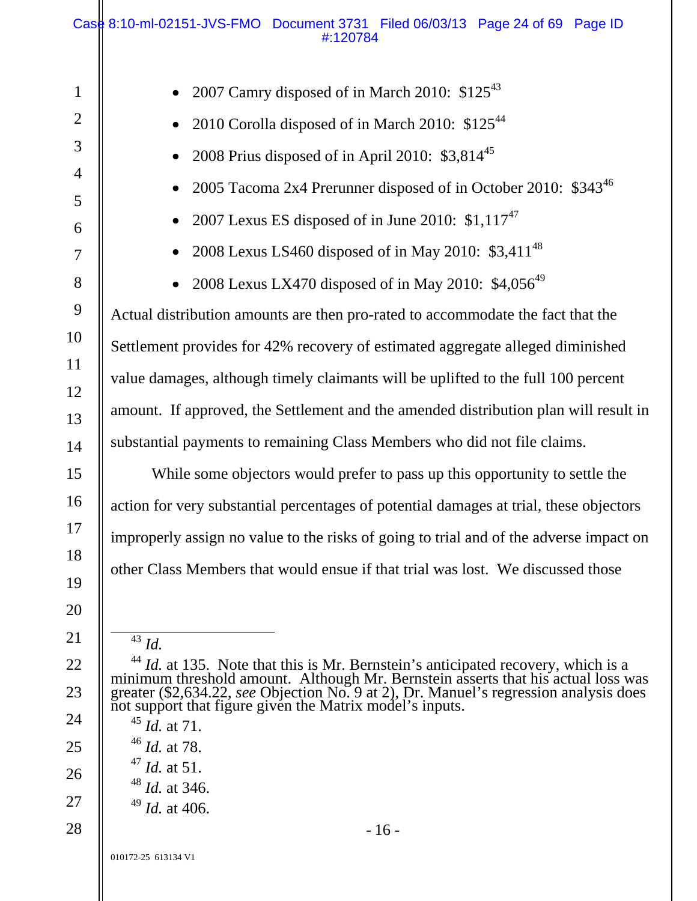|                                                                           | Case 8:10-ml-02151-JVS-FMO Document 3731 Filed 06/03/13 Page 24 of 69 Page ID<br>#:120784                                                                                                                                                                                                                                                                                                                                                                                                                                                                                                                                                                                                                                                                                        |
|---------------------------------------------------------------------------|----------------------------------------------------------------------------------------------------------------------------------------------------------------------------------------------------------------------------------------------------------------------------------------------------------------------------------------------------------------------------------------------------------------------------------------------------------------------------------------------------------------------------------------------------------------------------------------------------------------------------------------------------------------------------------------------------------------------------------------------------------------------------------|
| $\mathbf{1}$<br>$\overline{2}$<br>3<br>$\overline{4}$<br>5<br>6<br>7<br>8 | 2007 Camry disposed of in March 2010: \$125 <sup>43</sup><br>2010 Corolla disposed of in March 2010: \$125 <sup>44</sup><br>2008 Prius disposed of in April 2010: $$3,814^{45}$<br>2005 Tacoma 2x4 Prerunner disposed of in October 2010: \$343 <sup>46</sup><br>2007 Lexus ES disposed of in June 2010: $$1,117^{47}$<br>2008 Lexus LS460 disposed of in May 2010: \$3,411 <sup>48</sup><br>2008 Lexus LX470 disposed of in May 2010: $$4,056^{49}$                                                                                                                                                                                                                                                                                                                             |
| 9<br>10<br>11<br>12<br>13<br>14<br>15<br>16<br>17<br>18<br>19             | Actual distribution amounts are then pro-rated to accommodate the fact that the<br>Settlement provides for 42% recovery of estimated aggregate alleged diminished<br>value damages, although timely claimants will be uplifted to the full 100 percent<br>amount. If approved, the Settlement and the amended distribution plan will result in<br>substantial payments to remaining Class Members who did not file claims.<br>While some objectors would prefer to pass up this opportunity to settle the<br>action for very substantial percentages of potential damages at trial, these objectors<br>improperly assign no value to the risks of going to trial and of the adverse impact on<br>other Class Members that would ensue if that trial was lost. We discussed those |
| 20<br>21<br>22<br>23<br>24<br>25<br>26<br>27<br>28                        | $43$ Id.<br><sup>44</sup> <i>Id.</i> at 135. Note that this is Mr. Bernstein's anticipated recovery, which is a minimum threshold amount. Although Mr. Bernstein asserts that his actual loss was greater (\$2,634.22, <i>see</i> Objection No. 9 at 2), Dr.<br>$^{45}$ <i>Id.</i> at 71.<br>$^{46}$ <i>Id.</i> at 78.<br>$^{47}$ <i>Id.</i> at 51.<br>$48$ <i>Id.</i> at 346.<br>$^{49}$ <i>Id.</i> at 406.<br>$-16-$                                                                                                                                                                                                                                                                                                                                                           |
|                                                                           |                                                                                                                                                                                                                                                                                                                                                                                                                                                                                                                                                                                                                                                                                                                                                                                  |

010172-25 613134 V1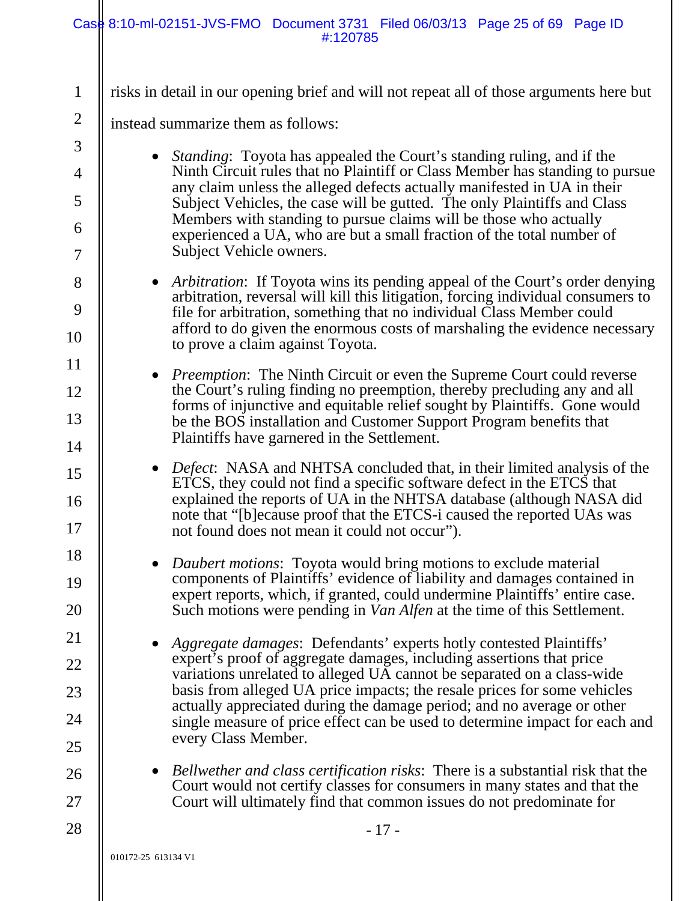| $\mathbf{1}$   | risks in detail in our opening brief and will not repeat all of those arguments here but                                                                                                                                                                                                                                                                    |  |  |  |  |
|----------------|-------------------------------------------------------------------------------------------------------------------------------------------------------------------------------------------------------------------------------------------------------------------------------------------------------------------------------------------------------------|--|--|--|--|
| $\overline{2}$ | instead summarize them as follows:                                                                                                                                                                                                                                                                                                                          |  |  |  |  |
| 3              | • Standing: Toyota has appealed the Court's standing ruling, and if the                                                                                                                                                                                                                                                                                     |  |  |  |  |
| 4<br>5         | Ninth Circuit rules that no Plaintiff or Class Member has standing to pursue<br>any claim unless the alleged defects actually manifested in UA in their                                                                                                                                                                                                     |  |  |  |  |
| 6              | Subject Vehicles, the case will be gutted. The only Plaintiffs and Class<br>Members with standing to pursue claims will be those who actually<br>experienced a UA, who are but a small fraction of the total number of                                                                                                                                      |  |  |  |  |
| 7              | Subject Vehicle owners.                                                                                                                                                                                                                                                                                                                                     |  |  |  |  |
| 8              | • Arbitration: If Toyota wins its pending appeal of the Court's order denying<br>arbitration, reversal will kill this litigation, forcing individual consumers to                                                                                                                                                                                           |  |  |  |  |
| 9<br>10        | file for arbitration, something that no individual Class Member could<br>afford to do given the enormous costs of marshaling the evidence necessary<br>to prove a claim against Toyota.                                                                                                                                                                     |  |  |  |  |
| 11             | • Preemption: The Ninth Circuit or even the Supreme Court could reverse                                                                                                                                                                                                                                                                                     |  |  |  |  |
| 12             | the Court's ruling finding no preemption, thereby precluding any and all<br>forms of injunctive and equitable relief sought by Plaintiffs. Gone would                                                                                                                                                                                                       |  |  |  |  |
| 13<br>14       | be the BOS installation and Customer Support Program benefits that<br>Plaintiffs have garnered in the Settlement.                                                                                                                                                                                                                                           |  |  |  |  |
| 15<br>16<br>17 | <i>Defect:</i> NASA and NHTSA concluded that, in their limited analysis of the<br>ETCS, they could not find a specific software defect in the ETCS that<br>explained the reports of UA in the NHTSA database (although NASA did<br>note that "[b] ecause proof that the ETCS-i caused the reported UAs was<br>not found does not mean it could not occur"). |  |  |  |  |
| 18<br>19<br>20 | <i>Daubert motions:</i> Toyota would bring motions to exclude material<br>components of Plaintiffs' evidence of liability and damages contained in<br>expert reports, which, if granted, could undermine Plaintiffs' entire case.<br>Such motions were pending in <i>Van Alfen</i> at the time of this Settlement.                                          |  |  |  |  |
| 21             | Aggregate damages: Defendants' experts hotly contested Plaintiffs'                                                                                                                                                                                                                                                                                          |  |  |  |  |
| 22             | expert's proof of aggregate damages, including assertions that price<br>variations unrelated to alleged UA cannot be separated on a class-wide                                                                                                                                                                                                              |  |  |  |  |
| 23             | basis from alleged UA price impacts; the resale prices for some vehicles                                                                                                                                                                                                                                                                                    |  |  |  |  |
| 24             | actually appreciated during the damage period; and no average or other<br>single measure of price effect can be used to determine impact for each and                                                                                                                                                                                                       |  |  |  |  |
| 25             | every Class Member.                                                                                                                                                                                                                                                                                                                                         |  |  |  |  |
| 26             | <i>Bellwether and class certification risks:</i> There is a substantial risk that the<br>Court would not certify classes for consumers in many states and that the                                                                                                                                                                                          |  |  |  |  |
| 27             | Court will ultimately find that common issues do not predominate for                                                                                                                                                                                                                                                                                        |  |  |  |  |
| 28             | $-17-$                                                                                                                                                                                                                                                                                                                                                      |  |  |  |  |
|                | 010172-25 613134 V1                                                                                                                                                                                                                                                                                                                                         |  |  |  |  |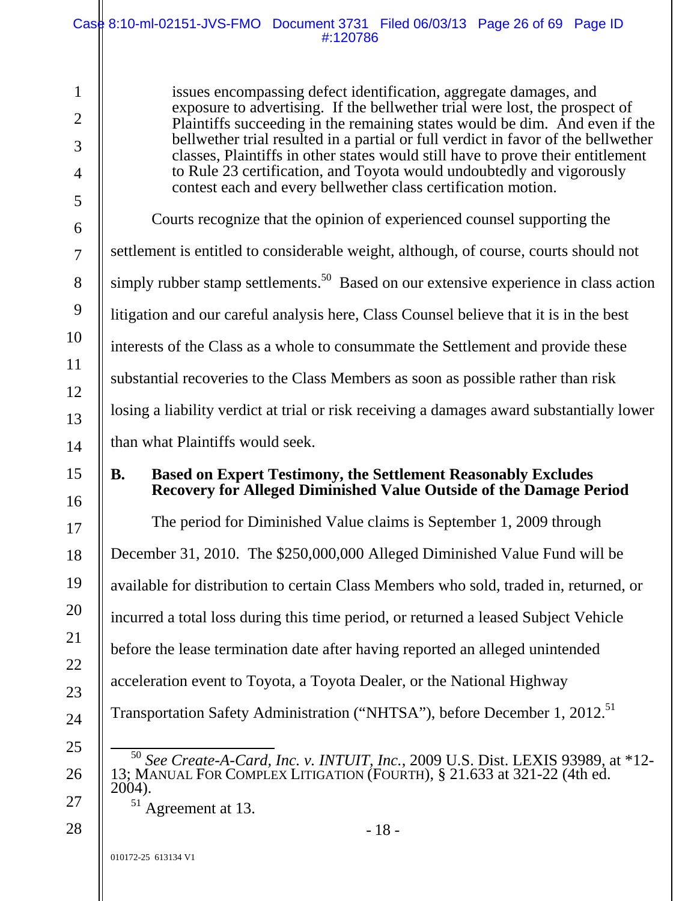|                                                       | Case 8:10-ml-02151-JVS-FMO Document 3731 Filed 06/03/13 Page 26 of 69 Page ID<br>#:120786                                                                                                                                                                                                                                                                                                                                                                                        |  |  |  |  |
|-------------------------------------------------------|----------------------------------------------------------------------------------------------------------------------------------------------------------------------------------------------------------------------------------------------------------------------------------------------------------------------------------------------------------------------------------------------------------------------------------------------------------------------------------|--|--|--|--|
| $\mathbf{1}$<br>$\overline{2}$<br>3<br>$\overline{4}$ | issues encompassing defect identification, aggregate damages, and<br>exposure to advertising. If the bellwether trial were lost, the prospect of<br>Plaintiffs succeeding in the remaining states would be dim. And even if the<br>bellwether trial resulted in a partial or full verdict in favor of the bellwether<br>classes, Plaintiffs in other states would still have to prove their entitlement<br>to Rule 23 certification, and Toyota would undoubtedly and vigorously |  |  |  |  |
| 5<br>6                                                | contest each and every bellwether class certification motion.<br>Courts recognize that the opinion of experienced counsel supporting the<br>settlement is entitled to considerable weight, although, of course, courts should not                                                                                                                                                                                                                                                |  |  |  |  |
| $\overline{7}$<br>8<br>9                              | simply rubber stamp settlements. <sup>50</sup> Based on our extensive experience in class action                                                                                                                                                                                                                                                                                                                                                                                 |  |  |  |  |
| 10<br>11                                              | litigation and our careful analysis here, Class Counsel believe that it is in the best<br>interests of the Class as a whole to consummate the Settlement and provide these                                                                                                                                                                                                                                                                                                       |  |  |  |  |
| 12<br>13                                              | substantial recoveries to the Class Members as soon as possible rather than risk<br>losing a liability verdict at trial or risk receiving a damages award substantially lower                                                                                                                                                                                                                                                                                                    |  |  |  |  |
| 14<br>15<br>16                                        | than what Plaintiffs would seek.<br><b>B.</b><br><b>Based on Expert Testimony, the Settlement Reasonably Excludes</b><br><b>Recovery for Alleged Diminished Value Outside of the Damage Period</b>                                                                                                                                                                                                                                                                               |  |  |  |  |
| 17<br>18                                              | The period for Diminished Value claims is September 1, 2009 through<br>December 31, 2010. The \$250,000,000 Alleged Diminished Value Fund will be                                                                                                                                                                                                                                                                                                                                |  |  |  |  |
| 19                                                    |                                                                                                                                                                                                                                                                                                                                                                                                                                                                                  |  |  |  |  |
| 20                                                    | available for distribution to certain Class Members who sold, traded in, returned, or                                                                                                                                                                                                                                                                                                                                                                                            |  |  |  |  |
| 21<br>22<br>23                                        | incurred a total loss during this time period, or returned a leased Subject Vehicle<br>before the lease termination date after having reported an alleged unintended<br>acceleration event to Toyota, a Toyota Dealer, or the National Highway                                                                                                                                                                                                                                   |  |  |  |  |
| 24<br>25<br>26                                        | Transportation Safety Administration ("NHTSA"), before December 1, 2012. <sup>51</sup><br>$^{50}$ See Create-A-Card, Inc. v. INTUIT, Inc., 2009 U.S. Dist. LEXIS 93989, at *12-13; MANUAL FOR COMPLEX LITIGATION (FOURTH), § 21.633 at 321-22 (4th ed.                                                                                                                                                                                                                           |  |  |  |  |
| 27<br>28                                              | 2004).<br>$51$ Agreement at 13.<br>$-18-$<br>010172-25 613134 V1                                                                                                                                                                                                                                                                                                                                                                                                                 |  |  |  |  |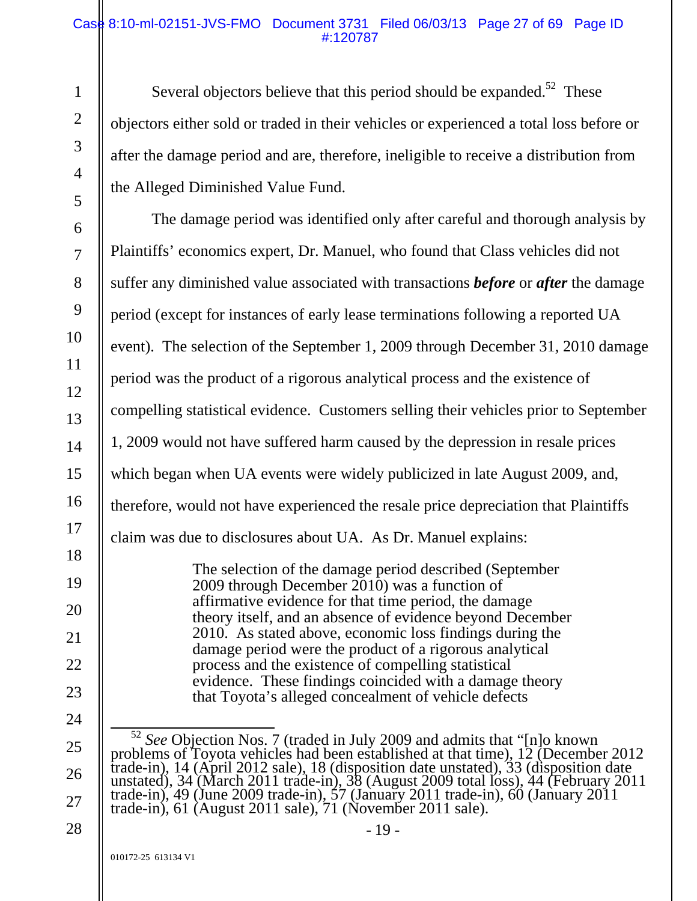## Case 8:10-ml-02151-JVS-FMO Document 3731 Filed 06/03/13 Page 27 of 69 Page ID #:120787

Several objectors believe that this period should be expanded.<sup>52</sup> These objectors either sold or traded in their vehicles or experienced a total loss before or after the damage period and are, therefore, ineligible to receive a distribution from the Alleged Diminished Value Fund.

The damage period was identified only after careful and thorough analysis by Plaintiffs' economics expert, Dr. Manuel, who found that Class vehicles did not suffer any diminished value associated with transactions *before* or *after* the damage period (except for instances of early lease terminations following a reported UA event). The selection of the September 1, 2009 through December 31, 2010 damage period was the product of a rigorous analytical process and the existence of compelling statistical evidence. Customers selling their vehicles prior to September 1, 2009 would not have suffered harm caused by the depression in resale prices which began when UA events were widely publicized in late August 2009, and, therefore, would not have experienced the resale price depreciation that Plaintiffs claim was due to disclosures about UA. As Dr. Manuel explains: The selection of the damage period described (September 2009 through December  $2010$ ) was a function of affirmative evidence for that time period, the damage theory itself, and an absence of evidence beyond December 2010. As stated above, economic loss findings during the damage period were the product of a rigorous analytical process and the existence of compelling statistical evidence. These findings coincided with a damage theory that Toyota's alleged concealment of vehicle defects

 $\frac{52}{32}$  *See* Objection Nos. 7 (traded in July 2009 and admits that "[n]o known problems of Toyota vehicles had been established at that time), 12 (December 2012 problems of Toyota venteles had been established at that the fig. 12 (December 2012<br>trade-in), 14 (April 2012 sale), 18 (disposition date unstated), 33 (disposition date<br>unstated), 34 (March 2011 trade-in), 38 (August 2009

1

2

3

4

5

6

7

8

9

10

11

12

13

14

15

16

17

18

19

20

21

22

23

24

25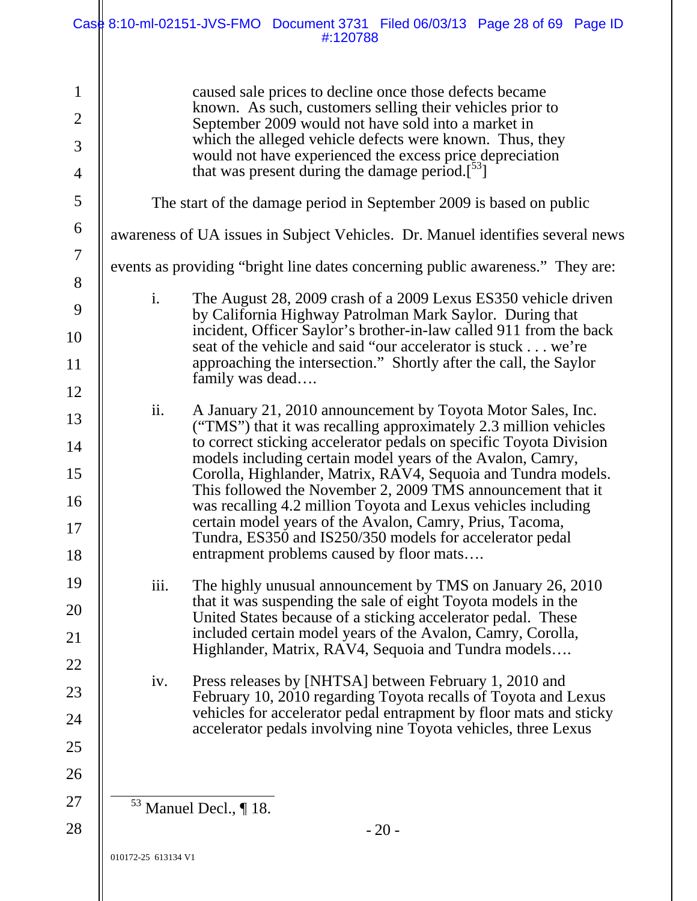|                                                       |                                                                                | Case 8:10-ml-02151-JVS-FMO Document 3731 Filed 06/03/13 Page 28 of 69 Page ID<br>#:120788                                                                                                                                                                                                                                                                                                                                       |  |  |
|-------------------------------------------------------|--------------------------------------------------------------------------------|---------------------------------------------------------------------------------------------------------------------------------------------------------------------------------------------------------------------------------------------------------------------------------------------------------------------------------------------------------------------------------------------------------------------------------|--|--|
| $\mathbf{1}$<br>$\overline{2}$<br>3<br>$\overline{4}$ |                                                                                | caused sale prices to decline once those defects became<br>known. As such, customers selling their vehicles prior to<br>September 2009 would not have sold into a market in<br>which the alleged vehicle defects were known. Thus, they<br>would not have experienced the excess price depreciation<br>that was present during the damage period. $[53]$                                                                        |  |  |
| 5                                                     | The start of the damage period in September 2009 is based on public            |                                                                                                                                                                                                                                                                                                                                                                                                                                 |  |  |
| 6                                                     | awareness of UA issues in Subject Vehicles. Dr. Manuel identifies several news |                                                                                                                                                                                                                                                                                                                                                                                                                                 |  |  |
| $\tau$                                                | events as providing "bright line dates concerning public awareness." They are: |                                                                                                                                                                                                                                                                                                                                                                                                                                 |  |  |
| 8<br>9                                                | i.                                                                             | The August 28, 2009 crash of a 2009 Lexus ES350 vehicle driven                                                                                                                                                                                                                                                                                                                                                                  |  |  |
| 10                                                    |                                                                                | by California Highway Patrolman Mark Saylor. During that<br>incident, Officer Saylor's brother-in-law called 911 from the back                                                                                                                                                                                                                                                                                                  |  |  |
| 11                                                    |                                                                                | seat of the vehicle and said "our accelerator is stuck we're<br>approaching the intersection." Shortly after the call, the Saylor                                                                                                                                                                                                                                                                                               |  |  |
| 12                                                    |                                                                                | family was dead                                                                                                                                                                                                                                                                                                                                                                                                                 |  |  |
| 13                                                    | ii.                                                                            | A January 21, 2010 announcement by Toyota Motor Sales, Inc.<br>("TMS") that it was recalling approximately 2.3 million vehicles<br>to correct sticking accelerator pedals on specific Toyota Division                                                                                                                                                                                                                           |  |  |
| 14<br>15<br>16<br>17<br>18                            |                                                                                | models including certain model years of the Avalon, Camry,<br>Corolla, Highlander, Matrix, RAV4, Sequoia and Tundra models.<br>This followed the November 2, 2009 TMS announcement that it<br>was recalling 4.2 million Toyota and Lexus vehicles including<br>certain model years of the Avalon, Camry, Prius, Tacoma,<br>Tundra, ES350 and IS250/350 models for accelerator pedal<br>entrapment problems caused by floor mats |  |  |
| 19<br>20<br>21<br>22                                  | iii.                                                                           | The highly unusual announcement by TMS on January 26, 2010<br>that it was suspending the sale of eight Toyota models in the<br>United States because of a sticking accelerator pedal. These<br>included certain model years of the Avalon, Camry, Corolla,<br>Highlander, Matrix, RAV4, Sequoia and Tundra models                                                                                                               |  |  |
| 23<br>24<br>25                                        | iv.                                                                            | Press releases by [NHTSA] between February 1, 2010 and<br>February 10, 2010 regarding Toyota recalls of Toyota and Lexus<br>vehicles for accelerator pedal entrapment by floor mats and sticky<br>accelerator pedals involving nine Toyota vehicles, three Lexus                                                                                                                                                                |  |  |
| 26<br>27                                              |                                                                                | $53$ Manuel Decl., $\P$ 18.                                                                                                                                                                                                                                                                                                                                                                                                     |  |  |
| 28                                                    |                                                                                | $-20-$                                                                                                                                                                                                                                                                                                                                                                                                                          |  |  |
|                                                       | 010172-25 613134 V1                                                            |                                                                                                                                                                                                                                                                                                                                                                                                                                 |  |  |

 $\parallel$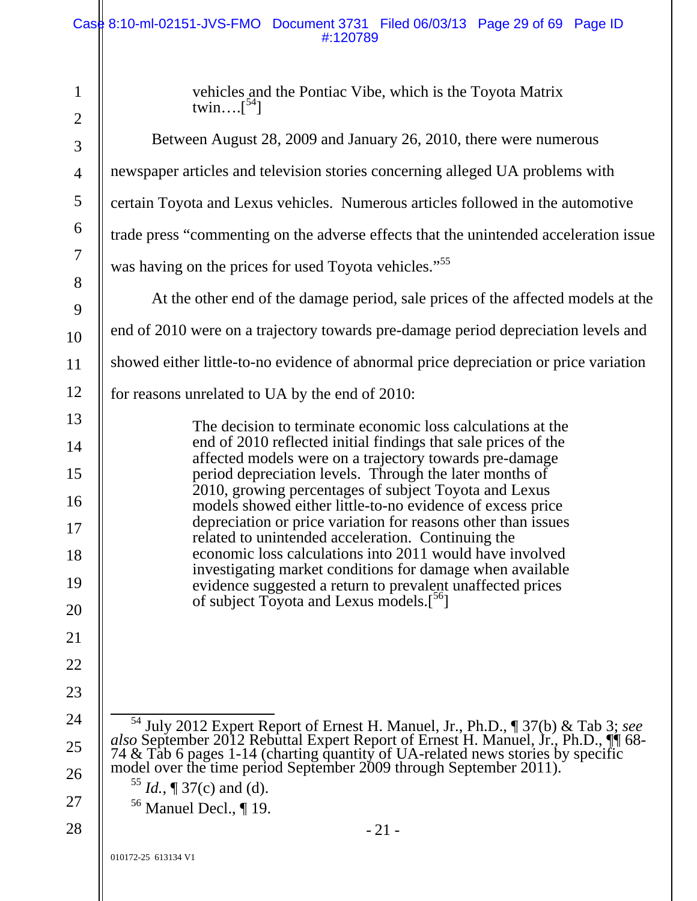## Case 8:10-ml-02151-JVS-FMO Document 3731 Filed 06/03/13 Page 29 of 69 Page ID #:120789

| $\mathbf{1}$        | vehicles and the Pontiac Vibe, which is the Toyota Matrix<br>twin $[$ <sup>54</sup> ]                                                                                                                                                |  |  |  |
|---------------------|--------------------------------------------------------------------------------------------------------------------------------------------------------------------------------------------------------------------------------------|--|--|--|
| $\overline{2}$      |                                                                                                                                                                                                                                      |  |  |  |
| 3                   | Between August 28, 2009 and January 26, 2010, there were numerous                                                                                                                                                                    |  |  |  |
| $\overline{4}$      | newspaper articles and television stories concerning alleged UA problems with                                                                                                                                                        |  |  |  |
| 5                   | certain Toyota and Lexus vehicles. Numerous articles followed in the automotive                                                                                                                                                      |  |  |  |
| 6                   | trade press "commenting on the adverse effects that the unintended acceleration issue                                                                                                                                                |  |  |  |
| $\overline{7}$<br>8 | was having on the prices for used Toyota vehicles." <sup>55</sup>                                                                                                                                                                    |  |  |  |
| 9                   | At the other end of the damage period, sale prices of the affected models at the                                                                                                                                                     |  |  |  |
| 10                  | end of 2010 were on a trajectory towards pre-damage period depreciation levels and                                                                                                                                                   |  |  |  |
| 11                  | showed either little-to-no evidence of abnormal price depreciation or price variation                                                                                                                                                |  |  |  |
| 12                  | for reasons unrelated to UA by the end of 2010:                                                                                                                                                                                      |  |  |  |
| 13                  | The decision to terminate economic loss calculations at the                                                                                                                                                                          |  |  |  |
| 14                  | end of 2010 reflected initial findings that sale prices of the<br>affected models were on a trajectory towards pre-damage                                                                                                            |  |  |  |
| 15                  | period depreciation levels. Through the later months of<br>2010, growing percentages of subject Toyota and Lexus                                                                                                                     |  |  |  |
| 16                  | models showed either little-to-no evidence of excess price<br>depreciation or price variation for reasons other than issues                                                                                                          |  |  |  |
| 17                  | related to unintended acceleration. Continuing the                                                                                                                                                                                   |  |  |  |
| 18                  | economic loss calculations into 2011 would have involved<br>investigating market conditions for damage when available                                                                                                                |  |  |  |
| 19                  | evidence suggested a return to prevalent unaffected prices<br>of subject Toyota and Lexus models. <sup>[56</sup> ]                                                                                                                   |  |  |  |
| 20<br>21            |                                                                                                                                                                                                                                      |  |  |  |
| 22                  |                                                                                                                                                                                                                                      |  |  |  |
| 23                  |                                                                                                                                                                                                                                      |  |  |  |
| 24                  | July 2012 Expert Report of Ernest H. Manuel, Jr., Ph.D., ¶ 37(b) & Tab 3; see                                                                                                                                                        |  |  |  |
| 25                  | also September 2012 Rebuttal Expert Report of Ernest H. Manuel, Jr., Ph.D., 11 68-<br>74 & Tab 6 pages 1-14 (charting quantity of UA-related news stories by specific<br>model over the time period September 2009 through September |  |  |  |
| 26                  | <sup>55</sup> <i>Id.</i> , $\P$ 37(c) and (d).                                                                                                                                                                                       |  |  |  |
| 27                  | $56$ Manuel Decl., $\P$ 19.                                                                                                                                                                                                          |  |  |  |
| 28                  | $-21-$                                                                                                                                                                                                                               |  |  |  |
|                     | 010172-25 613134 V1                                                                                                                                                                                                                  |  |  |  |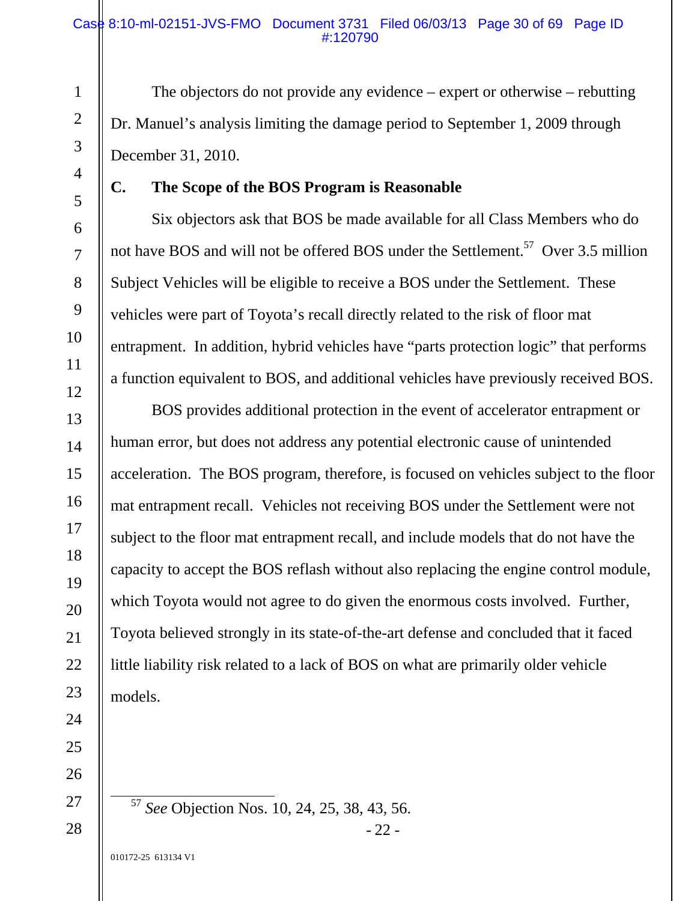#### Case 8:10-ml-02151-JVS-FMO Document 3731 Filed 06/03/13 Page 30 of 69 Page ID #:120790

The objectors do not provide any evidence – expert or otherwise – rebutting Dr. Manuel's analysis limiting the damage period to September 1, 2009 through December 31, 2010.

## **C. The Scope of the BOS Program is Reasonable**

Six objectors ask that BOS be made available for all Class Members who do not have BOS and will not be offered BOS under the Settlement.<sup>57</sup> Over 3.5 million Subject Vehicles will be eligible to receive a BOS under the Settlement. These vehicles were part of Toyota's recall directly related to the risk of floor mat entrapment. In addition, hybrid vehicles have "parts protection logic" that performs a function equivalent to BOS, and additional vehicles have previously received BOS.

BOS provides additional protection in the event of accelerator entrapment or human error, but does not address any potential electronic cause of unintended acceleration. The BOS program, therefore, is focused on vehicles subject to the floor mat entrapment recall. Vehicles not receiving BOS under the Settlement were not subject to the floor mat entrapment recall, and include models that do not have the capacity to accept the BOS reflash without also replacing the engine control module, which Toyota would not agree to do given the enormous costs involved. Further, Toyota believed strongly in its state-of-the-art defense and concluded that it faced little liability risk related to a lack of BOS on what are primarily older vehicle models.

57 *See* Objection Nos. 10, 24, 25, 38, 43, 56.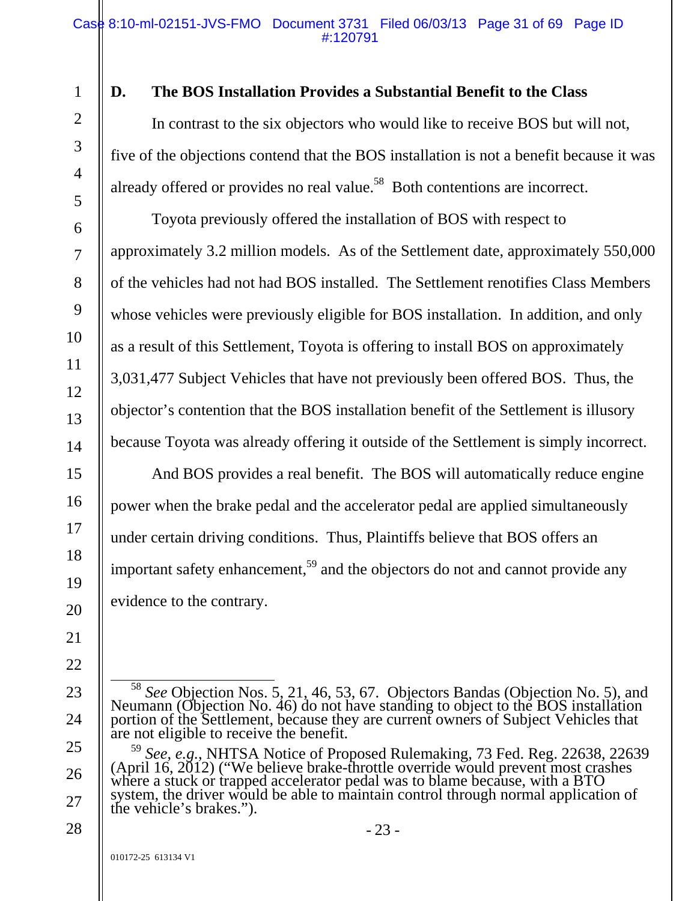1

2

3

4

5

6

7

8

9

10

11

12

13

14

15

16

17

18

19

20

21

22

23

24

25

26

27

## **D. The BOS Installation Provides a Substantial Benefit to the Class**

In contrast to the six objectors who would like to receive BOS but will not, five of the objections contend that the BOS installation is not a benefit because it was already offered or provides no real value.<sup>58</sup> Both contentions are incorrect.

Toyota previously offered the installation of BOS with respect to approximately 3.2 million models. As of the Settlement date, approximately 550,000 of the vehicles had not had BOS installed. The Settlement renotifies Class Members whose vehicles were previously eligible for BOS installation. In addition, and only as a result of this Settlement, Toyota is offering to install BOS on approximately 3,031,477 Subject Vehicles that have not previously been offered BOS. Thus, the objector's contention that the BOS installation benefit of the Settlement is illusory because Toyota was already offering it outside of the Settlement is simply incorrect.

And BOS provides a real benefit. The BOS will automatically reduce engine power when the brake pedal and the accelerator pedal are applied simultaneously under certain driving conditions. Thus, Plaintiffs believe that BOS offers an important safety enhancement,<sup>59</sup> and the objectors do not and cannot provide any evidence to the contrary.

 $58$  See Objection Nos. 5, 21, 46, 53, 67. Objectors Bandas (Objection No. 5), and<br>Neumann (Objection No. 46) do not have standing to object to the BOS installation<br>portion of the Settlement, because they are current owne

<sup>&</sup>lt;sup>59</sup> See, e.g., NHTSA Notice of Proposed Rulemaking, 73 Fed. Reg. 22638, 22639 (April 16, 2012) ("We believe brake-throttle override would prevent most crashes where a stuck or trapped accelerator pedal was to blame becau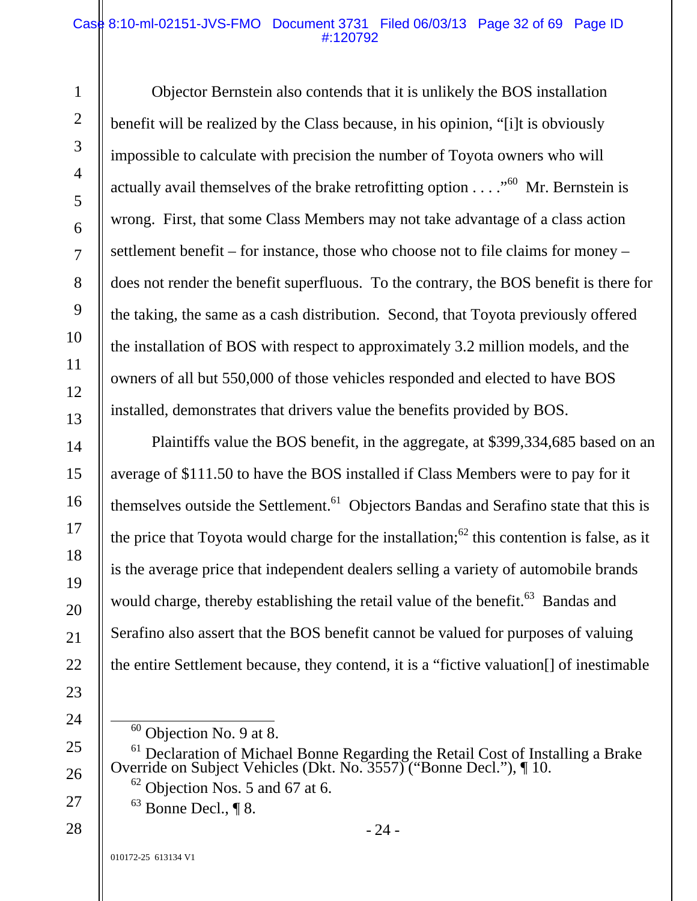### Case 8:10-ml-02151-JVS-FMO Document 3731 Filed 06/03/13 Page 32 of 69 Page ID #:120792

Objector Bernstein also contends that it is unlikely the BOS installation benefit will be realized by the Class because, in his opinion, "[i]t is obviously impossible to calculate with precision the number of Toyota owners who will actually avail themselves of the brake retrofitting option . . . ."60 Mr. Bernstein is wrong. First, that some Class Members may not take advantage of a class action settlement benefit – for instance, those who choose not to file claims for money – does not render the benefit superfluous. To the contrary, the BOS benefit is there for the taking, the same as a cash distribution. Second, that Toyota previously offered the installation of BOS with respect to approximately 3.2 million models, and the owners of all but 550,000 of those vehicles responded and elected to have BOS installed, demonstrates that drivers value the benefits provided by BOS.

Plaintiffs value the BOS benefit, in the aggregate, at \$399,334,685 based on an average of \$111.50 to have the BOS installed if Class Members were to pay for it themselves outside the Settlement.<sup>61</sup> Objectors Bandas and Serafino state that this is the price that Toyota would charge for the installation;<sup>62</sup> this contention is false, as it is the average price that independent dealers selling a variety of automobile brands would charge, thereby establishing the retail value of the benefit.<sup>63</sup> Bandas and Serafino also assert that the BOS benefit cannot be valued for purposes of valuing the entire Settlement because, they contend, it is a "fictive valuation[] of inestimable

 $60$  Objection No. 9 at 8.

<sup>&</sup>lt;sup>61</sup> Declaration of Michael Bonne Regarding the Retail Cost of Installing a Brake Override on Subject Vehicles (Dkt. No. 3557) ("Bonne Decl."),  $\P$  10.

 $62$  Objection Nos. 5 and 67 at 6.

 $63$  Bonne Decl., ¶ 8.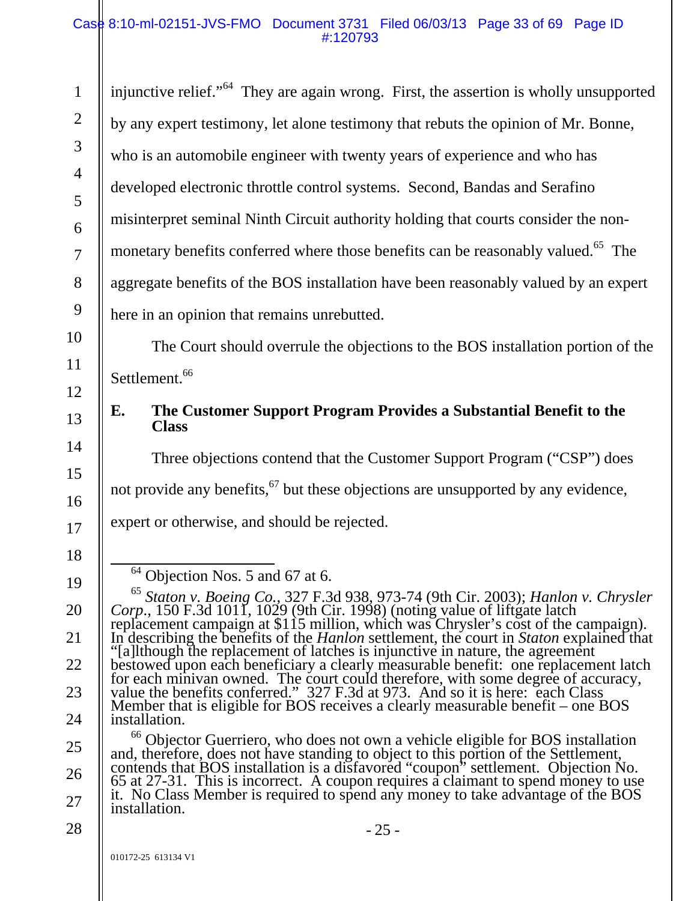## Case 8:10-ml-02151-JVS-FMO Document 3731 Filed 06/03/13 Page 33 of 69 Page ID #:120793

injunctive relief."<sup>64</sup> They are again wrong. First, the assertion is wholly unsupported by any expert testimony, let alone testimony that rebuts the opinion of Mr. Bonne, who is an automobile engineer with twenty years of experience and who has developed electronic throttle control systems. Second, Bandas and Serafino misinterpret seminal Ninth Circuit authority holding that courts consider the nonmonetary benefits conferred where those benefits can be reasonably valued.<sup>65</sup> The aggregate benefits of the BOS installation have been reasonably valued by an expert here in an opinion that remains unrebutted.

The Court should overrule the objections to the BOS installation portion of the Settlement.<sup>66</sup>

## **E. The Customer Support Program Provides a Substantial Benefit to the Class**

Three objections contend that the Customer Support Program ("CSP") does

not provide any benefits, $67$  but these objections are unsupported by any evidence,

expert or otherwise, and should be rejected.

 $64$  Objection Nos. 5 and 67 at 6.

<sup>66</sup> Objector Guerriero, who does not own a vehicle eligible for BOS installation<br>and, therefore, does not have standing to object to this portion of the Settlement,<br>contends that BOS installation is a disfavored "coupon"

28

1

2

3

4

5

6

7

8

9

10

11

12

13

14

15

16

17

18

19

20

21

22

23

24

25

26

<sup>&</sup>lt;sup>65</sup> Staton v. Boeing Co., 327 F.3d 938, 973-74 (9th Cir. 2003); Hanlon v. Chrysler Corp., 150 F.3d 1011, 1029 (9th Cir. 1998) (noting value of liftgate latch replacement campaign at \$115 million, which was Chrysler's cos bestowed upon each benefitally a crearly measurable benefit. One replacement fact<br>for each minivan owned. The court could therefore, with some degree of accuracy,<br>value the benefits conferred." 327 F.3d at 973. And so it i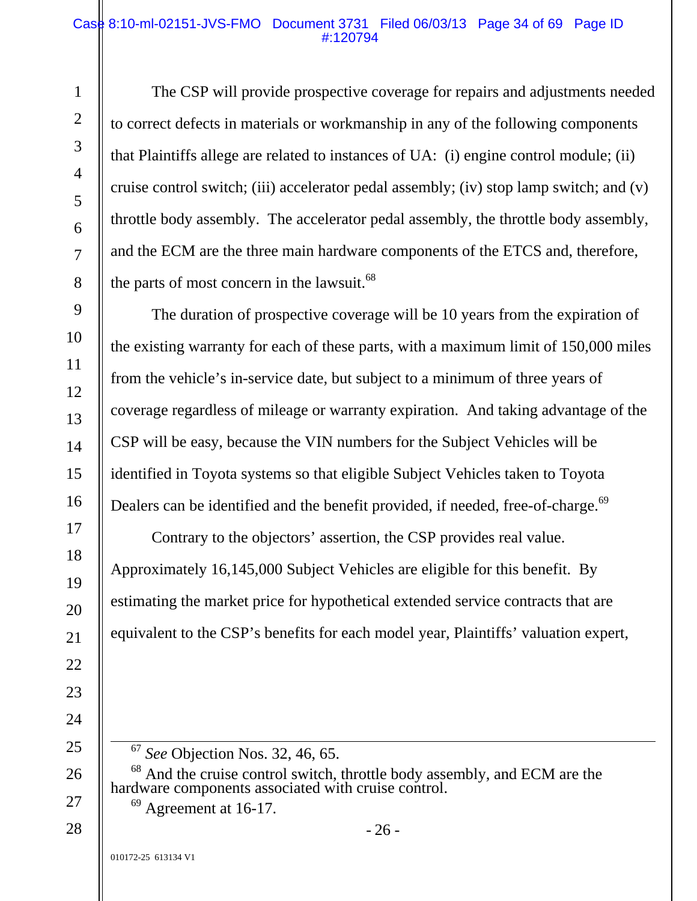## Case 8:10-ml-02151-JVS-FMO Document 3731 Filed 06/03/13 Page 34 of 69 Page ID #:120794

The CSP will provide prospective coverage for repairs and adjustments needed to correct defects in materials or workmanship in any of the following components that Plaintiffs allege are related to instances of UA: (i) engine control module; (ii) cruise control switch; (iii) accelerator pedal assembly; (iv) stop lamp switch; and (v) throttle body assembly. The accelerator pedal assembly, the throttle body assembly, and the ECM are the three main hardware components of the ETCS and, therefore, the parts of most concern in the lawsuit. $68$ 

The duration of prospective coverage will be 10 years from the expiration of the existing warranty for each of these parts, with a maximum limit of 150,000 miles from the vehicle's in-service date, but subject to a minimum of three years of coverage regardless of mileage or warranty expiration. And taking advantage of the CSP will be easy, because the VIN numbers for the Subject Vehicles will be identified in Toyota systems so that eligible Subject Vehicles taken to Toyota Dealers can be identified and the benefit provided, if needed, free-of-charge.<sup>69</sup>

Contrary to the objectors' assertion, the CSP provides real value. Approximately 16,145,000 Subject Vehicles are eligible for this benefit. By estimating the market price for hypothetical extended service contracts that are equivalent to the CSP's benefits for each model year, Plaintiffs' valuation expert,

67 *See* Objection Nos. 32, 46, 65.

 $<sup>68</sup>$  And the cruise control switch, throttle body assembly, and ECM are the hardware components associated with cruise control.</sup>

69 Agreement at 16-17.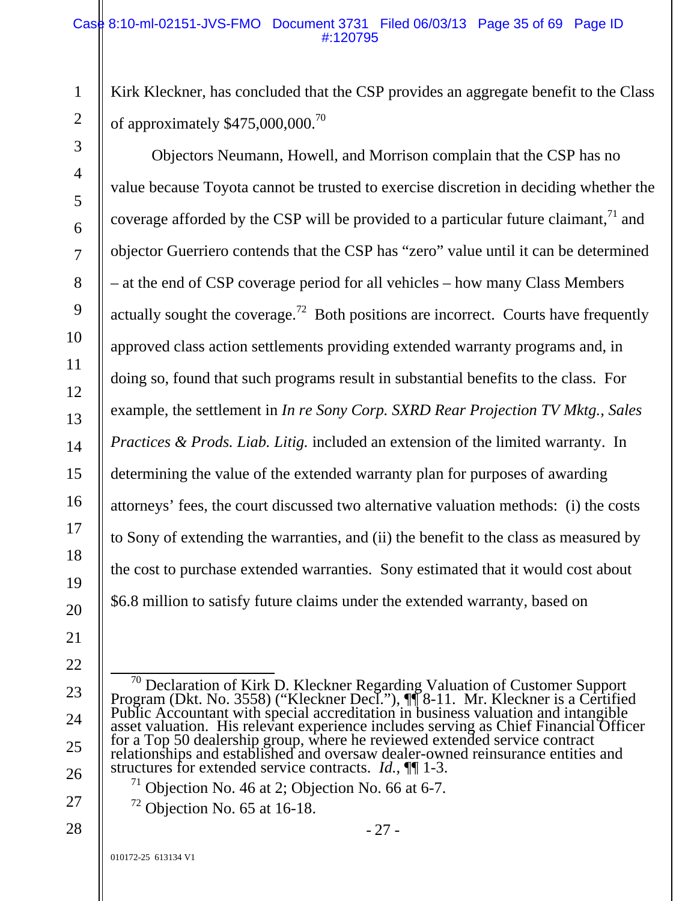Kirk Kleckner, has concluded that the CSP provides an aggregate benefit to the Class of approximately  $$475,000,000.<sup>70</sup>$ 

Objectors Neumann, Howell, and Morrison complain that the CSP has no value because Toyota cannot be trusted to exercise discretion in deciding whether the coverage afforded by the CSP will be provided to a particular future claimant.<sup>71</sup> and objector Guerriero contends that the CSP has "zero" value until it can be determined – at the end of CSP coverage period for all vehicles – how many Class Members actually sought the coverage.<sup>72</sup> Both positions are incorrect. Courts have frequently approved class action settlements providing extended warranty programs and, in doing so, found that such programs result in substantial benefits to the class. For example, the settlement in *In re Sony Corp. SXRD Rear Projection TV Mktg., Sales Practices & Prods. Liab. Litig.* included an extension of the limited warranty. In determining the value of the extended warranty plan for purposes of awarding attorneys' fees, the court discussed two alternative valuation methods: (i) the costs to Sony of extending the warranties, and (ii) the benefit to the class as measured by the cost to purchase extended warranties. Sony estimated that it would cost about \$6.8 million to satisfy future claims under the extended warranty, based on

21 22

1

2

3

4

5

6

7

8

9

10

11

12

13

14

15

16

17

18

19

20

- 23
- 24
- 25
- 26
- 27

- $71$  Objection No. 46 at 2; Objection No. 66 at 6-7.
- $72$  Objection No. 65 at 16-18.

<sup>&</sup>lt;sup>70</sup> Declaration of Kirk D. Kleckner Regarding Valuation of Customer Support<br>Program (Dkt. No. 3558) ("Kleckner Decl."),  $\P\P$  8-11. Mr. Kleckner is a Certified<br>Public Accountant with special accreditation in business valu for a Top 50 dealership group, where he reviewed extended service contract relationships and established and oversaw dealer-owned reinsurance entities and structures for extended service contracts. *Id.*, ¶¶ 1-3.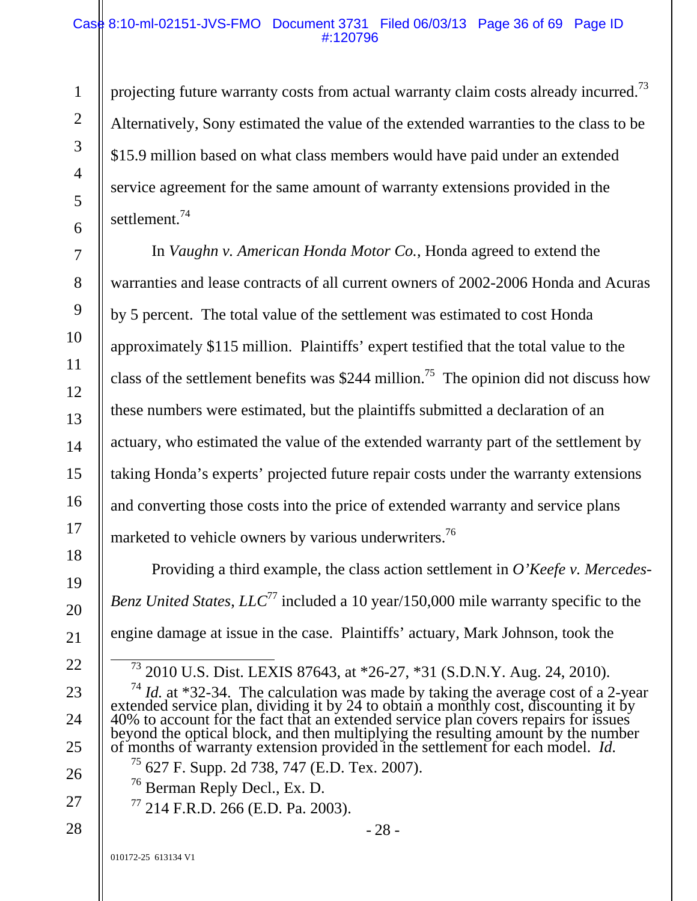#### Case 8:10-ml-02151-JVS-FMO Document 3731 Filed 06/03/13 Page 36 of 69 Page ID #:120796

projecting future warranty costs from actual warranty claim costs already incurred.73 Alternatively, Sony estimated the value of the extended warranties to the class to be \$15.9 million based on what class members would have paid under an extended service agreement for the same amount of warranty extensions provided in the settlement.<sup>74</sup>

In *Vaughn v. American Honda Motor Co.*, Honda agreed to extend the warranties and lease contracts of all current owners of 2002-2006 Honda and Acuras by 5 percent. The total value of the settlement was estimated to cost Honda approximately \$115 million. Plaintiffs' expert testified that the total value to the class of the settlement benefits was \$244 million.<sup>75</sup> The opinion did not discuss how these numbers were estimated, but the plaintiffs submitted a declaration of an actuary, who estimated the value of the extended warranty part of the settlement by taking Honda's experts' projected future repair costs under the warranty extensions and converting those costs into the price of extended warranty and service plans marketed to vehicle owners by various underwriters.<sup>76</sup>

Providing a third example, the class action settlement in *O'Keefe v. Mercedes-Benz United States, LLC*<sup>77</sup> included a 10 year/150,000 mile warranty specific to the engine damage at issue in the case. Plaintiffs' actuary, Mark Johnson, took the

73 2010 U.S. Dist. LEXIS 87643, at \*26-27, \*31 (S.D.N.Y. Aug. 24, 2010).

<sup>74</sup> *Id.* at \*32-34. The calculation was made by taking the average cost of a 2-year extended service plan, dividing it by 24 to obtain a monthly cost, discounting it by 40% to account for the fact that an extended servi 75 627 F. Supp. 2d 738, 747 (E.D. Tex. 2007).

- 76 Berman Reply Decl., Ex. D.
	- 77 214 F.R.D. 266 (E.D. Pa. 2003).

- 28 -

010172-25 613134 V1

28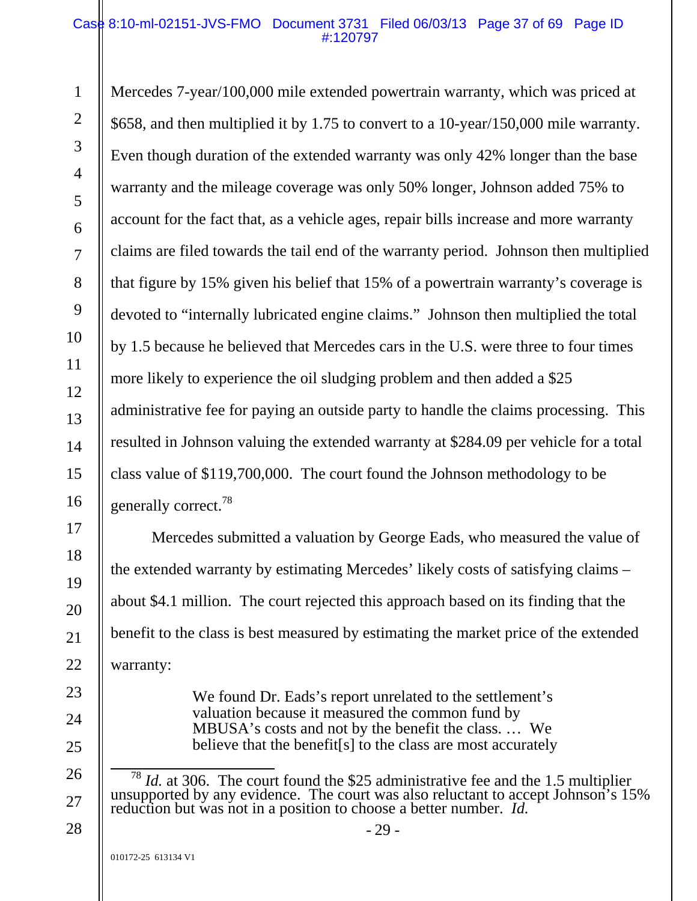#### Case 8:10-ml-02151-JVS-FMO Document 3731 Filed 06/03/13 Page 37 of 69 Page ID #:120797

Mercedes 7-year/100,000 mile extended powertrain warranty, which was priced at \$658, and then multiplied it by 1.75 to convert to a 10-year/150,000 mile warranty. Even though duration of the extended warranty was only 42% longer than the base warranty and the mileage coverage was only 50% longer, Johnson added 75% to account for the fact that, as a vehicle ages, repair bills increase and more warranty claims are filed towards the tail end of the warranty period. Johnson then multiplied that figure by 15% given his belief that 15% of a powertrain warranty's coverage is devoted to "internally lubricated engine claims." Johnson then multiplied the total by 1.5 because he believed that Mercedes cars in the U.S. were three to four times more likely to experience the oil sludging problem and then added a \$25 administrative fee for paying an outside party to handle the claims processing. This resulted in Johnson valuing the extended warranty at \$284.09 per vehicle for a total class value of \$119,700,000. The court found the Johnson methodology to be generally correct.<sup>78</sup>

Mercedes submitted a valuation by George Eads, who measured the value of the extended warranty by estimating Mercedes' likely costs of satisfying claims – about \$4.1 million. The court rejected this approach based on its finding that the benefit to the class is best measured by estimating the market price of the extended warranty:

> We found Dr. Eads's report unrelated to the settlement's valuation because it measured the common fund by MBUSA's costs and not by the benefit the class. … We believe that the benefit[s] to the class are most accurately

<sup>78</sup> *Id.* at 306. The court found the \$25 administrative fee and the 1.5 multiplier unsupported by any evidence. The court was also reluctant to accept Johnson's 15% reduction but was not in a position to choose a better

1

2

3

4

5

6

7

8

9

10

11

12

13

14

15

16

17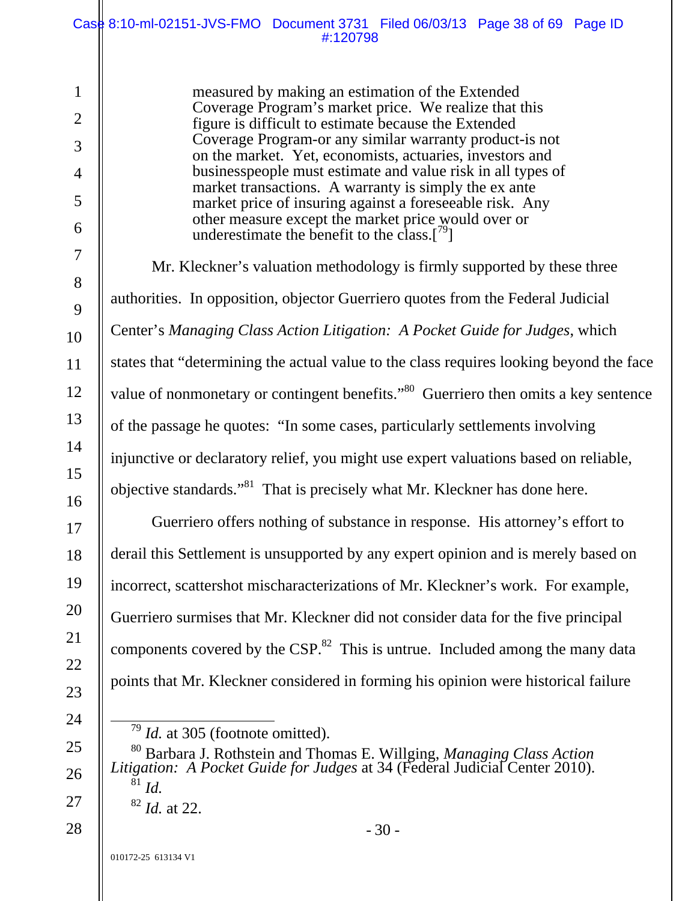|                                | Case 8:10-ml-02151-JVS-FMO Document 3731 Filed 06/03/13 Page 38 of 69 Page ID<br>#:120798                                                                           |
|--------------------------------|---------------------------------------------------------------------------------------------------------------------------------------------------------------------|
| $\mathbf{1}$<br>$\overline{2}$ | measured by making an estimation of the Extended<br>Coverage Program's market price. We realize that this<br>figure is difficult to estimate because the Extended   |
| 3                              | Coverage Program-or any similar warranty product-is not                                                                                                             |
| $\overline{4}$                 | on the market. Yet, economists, actuaries, investors and<br>businesspeople must estimate and value risk in all types of                                             |
| 5                              | market transactions. A warranty is simply the ex ante<br>market price of insuring against a foreseeable risk. Any                                                   |
| 6                              | other measure except the market price would over or<br>underestimate the benefit to the class. <sup>[79]</sup>                                                      |
| $\tau$                         | Mr. Kleckner's valuation methodology is firmly supported by these three                                                                                             |
| 8<br>9                         | authorities. In opposition, objector Guerriero quotes from the Federal Judicial                                                                                     |
| 10                             | Center's Managing Class Action Litigation: A Pocket Guide for Judges, which                                                                                         |
| 11                             | states that "determining the actual value to the class requires looking beyond the face                                                                             |
| 12                             | value of nonmonetary or contingent benefits." <sup>80</sup> Guerriero then omits a key sentence                                                                     |
| 13                             | of the passage he quotes: "In some cases, particularly settlements involving                                                                                        |
| 14                             | injunctive or declaratory relief, you might use expert valuations based on reliable,                                                                                |
| 15<br>16                       | objective standards." <sup>81</sup> That is precisely what Mr. Kleckner has done here.                                                                              |
| 17                             | Guerriero offers nothing of substance in response. His attorney's effort to                                                                                         |
| 18                             | derail this Settlement is unsupported by any expert opinion and is merely based on                                                                                  |
| 19                             | incorrect, scattershot mischaracterizations of Mr. Kleckner's work. For example,                                                                                    |
| 20                             | Guerriero surmises that Mr. Kleckner did not consider data for the five principal                                                                                   |
| 21                             | components covered by the CSP. <sup>82</sup> This is untrue. Included among the many data                                                                           |
| 22                             |                                                                                                                                                                     |
| 23                             | points that Mr. Kleckner considered in forming his opinion were historical failure                                                                                  |
| 24                             | $^{79}$ <i>Id.</i> at 305 (footnote omitted).                                                                                                                       |
| 25                             | <sup>80</sup> Barbara J. Rothstein and Thomas E. Willging, <i>Managing Class Action</i> Litigation: A Pocket Guide for Judges at 34 (Federal Judicial Center 2010). |
| 26                             | $81$ Id.                                                                                                                                                            |
| 27                             | $82$ <i>Id.</i> at 22.                                                                                                                                              |
| 28                             | $-30-$                                                                                                                                                              |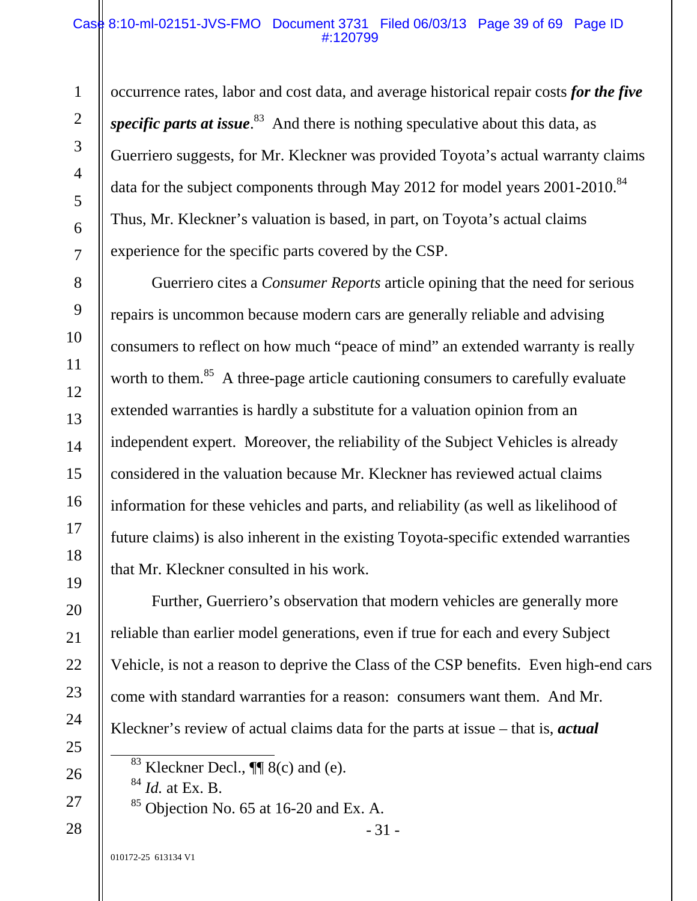#### Case 8:10-ml-02151-JVS-FMO Document 3731 Filed 06/03/13 Page 39 of 69 Page ID #:120799

occurrence rates, labor and cost data, and average historical repair costs *for the five*  specific parts at issue.<sup>83</sup> And there is nothing speculative about this data, as Guerriero suggests, for Mr. Kleckner was provided Toyota's actual warranty claims data for the subject components through May 2012 for model years  $2001-2010$ .<sup>84</sup> Thus, Mr. Kleckner's valuation is based, in part, on Toyota's actual claims experience for the specific parts covered by the CSP.

Guerriero cites a *Consumer Reports* article opining that the need for serious repairs is uncommon because modern cars are generally reliable and advising consumers to reflect on how much "peace of mind" an extended warranty is really worth to them.<sup>85</sup> A three-page article cautioning consumers to carefully evaluate extended warranties is hardly a substitute for a valuation opinion from an independent expert. Moreover, the reliability of the Subject Vehicles is already considered in the valuation because Mr. Kleckner has reviewed actual claims information for these vehicles and parts, and reliability (as well as likelihood of future claims) is also inherent in the existing Toyota-specific extended warranties that Mr. Kleckner consulted in his work.

Further, Guerriero's observation that modern vehicles are generally more reliable than earlier model generations, even if true for each and every Subject Vehicle, is not a reason to deprive the Class of the CSP benefits. Even high-end cars come with standard warranties for a reason: consumers want them. And Mr. Kleckner's review of actual claims data for the parts at issue – that is, *actual* 

 $83$  Kleckner Decl.,  $\P\P$  8(c) and (e).

<sup>84</sup> *Id.* at Ex. B.

<sup>&</sup>lt;sup>85</sup> Objection No. 65 at 16-20 and Ex. A.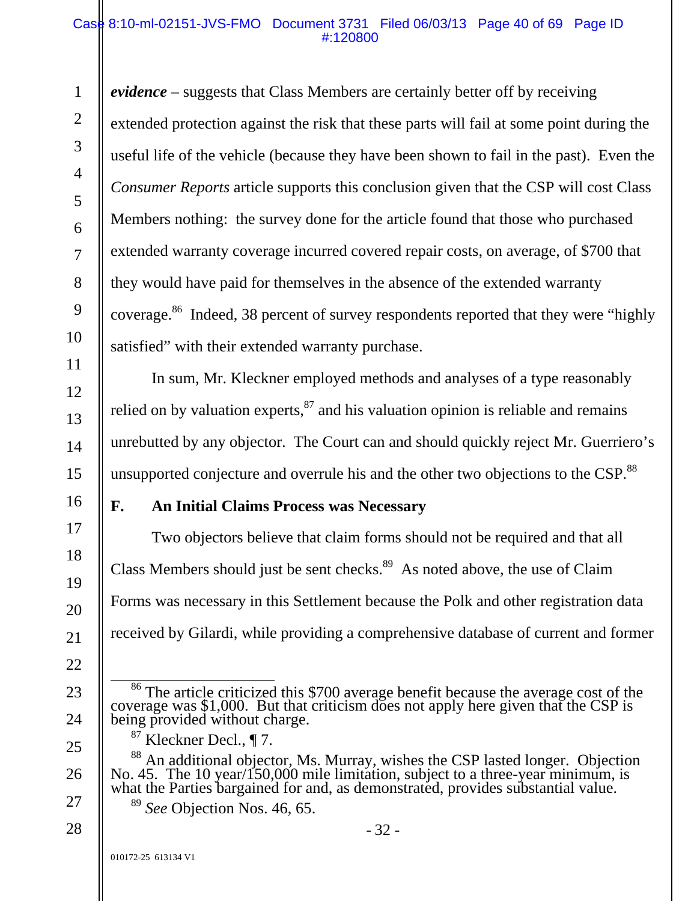#### Case 8:10-ml-02151-JVS-FMO Document 3731 Filed 06/03/13 Page 40 of 69 Page ID #:120800

*evidence* – suggests that Class Members are certainly better off by receiving extended protection against the risk that these parts will fail at some point during the useful life of the vehicle (because they have been shown to fail in the past). Even the *Consumer Reports* article supports this conclusion given that the CSP will cost Class Members nothing: the survey done for the article found that those who purchased extended warranty coverage incurred covered repair costs, on average, of \$700 that they would have paid for themselves in the absence of the extended warranty coverage.<sup>86</sup> Indeed, 38 percent of survey respondents reported that they were "highly" satisfied" with their extended warranty purchase.

In sum, Mr. Kleckner employed methods and analyses of a type reasonably relied on by valuation experts, $^{87}$  and his valuation opinion is reliable and remains unrebutted by any objector. The Court can and should quickly reject Mr. Guerriero's unsupported conjecture and overrule his and the other two objections to the CSP.<sup>88</sup>

## **F. An Initial Claims Process was Necessary**

Two objectors believe that claim forms should not be required and that all Class Members should just be sent checks.<sup>89</sup> As noted above, the use of Claim Forms was necessary in this Settlement because the Polk and other registration data received by Gilardi, while providing a comprehensive database of current and former

<sup>89</sup> *See* Objection Nos. 46, 65.

28

1

2

3

4

5

6

7

8

9

10

11

12

13

14

15

 $86$  The article criticized this \$700 average benefit because the average cost of the coverage was \$1,000. But that criticism does not apply here given that the CSP is being provided without charge.

 $87$  Kleckner Decl., ¶ 7.

 $^{88}$  An additional objector, Ms. Murray, wishes the CSP lasted longer. Objection No. 45. The 10 year/150,000 mile limitation, subject to a three-year minimum, is what the Parties bargained for and, as demonstrated, prov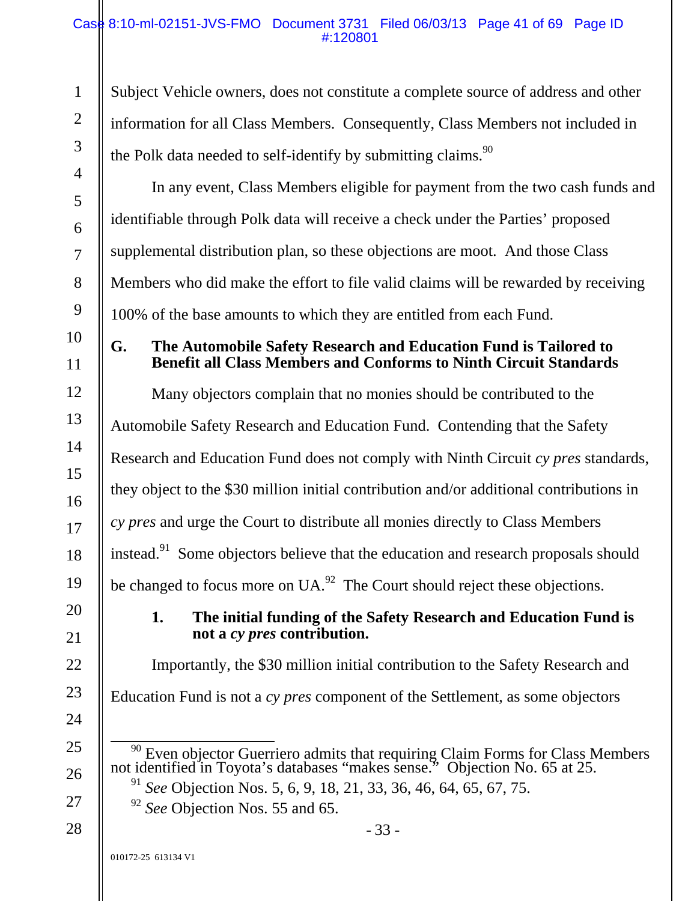#### Case 8:10-ml-02151-JVS-FMO Document 3731 Filed 06/03/13 Page 41 of 69 Page ID #:120801

Subject Vehicle owners, does not constitute a complete source of address and other information for all Class Members. Consequently, Class Members not included in the Polk data needed to self-identify by submitting claims.<sup>90</sup>

In any event, Class Members eligible for payment from the two cash funds and identifiable through Polk data will receive a check under the Parties' proposed supplemental distribution plan, so these objections are moot. And those Class Members who did make the effort to file valid claims will be rewarded by receiving 100% of the base amounts to which they are entitled from each Fund.

**G. The Automobile Safety Research and Education Fund is Tailored to Benefit all Class Members and Conforms to Ninth Circuit Standards** 

Many objectors complain that no monies should be contributed to the Automobile Safety Research and Education Fund. Contending that the Safety Research and Education Fund does not comply with Ninth Circuit *cy pres* standards, they object to the \$30 million initial contribution and/or additional contributions in *cy pres* and urge the Court to distribute all monies directly to Class Members instead.<sup>91</sup> Some objectors believe that the education and research proposals should be changed to focus more on  $UA<sup>92</sup>$ . The Court should reject these objections.

**1. The initial funding of the Safety Research and Education Fund is not a** *cy pres* **contribution.** 

Importantly, the \$30 million initial contribution to the Safety Research and Education Fund is not a *cy pres* component of the Settlement, as some objectors

<sup>90</sup> Even objector Guerriero admits that requiring Claim Forms for Class Members not identified in Toyota's databases "makes sense." Objection No. 65 at 25.

<sup>91</sup> *See* Objection Nos. 5, 6, 9, 18, 21, 33, 36, 46, 64, 65, 67, 75.

<sup>92</sup> *See* Objection Nos. 55 and 65.

28

1

2

3

4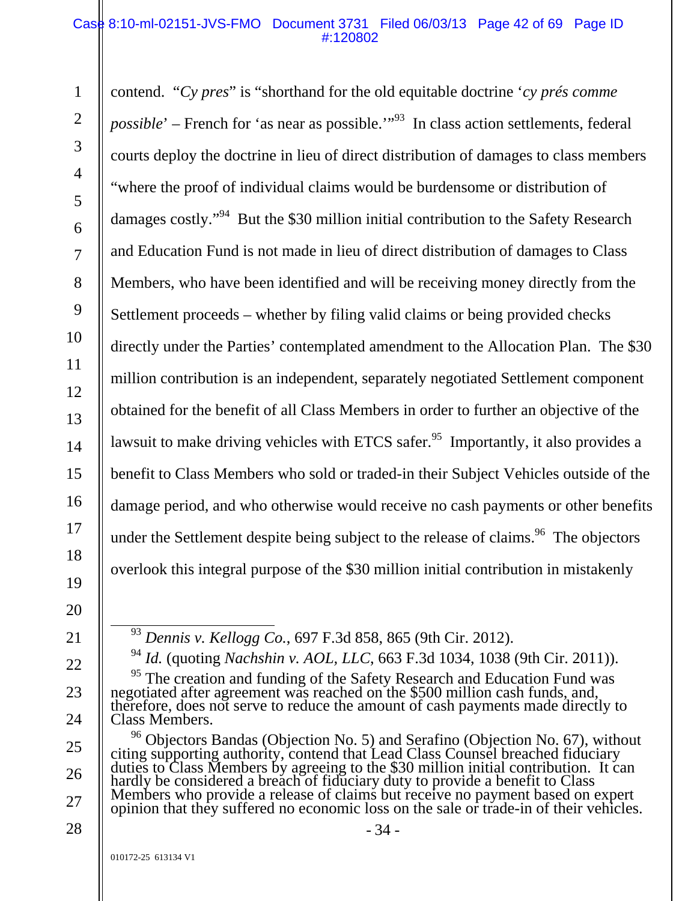#### Case 8:10-ml-02151-JVS-FMO Document 3731 Filed 06/03/13 Page 42 of 69 Page ID #:120802

contend. "*Cy pres*" is "shorthand for the old equitable doctrine '*cy prés comme possible*' – French for 'as near as possible.'"<sup>93</sup> In class action settlements, federal courts deploy the doctrine in lieu of direct distribution of damages to class members "where the proof of individual claims would be burdensome or distribution of damages costly."94 But the \$30 million initial contribution to the Safety Research and Education Fund is not made in lieu of direct distribution of damages to Class Members, who have been identified and will be receiving money directly from the Settlement proceeds – whether by filing valid claims or being provided checks directly under the Parties' contemplated amendment to the Allocation Plan. The \$30 million contribution is an independent, separately negotiated Settlement component obtained for the benefit of all Class Members in order to further an objective of the lawsuit to make driving vehicles with ETCS safer.<sup>95</sup> Importantly, it also provides a benefit to Class Members who sold or traded-in their Subject Vehicles outside of the damage period, and who otherwise would receive no cash payments or other benefits under the Settlement despite being subject to the release of claims. <sup>96</sup> The objectors overlook this integral purpose of the \$30 million initial contribution in mistakenly

93 *Dennis v. Kellogg Co.*, 697 F.3d 858, 865 (9th Cir. 2012).

<sup>94</sup> *Id.* (quoting *Nachshin v. AOL, LLC*, 663 F.3d 1034, 1038 (9th Cir. 2011)).

 $^{96}$  Objectors Bandas (Objection No. 5) and Serafino (Objection No. 67), without citing supporting authority, contend that Lead Class Counsel breached fiduciary duties to Class Members by agreeing to the \$30 million ini hardly be considered a breach of fiduciary duty to provide a benefit to Class<br>Members who provide a release of claims but receive no payment based on expert<br>opinion that they suffered no economic loss on the sale or trade-

1

2

3

4

5

6

7

8

9

10

11

12

13

14

15

16

17

18

19

20

21

22

23

24

25

26

27

<sup>&</sup>lt;sup>95</sup> The creation and funding of the Safety Research and Education Fund was negotiated after agreement was reached on the  $$500$  million cash funds, and, therefore, does not serve to reduce the amount of cash payments made directly to Class Members.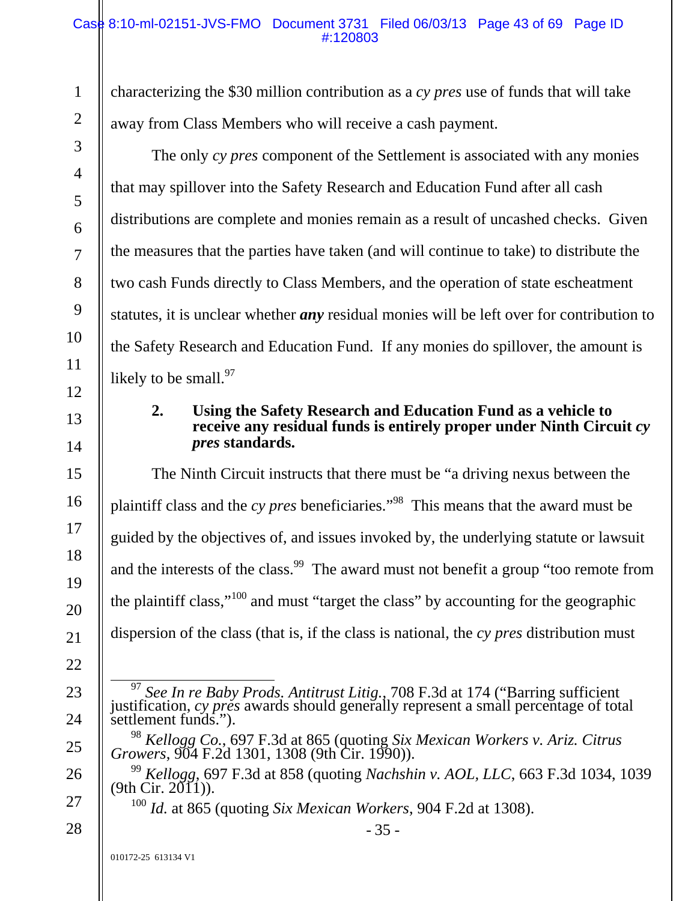#### Case 8:10-ml-02151-JVS-FMO Document 3731 Filed 06/03/13 Page 43 of 69 Page ID #:120803

characterizing the \$30 million contribution as a *cy pres* use of funds that will take away from Class Members who will receive a cash payment.

The only *cy pres* component of the Settlement is associated with any monies that may spillover into the Safety Research and Education Fund after all cash distributions are complete and monies remain as a result of uncashed checks. Given the measures that the parties have taken (and will continue to take) to distribute the two cash Funds directly to Class Members, and the operation of state escheatment statutes, it is unclear whether *any* residual monies will be left over for contribution to the Safety Research and Education Fund. If any monies do spillover, the amount is likely to be small. $97$ 

#### **2. Using the Safety Research and Education Fund as a vehicle to receive any residual funds is entirely proper under Ninth Circuit**  $c$ **y** *pres* **standards.**

The Ninth Circuit instructs that there must be "a driving nexus between the plaintiff class and the *cy pres* beneficiaries."98 This means that the award must be guided by the objectives of, and issues invoked by, the underlying statute or lawsuit and the interests of the class.<sup>99</sup> The award must not benefit a group "too remote from the plaintiff class,"100 and must "target the class" by accounting for the geographic dispersion of the class (that is, if the class is national, the *cy pres* distribution must

<sup>100</sup> *Id.* at 865 (quoting *Six Mexican Workers*, 904 F.2d at 1308).

25

26

27

28

1

2

3

<sup>&</sup>lt;sup>97</sup> *See In re Baby Prods. Antitrust Litig.*, 708 F.3d at 174 ("Barring sufficient justification, *cy pres* awards should generally represent a small percentage of total settlement funds.").

<sup>98</sup> *Kellogg Co.*, 697 F.3d at 865 (quoting *Six Mexican Workers v. Ariz. Citrus Growers*, 904 F.2d 1301, 1308 (9th Cir. 1990)).

<sup>99</sup> *Kellogg*, 697 F.3d at 858 (quoting *Nachshin v. AOL, LLC*, 663 F.3d 1034, 1039  $(9th Cir. 2011)$ ).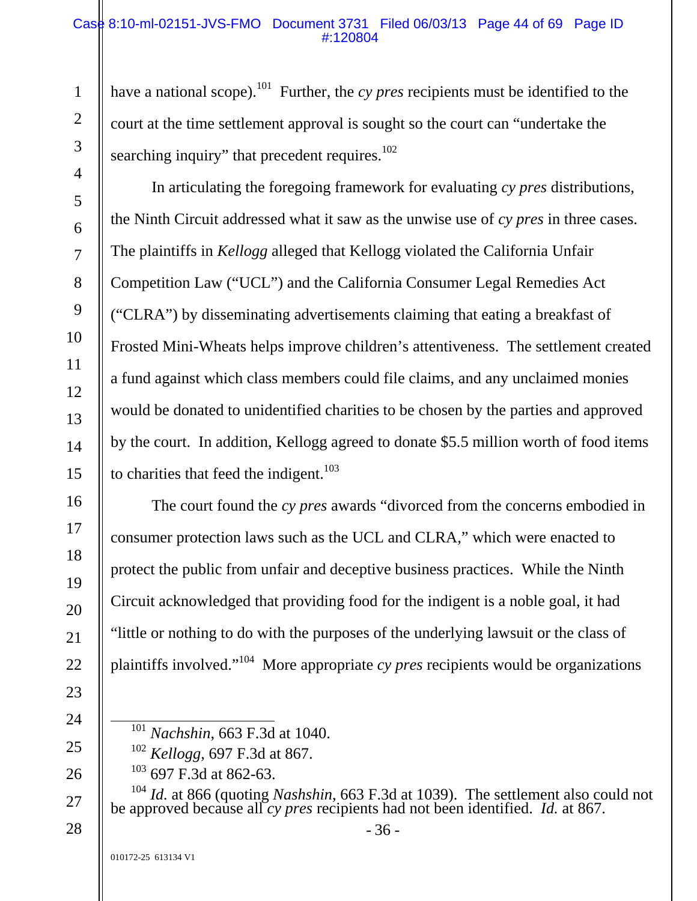#### Case 8:10-ml-02151-JVS-FMO Document 3731 Filed 06/03/13 Page 44 of 69 Page ID #:120804

have a national scope).<sup>101</sup> Further, the *cy pres* recipients must be identified to the court at the time settlement approval is sought so the court can "undertake the searching inquiry" that precedent requires.<sup>102</sup>

In articulating the foregoing framework for evaluating *cy pres* distributions, the Ninth Circuit addressed what it saw as the unwise use of *cy pres* in three cases. The plaintiffs in *Kellogg* alleged that Kellogg violated the California Unfair Competition Law ("UCL") and the California Consumer Legal Remedies Act ("CLRA") by disseminating advertisements claiming that eating a breakfast of Frosted Mini-Wheats helps improve children's attentiveness. The settlement created a fund against which class members could file claims, and any unclaimed monies would be donated to unidentified charities to be chosen by the parties and approved by the court. In addition, Kellogg agreed to donate \$5.5 million worth of food items to charities that feed the indigent.<sup>103</sup>

The court found the *cy pres* awards "divorced from the concerns embodied in consumer protection laws such as the UCL and CLRA," which were enacted to protect the public from unfair and deceptive business practices. While the Ninth Circuit acknowledged that providing food for the indigent is a noble goal, it had "little or nothing to do with the purposes of the underlying lawsuit or the class of plaintiffs involved."104 More appropriate *cy pres* recipients would be organizations

<sup>104</sup> *Id.* at 866 (quoting *Nashshin*, 663 F.3d at 1039). The settlement also could not be approved because all *cy pres* recipients had not been identified. *Id.* at 867.

27

1

2

3

4

5

6

7

8

9

10

11

12

13

14

15

16

17

18

19

20

21

22

23

24

25

 <sup>101</sup> *Nachshin*, 663 F.3d at 1040.

<sup>102</sup> *Kellogg*, 697 F.3d at 867.

 $103$  697 F.3d at 862-63.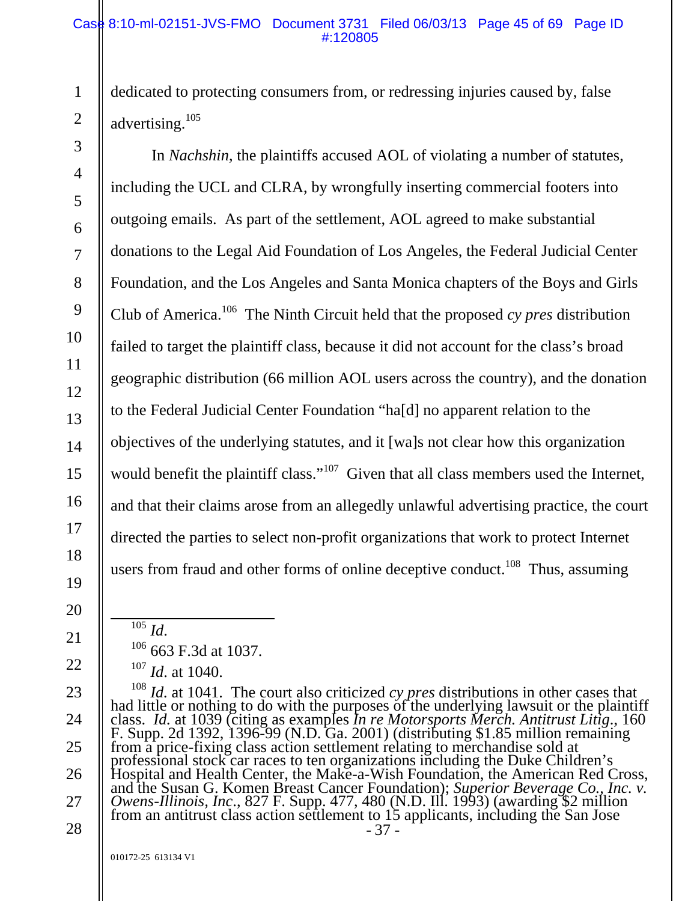dedicated to protecting consumers from, or redressing injuries caused by, false advertising.105

In *Nachshin*, the plaintiffs accused AOL of violating a number of statutes, including the UCL and CLRA, by wrongfully inserting commercial footers into outgoing emails. As part of the settlement, AOL agreed to make substantial donations to the Legal Aid Foundation of Los Angeles, the Federal Judicial Center Foundation, and the Los Angeles and Santa Monica chapters of the Boys and Girls Club of America.<sup>106</sup> The Ninth Circuit held that the proposed *cy pres* distribution failed to target the plaintiff class, because it did not account for the class's broad geographic distribution (66 million AOL users across the country), and the donation to the Federal Judicial Center Foundation "ha[d] no apparent relation to the objectives of the underlying statutes, and it [wa]s not clear how this organization would benefit the plaintiff class."<sup>107</sup> Given that all class members used the Internet, and that their claims arose from an allegedly unlawful advertising practice, the court directed the parties to select non-profit organizations that work to protect Internet users from fraud and other forms of online deceptive conduct.<sup>108</sup> Thus, assuming

1

2

3

4

5

6

7

8

9

10

11

12

13

14

15

16

17

18

19

20

21

22

23

24

25

26

27

28

- 37 - <sup>108</sup> *Id.* at 1041. The court also criticized *cy pres* distributions in other cases that had little or nothing to do with the purposes of the underlying lawsuit or the plaintiff class. *Id.* at 1039 (citing as examples *In re Motorsports Merch. Antitrust Litig*., 160 F. Supp. 2d 1392, 1396-99 (N.D. Ga. 2001) (distributing \$1.85 million remaining<br>from a price-fixing class action settlement relating to merchandise sold at<br>professional stock car races to ten organizations including the Du Hospital and Health Center, the Make-a-Wish Foundation, the American Red Cross,<br>and the Susan G. Komen Breast Cancer Foundation); Superior Beverage Co., Inc. v.<br>Owens-Illinois, Inc., 827 F. Supp. 477, 480 (N.D. Ill. 1993)

<sup>&</sup>lt;sup>105</sup> *Id*.<br><sup>106</sup> 663 F.3d at 1037.

<sup>107</sup> *Id*. at 1040.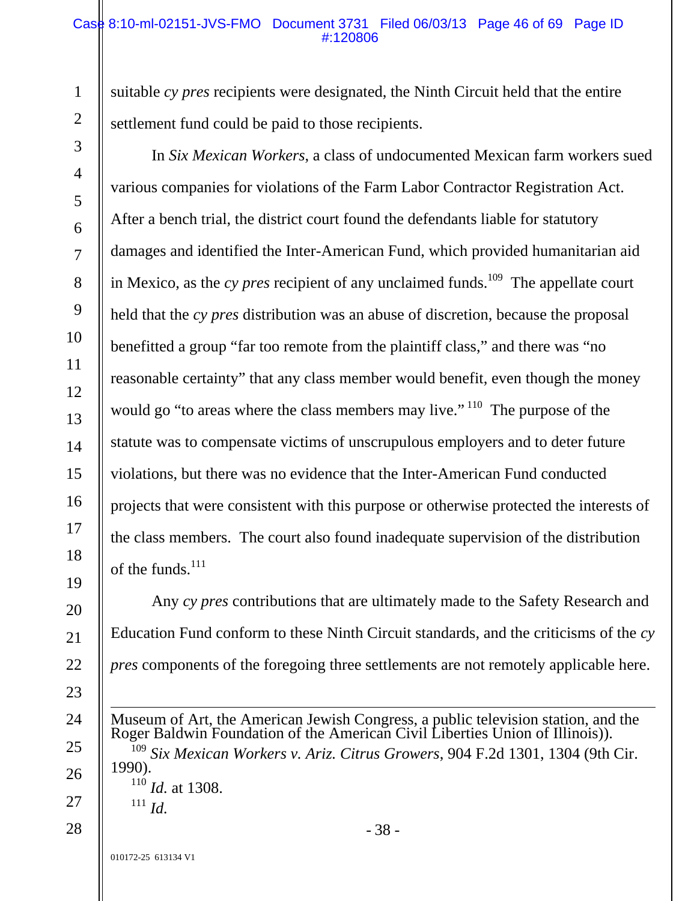#### Case 8:10-ml-02151-JVS-FMO Document 3731 Filed 06/03/13 Page 46 of 69 Page ID #:120806

suitable *cy pres* recipients were designated, the Ninth Circuit held that the entire settlement fund could be paid to those recipients.

In *Six Mexican Workers*, a class of undocumented Mexican farm workers sued various companies for violations of the Farm Labor Contractor Registration Act. After a bench trial, the district court found the defendants liable for statutory damages and identified the Inter-American Fund, which provided humanitarian aid in Mexico, as the  $cy$  pres recipient of any unclaimed funds.<sup>109</sup> The appellate court held that the *cy pres* distribution was an abuse of discretion, because the proposal benefitted a group "far too remote from the plaintiff class," and there was "no reasonable certainty" that any class member would benefit, even though the money would go "to areas where the class members may live."<sup>110</sup> The purpose of the statute was to compensate victims of unscrupulous employers and to deter future violations, but there was no evidence that the Inter-American Fund conducted projects that were consistent with this purpose or otherwise protected the interests of the class members. The court also found inadequate supervision of the distribution of the funds. $^{111}$ 

Any *cy pres* contributions that are ultimately made to the Safety Research and Education Fund conform to these Ninth Circuit standards, and the criticisms of the *cy pres* components of the foregoing three settlements are not remotely applicable here.

 Museum of Art, the American Jewish Congress, a public television station, and the Roger Baldwin Foundation of the American Civil Liberties Union of Illinois)). <sup>109</sup> *Six Mexican Workers v. Ariz. Citrus Growers*, 904 F.2d 1301, 1304 (9th Cir. 1990). <sup>110</sup> *Id.* at 1308. <sup>111</sup> *Id.*

28

1

2

3

4

5

6

7

8

9

10

11

12

13

14

15

16

17

18

19

20

21

22

23

24

25

26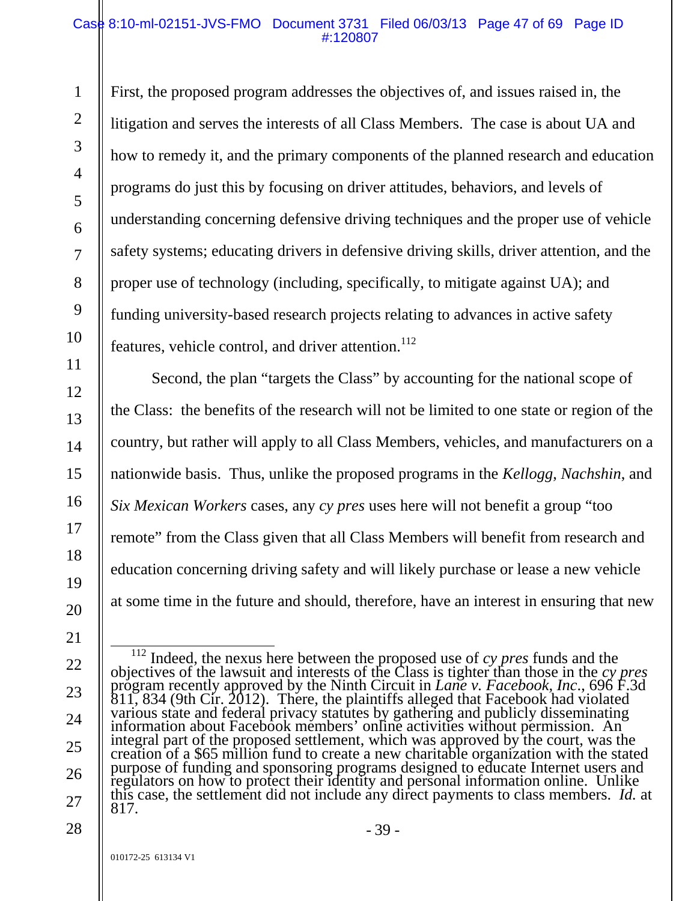#### Case 8:10-ml-02151-JVS-FMO Document 3731 Filed 06/03/13 Page 47 of 69 Page ID #:120807

First, the proposed program addresses the objectives of, and issues raised in, the litigation and serves the interests of all Class Members. The case is about UA and how to remedy it, and the primary components of the planned research and education programs do just this by focusing on driver attitudes, behaviors, and levels of understanding concerning defensive driving techniques and the proper use of vehicle safety systems; educating drivers in defensive driving skills, driver attention, and the proper use of technology (including, specifically, to mitigate against UA); and funding university-based research projects relating to advances in active safety features, vehicle control, and driver attention.<sup>112</sup>

Second, the plan "targets the Class" by accounting for the national scope of the Class: the benefits of the research will not be limited to one state or region of the country, but rather will apply to all Class Members, vehicles, and manufacturers on a nationwide basis. Thus, unlike the proposed programs in the *Kellogg*, *Nachshin*, and *Six Mexican Workers* cases, any *cy pres* uses here will not benefit a group "too remote" from the Class given that all Class Members will benefit from research and education concerning driving safety and will likely purchase or lease a new vehicle at some time in the future and should, therefore, have an interest in ensuring that new

1

2

3

4

5

6

7

8

9

10

11

12

13

14

15

16

17

18

19

20

21

22

23

24

25

26

<sup>&</sup>lt;sup>112</sup> Indeed, the nexus here between the proposed use of *cy pres* funds and the objectives of the lawsuit and interests of the Class is tighter than those in the *cy pres* program recently approved by the Ninth Circuit in *Lane v. Facebook, Inc*., 696 F.3d 811, 834 (9th Cir. 2012). There, the plaintiffs alleged that Facebook had violated various state and federal privacy statutes by gathering and publicly disseminating information about Facebook members' online activities without permission. An integral part of the proposed settlement, which was approved by the court, was the creation of a \$65 million fund to create a new charitable org 817.

<sup>28</sup>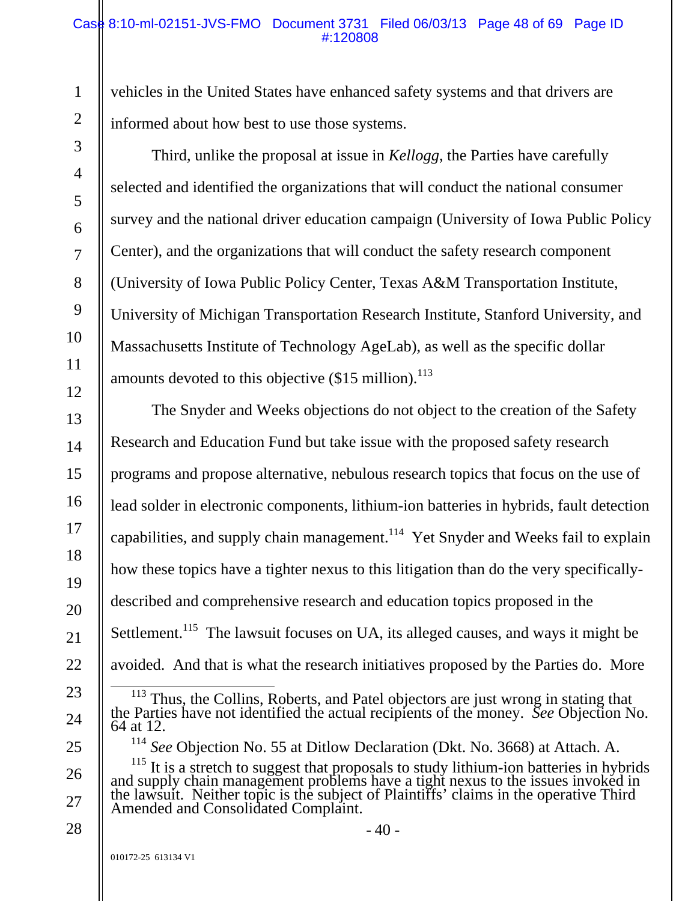#### Case 8:10-ml-02151-JVS-FMO Document 3731 Filed 06/03/13 Page 48 of 69 Page ID #:120808

vehicles in the United States have enhanced safety systems and that drivers are informed about how best to use those systems.

Third, unlike the proposal at issue in *Kellogg*, the Parties have carefully selected and identified the organizations that will conduct the national consumer survey and the national driver education campaign (University of Iowa Public Policy Center), and the organizations that will conduct the safety research component (University of Iowa Public Policy Center, Texas A&M Transportation Institute, University of Michigan Transportation Research Institute, Stanford University, and Massachusetts Institute of Technology AgeLab), as well as the specific dollar amounts devoted to this objective  $(\$15$  million).<sup>113</sup>

The Snyder and Weeks objections do not object to the creation of the Safety Research and Education Fund but take issue with the proposed safety research programs and propose alternative, nebulous research topics that focus on the use of lead solder in electronic components, lithium-ion batteries in hybrids, fault detection capabilities, and supply chain management.<sup>114</sup> Yet Snyder and Weeks fail to explain how these topics have a tighter nexus to this litigation than do the very specificallydescribed and comprehensive research and education topics proposed in the Settlement.<sup>115</sup> The lawsuit focuses on UA, its alleged causes, and ways it might be avoided. And that is what the research initiatives proposed by the Parties do. More

28

27

1

2

3

4

5

6

7

8

9

10

11

12

13

14

15

16

17

18

19

20

21

22

23

24

25

<sup>&</sup>lt;sup>113</sup> Thus, the Collins, Roberts, and Patel objectors are just wrong in stating that the Parties have not identified the actual recipients of the money. *See* Objection No. 64 at 12.

<sup>114</sup> *See* Objection No. 55 at Ditlow Declaration (Dkt. No. 3668) at Attach. A.

<sup>&</sup>lt;sup>115</sup> It is a stretch to suggest that proposals to study lithium-ion batteries in hybrids and supply chain management problems have a tight nexus to the issues invoked in the lawsuit. Neither topic is the subject of Plaint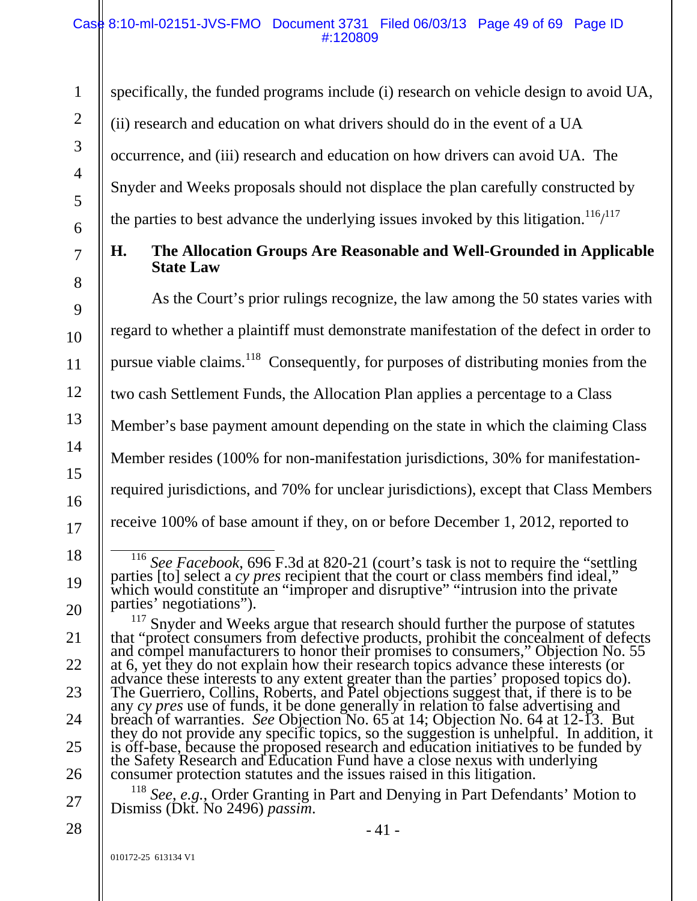specifically, the funded programs include (i) research on vehicle design to avoid UA, (ii) research and education on what drivers should do in the event of a UA occurrence, and (iii) research and education on how drivers can avoid UA. The Snyder and Weeks proposals should not displace the plan carefully constructed by the parties to best advance the underlying issues invoked by this litigation.  $116/117$ 

### **H. The Allocation Groups Are Reasonable and Well-Grounded in Applicable State Law**

As the Court's prior rulings recognize, the law among the 50 states varies with regard to whether a plaintiff must demonstrate manifestation of the defect in order to pursue viable claims.<sup>118</sup> Consequently, for purposes of distributing monies from the two cash Settlement Funds, the Allocation Plan applies a percentage to a Class Member's base payment amount depending on the state in which the claiming Class Member resides (100% for non-manifestation jurisdictions, 30% for manifestationrequired jurisdictions, and 70% for unclear jurisdictions), except that Class Members receive 100% of base amount if they, on or before December 1, 2012, reported to

28

1

2

3

4

5

6

7

8

9

10

11

12

13

14

15

16

17

18

19

20

21

22

23

24

25

26

 $\frac{116}{116}$  *See Facebook*, 696 F.3d at 820-21 (court's task is not to require the "settling" parties [to] select a cy pres recipient that the court or class members find ideal,"<br>which would constitute an "improper and disruptive" "intrusion into the private<br>parties' negotiations").

<sup>&</sup>lt;sup>117</sup> Snyder and Weeks argue that research should further the purpose of statutes that "protect consumers from defective products, prohibit the concealment of defects and compel manufacturers to honor their promises to co at 6, yet they do not explain how their research topics advance these interests (or advance these interests to any extent greater than the parties' proposed topics do). The Guerriero, Collins, Roberts, and Patel objections any *cy pres* use of funds, it be done generally in relation to false advertising and breach of warranties. *See* Objection No. 65 at 14; Objection No. 64 at 12-13. But they do not provide any specific topics, so the suggestion is unhelpful. In addition, it<br>is off-base, because the proposed research and education initiatives to be funded by<br>the Safety Research and Education Fund have a cl

<sup>118</sup> *See*, *e.g.*, Order Granting in Part and Denying in Part Defendants' Motion to Dismiss (Dkt. No 2496) *passim*.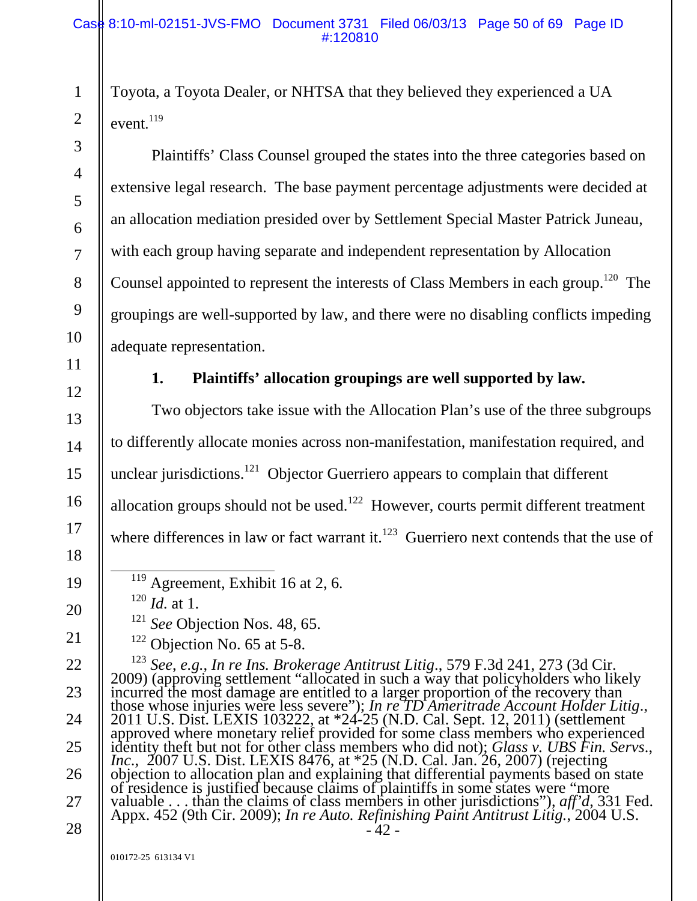Toyota, a Toyota Dealer, or NHTSA that they believed they experienced a UA event. 119

Plaintiffs' Class Counsel grouped the states into the three categories based on extensive legal research. The base payment percentage adjustments were decided at an allocation mediation presided over by Settlement Special Master Patrick Juneau, with each group having separate and independent representation by Allocation Counsel appointed to represent the interests of Class Members in each group.<sup>120</sup> The groupings are well-supported by law, and there were no disabling conflicts impeding adequate representation.

### **1. Plaintiffs' allocation groupings are well supported by law.**

Two objectors take issue with the Allocation Plan's use of the three subgroups to differently allocate monies across non-manifestation, manifestation required, and unclear jurisdictions.<sup>121</sup> Objector Guerriero appears to complain that different allocation groups should not be used.<sup>122</sup> However, courts permit different treatment where differences in law or fact warrant it.<sup>123</sup> Guerriero next contends that the use of

 $120$  *Id.* at 1.

- 42 - <sup>123</sup> *See, e.g., In re Ins. Brokerage Antitrust Litig.*, 579 F.3d 241, 273 (3d Cir. 2009) (approving settlement "allocated in such a way that policyholders who likely incurred the most damage are entitled to a larger pro Appx. 452 (9th Cir. 2009); *In re Auto. Refinishing Paint Antitrust Litig.*, 2004 U.S.

24

25

26

27

28

1

 <sup>119</sup> Agreement, Exhibit 16 at 2, 6*.*

<sup>&</sup>lt;sup>121</sup> *See* Objection Nos. 48, 65.

 $122$  Objection No. 65 at 5-8.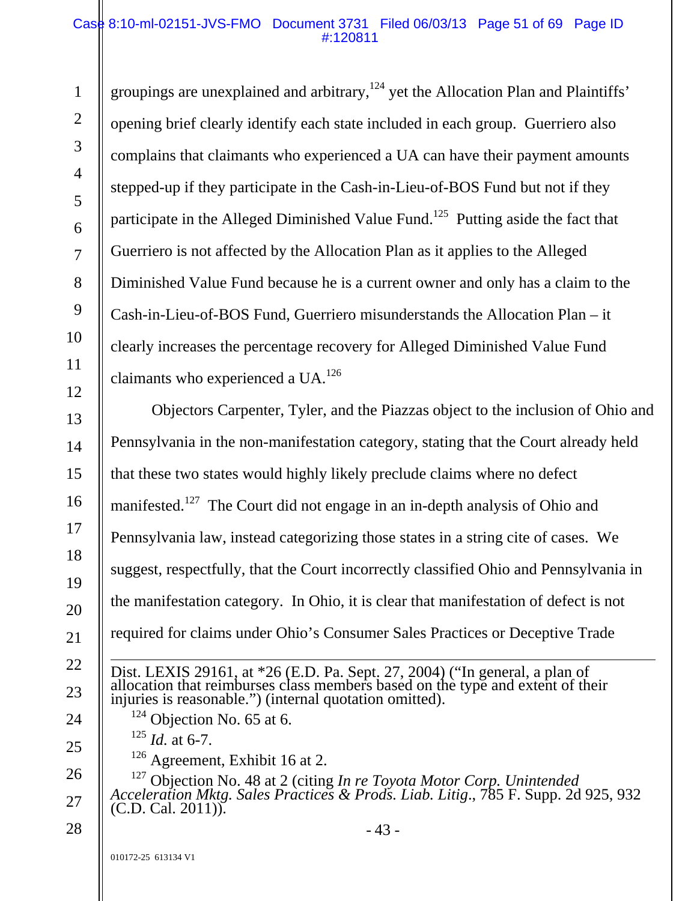#### Case 8:10-ml-02151-JVS-FMO Document 3731 Filed 06/03/13 Page 51 of 69 Page ID #:120811

groupings are unexplained and arbitrary,  $124$  yet the Allocation Plan and Plaintiffs' opening brief clearly identify each state included in each group. Guerriero also complains that claimants who experienced a UA can have their payment amounts stepped-up if they participate in the Cash-in-Lieu-of-BOS Fund but not if they participate in the Alleged Diminished Value Fund.<sup>125</sup> Putting aside the fact that Guerriero is not affected by the Allocation Plan as it applies to the Alleged Diminished Value Fund because he is a current owner and only has a claim to the Cash-in-Lieu-of-BOS Fund, Guerriero misunderstands the Allocation Plan – it clearly increases the percentage recovery for Alleged Diminished Value Fund claimants who experienced a UA.<sup>126</sup>

Objectors Carpenter, Tyler, and the Piazzas object to the inclusion of Ohio and Pennsylvania in the non-manifestation category, stating that the Court already held that these two states would highly likely preclude claims where no defect manifested.<sup>127</sup> The Court did not engage in an in-depth analysis of Ohio and Pennsylvania law, instead categorizing those states in a string cite of cases. We suggest, respectfully, that the Court incorrectly classified Ohio and Pennsylvania in the manifestation category. In Ohio, it is clear that manifestation of defect is not required for claims under Ohio's Consumer Sales Practices or Deceptive Trade

Dist. LEXIS 29161, at \*26 (E.D. Pa. Sept. 27, 2004) ("In general, a plan of allocation that reimburses class members based on the type and extent of their injuries is reasonable.") (internal quotation omitted).

 $124$  Objection No. 65 at 6.

 $^{125}$  *Id.* at 6-7.

 $126$  Agreement, Exhibit 16 at 2.

<sup>127</sup> Objection No. 48 at 2 (citing *In re Toyota Motor Corp. Unintended Acceleration Mktg. Sales Practices & Prods. Liab. Litig., 785 F. Supp. 2d 925, 932 (C.D. Cal. 2011)).* 

1

2

3

4

5

6

7

8

9

10

11

12

13

14

15

16

17

18

19

20

21

22

23

24

25

26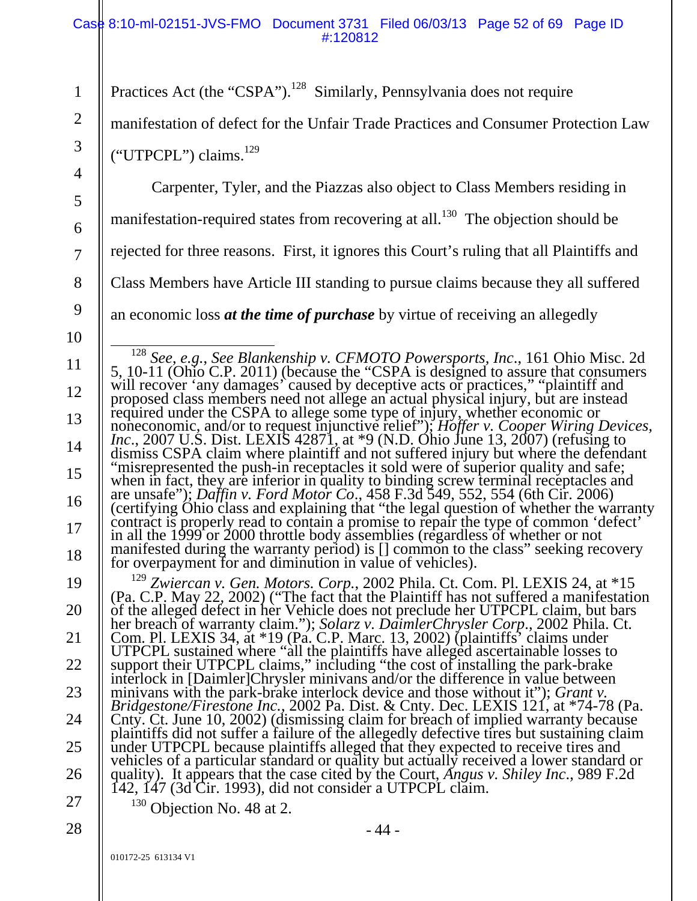#### Case 8:10-ml-02151-JVS-FMO Document 3731 Filed 06/03/13 Page 52 of 69 Page ID #:120812

1 Practices Act (the "CSPA").<sup>128</sup> Similarly, Pennsylvania does not require

manifestation of defect for the Unfair Trade Practices and Consumer Protection Law ("UTPCPL") claims. $^{129}$ 

Carpenter, Tyler, and the Piazzas also object to Class Members residing in

manifestation-required states from recovering at all.<sup>130</sup> The objection should be

rejected for three reasons. First, it ignores this Court's ruling that all Plaintiffs and

Class Members have Article III standing to pursue claims because they all suffered

an economic loss *at the time of purchase* by virtue of receiving an allegedly

19 20 21 22 23 24 25 26 <sup>129</sup> *Zwiercan v. Gen. Motors. Corp.*, 2002 Phila. Ct. Com. Pl. LEXIS 24, at \*15 (Pa. C.P. May 22, 2002) ("The fact that the Plaintiff has not suffered a manifestation of the alleged defect in her Vehicle does not preclude her UTPCPL claim, but bars her breach of warranty claim."); *Solarz v. DaimlerChrysler Corp.*, 2002 Phila. Ct.<br>Com. Pl. LEXIS 34, at \*19 (Pa. C.P. Marc. 13, 2002) (plaintiffs' claims under UTPCPL sustained where "all the plaintiffs have alleged ascertainable losses to support their UTPCPL claims," including "the cost of installing the park-brake interlock in [Daimler]Chrysler minivans and/or the difference i minivans with the park-brake interlock device and those without it"); *Grant v. Bridgestone/Firestone Inc.*, 2002 Pa. Dist. & Cnty. Dec. LEXIS 121, at \*74-78 (Pa. Prify. Ct. June 10, 2002) (dismissing claim for breach of implied warranty because plaintiffs did not suffer a failure of the allegedly defective tires but sustaining claim plaintiffs did not suffer a failure of the allegedly defective tires but sustaining claim<br>under UTPCPL because plaintiffs alleged that they expected to receive tires and<br>vehicles of a particular standard or quality but act 142, 147 (3d Cir. 1993), did not consider a UTPCPL claim.

2

3

4

5

6

7

8

9

10

<sup>130</sup> Objection No. 48 at 2.

<sup>11</sup>  12 13 14 15 16 17 18 <sup>128</sup> *See*, *e.g.*, *See Blankenship v. CFMOTO Powersports, Inc.*, 161 Ohio Misc. 2d 5, 10-11 (Ohio C.P. 2011) (because the "CSPA is designed to assure that consumers will recover 'any damages' caused by deceptive acts or proposed class members need not allege an actual physical injury, but are instead<br>required under the CSPA to allege some type of injury, whether economic or<br>noneconomic, and/or to request injunctive relief"); *Hoffer v. Co* 

<sup>27</sup>  28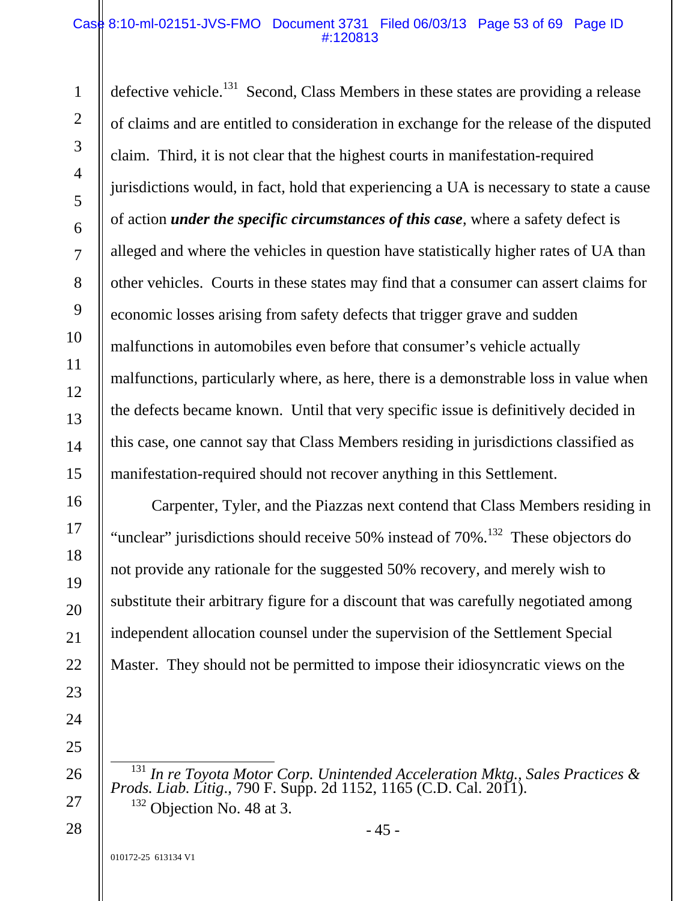#### Case 8:10-ml-02151-JVS-FMO Document 3731 Filed 06/03/13 Page 53 of 69 Page ID #:120813

defective vehicle.<sup>131</sup> Second, Class Members in these states are providing a release of claims and are entitled to consideration in exchange for the release of the disputed claim. Third, it is not clear that the highest courts in manifestation-required jurisdictions would, in fact, hold that experiencing a UA is necessary to state a cause of action *under the specific circumstances of this case*, where a safety defect is alleged and where the vehicles in question have statistically higher rates of UA than other vehicles. Courts in these states may find that a consumer can assert claims for economic losses arising from safety defects that trigger grave and sudden malfunctions in automobiles even before that consumer's vehicle actually malfunctions, particularly where, as here, there is a demonstrable loss in value when the defects became known. Until that very specific issue is definitively decided in this case, one cannot say that Class Members residing in jurisdictions classified as manifestation-required should not recover anything in this Settlement.

Carpenter, Tyler, and the Piazzas next contend that Class Members residing in "unclear" jurisdictions should receive 50% instead of  $70\%$ .<sup>132</sup> These objectors do not provide any rationale for the suggested 50% recovery, and merely wish to substitute their arbitrary figure for a discount that was carefully negotiated among independent allocation counsel under the supervision of the Settlement Special Master. They should not be permitted to impose their idiosyncratic views on the

<sup>131</sup> *In re Toyota Motor Corp. Unintended Acceleration Mktg., Sales Practices & Prods. Liab. Litig., 790 F. Supp. 2d 1152, 1165 (C.D. Cal. 2011).* <sup>132</sup> Objection No. 48 at 3.

25 26 27

28

1

2

3

4

5

6

7

8

9

10

11

12

13

14

15

16

17

18

19

20

21

22

23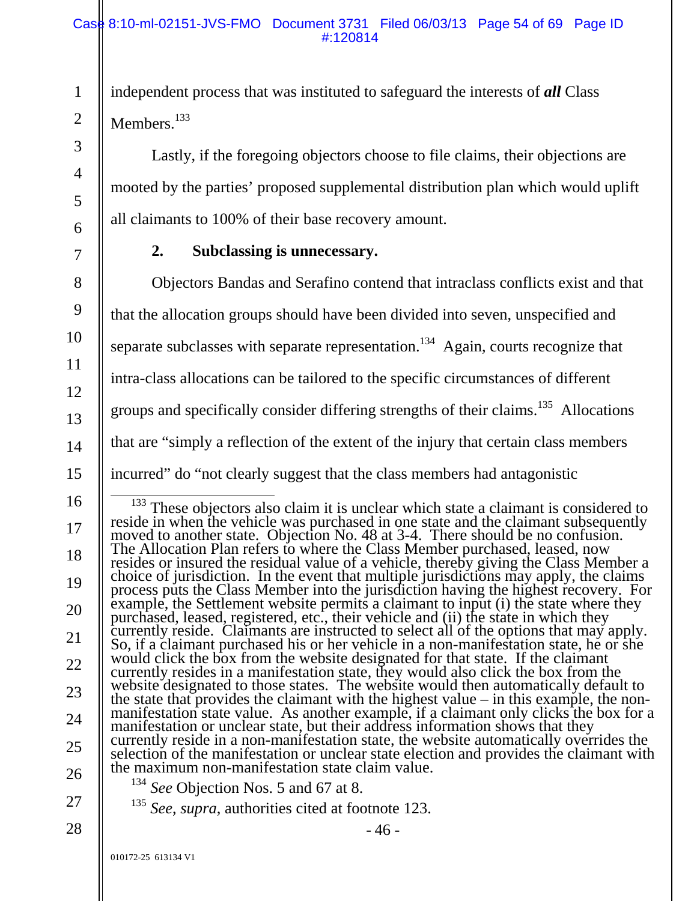independent process that was instituted to safeguard the interests of *all* Class Members.<sup>133</sup>

Lastly, if the foregoing objectors choose to file claims, their objections are mooted by the parties' proposed supplemental distribution plan which would uplift all claimants to 100% of their base recovery amount.

1

2

3

4

5

6

7

8

9

10

11

12

13

14

15

## **2. Subclassing is unnecessary.**

Objectors Bandas and Serafino contend that intraclass conflicts exist and that that the allocation groups should have been divided into seven, unspecified and separate subclasses with separate representation.<sup>134</sup> Again, courts recognize that intra-class allocations can be tailored to the specific circumstances of different groups and specifically consider differing strengths of their claims.<sup>135</sup> Allocations that are "simply a reflection of the extent of the injury that certain class members

- 
- 27

28

<sup>135</sup> *See*, *supra*, authorities cited at footnote 123.

incurred" do "not clearly suggest that the class members had antagonistic

<sup>16</sup>  17 18 19 20 21 22 23 24 25 26  $133$  These objectors also claim it is unclear which state a claimant is considered to reside in when the vehicle was purchased in one state and the claimant subsequently reside in when the vehicle was purchased in one state and the claimant subsequently moved to another state. Objection No. 48 at 3-4. There should be no confusion. The Allocation Plan refers to where the Class Member purcha resides or insured the residual value of a vehicle, thereby giving the Class Member a<br>choice of jurisdiction. In the event that multiple jurisdictions may apply, the claims<br>process puts the Class Member into the jurisdicti would click the box from the website designated for that state. If the claimant currently resides in a manifestation state, they would also click the box from the<br>website designated to those states. The website would also click the box from the<br>website designated to those states. The website would the currently reside in a non-manifestation state, the website automatically overrides the selection of the manifestation or unclear state election and provides the claimant with the maximum non-manifestation state claim value. <sup>134</sup> *See* Objection Nos. 5 and 67 at 8.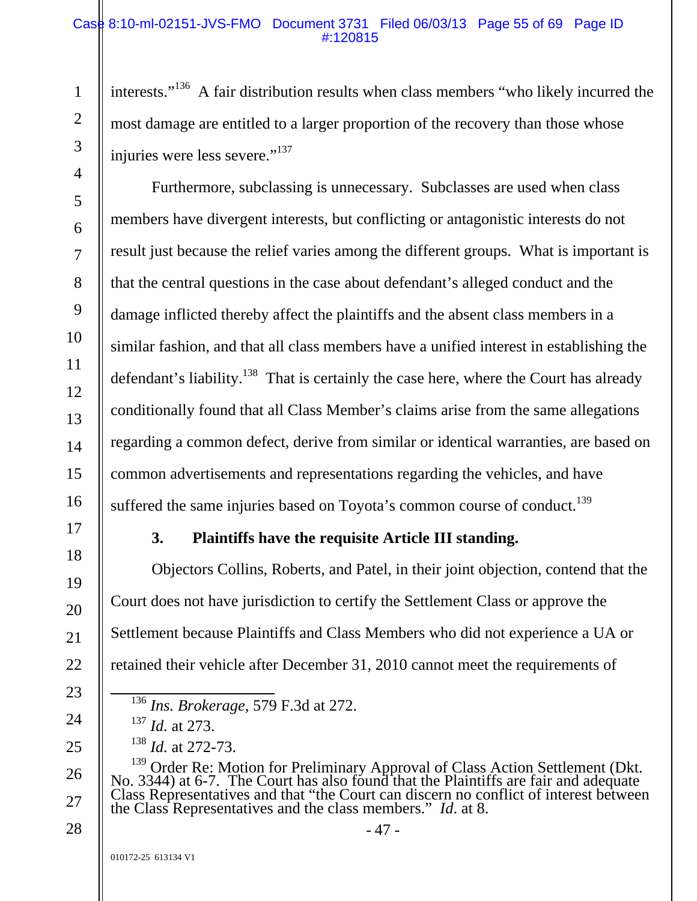#### Case 8:10-ml-02151-JVS-FMO Document 3731 Filed 06/03/13 Page 55 of 69 Page ID #:120815

interests."136 A fair distribution results when class members "who likely incurred the most damage are entitled to a larger proportion of the recovery than those whose injuries were less severe."<sup>137</sup>

Furthermore, subclassing is unnecessary. Subclasses are used when class members have divergent interests, but conflicting or antagonistic interests do not result just because the relief varies among the different groups. What is important is that the central questions in the case about defendant's alleged conduct and the damage inflicted thereby affect the plaintiffs and the absent class members in a similar fashion, and that all class members have a unified interest in establishing the defendant's liability.<sup>138</sup> That is certainly the case here, where the Court has already conditionally found that all Class Member's claims arise from the same allegations regarding a common defect, derive from similar or identical warranties, are based on common advertisements and representations regarding the vehicles, and have suffered the same injuries based on Toyota's common course of conduct.<sup>139</sup>

1

2

3

4

5

6

7

8

9

10

11

12

13

14

15

16

17

18

19

20

21

22

23

24

25

26

#### **3. Plaintiffs have the requisite Article III standing.**

Objectors Collins, Roberts, and Patel, in their joint objection, contend that the Court does not have jurisdiction to certify the Settlement Class or approve the Settlement because Plaintiffs and Class Members who did not experience a UA or retained their vehicle after December 31, 2010 cannot meet the requirements of

 $^{139}$  Order Re: Motion for Preliminary Approval of Class Action Settlement (Dkt. No. 3344) at 6-7. The Court has also found that the Plaintiffs are fair and adequate Class Representatives and that "the Court can discern the Class Representatives and the class members." *Id*. at 8.

 <sup>136</sup> *Ins. Brokerage*, 579 F.3d at 272.

<sup>137</sup> *Id.* at 273.

<sup>138</sup> *Id.* at 272-73.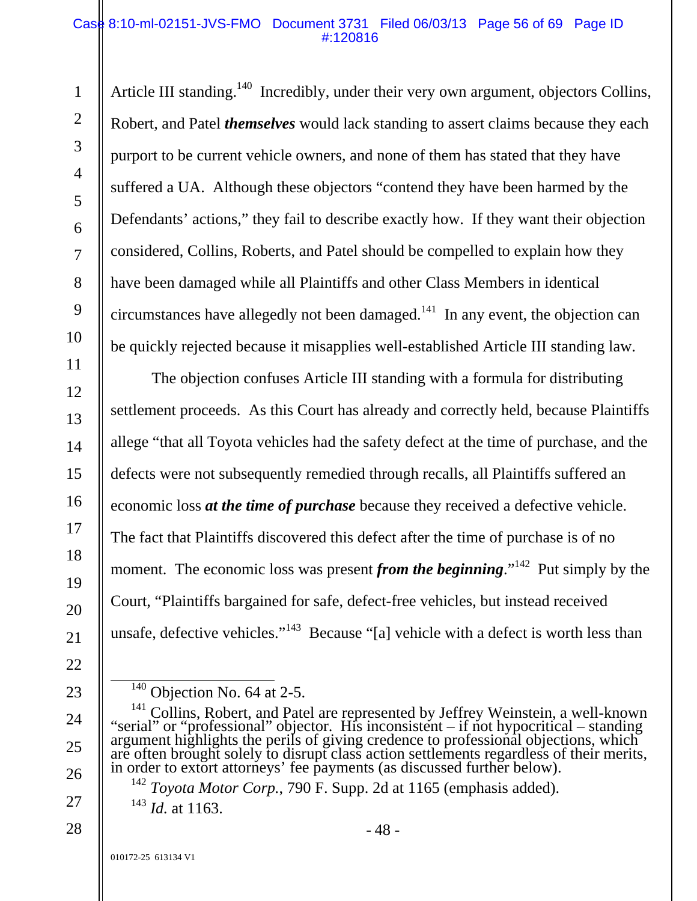#### Case 8:10-ml-02151-JVS-FMO Document 3731 Filed 06/03/13 Page 56 of 69 Page ID #:120816

Article III standing.<sup>140</sup> Incredibly, under their very own argument, objectors Collins, Robert, and Patel *themselves* would lack standing to assert claims because they each purport to be current vehicle owners, and none of them has stated that they have suffered a UA. Although these objectors "contend they have been harmed by the Defendants' actions," they fail to describe exactly how. If they want their objection considered, Collins, Roberts, and Patel should be compelled to explain how they have been damaged while all Plaintiffs and other Class Members in identical circumstances have allegedly not been damaged.<sup>141</sup> In any event, the objection can be quickly rejected because it misapplies well-established Article III standing law.

The objection confuses Article III standing with a formula for distributing settlement proceeds. As this Court has already and correctly held, because Plaintiffs allege "that all Toyota vehicles had the safety defect at the time of purchase, and the defects were not subsequently remedied through recalls, all Plaintiffs suffered an economic loss *at the time of purchase* because they received a defective vehicle. The fact that Plaintiffs discovered this defect after the time of purchase is of no moment. The economic loss was present *from the beginning*."<sup>142</sup> Put simply by the Court, "Plaintiffs bargained for safe, defect-free vehicles, but instead received unsafe, defective vehicles."<sup>143</sup> Because "[a] vehicle with a defect is worth less than

<sup>142</sup> *Toyota Motor Corp.*, 790 F. Supp. 2d at 1165 (emphasis added). <sup>143</sup> *Id.* at 1163.

28

27

1

2

3

4

5

6

7

8

9

10

11

12

13

14

15

16

17

18

19

20

21

22

23

24

25

 $140$  Objection No. 64 at 2-5.

<sup>&</sup>lt;sup>141</sup> Collins, Robert, and Patel are represented by Jeffrey Weinstein, a well-known "serial" or "professional" objector. His inconsistent – if not hypocritical – standing argument highlights the perils of giving credence to professional objections, which are often brought solely to disrupt class action settlements regardless of their merits, in order to extort attorneys' fee payments (as discussed further below).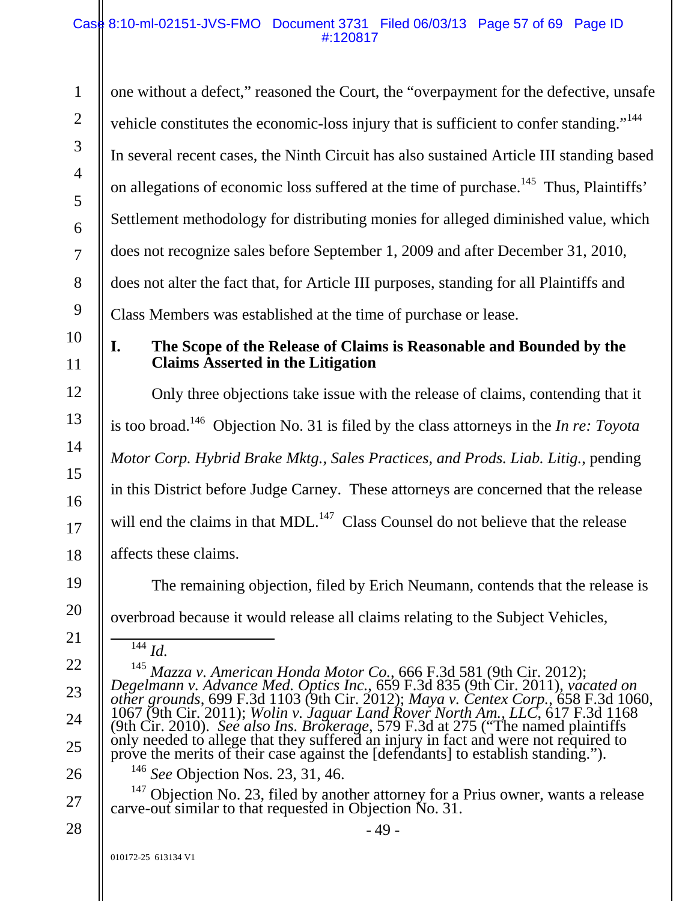#### Case 8:10-ml-02151-JVS-FMO Document 3731 Filed 06/03/13 Page 57 of 69 Page ID #:120817

1 2 3 4 5 6 7 8 9 10 11 12 13 14 15 16 17 one without a defect," reasoned the Court, the "overpayment for the defective, unsafe vehicle constitutes the economic-loss injury that is sufficient to confer standing."<sup>144</sup> In several recent cases, the Ninth Circuit has also sustained Article III standing based on allegations of economic loss suffered at the time of purchase.<sup>145</sup> Thus, Plaintiffs' Settlement methodology for distributing monies for alleged diminished value, which does not recognize sales before September 1, 2009 and after December 31, 2010, does not alter the fact that, for Article III purposes, standing for all Plaintiffs and Class Members was established at the time of purchase or lease. **I. The Scope of the Release of Claims is Reasonable and Bounded by the Claims Asserted in the Litigation**  Only three objections take issue with the release of claims, contending that it is too broad.146 Objection No. 31 is filed by the class attorneys in the *In re: Toyota Motor Corp. Hybrid Brake Mktg., Sales Practices, and Prods. Liab. Litig.*, pending in this District before Judge Carney. These attorneys are concerned that the release will end the claims in that  $MDL<sup>147</sup>$  Class Counsel do not believe that the release

affects these claims.

The remaining objection, filed by Erich Neumann, contends that the release is overbroad because it would release all claims relating to the Subject Vehicles,

<sup>145</sup> *Mazza v. American Honda Motor Co.*, 666 F.3d 581 (9th Cir. 2012); *Degelmann v. Advance Med. Optics Inc.*, 659 F.3d 835 (9th Cir. 2011), *vacated on other grounds*, 699 F.3d 1103 (9th Cir. 2012); *Maya v. Centex Corp.*, 658 F.3d 1060, 1067 (9th Cir. 2011); *Wolin v. Jaguar Land Rover North Am., LLC*, 617 F.3d 1168 (9th Cir. 2010). *See also Ins. Brokerage*, 579 F.3d at 275 ("The named plaintiffs only needed to allege that they suffered an injury in fact and were not required to prove the merits of their case against the [defendants

<sup>146</sup> *See* Objection Nos. 23, 31, 46.

<sup>147</sup> Objection No. 23, filed by another attorney for a Prius owner, wants a release carve-out similar to that requested in Objection No. 31.

28

18

19

20

21

22

23

24

25

26

 $\overline{\overline{144}}$  *Id.*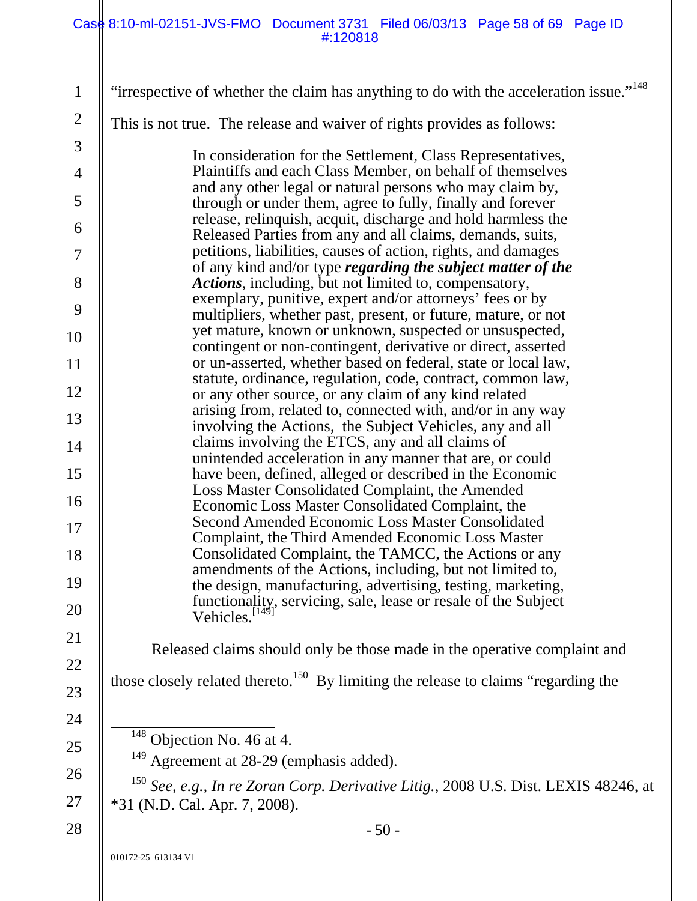# Case 8:10-ml-02151-JVS-FMO Document 3731 Filed 06/03/13 Page 58 of 69 Page ID

| #:120818 |  |
|----------|--|

| $\mathbf{1}$   | "irrespective of whether the claim has anything to do with the acceleration issue." <sup>148</sup>                              |
|----------------|---------------------------------------------------------------------------------------------------------------------------------|
| $\overline{2}$ | This is not true. The release and waiver of rights provides as follows:                                                         |
| 3              | In consideration for the Settlement, Class Representatives,                                                                     |
| $\overline{4}$ | Plaintiffs and each Class Member, on behalf of themselves<br>and any other legal or natural persons who may claim by,           |
| 5              | through or under them, agree to fully, finally and forever                                                                      |
| 6              | release, relinquish, acquit, discharge and hold harmless the<br>Released Parties from any and all claims, demands, suits,       |
| $\tau$         | petitions, liabilities, causes of action, rights, and damages                                                                   |
| 8              | of any kind and/or type <i>regarding the subject matter of the</i><br>Actions, including, but not limited to, compensatory,     |
| 9              | exemplary, punitive, expert and/or attorneys' fees or by                                                                        |
| 10             | multipliers, whether past, present, or future, mature, or not<br>yet mature, known or unknown, suspected or unsuspected,        |
|                | contingent or non-contingent, derivative or direct, asserted<br>or un-asserted, whether based on federal, state or local law,   |
| 11             | statute, ordinance, regulation, code, contract, common law,                                                                     |
| 12             | or any other source, or any claim of any kind related<br>arising from, related to, connected with, and/or in any way            |
| 13             | involving the Actions, the Subject Vehicles, any and all                                                                        |
| 14             | claims involving the ETCS, any and all claims of<br>unintended acceleration in any manner that are, or could                    |
| 15             | have been, defined, alleged or described in the Economic                                                                        |
| 16             | Loss Master Consolidated Complaint, the Amended<br>Economic Loss Master Consolidated Complaint, the                             |
| 17             | Second Amended Economic Loss Master Consolidated<br>Complaint, the Third Amended Economic Loss Master                           |
| 18             | Consolidated Complaint, the TAMCC, the Actions or any                                                                           |
| 19             | amendments of the Actions, including, but not limited to,<br>the design, manufacturing, advertising, testing, marketing,        |
| 20             | functionality, servicing, sale, lease or resale of the Subject<br>Vehicles. <sup>[149]</sup>                                    |
| 21<br>22       | Released claims should only be those made in the operative complaint and                                                        |
| 23             | those closely related thereto. <sup>150</sup> By limiting the release to claims "regarding the                                  |
| 24             |                                                                                                                                 |
| 25             | $148$ Objection No. 46 at 4.                                                                                                    |
| 26             | <sup>149</sup> Agreement at 28-29 (emphasis added).                                                                             |
| 27             | <sup>150</sup> See, e.g., In re Zoran Corp. Derivative Litig., 2008 U.S. Dist. LEXIS 48246, at<br>*31 (N.D. Cal. Apr. 7, 2008). |
| 28             | $-50-$                                                                                                                          |
|                | 010172-25 613134 V1                                                                                                             |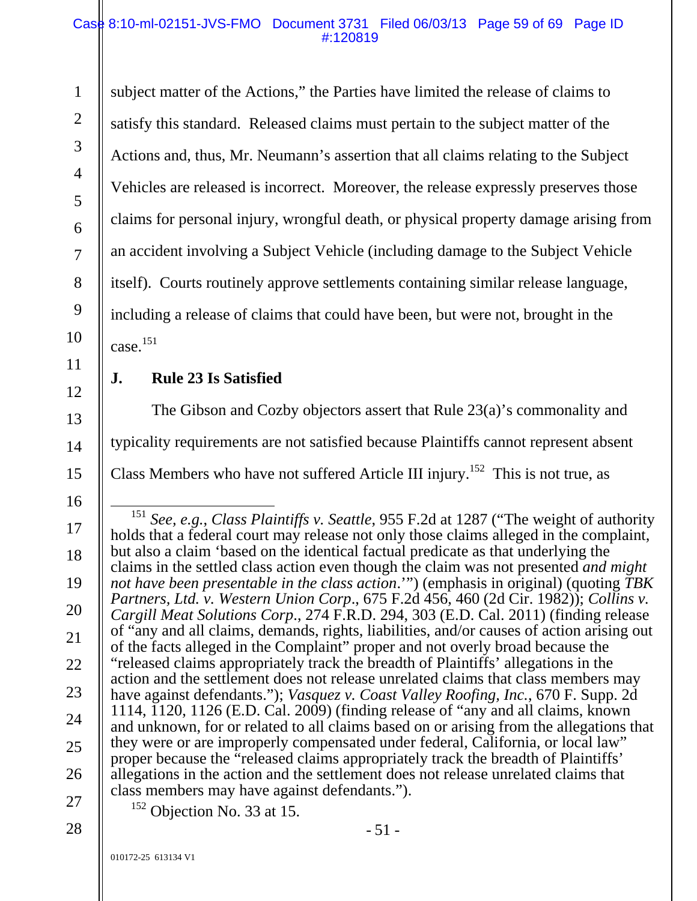#### Case 8:10-ml-02151-JVS-FMO Document 3731 Filed 06/03/13 Page 59 of 69 Page ID #:120819

subject matter of the Actions," the Parties have limited the release of claims to satisfy this standard. Released claims must pertain to the subject matter of the Actions and, thus, Mr. Neumann's assertion that all claims relating to the Subject Vehicles are released is incorrect. Moreover, the release expressly preserves those claims for personal injury, wrongful death, or physical property damage arising from an accident involving a Subject Vehicle (including damage to the Subject Vehicle itself). Courts routinely approve settlements containing similar release language, including a release of claims that could have been, but were not, brought in the case.<sup>151</sup>

### **J. Rule 23 Is Satisfied**

1

2

3

4

5

6

7

8

9

10

11

12

13

14

15

16

17

18

19

20

21

22

23

24

25

26

27

28

The Gibson and Cozby objectors assert that Rule 23(a)'s commonality and typicality requirements are not satisfied because Plaintiffs cannot represent absent Class Members who have not suffered Article III injury.<sup>152</sup> This is not true, as

<sup>152</sup> Objection No. 33 at 15.

 <sup>151</sup> *See, e.g.*, *Class Plaintiffs v. Seattle*, 955 F.2d at 1287 ("The weight of authority holds that a federal court may release not only those claims alleged in the complaint, but also a claim 'based on the identical factual predicate as that underlying the claims in the settled class action even though the claim was not presented *and might not have been presentable in the class action*.'") (emphasis in original) (quoting *TBK Partners, Ltd. v. Western Union Corp*., 675 F.2d 456, 460 (2d Cir. 1982)); *Collins v. Cargill Meat Solutions Corp*., 274 F.R.D. 294, 303 (E.D. Cal. 2011) (finding release of "any and all claims, demands, rights, liabilities, and/or causes of action arising out of the facts alleged in the Complaint" proper and not overly broad because the "released claims appropriately track the breadth of Plaintiffs' allegations in the action and the settlement does not release unrelated claims that class members may have against defendants."); *Vasquez v. Coast Valley Roofing, Inc.*, 670 F. Supp. 2d 1114, 1120, 1126 (E.D. Cal. 2009) (finding release of "any and all claims, known and unknown, for or related to all claims based on or arising from the allegations that they were or are improperly compensated under federal, California, or local law" proper because the "released claims appropriately track the breadth of Plaintiffs' allegations in the action and the settlement does not release unrelated claims that class members may have against defendants.").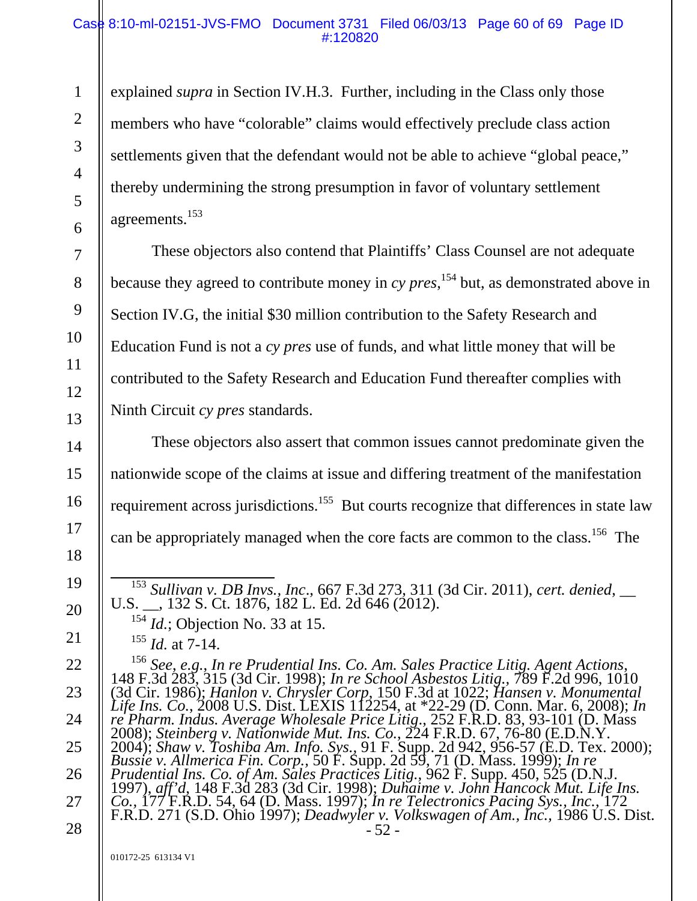#### Case 8:10-ml-02151-JVS-FMO Document 3731 Filed 06/03/13 Page 60 of 69 Page ID #:120820

explained *supra* in Section IV.H.3. Further, including in the Class only those members who have "colorable" claims would effectively preclude class action settlements given that the defendant would not be able to achieve "global peace," thereby undermining the strong presumption in favor of voluntary settlement agreements.153

These objectors also contend that Plaintiffs' Class Counsel are not adequate because they agreed to contribute money in *cy pres*, 154 but, as demonstrated above in Section IV.G, the initial \$30 million contribution to the Safety Research and Education Fund is not a *cy pres* use of funds, and what little money that will be contributed to the Safety Research and Education Fund thereafter complies with Ninth Circuit *cy pres* standards.

These objectors also assert that common issues cannot predominate given the nationwide scope of the claims at issue and differing treatment of the manifestation requirement across jurisdictions.<sup>155</sup> But courts recognize that differences in state law can be appropriately managed when the core facts are common to the class.<sup>156</sup> The

<sup>153</sup> *Sullivan v. DB Invs., Inc*., 667 F.3d 273, 311 (3d Cir. 2011), *cert. denied*, \_\_ U.S. \_\_, 132 S. Ct. 1876, 182 L. Ed. 2d 646 (2012). <sup>154</sup> *Id.*; Objection No. 33 at 15.

<sup>155</sup> *Id.* at 7-14.

- 52 - <sup>156</sup> *See*, *e.g.*, *In re Prudential Ins. Co. Am. Sales Practice Litig. Agent Actions*, 148 F.3d 283, 315 (3d Cir. 1998); *In re School Asbestos Litig.,* 789 F.2d 996, 1010 (3d Cir. 1986); *Hanlon v. Chrysler Corp*, 150 F.3d at 1022; *Hansen v. Monumental Life Ins. Co.*, 2008 U.S. Dist. LEXIS 112254, at \*22-29 (D. Conn. Mar. 6, 2008); *In re Pharm. Indus. Average Wholesale Price Litig*., 252 F.R.D. 83, 93-101 (D. Mass 2008); *Steinberg v. Nationwide Mut. Ins. Co.*, 224 F.R.D. 67, 76-80 (E.D.N.Y. 2004); *Shaw v. Toshiba Am. Info. Sys.,* 91 F. Supp. 2d 942, 956-57 (E.D. Tex. 2000); *Bussie v. Allmerica Fin. Corp.,* 50 F. Supp. 2d 59, 71 (D. Mass. 1999); *In re*  2004), *Shaw v. Toshiba Am. Info.* 5ys., *511*: *Supp.* 2d *542*, *550-51* (E.D. 1cx. 2000<br>*Bussie v. Allmerica Fin. Corp.*, 50 F. Supp. 2d 59, 71 (D. Mass. 1999); *In re*<br>*Prudential Ins. Co. of Am. Sales Practices Litig.* F.R.D. 271 (S.D. Ohio 1997); *Deadwyler v. Volkswagen of Am., Inc.,* 1986 U.S. Dist.

010172-25 613134 V1

27

28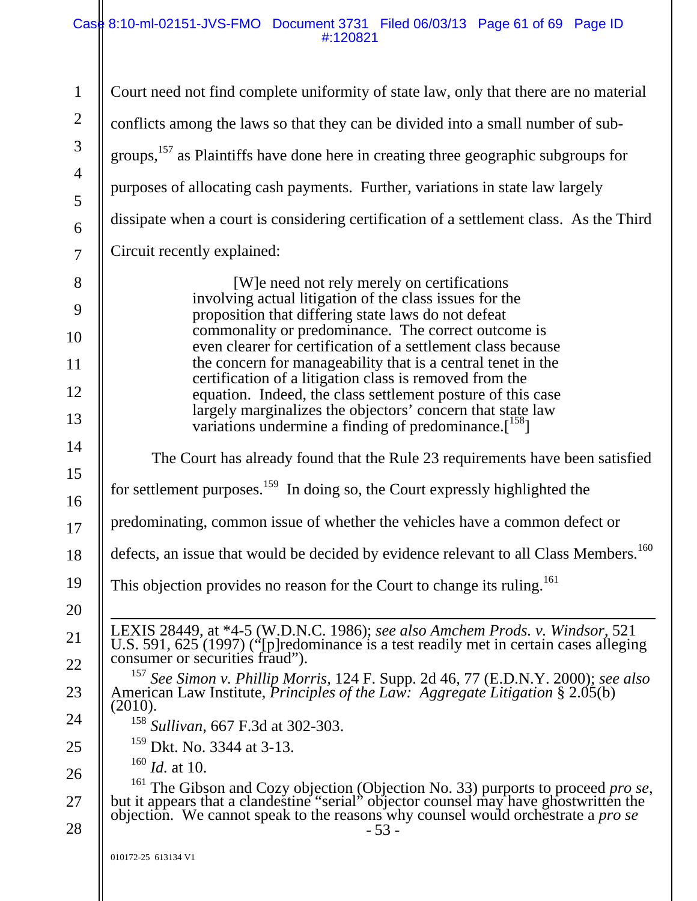#### Case 8:10-ml-02151-JVS-FMO Document 3731 Filed 06/03/13 Page 61 of 69 Page ID #:120821

| $\mathbf{1}$                                     | Court need not find complete uniformity of state law, only that there are no material                                                                                                                                                                                                                                                                                                                                                                                                                                                                                                                                                                                                                                                                                                                                                                                         |
|--------------------------------------------------|-------------------------------------------------------------------------------------------------------------------------------------------------------------------------------------------------------------------------------------------------------------------------------------------------------------------------------------------------------------------------------------------------------------------------------------------------------------------------------------------------------------------------------------------------------------------------------------------------------------------------------------------------------------------------------------------------------------------------------------------------------------------------------------------------------------------------------------------------------------------------------|
| $\overline{2}$                                   | conflicts among the laws so that they can be divided into a small number of sub-                                                                                                                                                                                                                                                                                                                                                                                                                                                                                                                                                                                                                                                                                                                                                                                              |
| 3                                                | groups, <sup>157</sup> as Plaintiffs have done here in creating three geographic subgroups for                                                                                                                                                                                                                                                                                                                                                                                                                                                                                                                                                                                                                                                                                                                                                                                |
| $\overline{4}$<br>5                              | purposes of allocating cash payments. Further, variations in state law largely                                                                                                                                                                                                                                                                                                                                                                                                                                                                                                                                                                                                                                                                                                                                                                                                |
| 6                                                | dissipate when a court is considering certification of a settlement class. As the Third                                                                                                                                                                                                                                                                                                                                                                                                                                                                                                                                                                                                                                                                                                                                                                                       |
| $\overline{7}$                                   | Circuit recently explained:                                                                                                                                                                                                                                                                                                                                                                                                                                                                                                                                                                                                                                                                                                                                                                                                                                                   |
| 8<br>9<br>10<br>11<br>12<br>13<br>14<br>15<br>16 | [W]e need not rely merely on certifications<br>involving actual litigation of the class issues for the<br>proposition that differing state laws do not defeat<br>commonality or predominance. The correct outcome is<br>even clearer for certification of a settlement class because<br>the concern for manageability that is a central tenet in the<br>certification of a litigation class is removed from the<br>equation. Indeed, the class settlement posture of this case<br>largely marginalizes the objectors' concern that state law<br>variations undermine a finding of predominance. <sup>[158</sup> ]<br>The Court has already found that the Rule 23 requirements have been satisfied<br>for settlement purposes. <sup>159</sup> In doing so, the Court expressly highlighted the<br>predominating, common issue of whether the vehicles have a common defect or |
| 17<br>18                                         | defects, an issue that would be decided by evidence relevant to all Class Members. <sup>160</sup>                                                                                                                                                                                                                                                                                                                                                                                                                                                                                                                                                                                                                                                                                                                                                                             |
| 19<br>20                                         | This objection provides no reason for the Court to change its ruling. <sup>161</sup>                                                                                                                                                                                                                                                                                                                                                                                                                                                                                                                                                                                                                                                                                                                                                                                          |
| 21<br>22<br>23<br>24<br>25<br>26<br>27<br>28     | LEXIS 28449, at *4-5 (W.D.N.C. 1986); see also Amchem Prods. v. Windsor, 521<br>U.S. 591, 625 (1997) ("[p]redominance is a test readily met in certain cases alleging consumer or securities fraud").<br><sup>157</sup> See Simon v. Phillip Morris, 124 F. Supp. 2d 46, 77 (E.D.N.Y. 2000); see also<br>American Law Institute, <i>Principles of the Law: Aggregate Litigation</i> § 2.05(b)<br>(2010).<br><sup>158</sup> Sullivan, 667 F.3d at 302-303.<br>$159$ Dkt. No. 3344 at 3-13.<br>$160$ <i>Id.</i> at 10.<br><sup>161</sup> The Gibson and Cozy objection (Objection No. 33) purports to proceed <i>pro se</i> , but it appears that a clandestine "serial" objector counsel may have ghostwritten the objection. We cannot speak to the reasons why coun<br>$-53-$                                                                                                |
|                                                  | 010172-25 613134 V1                                                                                                                                                                                                                                                                                                                                                                                                                                                                                                                                                                                                                                                                                                                                                                                                                                                           |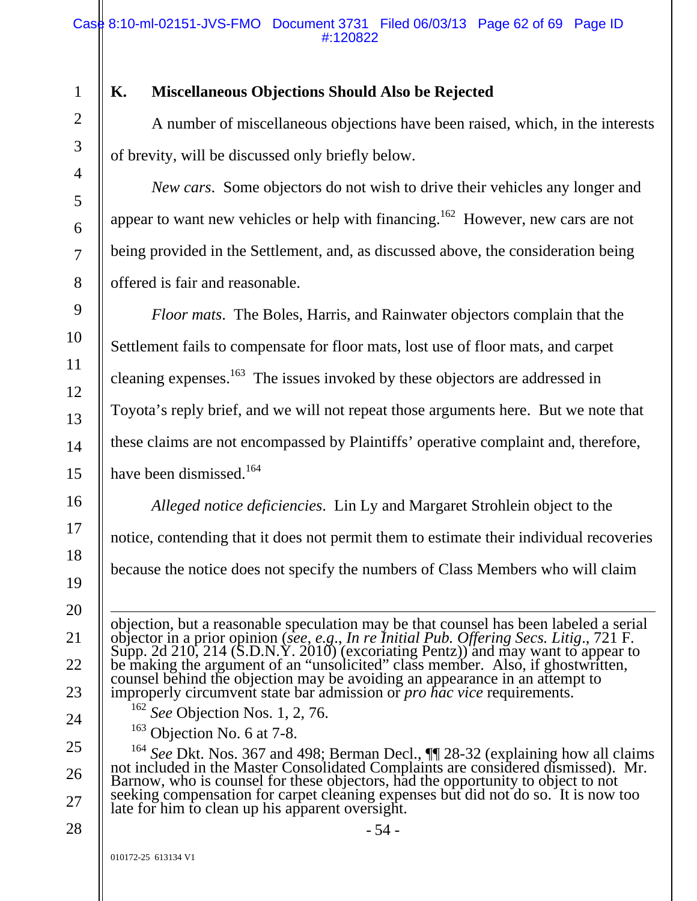# 1

2

3

4

5

6

7

8

9

10

11

12

13

14

15

16

17

18

19

20

21

22

23

24

# **K. Miscellaneous Objections Should Also be Rejected**

A number of miscellaneous objections have been raised, which, in the interests of brevity, will be discussed only briefly below.

*New cars*. Some objectors do not wish to drive their vehicles any longer and appear to want new vehicles or help with financing.<sup>162</sup> However, new cars are not being provided in the Settlement, and, as discussed above, the consideration being offered is fair and reasonable.

*Floor mats*. The Boles, Harris, and Rainwater objectors complain that the Settlement fails to compensate for floor mats, lost use of floor mats, and carpet cleaning expenses.<sup>163</sup> The issues invoked by these objectors are addressed in Toyota's reply brief, and we will not repeat those arguments here. But we note that these claims are not encompassed by Plaintiffs' operative complaint and, therefore, have been dismissed. $164$ 

*Alleged notice deficiencies*. Lin Ly and Margaret Strohlein object to the

notice, contending that it does not permit them to estimate their individual recoveries because the notice does not specify the numbers of Class Members who will claim

 objection, but a reasonable speculation may be that counsel has been labeled a serial objector in a prior opinion (*see*, *e.g*., *In re Initial Pub. Offering Secs. Litig*., 721 F. Supp. 2d 210, 214 (S.D.N.Y. 2010) (excoriating Pentz)) and may want to appear to be making the argument of an "unsolicited" class member. Also, if ghostwritten, counsel behind the objection may be avoiding an appearance i

- <sup>162</sup> *See* Objection Nos. 1, 2, 76.
- $163$  Objection No. 6 at 7-8.

25 26 27 <sup>164</sup> See Dkt. Nos. 367 and 498; Berman Decl.,  $\P$  28-32 (explaining how all claims not included in the Master Consolidated Complaints are considered dismissed). Mr. Barnow, who is counsel for these objectors, had the opp late for him to clean up his apparent oversight.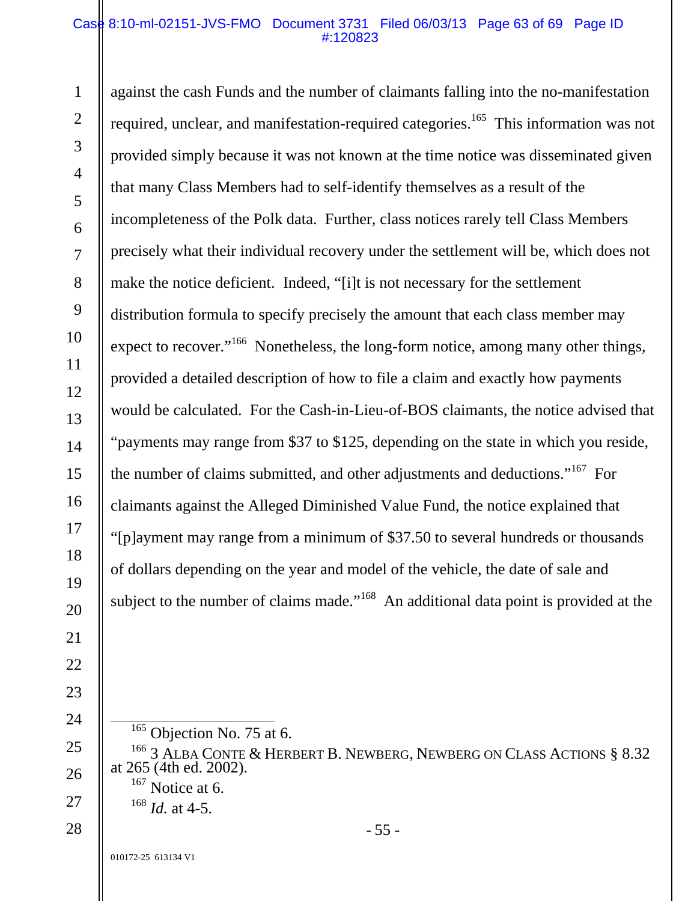#### Case 8:10-ml-02151-JVS-FMO Document 3731 Filed 06/03/13 Page 63 of 69 Page ID #:120823

10 14 15 16 against the cash Funds and the number of claimants falling into the no-manifestation required, unclear, and manifestation-required categories.<sup>165</sup> This information was not provided simply because it was not known at the time notice was disseminated given that many Class Members had to self-identify themselves as a result of the incompleteness of the Polk data. Further, class notices rarely tell Class Members precisely what their individual recovery under the settlement will be, which does not make the notice deficient. Indeed, "[i]t is not necessary for the settlement distribution formula to specify precisely the amount that each class member may expect to recover."<sup>166</sup> Nonetheless, the long-form notice, among many other things, provided a detailed description of how to file a claim and exactly how payments would be calculated. For the Cash-in-Lieu-of-BOS claimants, the notice advised that "payments may range from \$37 to \$125, depending on the state in which you reside, the number of claims submitted, and other adjustments and deductions."167 For claimants against the Alleged Diminished Value Fund, the notice explained that "[p]ayment may range from a minimum of \$37.50 to several hundreds or thousands of dollars depending on the year and model of the vehicle, the date of sale and subject to the number of claims made."<sup>168</sup> An additional data point is provided at the

<sup>168</sup> *Id.* at 4-5.

1

2

3

4

5

6

7

8

9

11

12

13

17

18

19

20

21

22

23

24

25

26

27

 $\frac{165}{165}$  Objection No. 75 at 6.

<sup>&</sup>lt;sup>166</sup> 3 ALBA CONTE & HERBERT B. NEWBERG, NEWBERG ON CLASS ACTIONS § 8.32 at 265 (4th ed. 2002).  $167$  Notice at 6.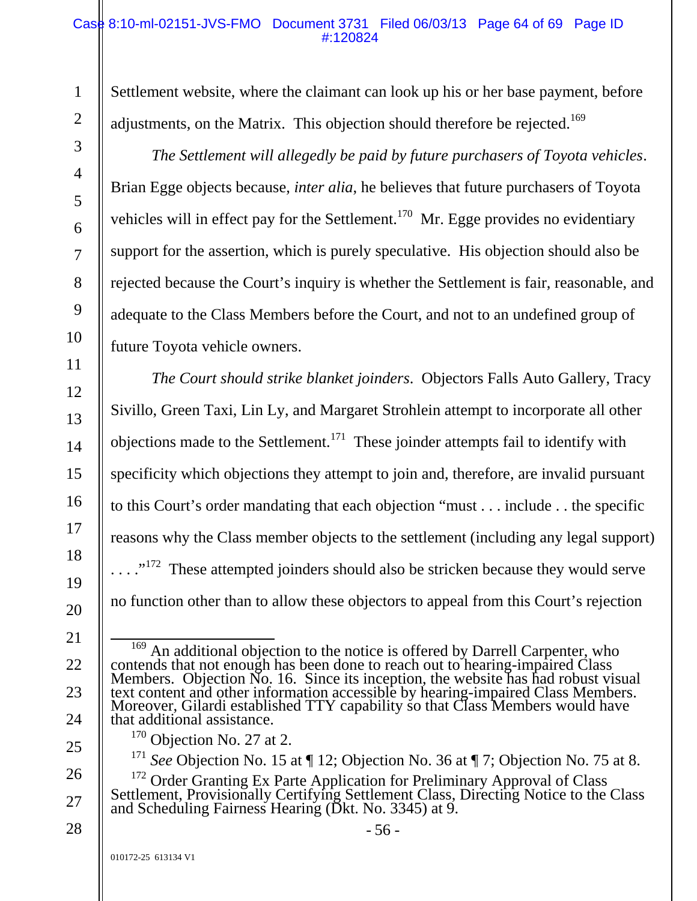#### Case 8:10-ml-02151-JVS-FMO Document 3731 Filed 06/03/13 Page 64 of 69 Page ID #:120824

Settlement website, where the claimant can look up his or her base payment, before adjustments, on the Matrix. This objection should therefore be rejected.<sup>169</sup>

*The Settlement will allegedly be paid by future purchasers of Toyota vehicles*. Brian Egge objects because, *inter alia*, he believes that future purchasers of Toyota vehicles will in effect pay for the Settlement.<sup>170</sup> Mr. Egge provides no evidentiary support for the assertion, which is purely speculative. His objection should also be rejected because the Court's inquiry is whether the Settlement is fair, reasonable, and adequate to the Class Members before the Court, and not to an undefined group of future Toyota vehicle owners.

*The Court should strike blanket joinders*. Objectors Falls Auto Gallery, Tracy Sivillo, Green Taxi, Lin Ly, and Margaret Strohlein attempt to incorporate all other objections made to the Settlement.<sup>171</sup> These joinder attempts fail to identify with specificity which objections they attempt to join and, therefore, are invalid pursuant to this Court's order mandating that each objection "must . . . include . . the specific reasons why the Class member objects to the settlement (including any legal support) . . . ."172 These attempted joinders should also be stricken because they would serve no function other than to allow these objectors to appeal from this Court's rejection

<sup>171</sup> *See* Objection No. 15 at  $\P$  12; Objection No. 36 at  $\P$  7; Objection No. 75 at 8.

<sup>172</sup> Order Granting Ex Parte Application for Preliminary Approval of Class<br>Settlement, Provisionally Certifying Settlement Class, Directing Notice to the Class and Scheduling Fairness Hearing (Dkt. No. 3345) at 9.

 $\frac{169}{169}$  An additional objection to the notice is offered by Darrell Carpenter, who contends that not enough has been done to reach out to hearing-impaired Class Members. Objection No. 16. Since its inception, the we received and other information accessible by hearing-impaired Class Members.<br>Moreover, Gilardi established TTY capability so that Class Members would have<br>that additional assistance.

 $170$  Objection No. 27 at 2.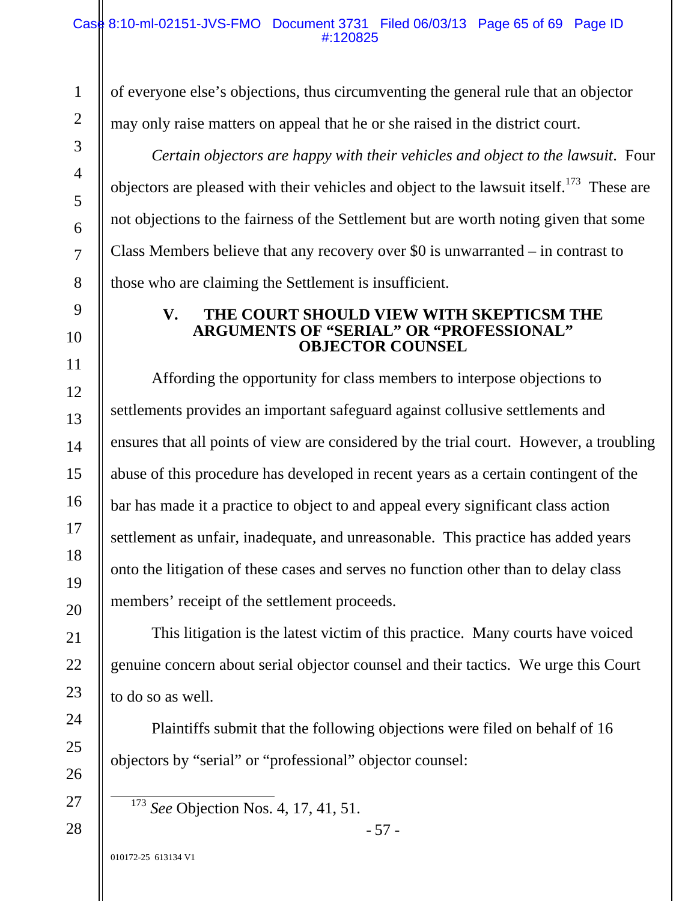of everyone else's objections, thus circumventing the general rule that an objector may only raise matters on appeal that he or she raised in the district court.

*Certain objectors are happy with their vehicles and object to the lawsuit*. Four objectors are pleased with their vehicles and object to the lawsuit itself.<sup>173</sup> These are not objections to the fairness of the Settlement but are worth noting given that some Class Members believe that any recovery over \$0 is unwarranted – in contrast to those who are claiming the Settlement is insufficient.

#### **V. THE COURT SHOULD VIEW WITH SKEPTICSM THE ARGUMENTS OF "SERIAL" OR "PROFESSIONAL" OBJECTOR COUNSEL**

Affording the opportunity for class members to interpose objections to settlements provides an important safeguard against collusive settlements and ensures that all points of view are considered by the trial court. However, a troubling abuse of this procedure has developed in recent years as a certain contingent of the bar has made it a practice to object to and appeal every significant class action settlement as unfair, inadequate, and unreasonable. This practice has added years onto the litigation of these cases and serves no function other than to delay class members' receipt of the settlement proceeds.

This litigation is the latest victim of this practice. Many courts have voiced genuine concern about serial objector counsel and their tactics. We urge this Court to do so as well.

Plaintiffs submit that the following objections were filed on behalf of 16 objectors by "serial" or "professional" objector counsel:

<sup>173</sup> *See* Objection Nos. 4, 17, 41, 51.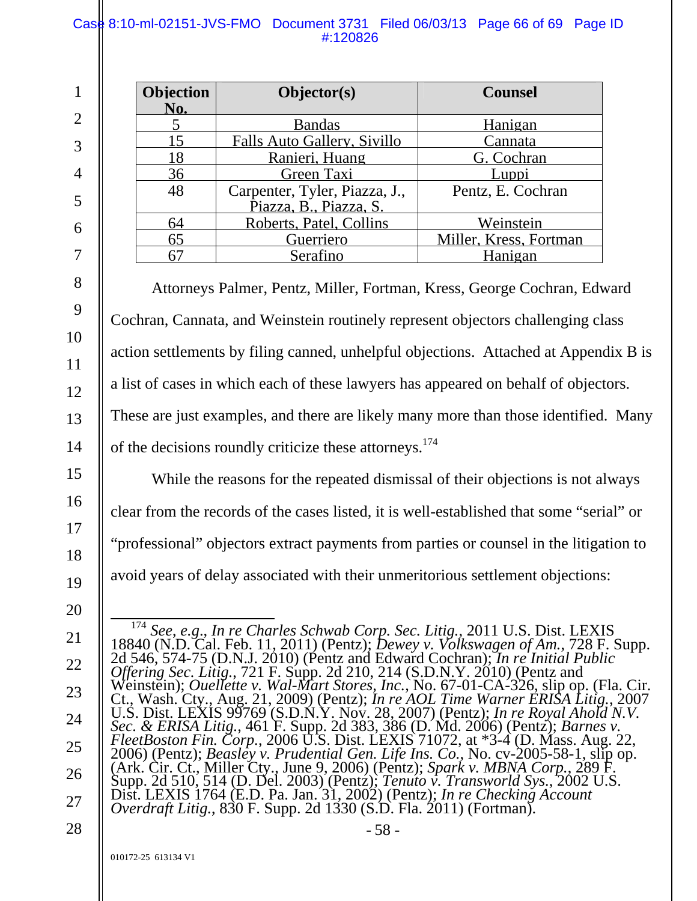#### Case 8:10-ml-02151-JVS-FMO Document 3731 Filed 06/03/13 Page 66 of 69 Page ID #:120826

1 2 3

4

5

6

7

8

9

10

11

12

13

14

15

16

17

18

19

20

21

22

23

24

25

26

27

28

| <b>Objection</b> | Objector(s)                   | <b>Counsel</b>         |
|------------------|-------------------------------|------------------------|
| No.              |                               |                        |
|                  | <b>Bandas</b>                 | Hanigan                |
|                  | Falls Auto Gallery, Sivillo   | Cannata                |
|                  | Ranieri, Huang                | G. Cochran             |
| 36               | Green Taxi                    | Luppi                  |
| 48               | Carpenter, Tyler, Piazza, J., | Pentz, E. Cochran      |
|                  | Piazza, B., Piazza, S.        |                        |
| 64               | Roberts, Patel, Collins       | Weinstein              |
| 65               | Guerriero                     | Miller, Kress, Fortman |
|                  | Serafino                      | Hanigan                |

Attorneys Palmer, Pentz, Miller, Fortman, Kress, George Cochran, Edward Cochran, Cannata, and Weinstein routinely represent objectors challenging class action settlements by filing canned, unhelpful objections. Attached at Appendix B is a list of cases in which each of these lawyers has appeared on behalf of objectors. These are just examples, and there are likely many more than those identified. Many of the decisions roundly criticize these attorneys.<sup>174</sup>

While the reasons for the repeated dismissal of their objections is not always clear from the records of the cases listed, it is well-established that some "serial" or "professional" objectors extract payments from parties or counsel in the litigation to avoid years of delay associated with their unmeritorious settlement objections:

- 58 - 174 *See*, *e.g*., *In re Charles Schwab Corp. Sec. Litig.*, 2011 U.S. Dist. LEXIS 18840 (N.D. Cal. Feb. 11, 2011) (Pentz); *Dewey v. Volkswagen of Am.*, 728 F. Supp. 2d 546, 574-75 (D.N.J. 2010) (Pentz and Edward Cochran); *In re Initial Public*  2d 546, 574-75 (D.N.J. 2010) (Pentz and Edward Cochran); *In re Initial Public*<br>*Offering Sec. Litig.*, 721 F. Supp. 2d 210, 214 (S.D.N.Y. 2010) (Pentz and<br>Weinstein); *Ouellette v. Wal-Mart Stores, Inc.*, No. 67-01-CA-326 U.S. Dist. LEXIS 99769 (S.D.N.Y. Nov. 28, 2007) (Pentz); *In re Royal Ahold N.V. Sec. & ERISA Litig.*, 461 F. Supp. 2d 383, 386 (D. Md. 2006) (Pentz); *Barnes v. FleetBoston Fin. Corp., 2006 U.S. Dist. LEXIS 71072, at \*3-4 (D. Mass. Aug. 22, 2006) (Pentz); Beasley v. Prudential Gen. Life Ins. Co., No. cv-2005-58-1, slip op.*<br>2006) (Pentz); *Beasley v. Prudential Gen. Life Ins. Co.* Supp. 2d 510, 514 (D. Del. 2003) (Pentz); *Tenuto v. Transworld Sys.*, 2002 U.S. Dist. LEXIS 1764 (E.D. Pa. Jan. 31, 2002) (Pentz); *In re Checking Account Overdraft Litig.*, 830 F. Supp. 2d 1330 (S.D. Fla. 2011) (Fortman).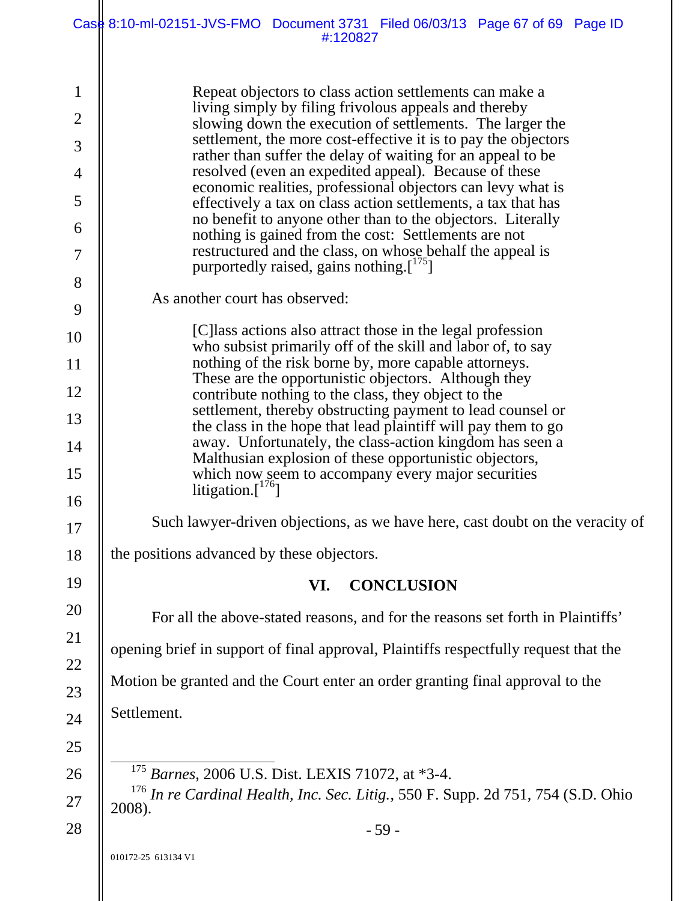|                                                        | Case 8:10-ml-02151-JVS-FMO Document 3731 Filed 06/03/13 Page 67 of 69 Page ID<br>#:120827                                                                                                                                                                                                                                                                                                                                                                                                                                                                                                                                                                                                                                                                                             |
|--------------------------------------------------------|---------------------------------------------------------------------------------------------------------------------------------------------------------------------------------------------------------------------------------------------------------------------------------------------------------------------------------------------------------------------------------------------------------------------------------------------------------------------------------------------------------------------------------------------------------------------------------------------------------------------------------------------------------------------------------------------------------------------------------------------------------------------------------------|
| 1<br>$\overline{2}$<br>3<br>4<br>5<br>6<br>7<br>8<br>9 | Repeat objectors to class action settlements can make a<br>living simply by filing frivolous appeals and thereby<br>slowing down the execution of settlements. The larger the<br>settlement, the more cost-effective it is to pay the objectors<br>rather than suffer the delay of waiting for an appeal to be<br>resolved (even an expedited appeal). Because of these<br>economic realities, professional objectors can levy what is<br>effectively a tax on class action settlements, a tax that has<br>no benefit to anyone other than to the objectors. Literally<br>nothing is gained from the cost: Settlements are not<br>restructured and the class, on whose behalf the appeal is<br>purportedly raised, gains nothing.[ <sup>175</sup> ]<br>As another court has observed: |
| 10<br>11<br>12<br>13<br>14<br>15<br>16                 | [C] lass actions also attract those in the legal profession<br>who subsist primarily off of the skill and labor of, to say<br>nothing of the risk borne by, more capable attorneys.<br>These are the opportunistic objectors. Although they<br>contribute nothing to the class, they object to the<br>settlement, thereby obstructing payment to lead counsel or<br>the class in the hope that lead plaintiff will pay them to go<br>away. Unfortunately, the class-action kingdom has seen a<br>Malthusian explosion of these opportunistic objectors,<br>which now seem to accompany every major securities<br>litigation. $\left[ \begin{smallmatrix} 176 \\ 176 \end{smallmatrix} \right]$                                                                                        |
| 17                                                     | Such lawyer-driven objections, as we have here, cast doubt on the veracity of                                                                                                                                                                                                                                                                                                                                                                                                                                                                                                                                                                                                                                                                                                         |
| 18                                                     | the positions advanced by these objectors.                                                                                                                                                                                                                                                                                                                                                                                                                                                                                                                                                                                                                                                                                                                                            |
| 19                                                     | <b>CONCLUSION</b><br>VI.                                                                                                                                                                                                                                                                                                                                                                                                                                                                                                                                                                                                                                                                                                                                                              |
| 20<br>21<br>22<br>23<br>24<br>25                       | For all the above-stated reasons, and for the reasons set forth in Plaintiffs'<br>opening brief in support of final approval, Plaintiffs respectfully request that the<br>Motion be granted and the Court enter an order granting final approval to the<br>Settlement.                                                                                                                                                                                                                                                                                                                                                                                                                                                                                                                |
| 26<br>27<br>28                                         | <sup>175</sup> Barnes, 2006 U.S. Dist. LEXIS 71072, at *3-4.<br>$^{176}$ In re Cardinal Health, Inc. Sec. Litig., 550 F. Supp. 2d 751, 754 (S.D. Ohio<br>2008).<br>$-59-$                                                                                                                                                                                                                                                                                                                                                                                                                                                                                                                                                                                                             |
|                                                        | 010172-25 613134 V1                                                                                                                                                                                                                                                                                                                                                                                                                                                                                                                                                                                                                                                                                                                                                                   |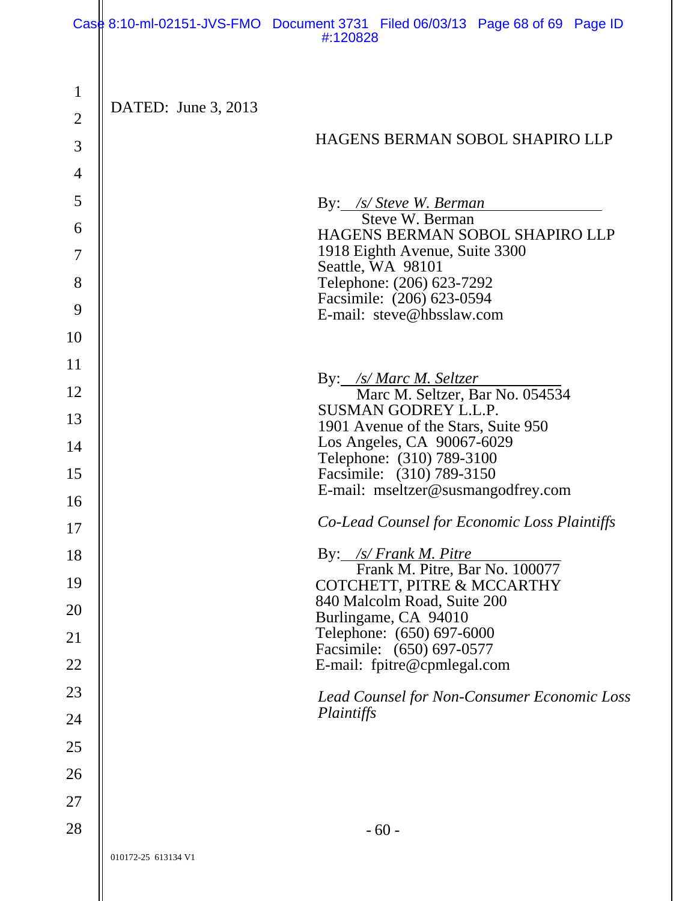|                                     |                     | Case 8:10-ml-02151-JVS-FMO Document 3731 Filed 06/03/13 Page 68 of 69 Page ID<br>#:120828 |
|-------------------------------------|---------------------|-------------------------------------------------------------------------------------------|
| $\mathbf{1}$<br>$\overline{2}$<br>3 | DATED: June 3, 2013 | HAGENS BERMAN SOBOL SHAPIRO LLP                                                           |
| $\overline{4}$                      |                     |                                                                                           |
| 5                                   |                     | By: /s/ Steve W. Berman<br>Steve W. Berman                                                |
| 6                                   |                     | HAGENS BERMAN SOBOL SHAPIRO LLP                                                           |
| $\overline{7}$                      |                     | 1918 Eighth Avenue, Suite 3300<br>Seattle, WA 98101                                       |
| 8                                   |                     | Telephone: (206) 623-7292<br>Facsimile: (206) 623-0594                                    |
| 9                                   |                     | E-mail: steve@hbsslaw.com                                                                 |
| 10                                  |                     |                                                                                           |
| 11                                  |                     | By: /s/ Marc M. Seltzer                                                                   |
| 12                                  |                     | Marc M. Seltzer, Bar No. 054534<br><b>SUSMAN GODREY L.L.P.</b>                            |
| 13                                  |                     | 1901 Avenue of the Stars, Suite 950                                                       |
| 14                                  |                     | Los Angeles, CA 90067-6029<br>Telephone: (310) 789-3100                                   |
| 15                                  |                     | Facsimile: (310) 789-3150<br>E-mail: mseltzer@susmangodfrey.com                           |
| 16                                  |                     | Co-Lead Counsel for Economic Loss Plaintiffs                                              |
| 17                                  |                     |                                                                                           |
| 18<br>19                            |                     | By: /s/ Frank M. Pitre<br>Frank M. Pitre, Bar No. 100077                                  |
|                                     |                     | COTCHETT, PITRE & MCCARTHY<br>840 Malcolm Road, Suite 200                                 |
| 20<br>21                            |                     | Burlingame, CA 94010<br>Telephone: (650) 697-6000                                         |
| 22                                  |                     | Facsimile: (650) 697-0577<br>E-mail: fpitre@cpmlegal.com                                  |
| 23                                  |                     |                                                                                           |
| 24                                  |                     | Lead Counsel for Non-Consumer Economic Loss<br>Plaintiffs                                 |
| 25                                  |                     |                                                                                           |
| 26                                  |                     |                                                                                           |
| 27                                  |                     |                                                                                           |
| 28                                  |                     | $-60-$                                                                                    |
|                                     | 010172-25 613134 V1 |                                                                                           |

 $\parallel$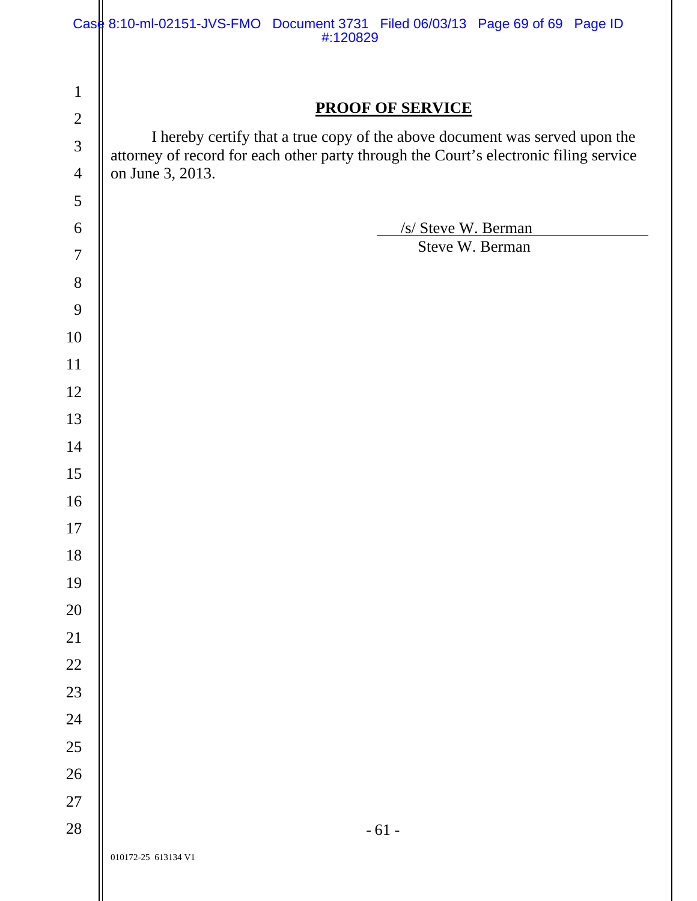|                | Case 8:10-ml-02151-JVS-FMO Document 3731 Filed 06/03/13 Page 69 of 69 Page ID<br>#:120829                                                                            |
|----------------|----------------------------------------------------------------------------------------------------------------------------------------------------------------------|
|                |                                                                                                                                                                      |
| $\mathbf 1$    |                                                                                                                                                                      |
| $\mathbf{2}$   | <b>PROOF OF SERVICE</b>                                                                                                                                              |
| $\mathfrak{Z}$ | I hereby certify that a true copy of the above document was served upon the<br>attorney of record for each other party through the Court's electronic filing service |
| $\overline{4}$ | on June 3, 2013.                                                                                                                                                     |
| 5              |                                                                                                                                                                      |
| 6              | /s/ Steve W. Berman                                                                                                                                                  |
| $\tau$         | Steve W. Berman                                                                                                                                                      |
| $8\,$          |                                                                                                                                                                      |
| 9              |                                                                                                                                                                      |
| 10             |                                                                                                                                                                      |
| 11             |                                                                                                                                                                      |
| 12             |                                                                                                                                                                      |
| 13             |                                                                                                                                                                      |
| 14             |                                                                                                                                                                      |
| 15             |                                                                                                                                                                      |
| 16             |                                                                                                                                                                      |
| 17             |                                                                                                                                                                      |
| 18             |                                                                                                                                                                      |
| 19             |                                                                                                                                                                      |
| 20             |                                                                                                                                                                      |
| 21             |                                                                                                                                                                      |
| $22\,$         |                                                                                                                                                                      |
| 23             |                                                                                                                                                                      |
| 24             |                                                                                                                                                                      |
| $25\,$         |                                                                                                                                                                      |
| $26\,$         |                                                                                                                                                                      |
| $27\,$         |                                                                                                                                                                      |
| 28             | $-61-$                                                                                                                                                               |
|                | 010172-25 613134 V1                                                                                                                                                  |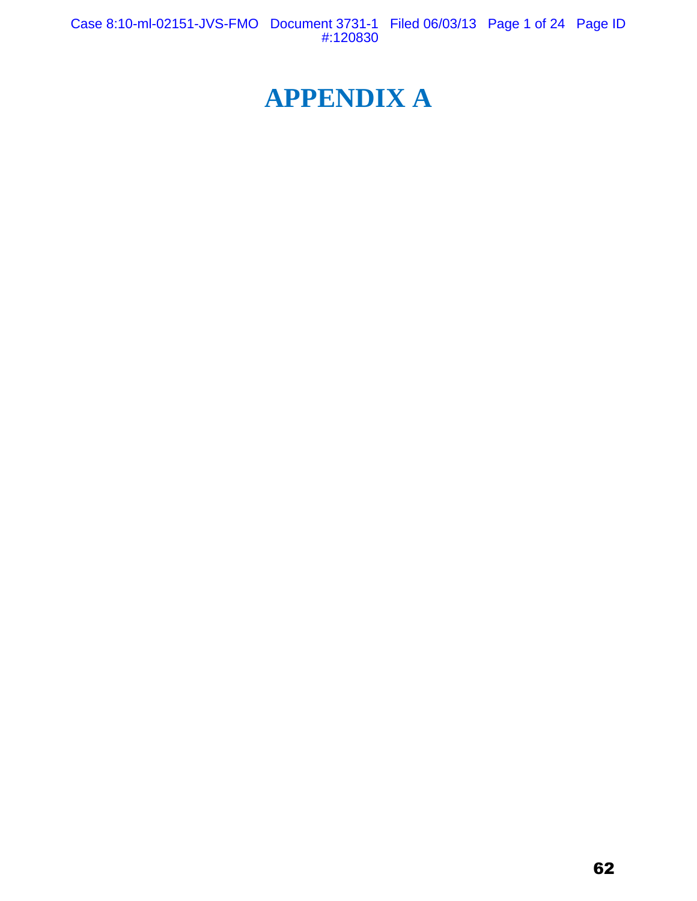Case 8:10-ml-02151-JVS-FMO Document 3731-1 Filed 06/03/13 Page 1 of 24 Page ID #:120830

# **APPENDIX A**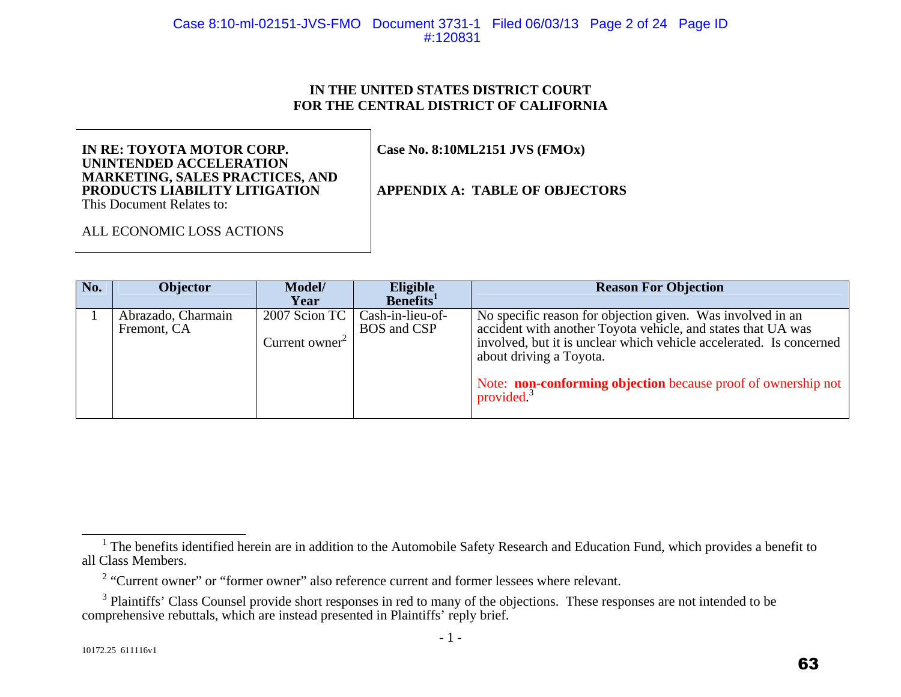#### **IN THE UNITED STATES DISTRICT COURT FOR THE CENTRAL DISTRICT OF CALIFORNIA**

#### **IN RE: TOYOTA MOTOR CORP. UNINTENDED ACCELERATION MARKETING, SALES PRACTICES, AND PRODUCTS LIABILITY LITIGATION**

#### **APPENDIX A: TABLE OF OBJECTORS**

|         |                                                                                                                                                              |                                                     | #:120831                                                        | Case 8:10-ml-02151-JVS-FMO Document 3731-1 Filed 06/03/13 Page 2 of 24 Page ID                                                                                                                                                                                                                                 |
|---------|--------------------------------------------------------------------------------------------------------------------------------------------------------------|-----------------------------------------------------|-----------------------------------------------------------------|----------------------------------------------------------------------------------------------------------------------------------------------------------------------------------------------------------------------------------------------------------------------------------------------------------------|
|         |                                                                                                                                                              |                                                     |                                                                 | IN THE UNITED STATES DISTRICT COURT<br>FOR THE CENTRAL DISTRICT OF CALIFORNIA                                                                                                                                                                                                                                  |
|         | IN RE: TOYOTA MOTOR CORP.<br>UNINTENDED ACCELERATION<br><b>MARKETING, SALES PRACTICES, AND</b><br>PRODUCTS LIABILITY LITIGATION<br>This Document Relates to: |                                                     |                                                                 | Case No. 8:10ML2151 JVS (FMOx)<br><b>APPENDIX A: TABLE OF OBJECTORS</b>                                                                                                                                                                                                                                        |
|         | ALL ECONOMIC LOSS ACTIONS                                                                                                                                    |                                                     |                                                                 |                                                                                                                                                                                                                                                                                                                |
| No.     | Objector                                                                                                                                                     | Model/                                              | Eligible                                                        | <b>Reason For Objection</b>                                                                                                                                                                                                                                                                                    |
| $\perp$ | Abrazado, Charmain<br>Fremont, CA                                                                                                                            | Year<br>2007 Scion TC<br>Current owner <sup>2</sup> | Benefits <sup>1</sup><br>Cash-in-lieu-of-<br><b>BOS</b> and CSP | No specific reason for objection given. Was involved in an<br>accident with another Toyota vehicle, and states that UA was<br>involved, but it is unclear which vehicle accelerated. Is concerned<br>about driving a Toyota.<br>Note: non-conforming objection because proof of ownership not<br>provided. $3$ |
|         |                                                                                                                                                              |                                                     |                                                                 |                                                                                                                                                                                                                                                                                                                |
|         | all Class Members.                                                                                                                                           |                                                     |                                                                 | <sup>1</sup> The benefits identified herein are in addition to the Automobile Safety Research and Education Fund, which provides a benefit to                                                                                                                                                                  |
|         |                                                                                                                                                              |                                                     |                                                                 | <sup>2</sup> "Current owner" or "former owner" also reference current and former lessees where relevant.<br><sup>3</sup> Plaintiffs' Class Counsel provide short responses in red to many of the objections. These responses are not intended to be                                                            |
|         | comprehensive rebuttals, which are instead presented in Plaintiffs' reply brief.                                                                             |                                                     |                                                                 |                                                                                                                                                                                                                                                                                                                |
|         | 10172.25 611116v1                                                                                                                                            |                                                     | $-1-$                                                           |                                                                                                                                                                                                                                                                                                                |
|         |                                                                                                                                                              |                                                     |                                                                 | 63                                                                                                                                                                                                                                                                                                             |

<sup>&</sup>lt;sup>1</sup> The benefits identified herein are in addition to the Automobile Safety Research and Education Fund, which provides a benefit to all Class Members.

 $2$  "Current owner" or "former owner" also reference current and former lessees where relevant.

<sup>&</sup>lt;sup>3</sup> Plaintiffs' Class Counsel provide short responses in red to many of the objections. These responses are not intended to be comprehensive rebuttals, which are instead presented in Plaintiffs' reply brief.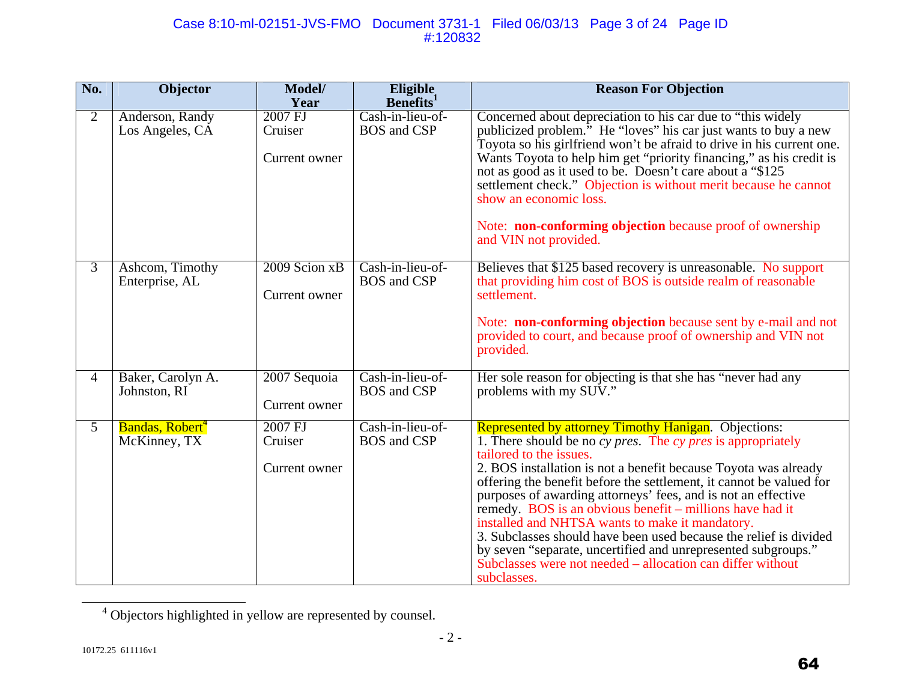# Case 8:10-ml-02151-JVS-FMO Document 3731-1 Filed 06/03/13 Page 3 of 24 Page ID #:120832

| No.            | Objector                                            | Model/<br>Year                      | Eligible<br>Benefits <sup>1</sup>      | <b>Reason For Objection</b>                                                                                                                                                                                                                                                                                                                                                                                                                                                                                                                                                                                                                                                                 |
|----------------|-----------------------------------------------------|-------------------------------------|----------------------------------------|---------------------------------------------------------------------------------------------------------------------------------------------------------------------------------------------------------------------------------------------------------------------------------------------------------------------------------------------------------------------------------------------------------------------------------------------------------------------------------------------------------------------------------------------------------------------------------------------------------------------------------------------------------------------------------------------|
| 2              | Anderson, Randy<br>Los Angeles, CA                  | 2007 FJ<br>Cruiser<br>Current owner | Cash-in-lieu-of-<br><b>BOS</b> and CSP | Concerned about depreciation to his car due to "this widely"<br>publicized problem." He "loves" his car just wants to buy a new<br>Toyota so his girlfriend won't be afraid to drive in his current one.<br>Wants Toyota to help him get "priority financing," as his credit is<br>not as good as it used to be. Doesn't care about a "\$125"<br>settlement check." Objection is without merit because he cannot<br>show an economic loss.<br>Note: <b>non-conforming objection</b> because proof of ownership                                                                                                                                                                              |
|                |                                                     |                                     |                                        | and VIN not provided.                                                                                                                                                                                                                                                                                                                                                                                                                                                                                                                                                                                                                                                                       |
| 3              | Ashcom, Timothy<br>Enterprise, AL                   | 2009 Scion xB<br>Current owner      | Cash-in-lieu-of-<br><b>BOS</b> and CSP | Believes that \$125 based recovery is unreasonable. No support<br>that providing him cost of BOS is outside realm of reasonable<br>settlement.                                                                                                                                                                                                                                                                                                                                                                                                                                                                                                                                              |
|                |                                                     |                                     |                                        | Note: non-conforming objection because sent by e-mail and not<br>provided to court, and because proof of ownership and VIN not<br>provided.                                                                                                                                                                                                                                                                                                                                                                                                                                                                                                                                                 |
| 4              | Baker, Carolyn A.<br>Johnston, RI                   | 2007 Sequoia<br>Current owner       | Cash-in-lieu-of-<br><b>BOS</b> and CSP | Her sole reason for objecting is that she has "never had any<br>problems with my SUV."                                                                                                                                                                                                                                                                                                                                                                                                                                                                                                                                                                                                      |
| $\mathfrak{S}$ | <b>Bandas</b> , Robert <sup>4</sup><br>McKinney, TX | 2007 FJ<br>Cruiser<br>Current owner | Cash-in-lieu-of-<br><b>BOS</b> and CSP | Represented by attorney Timothy Hanigan. Objections:<br>1. There should be no cy pres. The cy pres is appropriately<br>tailored to the issues.<br>2. BOS installation is not a benefit because Toyota was already<br>offering the benefit before the settlement, it cannot be valued for<br>purposes of awarding attorneys' fees, and is not an effective<br>remedy. BOS is an obvious benefit - millions have had it<br>installed and NHTSA wants to make it mandatory.<br>3. Subclasses should have been used because the relief is divided<br>by seven "separate, uncertified and unrepresented subgroups."<br>Subclasses were not needed – allocation can differ without<br>subclasses. |

<sup>4</sup> Objectors highlighted in yellow are represented by counsel.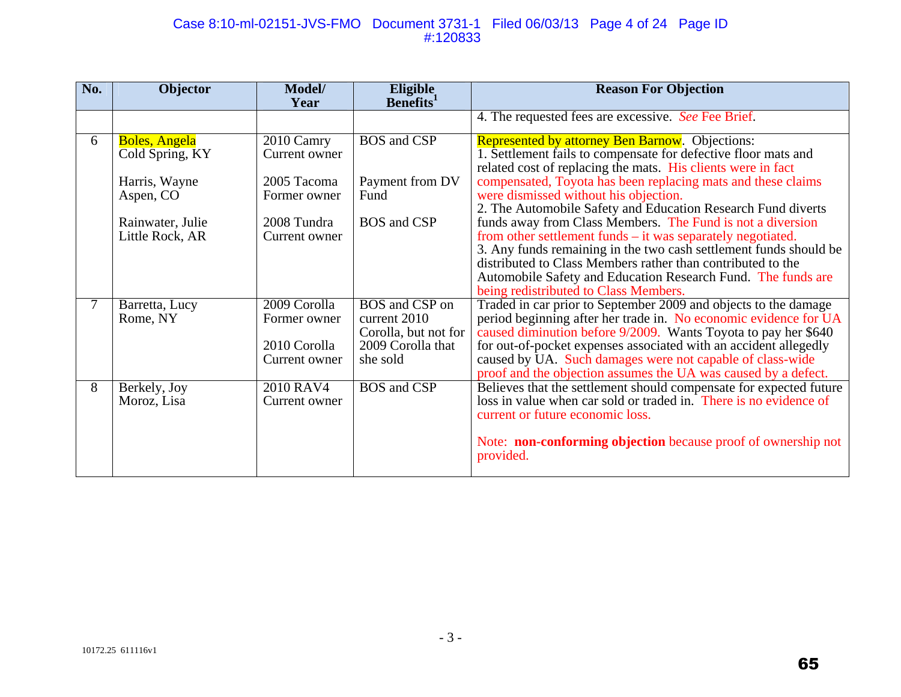### Case 8:10-ml-02151-JVS-FMO Document 3731-1 Filed 06/03/13 Page 4 of 24 Page ID #:120833

|     | Case 8:10-ml-02151-JVS-FMO Document 3731-1 Filed 06/03/13 Page 4 of 24 Page ID<br>#:120833                   |                                                                                            |                                                                                                |                                                                                                                                                                                                                                                                                                                                                                                                                                                                                                |  |
|-----|--------------------------------------------------------------------------------------------------------------|--------------------------------------------------------------------------------------------|------------------------------------------------------------------------------------------------|------------------------------------------------------------------------------------------------------------------------------------------------------------------------------------------------------------------------------------------------------------------------------------------------------------------------------------------------------------------------------------------------------------------------------------------------------------------------------------------------|--|
|     |                                                                                                              |                                                                                            |                                                                                                |                                                                                                                                                                                                                                                                                                                                                                                                                                                                                                |  |
| No. | Objector                                                                                                     | Model/<br>Year                                                                             | Eligible<br>Benefits <sup>1</sup>                                                              | <b>Reason For Objection</b>                                                                                                                                                                                                                                                                                                                                                                                                                                                                    |  |
|     |                                                                                                              |                                                                                            |                                                                                                | 4. The requested fees are excessive. See Fee Brief.                                                                                                                                                                                                                                                                                                                                                                                                                                            |  |
| 6   | <b>Boles, Angela</b><br>Cold Spring, KY<br>Harris, Wayne<br>Aspen, CO<br>Rainwater, Julie<br>Little Rock, AR | 2010 Camry<br>Current owner<br>2005 Tacoma<br>Former owner<br>2008 Tundra<br>Current owner | <b>BOS</b> and CSP<br>Payment from DV<br>Fund<br><b>BOS</b> and CSP                            | <b>Represented by attorney Ben Barnow.</b> Objections:<br>1. Settlement fails to compensate for defective floor mats and<br>related cost of replacing the mats. His clients were in fact<br>compensated, Toyota has been replacing mats and these claims<br>were dismissed without his objection.<br>2. The Automobile Safety and Education Research Fund diverts<br>funds away from Class Members. The Fund is not a diversion<br>from other settlement funds – it was separately negotiated. |  |
|     |                                                                                                              |                                                                                            |                                                                                                | 3. Any funds remaining in the two cash settlement funds should be<br>distributed to Class Members rather than contributed to the<br>Automobile Safety and Education Research Fund. The funds are<br>being redistributed to Class Members.                                                                                                                                                                                                                                                      |  |
| 7   | Barretta, Lucy<br>Rome, NY                                                                                   | 2009 Corolla<br>Former owner<br>2010 Corolla<br>Current owner                              | <b>BOS</b> and CSP on<br>current 2010<br>Corolla, but not for<br>2009 Corolla that<br>she sold | Traded in car prior to September 2009 and objects to the damage<br>period beginning after her trade in. No economic evidence for UA<br>caused diminution before 9/2009. Wants Toyota to pay her \$640<br>for out-of-pocket expenses associated with an accident allegedly<br>caused by UA. Such damages were not capable of class-wide<br>proof and the objection assumes the UA was caused by a defect.                                                                                       |  |
| 8   | Berkely, Joy<br>Moroz, Lisa                                                                                  | 2010 RAV4<br>Current owner                                                                 | <b>BOS</b> and CSP                                                                             | Believes that the settlement should compensate for expected future<br>loss in value when car sold or traded in. There is no evidence of<br>current or future economic loss.<br>Note: <b>non-conforming objection</b> because proof of ownership not<br>provided.                                                                                                                                                                                                                               |  |
|     |                                                                                                              |                                                                                            | $-3-$                                                                                          |                                                                                                                                                                                                                                                                                                                                                                                                                                                                                                |  |
|     | 10172.25 611116v1                                                                                            |                                                                                            |                                                                                                | 65                                                                                                                                                                                                                                                                                                                                                                                                                                                                                             |  |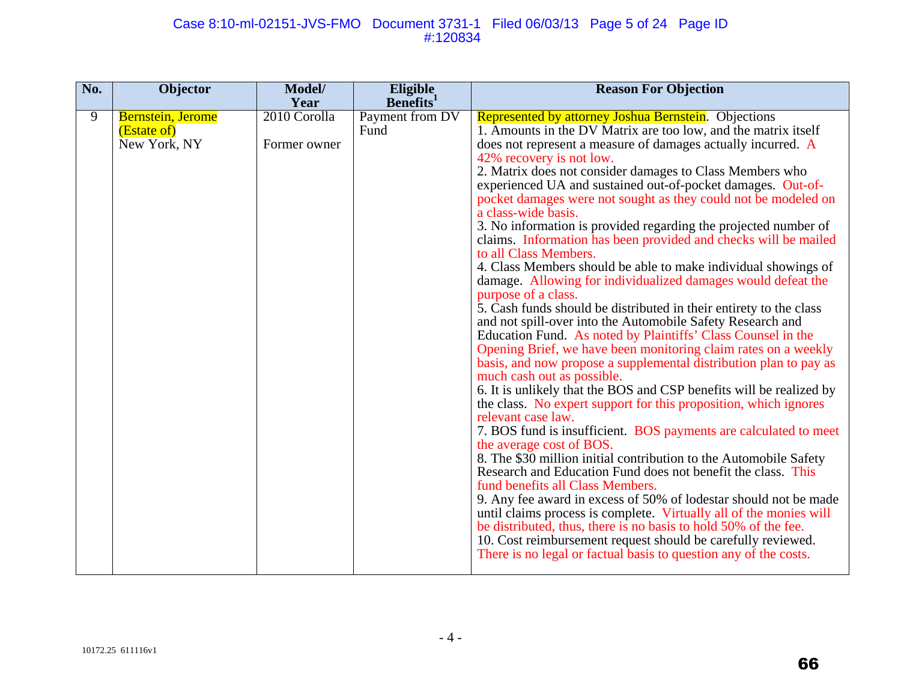### Case 8:10-ml-02151-JVS-FMO Document 3731-1 Filed 06/03/13 Page 5 of 24 Page ID #:120834

|     | Case 8:10-ml-02151-JVS-FMO Document 3731-1 Filed 06/03/13 Page 5 of 24 Page ID<br>#:120834 |                              |                                   |                                                                                                                                                                                                                                                                                                                                                                                                                                                                                                                                                                                                                                                                                                                                                                                                                                                                                                                                                                                                                                                                                                                                                                                                                                                                                                                                                                                                                                                                                                                                                                                                                                                                                                                                                                                                                                                                                                                                           |  |
|-----|--------------------------------------------------------------------------------------------|------------------------------|-----------------------------------|-------------------------------------------------------------------------------------------------------------------------------------------------------------------------------------------------------------------------------------------------------------------------------------------------------------------------------------------------------------------------------------------------------------------------------------------------------------------------------------------------------------------------------------------------------------------------------------------------------------------------------------------------------------------------------------------------------------------------------------------------------------------------------------------------------------------------------------------------------------------------------------------------------------------------------------------------------------------------------------------------------------------------------------------------------------------------------------------------------------------------------------------------------------------------------------------------------------------------------------------------------------------------------------------------------------------------------------------------------------------------------------------------------------------------------------------------------------------------------------------------------------------------------------------------------------------------------------------------------------------------------------------------------------------------------------------------------------------------------------------------------------------------------------------------------------------------------------------------------------------------------------------------------------------------------------------|--|
| No. | Objector                                                                                   | Model/                       |                                   | <b>Reason For Objection</b>                                                                                                                                                                                                                                                                                                                                                                                                                                                                                                                                                                                                                                                                                                                                                                                                                                                                                                                                                                                                                                                                                                                                                                                                                                                                                                                                                                                                                                                                                                                                                                                                                                                                                                                                                                                                                                                                                                               |  |
|     |                                                                                            | Year                         | Eligible<br>Benefits <sup>1</sup> |                                                                                                                                                                                                                                                                                                                                                                                                                                                                                                                                                                                                                                                                                                                                                                                                                                                                                                                                                                                                                                                                                                                                                                                                                                                                                                                                                                                                                                                                                                                                                                                                                                                                                                                                                                                                                                                                                                                                           |  |
| 9   | <b>Bernstein, Jerome</b><br>(Estate of)<br>New York, NY                                    | 2010 Corolla<br>Former owner | Payment from DV<br>Fund           | <b>Represented by attorney Joshua Bernstein.</b> Objections<br>1. Amounts in the DV Matrix are too low, and the matrix itself<br>does not represent a measure of damages actually incurred. A<br>42% recovery is not low.<br>2. Matrix does not consider damages to Class Members who<br>experienced UA and sustained out-of-pocket damages. Out-of-<br>pocket damages were not sought as they could not be modeled on<br>a class-wide basis.<br>3. No information is provided regarding the projected number of<br>claims. Information has been provided and checks will be mailed<br>to all Class Members.<br>4. Class Members should be able to make individual showings of<br>damage. Allowing for individualized damages would defeat the<br>purpose of a class.<br>5. Cash funds should be distributed in their entirety to the class<br>and not spill-over into the Automobile Safety Research and<br>Education Fund. As noted by Plaintiffs' Class Counsel in the<br>Opening Brief, we have been monitoring claim rates on a weekly<br>basis, and now propose a supplemental distribution plan to pay as<br>much cash out as possible.<br>6. It is unlikely that the BOS and CSP benefits will be realized by<br>the class. No expert support for this proposition, which ignores<br>relevant case law.<br>7. BOS fund is insufficient. BOS payments are calculated to meet<br>the average cost of BOS.<br>8. The \$30 million initial contribution to the Automobile Safety<br>Research and Education Fund does not benefit the class. This<br>fund benefits all Class Members.<br>9. Any fee award in excess of 50% of lodestar should not be made<br>until claims process is complete. Virtually all of the monies will<br>be distributed, thus, there is no basis to hold 50% of the fee.<br>10. Cost reimbursement request should be carefully reviewed.<br>There is no legal or factual basis to question any of the costs. |  |
|     | $-4-$<br>10172.25 611116v1<br>66                                                           |                              |                                   |                                                                                                                                                                                                                                                                                                                                                                                                                                                                                                                                                                                                                                                                                                                                                                                                                                                                                                                                                                                                                                                                                                                                                                                                                                                                                                                                                                                                                                                                                                                                                                                                                                                                                                                                                                                                                                                                                                                                           |  |
|     |                                                                                            |                              |                                   |                                                                                                                                                                                                                                                                                                                                                                                                                                                                                                                                                                                                                                                                                                                                                                                                                                                                                                                                                                                                                                                                                                                                                                                                                                                                                                                                                                                                                                                                                                                                                                                                                                                                                                                                                                                                                                                                                                                                           |  |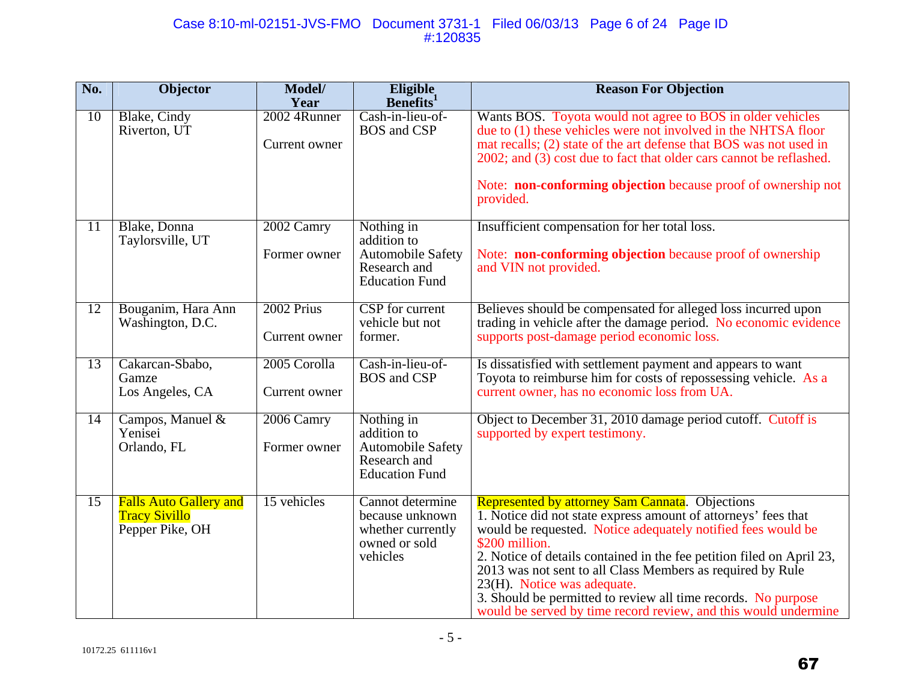# Case 8:10-ml-02151-JVS-FMO Document 3731-1 Filed 06/03/13 Page 6 of 24 Page ID #:120835

|     | Case 8:10-ml-02151-JVS-FMO Document 3731-1 Filed 06/03/13 Page 6 of 24 Page ID<br>#:120835 |                               |                                                                                                |                                                                                                                                                                                                                                                                                                                                                                                                                                                                                                                      |  |
|-----|--------------------------------------------------------------------------------------------|-------------------------------|------------------------------------------------------------------------------------------------|----------------------------------------------------------------------------------------------------------------------------------------------------------------------------------------------------------------------------------------------------------------------------------------------------------------------------------------------------------------------------------------------------------------------------------------------------------------------------------------------------------------------|--|
|     |                                                                                            |                               |                                                                                                |                                                                                                                                                                                                                                                                                                                                                                                                                                                                                                                      |  |
| No. | Objector                                                                                   | Model/<br>Year                | Eligible<br>Benefits <sup>1</sup>                                                              | <b>Reason For Objection</b>                                                                                                                                                                                                                                                                                                                                                                                                                                                                                          |  |
| 10  | Blake, Cindy<br>Riverton, UT                                                               | 2002 4Runner<br>Current owner | Cash-in-lieu-of-<br><b>BOS</b> and CSP                                                         | Wants BOS. Toyota would not agree to BOS in older vehicles<br>due to (1) these vehicles were not involved in the NHTSA floor<br>mat recalls; (2) state of the art defense that BOS was not used in<br>2002; and (3) cost due to fact that older cars cannot be reflashed.<br>Note: <b>non-conforming objection</b> because proof of ownership not                                                                                                                                                                    |  |
|     |                                                                                            |                               |                                                                                                | provided.                                                                                                                                                                                                                                                                                                                                                                                                                                                                                                            |  |
| 11  | Blake, Donna                                                                               | 2002 Camry                    | Nothing in                                                                                     | Insufficient compensation for her total loss.                                                                                                                                                                                                                                                                                                                                                                                                                                                                        |  |
|     | Taylorsville, UT                                                                           | Former owner                  | addition to<br>Automobile Safety<br>Research and<br><b>Education Fund</b>                      | Note: <b>non-conforming objection</b> because proof of ownership<br>and VIN not provided.                                                                                                                                                                                                                                                                                                                                                                                                                            |  |
| 12  | Bouganim, Hara Ann<br>Washington, D.C.                                                     | 2002 Prius<br>Current owner   | CSP for current<br>vehicle but not<br>former.                                                  | Believes should be compensated for alleged loss incurred upon<br>trading in vehicle after the damage period. No economic evidence<br>supports post-damage period economic loss.                                                                                                                                                                                                                                                                                                                                      |  |
| 13  | Cakarcan-Sbabo,<br>Gamze<br>Los Angeles, CA                                                | 2005 Corolla<br>Current owner | Cash-in-lieu-of-<br><b>BOS</b> and CSP                                                         | Is dissatisfied with settlement payment and appears to want<br>Toyota to reimburse him for costs of repossessing vehicle. As a<br>current owner, has no economic loss from UA.                                                                                                                                                                                                                                                                                                                                       |  |
| 14  | Campos, Manuel &<br>Yenisei<br>Orlando, FL                                                 | 2006 Camry<br>Former owner    | Nothing in<br>addition to<br><b>Automobile Safety</b><br>Research and<br><b>Education Fund</b> | Object to December 31, 2010 damage period cutoff. Cutoff is<br>supported by expert testimony.                                                                                                                                                                                                                                                                                                                                                                                                                        |  |
| 15  | <b>Falls Auto Gallery and</b><br><b>Tracy Sivillo</b><br>Pepper Pike, OH                   | 15 vehicles                   | Cannot determine<br>because unknown<br>whether currently<br>owned or sold<br>vehicles          | <b>Represented by attorney Sam Cannata.</b> Objections<br>1. Notice did not state express amount of attorneys' fees that<br>would be requested. Notice adequately notified fees would be<br>\$200 million.<br>2. Notice of details contained in the fee petition filed on April 23,<br>2013 was not sent to all Class Members as required by Rule<br>23(H). Notice was adequate.<br>3. Should be permitted to review all time records. No purpose<br>would be served by time record review, and this would undermine |  |
|     | $-5-$<br>10172.25 611116v1<br>67                                                           |                               |                                                                                                |                                                                                                                                                                                                                                                                                                                                                                                                                                                                                                                      |  |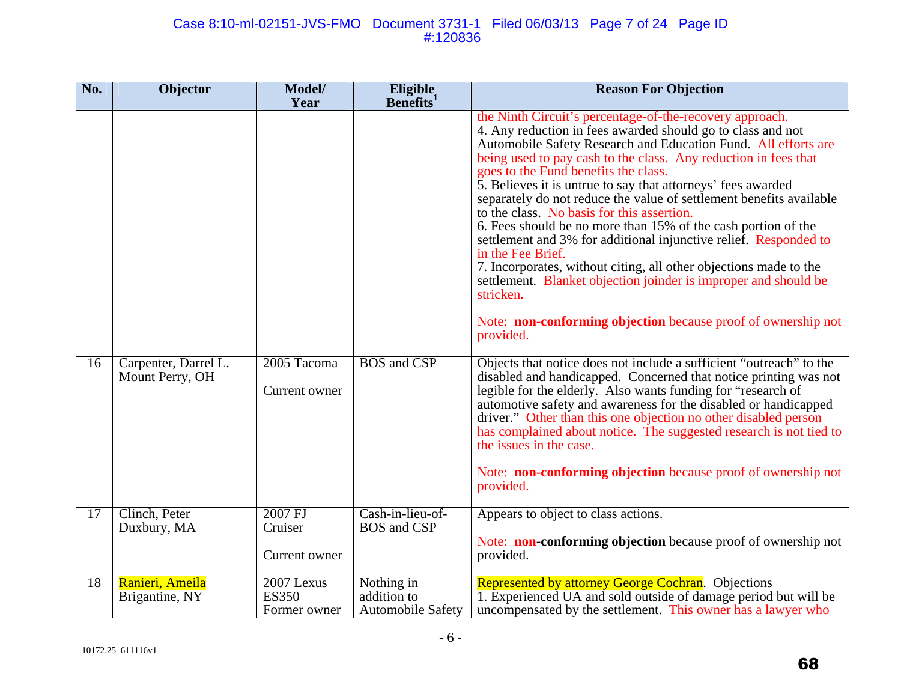### Case 8:10-ml-02151-JVS-FMO Document 3731-1 Filed 06/03/13 Page 7 of 24 Page ID #:120836

| No. | Objector                                | Model/<br>Year                             | Eligible<br>Benefits <sup>1</sup>                     | <b>Reason For Objection</b>                                                                                                                                                                                                                                                                                                                                                                                                                                                                                                                                                                                                                                                                                                                                                                                                                                                                                                                                          |
|-----|-----------------------------------------|--------------------------------------------|-------------------------------------------------------|----------------------------------------------------------------------------------------------------------------------------------------------------------------------------------------------------------------------------------------------------------------------------------------------------------------------------------------------------------------------------------------------------------------------------------------------------------------------------------------------------------------------------------------------------------------------------------------------------------------------------------------------------------------------------------------------------------------------------------------------------------------------------------------------------------------------------------------------------------------------------------------------------------------------------------------------------------------------|
|     |                                         | 2005 Tacoma                                | <b>BOS</b> and CSP                                    | the Ninth Circuit's percentage-of-the-recovery approach.<br>4. Any reduction in fees awarded should go to class and not<br>Automobile Safety Research and Education Fund. All efforts are<br>being used to pay cash to the class. Any reduction in fees that<br>goes to the Fund benefits the class.<br>5. Believes it is untrue to say that attorneys' fees awarded<br>separately do not reduce the value of settlement benefits available<br>to the class. No basis for this assertion.<br>6. Fees should be no more than 15% of the cash portion of the<br>settlement and 3% for additional injunctive relief. Responded to<br>in the Fee Brief.<br>7. Incorporates, without citing, all other objections made to the<br>settlement. Blanket objection joinder is improper and should be<br>stricken.<br>Note: <b>non-conforming objection</b> because proof of ownership not<br>provided.<br>Objects that notice does not include a sufficient "outreach" to the |
| 16  | Carpenter, Darrel L.<br>Mount Perry, OH | Current owner                              |                                                       | disabled and handicapped. Concerned that notice printing was not<br>legible for the elderly. Also wants funding for "research of<br>automotive safety and awareness for the disabled or handicapped<br>driver." Other than this one objection no other disabled person<br>has complained about notice. The suggested research is not tied to<br>the issues in the case.<br>Note: <b>non-conforming objection</b> because proof of ownership not                                                                                                                                                                                                                                                                                                                                                                                                                                                                                                                      |
|     |                                         |                                            |                                                       | provided.                                                                                                                                                                                                                                                                                                                                                                                                                                                                                                                                                                                                                                                                                                                                                                                                                                                                                                                                                            |
| 17  | Clinch, Peter<br>Duxbury, MA            | 2007 FJ<br>Cruiser<br>Current owner        | Cash-in-lieu-of-<br><b>BOS</b> and CSP                | Appears to object to class actions.<br>Note: <b>non-conforming objection</b> because proof of ownership not<br>provided.                                                                                                                                                                                                                                                                                                                                                                                                                                                                                                                                                                                                                                                                                                                                                                                                                                             |
| 18  | Ranieri, Ameila<br>Brigantine, NY       | 2007 Lexus<br><b>ES350</b><br>Former owner | Nothing in<br>addition to<br><b>Automobile Safety</b> | <b>Represented by attorney George Cochran.</b> Objections<br>1. Experienced UA and sold outside of damage period but will be<br>uncompensated by the settlement. This owner has a lawyer who                                                                                                                                                                                                                                                                                                                                                                                                                                                                                                                                                                                                                                                                                                                                                                         |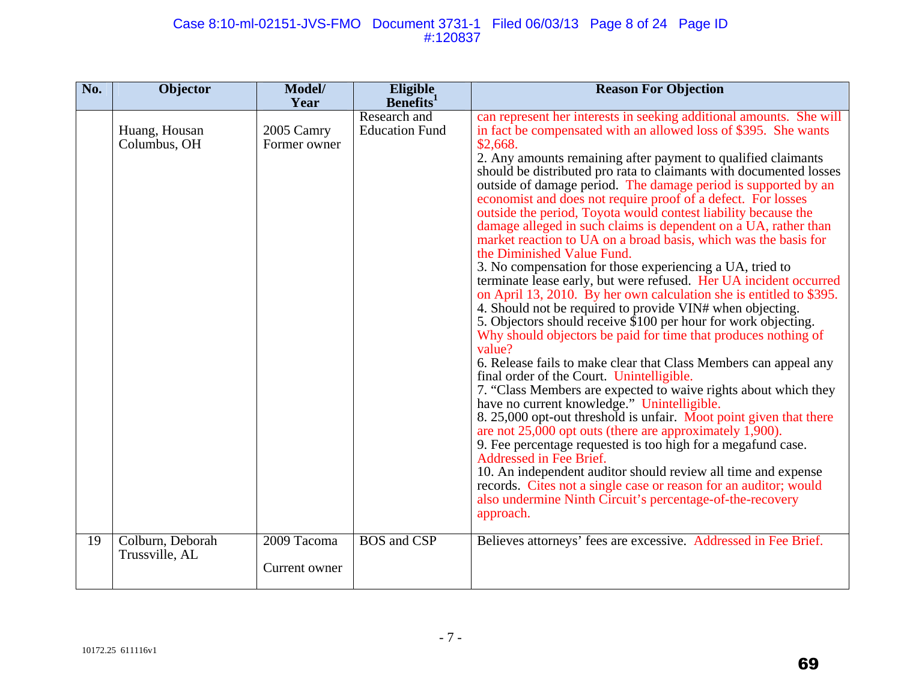### Case 8:10-ml-02151-JVS-FMO Document 3731-1 Filed 06/03/13 Page 8 of 24 Page ID #:120837

|     | Case 8:10-ml-02151-JVS-FMO Document 3731-1 Filed 06/03/13 Page 8 of 24 Page ID<br>#:120837 |                              |                                       |                                                                                                                                                                                                                                                                                                                                                                                                                                                                                                                                                                                                                                                                                                                                                                                                                                                                                                                                                                                                                                                                                                                                                                                                                                                                                                                                                                                                                                                                                                                                                                                                                                                                                                                                                                        |  |
|-----|--------------------------------------------------------------------------------------------|------------------------------|---------------------------------------|------------------------------------------------------------------------------------------------------------------------------------------------------------------------------------------------------------------------------------------------------------------------------------------------------------------------------------------------------------------------------------------------------------------------------------------------------------------------------------------------------------------------------------------------------------------------------------------------------------------------------------------------------------------------------------------------------------------------------------------------------------------------------------------------------------------------------------------------------------------------------------------------------------------------------------------------------------------------------------------------------------------------------------------------------------------------------------------------------------------------------------------------------------------------------------------------------------------------------------------------------------------------------------------------------------------------------------------------------------------------------------------------------------------------------------------------------------------------------------------------------------------------------------------------------------------------------------------------------------------------------------------------------------------------------------------------------------------------------------------------------------------------|--|
| No. | Objector                                                                                   | Model/<br>Year               | Eligible<br>Benefits <sup>1</sup>     | <b>Reason For Objection</b>                                                                                                                                                                                                                                                                                                                                                                                                                                                                                                                                                                                                                                                                                                                                                                                                                                                                                                                                                                                                                                                                                                                                                                                                                                                                                                                                                                                                                                                                                                                                                                                                                                                                                                                                            |  |
|     | Huang, Housan<br>Columbus, OH                                                              | 2005 Camry<br>Former owner   | Research and<br><b>Education Fund</b> | can represent her interests in seeking additional amounts. She will<br>in fact be compensated with an allowed loss of \$395. She wants<br>\$2,668.<br>2. Any amounts remaining after payment to qualified claimants<br>should be distributed pro rata to claimants with documented losses<br>outside of damage period. The damage period is supported by an<br>economist and does not require proof of a defect. For losses<br>outside the period, Toyota would contest liability because the<br>damage alleged in such claims is dependent on a UA, rather than<br>market reaction to UA on a broad basis, which was the basis for<br>the Diminished Value Fund.<br>3. No compensation for those experiencing a UA, tried to<br>terminate lease early, but were refused. Her UA incident occurred<br>on April 13, 2010. By her own calculation she is entitled to \$395.<br>4. Should not be required to provide VIN# when objecting.<br>5. Objectors should receive $$100$ per hour for work objecting.<br>Why should objectors be paid for time that produces nothing of<br>value?<br>6. Release fails to make clear that Class Members can appeal any<br>final order of the Court. Unintelligible.<br>7. "Class Members are expected to waive rights about which they<br>have no current knowledge." Unintelligible.<br>8. 25,000 opt-out threshold is unfair. Moot point given that there<br>are not $25,000$ opt outs (there are approximately 1,900).<br>9. Fee percentage requested is too high for a megafund case.<br>Addressed in Fee Brief.<br>10. An independent auditor should review all time and expense<br>records. Cites not a single case or reason for an auditor; would<br>also undermine Ninth Circuit's percentage-of-the-recovery<br>approach. |  |
| 19  | Colburn, Deborah<br>Trussville, AL                                                         | 2009 Tacoma<br>Current owner | <b>BOS</b> and CSP                    | Believes attorneys' fees are excessive. Addressed in Fee Brief.                                                                                                                                                                                                                                                                                                                                                                                                                                                                                                                                                                                                                                                                                                                                                                                                                                                                                                                                                                                                                                                                                                                                                                                                                                                                                                                                                                                                                                                                                                                                                                                                                                                                                                        |  |
|     | $-7-$<br>10172.25 611116v1<br>69                                                           |                              |                                       |                                                                                                                                                                                                                                                                                                                                                                                                                                                                                                                                                                                                                                                                                                                                                                                                                                                                                                                                                                                                                                                                                                                                                                                                                                                                                                                                                                                                                                                                                                                                                                                                                                                                                                                                                                        |  |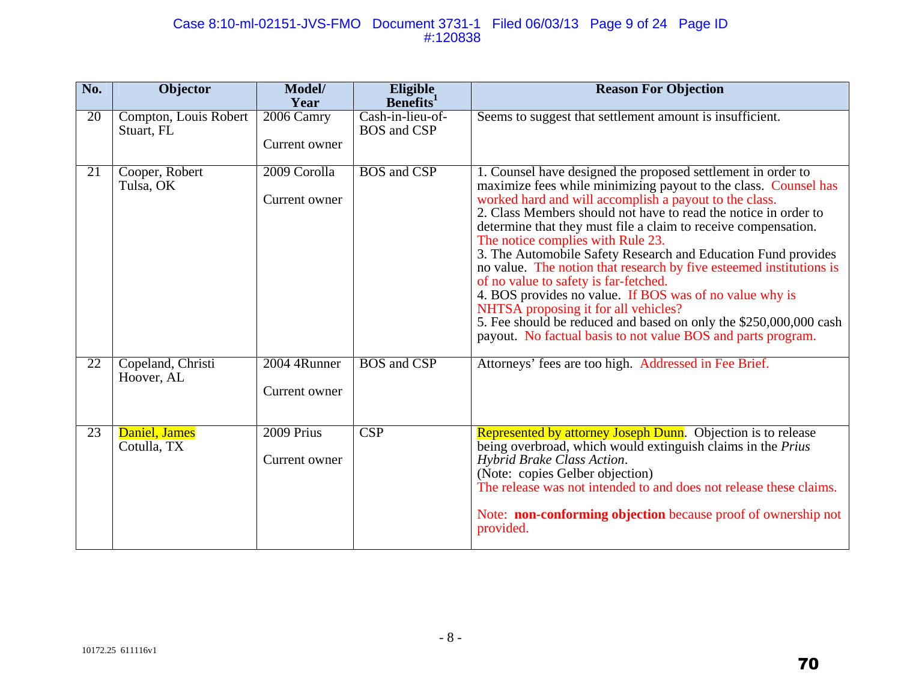# Case 8:10-ml-02151-JVS-FMO Document 3731-1 Filed 06/03/13 Page 9 of 24 Page ID #:120838

|     | Case 8:10-ml-02151-JVS-FMO Document 3731-1 Filed 06/03/13 Page 9 of 24 Page ID<br>#:120838 |                               |                                        |                                                                                                                                                                                                                                                                                                                                                                                                                                                                                                                                                                                                                                                                                                                                                                                              |  |
|-----|--------------------------------------------------------------------------------------------|-------------------------------|----------------------------------------|----------------------------------------------------------------------------------------------------------------------------------------------------------------------------------------------------------------------------------------------------------------------------------------------------------------------------------------------------------------------------------------------------------------------------------------------------------------------------------------------------------------------------------------------------------------------------------------------------------------------------------------------------------------------------------------------------------------------------------------------------------------------------------------------|--|
| No. | Objector                                                                                   | Model/                        | Eligible                               | <b>Reason For Objection</b>                                                                                                                                                                                                                                                                                                                                                                                                                                                                                                                                                                                                                                                                                                                                                                  |  |
|     |                                                                                            | Year                          | Benefits <sup>1</sup>                  |                                                                                                                                                                                                                                                                                                                                                                                                                                                                                                                                                                                                                                                                                                                                                                                              |  |
| 20  | Compton, Louis Robert<br>Stuart, FL                                                        | 2006 Camry<br>Current owner   | Cash-in-lieu-of-<br><b>BOS</b> and CSP | Seems to suggest that settlement amount is insufficient.                                                                                                                                                                                                                                                                                                                                                                                                                                                                                                                                                                                                                                                                                                                                     |  |
| 21  | Cooper, Robert<br>Tulsa, OK                                                                | 2009 Corolla<br>Current owner | <b>BOS</b> and CSP                     | 1. Counsel have designed the proposed settlement in order to<br>maximize fees while minimizing payout to the class. Counsel has<br>worked hard and will accomplish a payout to the class.<br>2. Class Members should not have to read the notice in order to<br>determine that they must file a claim to receive compensation.<br>The notice complies with Rule 23.<br>3. The Automobile Safety Research and Education Fund provides<br>no value. The notion that research by five esteemed institutions is<br>of no value to safety is far-fetched.<br>4. BOS provides no value. If BOS was of no value why is<br>NHTSA proposing it for all vehicles?<br>5. Fee should be reduced and based on only the \$250,000,000 cash<br>payout. No factual basis to not value BOS and parts program. |  |
| 22  | Copeland, Christi<br>Hoover, AL                                                            | 2004 4Runner<br>Current owner | <b>BOS</b> and CSP                     | Attorneys' fees are too high. Addressed in Fee Brief.                                                                                                                                                                                                                                                                                                                                                                                                                                                                                                                                                                                                                                                                                                                                        |  |
| 23  | Daniel, James<br>Cotulla, TX                                                               | 2009 Prius<br>Current owner   | CSP                                    | <b>Represented by attorney Joseph Dunn.</b> Objection is to release<br>being overbroad, which would extinguish claims in the Prius<br>Hybrid Brake Class Action.<br>(Note: copies Gelber objection)<br>The release was not intended to and does not release these claims.<br>Note: <b>non-conforming objection</b> because proof of ownership not<br>provided.                                                                                                                                                                                                                                                                                                                                                                                                                               |  |
|     | 10172.25 611116v1                                                                          |                               | $-8-$                                  | 70                                                                                                                                                                                                                                                                                                                                                                                                                                                                                                                                                                                                                                                                                                                                                                                           |  |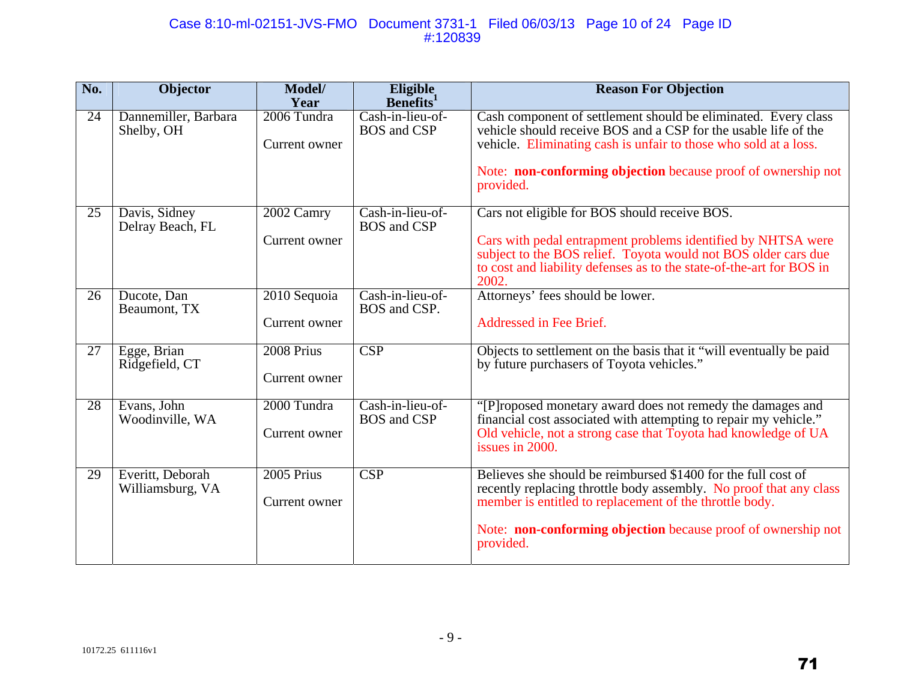#### Case 8:10-ml-02151-JVS-FMO Document 3731-1 Filed 06/03/13 Page 10 of 24 Page ID #:120839

| No.             | Objector                             | Model/<br>Year                | <b>Eligible</b><br>$B$ enefits <sup>1</sup> | <b>Reason For Objection</b>                                                                                                                                                                                                                                                         |
|-----------------|--------------------------------------|-------------------------------|---------------------------------------------|-------------------------------------------------------------------------------------------------------------------------------------------------------------------------------------------------------------------------------------------------------------------------------------|
| 24              | Dannemiller, Barbara<br>Shelby, OH   | 2006 Tundra<br>Current owner  | Cash-in-lieu-of-<br><b>BOS</b> and CSP      | Cash component of settlement should be eliminated. Every class<br>vehicle should receive BOS and a CSP for the usable life of the<br>vehicle. Eliminating cash is unfair to those who sold at a loss.<br>Note: non-conforming objection because proof of ownership not<br>provided. |
| $\overline{25}$ | Davis, Sidney<br>Delray Beach, FL    | 2002 Camry<br>Current owner   | Cash-in-lieu-of-<br><b>BOS</b> and CSP      | Cars not eligible for BOS should receive BOS.<br>Cars with pedal entrapment problems identified by NHTSA were<br>subject to the BOS relief. Toyota would not BOS older cars due<br>to cost and liability defenses as to the state-of-the-art for BOS in<br>2002.                    |
| 26              | Ducote, Dan<br>Beaumont, TX          | 2010 Sequoia<br>Current owner | Cash-in-lieu-of-<br>BOS and CSP.            | Attorneys' fees should be lower.<br>Addressed in Fee Brief.                                                                                                                                                                                                                         |
| 27              | Egge, Brian<br>Ridgefield, CT        | 2008 Prius<br>Current owner   | CSP                                         | Objects to settlement on the basis that it "will eventually be paid<br>by future purchasers of Toyota vehicles."                                                                                                                                                                    |
| 28              | Evans, John<br>Woodinville, WA       | 2000 Tundra<br>Current owner  | Cash-in-lieu-of-<br><b>BOS</b> and CSP      | "[P]roposed monetary award does not remedy the damages and<br>financial cost associated with attempting to repair my vehicle."<br>Old vehicle, not a strong case that Toyota had knowledge of UA<br>issues in 2000.                                                                 |
| 29              | Everitt, Deborah<br>Williamsburg, VA | 2005 Prius<br>Current owner   | CSP                                         | Believes she should be reimbursed \$1400 for the full cost of<br>recently replacing throttle body assembly. No proof that any class<br>member is entitled to replacement of the throttle body.<br>Note: non-conforming objection because proof of ownership not<br>provided.        |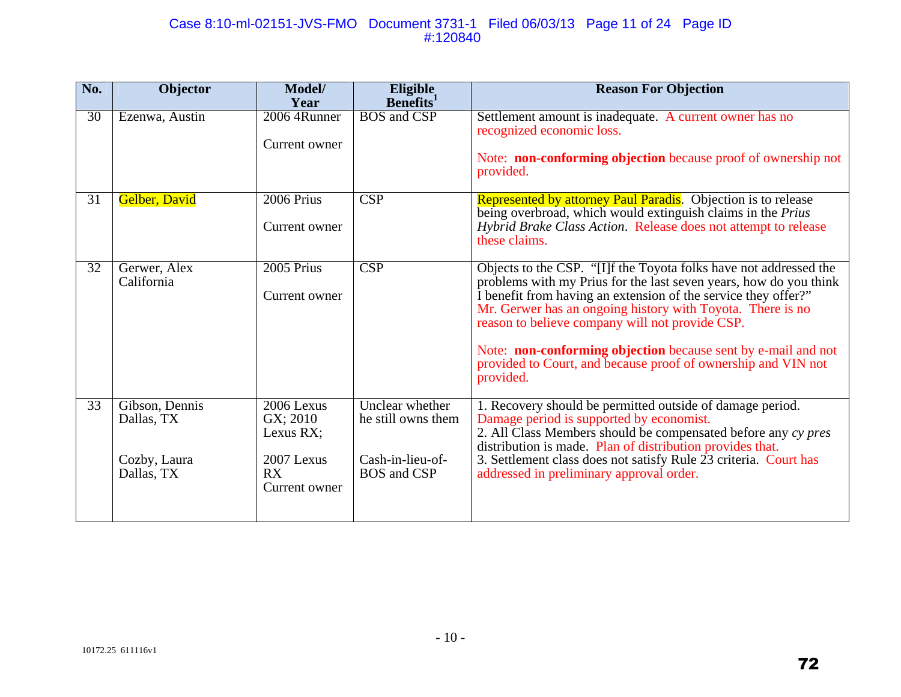# Case 8:10-ml-02151-JVS-FMO Document 3731-1 Filed 06/03/13 Page 11 of 24 Page ID #:120840

|     | Case 8:10-ml-02151-JVS-FMO Document 3731-1 Filed 06/03/13 Page 11 of 24 Page ID<br>#:120840 |                                                                          |                                                                                 |                                                                                                                                                                                                                                                                                                                                                                                                                                                                          |  |
|-----|---------------------------------------------------------------------------------------------|--------------------------------------------------------------------------|---------------------------------------------------------------------------------|--------------------------------------------------------------------------------------------------------------------------------------------------------------------------------------------------------------------------------------------------------------------------------------------------------------------------------------------------------------------------------------------------------------------------------------------------------------------------|--|
| No. | Objector                                                                                    | Model/<br>Year                                                           | Eligible<br>Benefits <sup>1</sup>                                               | <b>Reason For Objection</b>                                                                                                                                                                                                                                                                                                                                                                                                                                              |  |
| 30  | Ezenwa, Austin                                                                              | 2006 4Runner<br>Current owner                                            | <b>BOS</b> and CSP                                                              | Settlement amount is inadequate. A current owner has no<br>recognized economic loss.<br>Note: non-conforming objection because proof of ownership not<br>provided.                                                                                                                                                                                                                                                                                                       |  |
| 31  | Gelber, David                                                                               | 2006 Prius<br>Current owner                                              | <b>CSP</b>                                                                      | <b>Represented by attorney Paul Paradis.</b> Objection is to release<br>being overbroad, which would extinguish claims in the Prius<br>Hybrid Brake Class Action. Release does not attempt to release<br>these claims.                                                                                                                                                                                                                                                   |  |
| 32  | Gerwer, Alex<br>California                                                                  | 2005 Prius<br>Current owner                                              | CSP                                                                             | Objects to the CSP. "[I]f the Toyota folks have not addressed the<br>problems with my Prius for the last seven years, how do you think<br>I benefit from having an extension of the service they offer?"<br>Mr. Gerwer has an ongoing history with Toyota. There is no<br>reason to believe company will not provide CSP.<br>Note: non-conforming objection because sent by e-mail and not<br>provided to Court, and because proof of ownership and VIN not<br>provided. |  |
| 33  | Gibson, Dennis<br>Dallas, TX<br>Cozby, Laura<br>Dallas, TX                                  | 2006 Lexus<br>GX; 2010<br>Lexus RX;<br>2007 Lexus<br>RX<br>Current owner | Unclear whether<br>he still owns them<br>Cash-in-lieu-of-<br><b>BOS</b> and CSP | 1. Recovery should be permitted outside of damage period.<br>Damage period is supported by economist.<br>2. All Class Members should be compensated before any cy pres<br>distribution is made. Plan of distribution provides that.<br>3. Settlement class does not satisfy Rule 23 criteria. Court has<br>addressed in preliminary approval order.                                                                                                                      |  |
|     | $-10-$<br>10172.25 611116v1<br>72                                                           |                                                                          |                                                                                 |                                                                                                                                                                                                                                                                                                                                                                                                                                                                          |  |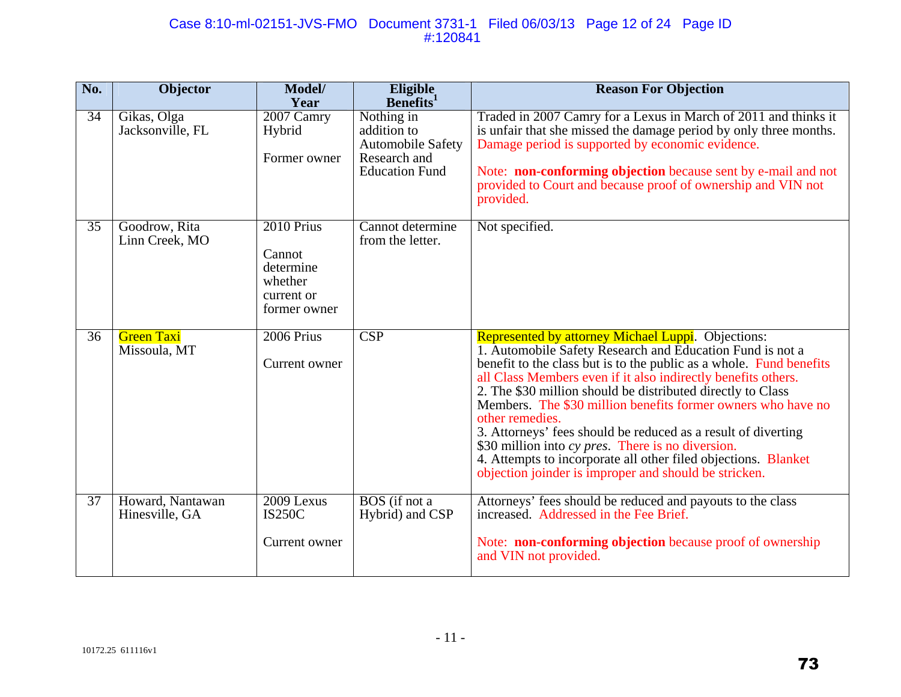# Case 8:10-ml-02151-JVS-FMO Document 3731-1 Filed 06/03/13 Page 12 of 24 Page ID #:120841

|     | Case 8:10-ml-02151-JVS-FMO Document 3731-1 Filed 06/03/13 Page 12 of 24 Page ID<br>#:120841 |                                                                            |                                                                                                |                                                                                                                                                                                                                                                                                                                                                                                                                                                                                                                                                                                                                                                                     |  |
|-----|---------------------------------------------------------------------------------------------|----------------------------------------------------------------------------|------------------------------------------------------------------------------------------------|---------------------------------------------------------------------------------------------------------------------------------------------------------------------------------------------------------------------------------------------------------------------------------------------------------------------------------------------------------------------------------------------------------------------------------------------------------------------------------------------------------------------------------------------------------------------------------------------------------------------------------------------------------------------|--|
|     |                                                                                             |                                                                            |                                                                                                |                                                                                                                                                                                                                                                                                                                                                                                                                                                                                                                                                                                                                                                                     |  |
| No. | Objector                                                                                    | Model/<br>Year                                                             | Eligible<br>Benefits <sup>1</sup>                                                              | <b>Reason For Objection</b>                                                                                                                                                                                                                                                                                                                                                                                                                                                                                                                                                                                                                                         |  |
| 34  | Gikas, Olga<br>Jacksonville, FL                                                             | 2007 Camry<br>Hybrid<br>Former owner                                       | Nothing in<br>addition to<br><b>Automobile Safety</b><br>Research and<br><b>Education Fund</b> | Traded in 2007 Camry for a Lexus in March of 2011 and thinks it<br>is unfair that she missed the damage period by only three months.<br>Damage period is supported by economic evidence.<br>Note: non-conforming objection because sent by e-mail and not<br>provided to Court and because proof of ownership and VIN not<br>provided.                                                                                                                                                                                                                                                                                                                              |  |
| 35  | Goodrow, Rita<br>Linn Creek, MO                                                             | 2010 Prius<br>Cannot<br>determine<br>whether<br>current or<br>former owner | Cannot determine<br>from the letter.                                                           | Not specified.                                                                                                                                                                                                                                                                                                                                                                                                                                                                                                                                                                                                                                                      |  |
| 36  | <b>Green Taxi</b><br>Missoula, MT                                                           | 2006 Prius<br>Current owner                                                | CSP                                                                                            | <b>Represented by attorney Michael Luppi.</b> Objections:<br>1. Automobile Safety Research and Education Fund is not a<br>benefit to the class but is to the public as a whole. Fund benefits<br>all Class Members even if it also indirectly benefits others.<br>2. The \$30 million should be distributed directly to Class<br>Members. The \$30 million benefits former owners who have no<br>other remedies.<br>3. Attorneys' fees should be reduced as a result of diverting<br>\$30 million into $cy$ pres. There is no diversion.<br>4. Attempts to incorporate all other filed objections. Blanket<br>objection joinder is improper and should be stricken. |  |
| 37  | Howard, Nantawan<br>Hinesville, GA                                                          | 2009 Lexus<br><b>IS250C</b><br>Current owner                               | BOS (if not a<br>Hybrid) and CSP                                                               | Attorneys' fees should be reduced and payouts to the class<br>increased. Addressed in the Fee Brief.<br>Note: non-conforming objection because proof of ownership<br>and VIN not provided.                                                                                                                                                                                                                                                                                                                                                                                                                                                                          |  |
|     | $-11-$<br>10172.25 611116v1<br>73                                                           |                                                                            |                                                                                                |                                                                                                                                                                                                                                                                                                                                                                                                                                                                                                                                                                                                                                                                     |  |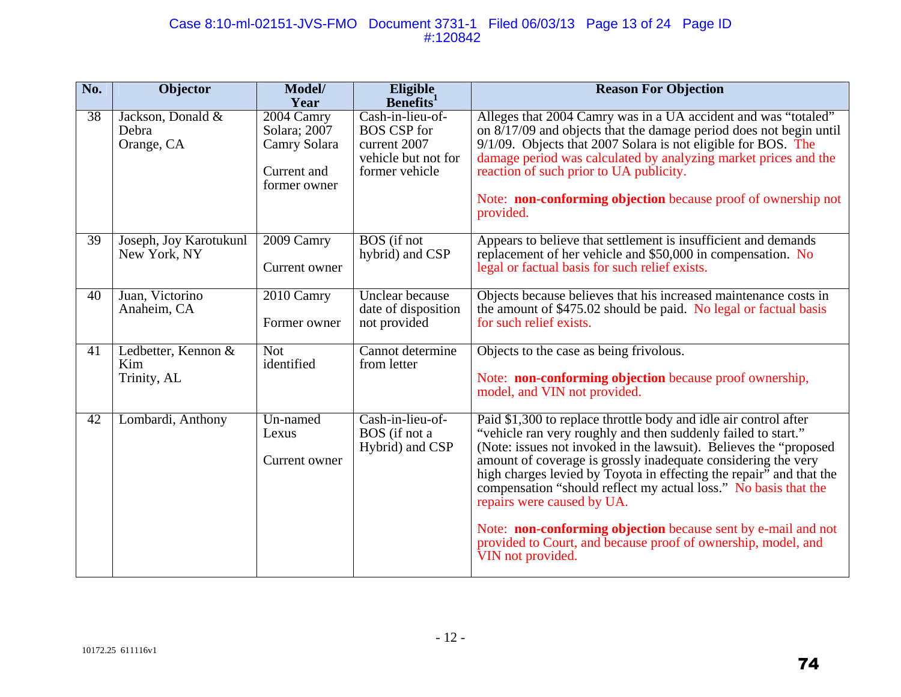### Case 8:10-ml-02151-JVS-FMO Document 3731-1 Filed 06/03/13 Page 13 of 24 Page ID #:120842

|     | Case 8:10-ml-02151-JVS-FMO Document 3731-1 Filed 06/03/13 Page 13 of 24 Page ID<br>#:120842 |                                                                           |                                                                                                 |                                                                                                                                                                                                                                                                                                                                                                                                                                                                                                                                                                                                        |  |
|-----|---------------------------------------------------------------------------------------------|---------------------------------------------------------------------------|-------------------------------------------------------------------------------------------------|--------------------------------------------------------------------------------------------------------------------------------------------------------------------------------------------------------------------------------------------------------------------------------------------------------------------------------------------------------------------------------------------------------------------------------------------------------------------------------------------------------------------------------------------------------------------------------------------------------|--|
|     |                                                                                             |                                                                           |                                                                                                 |                                                                                                                                                                                                                                                                                                                                                                                                                                                                                                                                                                                                        |  |
| No. | Objector                                                                                    | Model/<br>Year                                                            | Eligible<br>Benefits <sup>1</sup>                                                               | <b>Reason For Objection</b>                                                                                                                                                                                                                                                                                                                                                                                                                                                                                                                                                                            |  |
| 38  | Jackson, Donald &<br>Debra<br>Orange, CA                                                    | 2004 Camry<br>Solara; 2007<br>Camry Solara<br>Current and<br>former owner | Cash-in-lieu-of-<br><b>BOS CSP</b> for<br>current 2007<br>vehicle but not for<br>former vehicle | Alleges that 2004 Camry was in a UA accident and was "totaled"<br>on $8/17/09$ and objects that the damage period does not begin until<br>9/1/09. Objects that 2007 Solara is not eligible for BOS. The<br>damage period was calculated by analyzing market prices and the<br>reaction of such prior to UA publicity.<br>Note: <b>non-conforming objection</b> because proof of ownership not<br>provided.                                                                                                                                                                                             |  |
| 39  | Joseph, Joy Karotukunl<br>New York, NY                                                      | 2009 Camry<br>Current owner                                               | BOS (if not<br>hybrid) and CSP                                                                  | Appears to believe that settlement is insufficient and demands<br>replacement of her vehicle and \$50,000 in compensation. No<br>legal or factual basis for such relief exists.                                                                                                                                                                                                                                                                                                                                                                                                                        |  |
| 40  | Juan, Victorino<br>Anaheim, CA                                                              | 2010 Camry<br>Former owner                                                | Unclear because<br>date of disposition<br>not provided                                          | Objects because believes that his increased maintenance costs in<br>the amount of \$475.02 should be paid. No legal or factual basis<br>for such relief exists.                                                                                                                                                                                                                                                                                                                                                                                                                                        |  |
| 41  | Ledbetter, Kennon &<br>Kim<br>Trinity, AL                                                   | <b>Not</b><br>identified                                                  | Cannot determine<br>from letter                                                                 | Objects to the case as being frivolous.<br>Note: non-conforming objection because proof ownership,<br>model, and VIN not provided.                                                                                                                                                                                                                                                                                                                                                                                                                                                                     |  |
| 42  | Lombardi, Anthony                                                                           | Un-named<br>Lexus<br>Current owner                                        | Cash-in-lieu-of-<br>BOS (if not a<br>Hybrid) and CSP                                            | Paid \$1,300 to replace throttle body and idle air control after<br>"vehicle ran very roughly and then suddenly failed to start."<br>(Note: issues not invoked in the lawsuit). Believes the "proposed<br>amount of coverage is grossly inadequate considering the very<br>high charges levied by Toyota in effecting the repair" and that the<br>compensation "should reflect my actual loss." No basis that the<br>repairs were caused by UA.<br>Note: non-conforming objection because sent by e-mail and not<br>provided to Court, and because proof of ownership, model, and<br>VIN not provided. |  |
|     | $-12-$<br>10172.25 611116v1<br>74                                                           |                                                                           |                                                                                                 |                                                                                                                                                                                                                                                                                                                                                                                                                                                                                                                                                                                                        |  |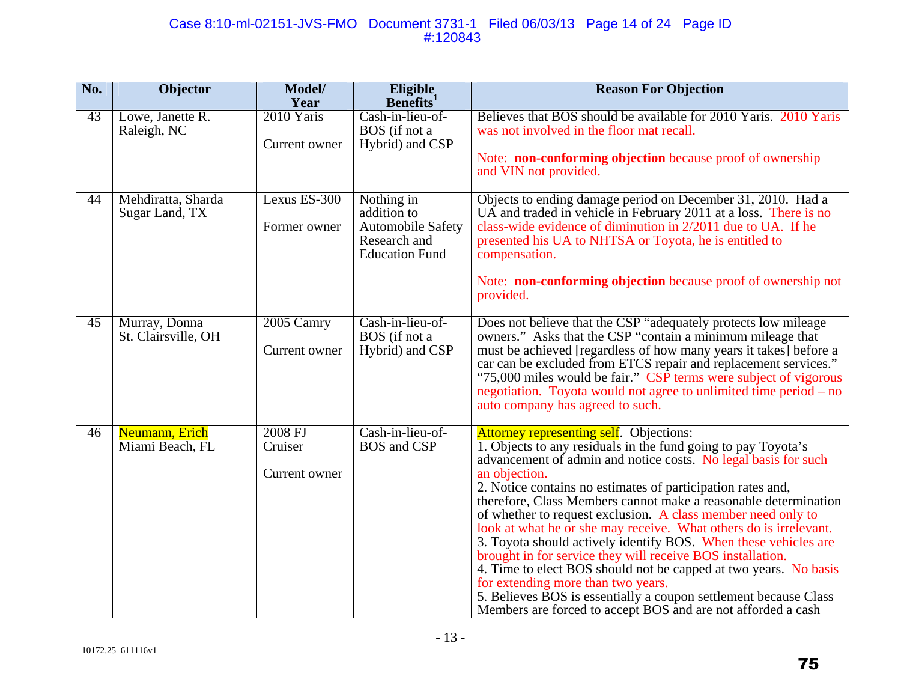# Case 8:10-ml-02151-JVS-FMO Document 3731-1 Filed 06/03/13 Page 14 of 24 Page ID #:120843

|     | Case 8:10-ml-02151-JVS-FMO Document 3731-1 Filed 06/03/13 Page 14 of 24 Page ID<br>#:120843 |                                     |                                                                                                |                                                                                                                                                                                                                                                                                                                                                                                                                                                                                                                                                                                                                                                                                                                                                                                                                                                          |  |
|-----|---------------------------------------------------------------------------------------------|-------------------------------------|------------------------------------------------------------------------------------------------|----------------------------------------------------------------------------------------------------------------------------------------------------------------------------------------------------------------------------------------------------------------------------------------------------------------------------------------------------------------------------------------------------------------------------------------------------------------------------------------------------------------------------------------------------------------------------------------------------------------------------------------------------------------------------------------------------------------------------------------------------------------------------------------------------------------------------------------------------------|--|
|     |                                                                                             |                                     |                                                                                                |                                                                                                                                                                                                                                                                                                                                                                                                                                                                                                                                                                                                                                                                                                                                                                                                                                                          |  |
| No. | Objector                                                                                    | Model/<br>Year                      | Eligible<br>Benefits <sup>1</sup>                                                              | <b>Reason For Objection</b>                                                                                                                                                                                                                                                                                                                                                                                                                                                                                                                                                                                                                                                                                                                                                                                                                              |  |
| 43  | Lowe, Janette R.<br>Raleigh, NC                                                             | 2010 Yaris<br>Current owner         | Cash-in-lieu-of-<br>BOS (if not a<br>Hybrid) and CSP                                           | Believes that BOS should be available for 2010 Yaris. 2010 Yaris<br>was not involved in the floor mat recall.<br>Note: non-conforming objection because proof of ownership<br>and VIN not provided.                                                                                                                                                                                                                                                                                                                                                                                                                                                                                                                                                                                                                                                      |  |
| 44  | Mehdiratta, Sharda<br>Sugar Land, TX                                                        | Lexus ES-300<br>Former owner        | Nothing in<br>addition to<br><b>Automobile Safety</b><br>Research and<br><b>Education Fund</b> | Objects to ending damage period on December 31, 2010. Had a<br>UA and traded in vehicle in February 2011 at a loss. There is no<br>class-wide evidence of diminution in 2/2011 due to UA. If he<br>presented his UA to NHTSA or Toyota, he is entitled to<br>compensation.<br>Note: non-conforming objection because proof of ownership not<br>provided.                                                                                                                                                                                                                                                                                                                                                                                                                                                                                                 |  |
| 45  | Murray, Donna<br>St. Clairsville, OH                                                        | 2005 Camry<br>Current owner         | Cash-in-lieu-of-<br>BOS (if not a<br>Hybrid) and CSP                                           | Does not believe that the CSP "adequately protects low mileage<br>owners." Asks that the CSP "contain a minimum mileage that<br>must be achieved [regardless of how many years it takes] before a<br>car can be excluded from ETCS repair and replacement services."<br>"75,000 miles would be fair." CSP terms were subject of vigorous<br>negotiation. Toyota would not agree to unlimited time period – no<br>auto company has agreed to such.                                                                                                                                                                                                                                                                                                                                                                                                        |  |
| 46  | Neumann, Erich<br>Miami Beach, FL                                                           | 2008 FJ<br>Cruiser<br>Current owner | Cash-in-lieu-of-<br><b>BOS</b> and CSP                                                         | <b>Attorney representing self.</b> Objections:<br>1. Objects to any residuals in the fund going to pay Toyota's<br>advancement of admin and notice costs. No legal basis for such<br>an objection.<br>2. Notice contains no estimates of participation rates and,<br>therefore, Class Members cannot make a reasonable determination<br>of whether to request exclusion. A class member need only to<br>look at what he or she may receive. What others do is irrelevant.<br>3. Toyota should actively identify BOS. When these vehicles are<br>brought in for service they will receive BOS installation.<br>4. Time to elect BOS should not be capped at two years. No basis<br>for extending more than two years.<br>5. Believes BOS is essentially a coupon settlement because Class<br>Members are forced to accept BOS and are not afforded a cash |  |
|     | $-13-$<br>10172.25 611116v1<br>75                                                           |                                     |                                                                                                |                                                                                                                                                                                                                                                                                                                                                                                                                                                                                                                                                                                                                                                                                                                                                                                                                                                          |  |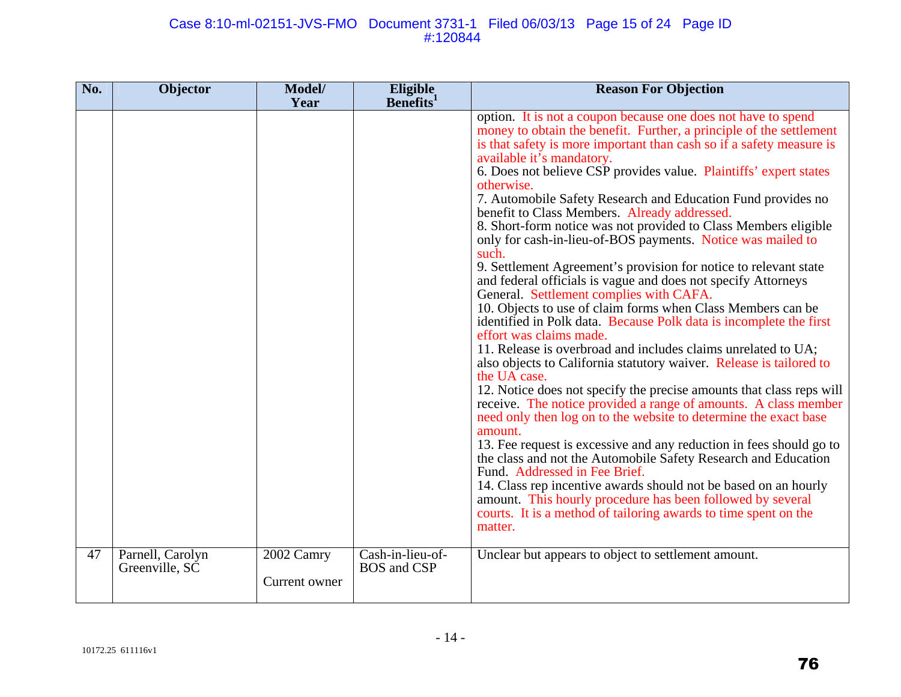# Case 8:10-ml-02151-JVS-FMO Document 3731-1 Filed 06/03/13 Page 15 of 24 Page ID #:120844

|     | Case 8:10-ml-02151-JVS-FMO Document 3731-1 Filed 06/03/13 Page 15 of 24 Page ID<br>#:120844 |                             |                                        |                                                                                                                                                                                                                                                                                                                                                                                                                                                                                                                                                                                                                                                                                                                                                                                                                                                                                                                                                                                                                                                                                                                                                                                                                                                                                                                                                                                                                                                                                                                                                                                                                                                                                                                    |
|-----|---------------------------------------------------------------------------------------------|-----------------------------|----------------------------------------|--------------------------------------------------------------------------------------------------------------------------------------------------------------------------------------------------------------------------------------------------------------------------------------------------------------------------------------------------------------------------------------------------------------------------------------------------------------------------------------------------------------------------------------------------------------------------------------------------------------------------------------------------------------------------------------------------------------------------------------------------------------------------------------------------------------------------------------------------------------------------------------------------------------------------------------------------------------------------------------------------------------------------------------------------------------------------------------------------------------------------------------------------------------------------------------------------------------------------------------------------------------------------------------------------------------------------------------------------------------------------------------------------------------------------------------------------------------------------------------------------------------------------------------------------------------------------------------------------------------------------------------------------------------------------------------------------------------------|
| No. | Objector                                                                                    | Model/<br>Year              | Eligible<br>Benefits <sup>1</sup>      | <b>Reason For Objection</b>                                                                                                                                                                                                                                                                                                                                                                                                                                                                                                                                                                                                                                                                                                                                                                                                                                                                                                                                                                                                                                                                                                                                                                                                                                                                                                                                                                                                                                                                                                                                                                                                                                                                                        |
|     |                                                                                             |                             |                                        | option. It is not a coupon because one does not have to spend<br>money to obtain the benefit. Further, a principle of the settlement<br>is that safety is more important than cash so if a safety measure is<br>available it's mandatory.<br>6. Does not believe CSP provides value. Plaintiffs' expert states<br>otherwise.<br>7. Automobile Safety Research and Education Fund provides no<br>benefit to Class Members. Already addressed.<br>8. Short-form notice was not provided to Class Members eligible<br>only for cash-in-lieu-of-BOS payments. Notice was mailed to<br>such.<br>9. Settlement Agreement's provision for notice to relevant state<br>and federal officials is vague and does not specify Attorneys<br>General. Settlement complies with CAFA.<br>10. Objects to use of claim forms when Class Members can be<br>identified in Polk data. Because Polk data is incomplete the first<br>effort was claims made.<br>11. Release is overbroad and includes claims unrelated to UA;<br>also objects to California statutory waiver. Release is tailored to<br>the UA case.<br>12. Notice does not specify the precise amounts that class reps will<br>receive. The notice provided a range of amounts. A class member<br>need only then log on to the website to determine the exact base<br>amount.<br>13. Fee request is excessive and any reduction in fees should go to<br>the class and not the Automobile Safety Research and Education<br>Fund. Addressed in Fee Brief.<br>14. Class rep incentive awards should not be based on an hourly<br>amount. This hourly procedure has been followed by several<br>courts. It is a method of tailoring awards to time spent on the<br>matter. |
| 47  | Parnell, Carolyn<br>Greenville, SC                                                          | 2002 Camry<br>Current owner | Cash-in-lieu-of-<br><b>BOS</b> and CSP | Unclear but appears to object to settlement amount.                                                                                                                                                                                                                                                                                                                                                                                                                                                                                                                                                                                                                                                                                                                                                                                                                                                                                                                                                                                                                                                                                                                                                                                                                                                                                                                                                                                                                                                                                                                                                                                                                                                                |
|     | $-14-$<br>10172.25 611116v1<br>76                                                           |                             |                                        |                                                                                                                                                                                                                                                                                                                                                                                                                                                                                                                                                                                                                                                                                                                                                                                                                                                                                                                                                                                                                                                                                                                                                                                                                                                                                                                                                                                                                                                                                                                                                                                                                                                                                                                    |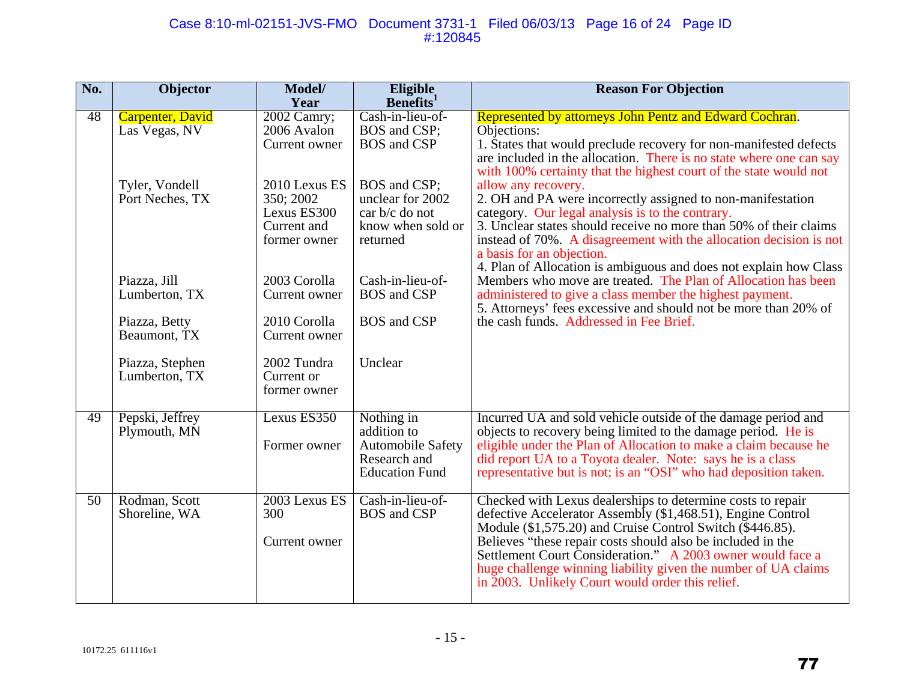### Case 8:10-ml-02151-JVS-FMO Document 3731-1 Filed 06/03/13 Page 16 of 24 Page ID<br>#:120845

|     | Case 8:10-ml-02151-JVS-FMO Document 3731-1 Filed 06/03/13 Page 16 of 24 Page ID<br>#:120845 |                                                                          |                                                                                                |                                                                                                                                                                                                                                                                                                                                                                                                                                            |  |  |
|-----|---------------------------------------------------------------------------------------------|--------------------------------------------------------------------------|------------------------------------------------------------------------------------------------|--------------------------------------------------------------------------------------------------------------------------------------------------------------------------------------------------------------------------------------------------------------------------------------------------------------------------------------------------------------------------------------------------------------------------------------------|--|--|
| No. | Objector                                                                                    | Model/<br>Year                                                           | Eligible<br>Benefits <sup>1</sup>                                                              | <b>Reason For Objection</b>                                                                                                                                                                                                                                                                                                                                                                                                                |  |  |
| 48  | Carpenter, David<br>Las Vegas, NV                                                           | 2002 Camry;<br>2006 Avalon<br>Current owner                              | Cash-in-lieu-of-<br>BOS and CSP;<br><b>BOS</b> and CSP                                         | Represented by attorneys John Pentz and Edward Cochran.<br>Objections:<br>1. States that would preclude recovery for non-manifested defects<br>are included in the allocation. There is no state where one can say<br>with 100% certainty that the highest court of the state would not                                                                                                                                                    |  |  |
|     | Tyler, Vondell<br>Port Neches, TX                                                           | 2010 Lexus ES<br>350; 2002<br>Lexus ES300<br>Current and<br>former owner | BOS and CSP;<br>unclear for 2002<br>car b/c do not<br>know when sold or<br>returned            | allow any recovery.<br>2. OH and PA were incorrectly assigned to non-manifestation<br>category. Our legal analysis is to the contrary.<br>3. Unclear states should receive no more than 50% of their claims<br>instead of 70%. A disagreement with the allocation decision is not<br>a basis for an objection.<br>4. Plan of Allocation is ambiguous and does not explain how Class                                                        |  |  |
|     | Piazza, Jill<br>Lumberton, TX                                                               | 2003 Corolla<br>Current owner                                            | Cash-in-lieu-of-<br><b>BOS</b> and CSP                                                         | Members who move are treated. The Plan of Allocation has been<br>administered to give a class member the highest payment.<br>5. Attorneys' fees excessive and should not be more than 20% of                                                                                                                                                                                                                                               |  |  |
|     | Piazza, Betty<br>Beaumont, TX                                                               | 2010 Corolla<br>Current owner                                            | <b>BOS</b> and CSP                                                                             | the cash funds. Addressed in Fee Brief.                                                                                                                                                                                                                                                                                                                                                                                                    |  |  |
|     | Piazza, Stephen<br>Lumberton, TX                                                            | 2002 Tundra<br>Current or<br>former owner                                | Unclear                                                                                        |                                                                                                                                                                                                                                                                                                                                                                                                                                            |  |  |
| 49  | Pepski, Jeffrey<br>Plymouth, MN                                                             | Lexus ES350<br>Former owner                                              | Nothing in<br>addition to<br><b>Automobile Safety</b><br>Research and<br><b>Education Fund</b> | Incurred UA and sold vehicle outside of the damage period and<br>objects to recovery being limited to the damage period. He is<br>eligible under the Plan of Allocation to make a claim because he<br>did report UA to a Toyota dealer. Note: says he is a class<br>representative but is not; is an "OSI" who had deposition taken.                                                                                                       |  |  |
| 50  | Rodman, Scott<br>Shoreline, WA                                                              | 2003 Lexus ES<br>300<br>Current owner                                    | Cash-in-lieu-of-<br><b>BOS</b> and CSP                                                         | Checked with Lexus dealerships to determine costs to repair<br>defective Accelerator Assembly (\$1,468.51), Engine Control<br>Module (\$1,575.20) and Cruise Control Switch (\$446.85).<br>Believes "these repair costs should also be included in the<br>Settlement Court Consideration." A 2003 owner would face a<br>huge challenge winning liability given the number of UA claims<br>in 2003. Unlikely Court would order this relief. |  |  |
|     | $-15-$<br>10172.25 611116v1<br>77                                                           |                                                                          |                                                                                                |                                                                                                                                                                                                                                                                                                                                                                                                                                            |  |  |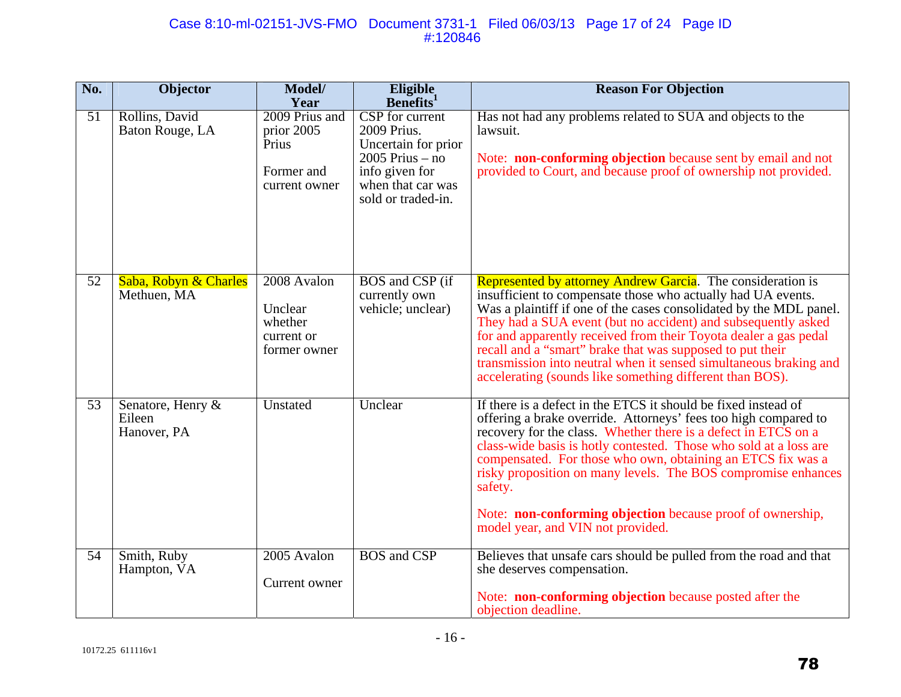# Case 8:10-ml-02151-JVS-FMO Document 3731-1 Filed 06/03/13 Page 17 of 24 Page ID #:120846

|     | Case 8:10-ml-02151-JVS-FMO Document 3731-1 Filed 06/03/13 Page 17 of 24 Page ID<br>#:120846 |                                                                      |                                                                                                                                         |                                                                                                                                                                                                                                                                                                                                                                                                                                                                                                                                      |  |  |
|-----|---------------------------------------------------------------------------------------------|----------------------------------------------------------------------|-----------------------------------------------------------------------------------------------------------------------------------------|--------------------------------------------------------------------------------------------------------------------------------------------------------------------------------------------------------------------------------------------------------------------------------------------------------------------------------------------------------------------------------------------------------------------------------------------------------------------------------------------------------------------------------------|--|--|
| No. | Objector                                                                                    | Model/<br>Year                                                       | Eligible<br>Benefits <sup>1</sup>                                                                                                       | <b>Reason For Objection</b>                                                                                                                                                                                                                                                                                                                                                                                                                                                                                                          |  |  |
| 51  | Rollins, David<br>Baton Rouge, LA                                                           | 2009 Prius and<br>prior 2005<br>Prius<br>Former and<br>current owner | CSP for current<br>2009 Prius.<br>Uncertain for prior<br>$2005$ Prius – no<br>info given for<br>when that car was<br>sold or traded-in. | Has not had any problems related to SUA and objects to the<br>lawsuit.<br>Note: non-conforming objection because sent by email and not<br>provided to Court, and because proof of ownership not provided.                                                                                                                                                                                                                                                                                                                            |  |  |
| 52  | Saba, Robyn & Charles<br>Methuen, MA                                                        | 2008 Avalon<br>Unclear<br>whether<br>current or<br>former owner      | <b>BOS</b> and CSP (if<br>currently own<br>vehicle; unclear)                                                                            | Represented by attorney Andrew Garcia. The consideration is<br>insufficient to compensate those who actually had UA events.<br>Was a plaintiff if one of the cases consolidated by the MDL panel.<br>They had a SUA event (but no accident) and subsequently asked<br>for and apparently received from their Toyota dealer a gas pedal<br>recall and a "smart" brake that was supposed to put their<br>transmission into neutral when it sensed simultaneous braking and<br>accelerating (sounds like something different than BOS). |  |  |
| 53  | Senatore, Henry &<br>Eileen<br>Hanover, PA                                                  | Unstated                                                             | Unclear                                                                                                                                 | If there is a defect in the ETCS it should be fixed instead of<br>offering a brake override. Attorneys' fees too high compared to<br>recovery for the class. Whether there is a defect in ETCS on a<br>class-wide basis is hotly contested. Those who sold at a loss are<br>compensated. For those who own, obtaining an ETCS fix was a<br>risky proposition on many levels. The BOS compromise enhances<br>safety.<br>Note: non-conforming objection because proof of ownership,<br>model year, and VIN not provided.               |  |  |
| 54  | Smith, Ruby<br>Hampton, VA                                                                  | 2005 Avalon<br>Current owner                                         | <b>BOS</b> and CSP                                                                                                                      | Believes that unsafe cars should be pulled from the road and that<br>she deserves compensation.<br>Note: non-conforming objection because posted after the<br>objection deadline.                                                                                                                                                                                                                                                                                                                                                    |  |  |
|     | $-16-$<br>10172.25 611116v1<br>78                                                           |                                                                      |                                                                                                                                         |                                                                                                                                                                                                                                                                                                                                                                                                                                                                                                                                      |  |  |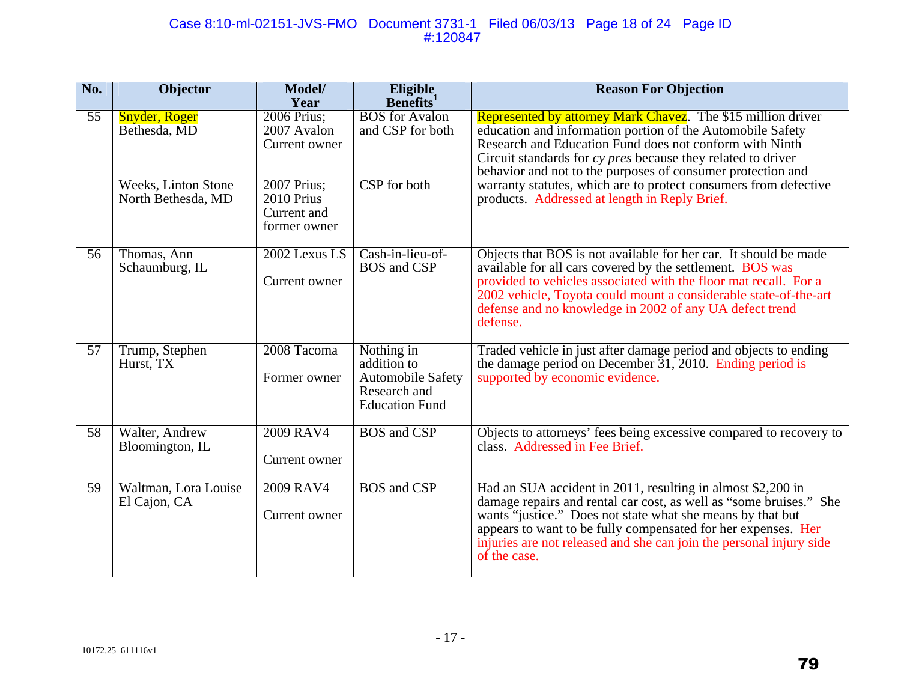### Case 8:10-ml-02151-JVS-FMO Document 3731-1 Filed 06/03/13 Page 18 of 24 Page ID #:120847

|                 | Case 8:10-ml-02151-JVS-FMO Document 3731-1 Filed 06/03/13 Page 18 of 24 Page ID<br>#:120847 |                                                          |                                                                                                |                                                                                                                                                                                                                                                                                                                                                         |  |  |
|-----------------|---------------------------------------------------------------------------------------------|----------------------------------------------------------|------------------------------------------------------------------------------------------------|---------------------------------------------------------------------------------------------------------------------------------------------------------------------------------------------------------------------------------------------------------------------------------------------------------------------------------------------------------|--|--|
| No.             | Objector                                                                                    | Model/<br>Year                                           | Eligible<br>Benefits <sup>1</sup>                                                              | <b>Reason For Objection</b>                                                                                                                                                                                                                                                                                                                             |  |  |
| 55              | <b>Snyder, Roger</b><br>Bethesda, MD                                                        | 2006 Prius;<br>2007 Avalon<br>Current owner              | <b>BOS</b> for Avalon<br>and CSP for both                                                      | <b>Represented by attorney Mark Chavez.</b> The \$15 million driver<br>education and information portion of the Automobile Safety<br>Research and Education Fund does not conform with Ninth<br>Circuit standards for cy pres because they related to driver<br>behavior and not to the purposes of consumer protection and                             |  |  |
|                 | Weeks, Linton Stone<br>North Bethesda, MD                                                   | 2007 Prius;<br>2010 Prius<br>Current and<br>former owner | CSP for both                                                                                   | warranty statutes, which are to protect consumers from defective<br>products. Addressed at length in Reply Brief.                                                                                                                                                                                                                                       |  |  |
| 56              | Thomas, Ann<br>Schaumburg, IL                                                               | $2002$ Lexus LS<br>Current owner                         | Cash-in-lieu-of-<br><b>BOS</b> and CSP                                                         | Objects that BOS is not available for her car. It should be made<br>available for all cars covered by the settlement. BOS was<br>provided to vehicles associated with the floor mat recall. For a<br>2002 vehicle, Toyota could mount a considerable state-of-the-art<br>defense and no knowledge in 2002 of any UA defect trend<br>defense.            |  |  |
| 57              | Trump, Stephen<br>Hurst, TX                                                                 | 2008 Tacoma<br>Former owner                              | Nothing in<br>addition to<br><b>Automobile Safety</b><br>Research and<br><b>Education Fund</b> | Traded vehicle in just after damage period and objects to ending<br>the damage period on December 31, 2010. Ending period is<br>supported by economic evidence.                                                                                                                                                                                         |  |  |
| $\overline{58}$ | Walter, Andrew<br>Bloomington, IL                                                           | 2009 RAV4<br>Current owner                               | <b>BOS</b> and CSP                                                                             | Objects to attorneys' fees being excessive compared to recovery to<br>class. Addressed in Fee Brief.                                                                                                                                                                                                                                                    |  |  |
| 59              | Waltman, Lora Louise<br>El Cajon, CA                                                        | 2009 RAV4<br>Current owner                               | <b>BOS</b> and CSP                                                                             | Had an SUA accident in 2011, resulting in almost \$2,200 in<br>damage repairs and rental car cost, as well as "some bruises." She<br>wants "justice." Does not state what she means by that but<br>appears to want to be fully compensated for her expenses. Her<br>injuries are not released and she can join the personal injury side<br>of the case. |  |  |
|                 | $-17-$<br>10172.25 611116v1<br>79                                                           |                                                          |                                                                                                |                                                                                                                                                                                                                                                                                                                                                         |  |  |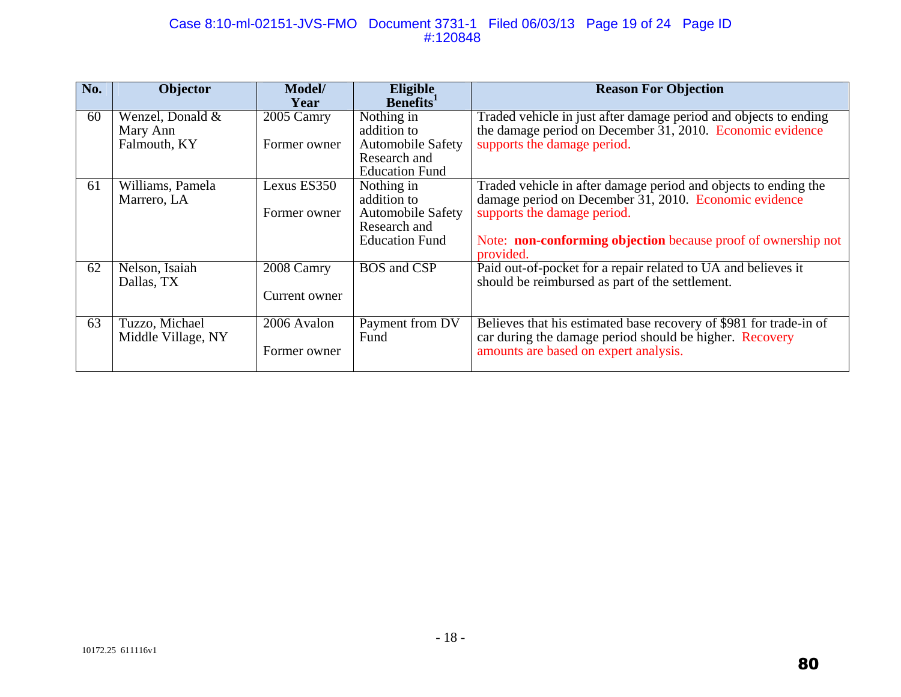# Case 8:10-ml-02151-JVS-FMO Document 3731-1 Filed 06/03/13 Page 19 of 24 Page ID #:120848

|     | Case 8:10-ml-02151-JVS-FMO Document 3731-1 Filed 06/03/13 Page 19 of 24 Page ID<br>#:120848 |                             |                                                                                                |                                                                                                                                                                                                                                       |  |
|-----|---------------------------------------------------------------------------------------------|-----------------------------|------------------------------------------------------------------------------------------------|---------------------------------------------------------------------------------------------------------------------------------------------------------------------------------------------------------------------------------------|--|
|     |                                                                                             |                             |                                                                                                |                                                                                                                                                                                                                                       |  |
| No. | <b>Objector</b>                                                                             | Model/<br>Year              | Eligible<br>Benefits <sup>1</sup>                                                              | <b>Reason For Objection</b>                                                                                                                                                                                                           |  |
| 60  | Wenzel, Donald &<br>Mary Ann<br>Falmouth, KY                                                | 2005 Camry<br>Former owner  | Nothing in<br>addition to<br><b>Automobile Safety</b><br>Research and<br><b>Education Fund</b> | Traded vehicle in just after damage period and objects to ending<br>the damage period on December 31, 2010. Economic evidence<br>supports the damage period.                                                                          |  |
| 61  | Williams, Pamela<br>Marrero, LA                                                             | Lexus ES350<br>Former owner | Nothing in<br>addition to<br><b>Automobile Safety</b><br>Research and<br><b>Education Fund</b> | Traded vehicle in after damage period and objects to ending the<br>damage period on December 31, 2010. Economic evidence<br>supports the damage period.<br>Note: non-conforming objection because proof of ownership not<br>provided. |  |
| 62  | Nelson, Isaiah<br>Dallas, TX                                                                | 2008 Camry<br>Current owner | <b>BOS</b> and CSP                                                                             | Paid out-of-pocket for a repair related to UA and believes it<br>should be reimbursed as part of the settlement.                                                                                                                      |  |
| 63  | Tuzzo, Michael<br>Middle Village, NY                                                        | 2006 Avalon<br>Former owner | Payment from DV<br>Fund                                                                        | Believes that his estimated base recovery of \$981 for trade-in of<br>car during the damage period should be higher. Recovery<br>amounts are based on expert analysis.                                                                |  |
|     |                                                                                             |                             |                                                                                                |                                                                                                                                                                                                                                       |  |
|     |                                                                                             |                             |                                                                                                |                                                                                                                                                                                                                                       |  |
|     |                                                                                             |                             |                                                                                                |                                                                                                                                                                                                                                       |  |
|     |                                                                                             |                             |                                                                                                |                                                                                                                                                                                                                                       |  |
|     |                                                                                             |                             |                                                                                                |                                                                                                                                                                                                                                       |  |
|     | 10172.25 611116v1                                                                           |                             | $-18-$                                                                                         | 80                                                                                                                                                                                                                                    |  |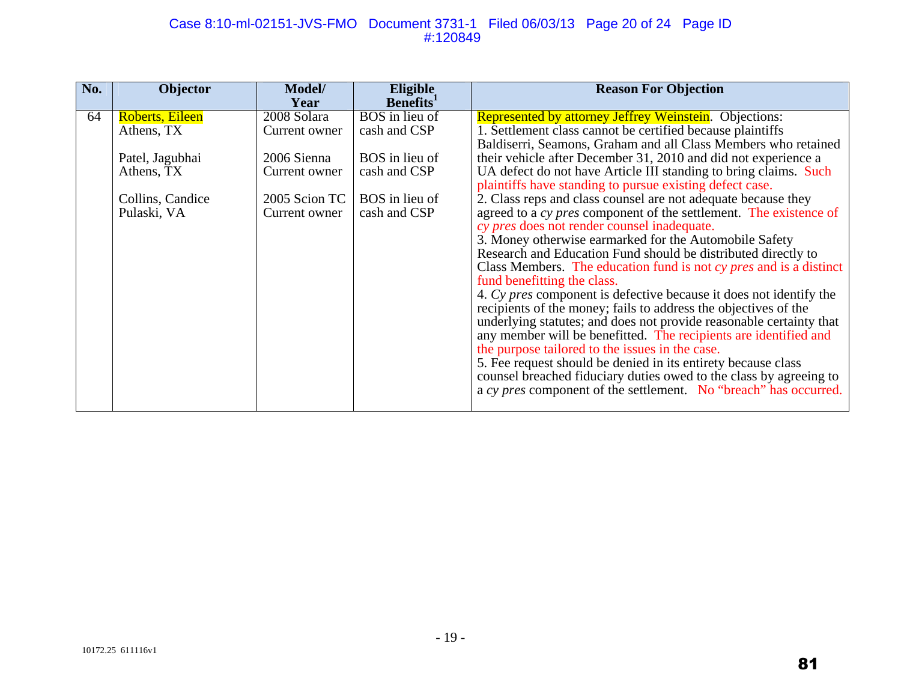#### Case 8:10-ml-02151-JVS-FMO Document 3731-1 Filed 06/03/13 Page 20 of 24 Page ID #:120849

| No. | Objector               | Model/        | Eligible                     | <b>Reason For Objection</b>                                                                       |
|-----|------------------------|---------------|------------------------------|---------------------------------------------------------------------------------------------------|
|     |                        | Year          | <b>Benefits</b> <sup>1</sup> |                                                                                                   |
| 64  | <b>Roberts, Eileen</b> | 2008 Solara   | BOS in lieu of               | Represented by attorney Jeffrey Weinstein. Objections:                                            |
|     | Athens, TX             | Current owner | cash and CSP                 | 1. Settlement class cannot be certified because plaintiffs                                        |
|     |                        |               |                              | Baldiserri, Seamons, Graham and all Class Members who retained                                    |
|     | Patel, Jagubhai        | 2006 Sienna   | BOS in lieu of               | their vehicle after December 31, 2010 and did not experience a                                    |
|     | Athens, TX             | Current owner | cash and CSP                 | UA defect do not have Article III standing to bring claims. Such                                  |
|     |                        |               |                              | plaintiffs have standing to pursue existing defect case.                                          |
|     | Collins, Candice       | 2005 Scion TC | BOS in lieu of               | 2. Class reps and class counsel are not adequate because they                                     |
|     | Pulaski, VA            | Current owner | cash and CSP                 | agreed to a cy pres component of the settlement. The existence of                                 |
|     |                        |               |                              | cy pres does not render counsel inadequate.                                                       |
|     |                        |               |                              | 3. Money otherwise earmarked for the Automobile Safety                                            |
|     |                        |               |                              | Research and Education Fund should be distributed directly to                                     |
|     |                        |               |                              | Class Members. The education fund is not cy pres and is a distinct<br>fund benefitting the class. |
|     |                        |               |                              | 4. Cy pres component is defective because it does not identify the                                |
|     |                        |               |                              | recipients of the money; fails to address the objectives of the                                   |
|     |                        |               |                              | underlying statutes; and does not provide reasonable certainty that                               |
|     |                        |               |                              | any member will be benefitted. The recipients are identified and                                  |
|     |                        |               |                              | the purpose tailored to the issues in the case.                                                   |
|     |                        |               |                              | 5. Fee request should be denied in its entirety because class                                     |
|     |                        |               |                              | counsel breached fiduciary duties owed to the class by agreeing to                                |
|     |                        |               |                              | a cy pres component of the settlement. No "breach" has occurred.                                  |
|     |                        |               |                              |                                                                                                   |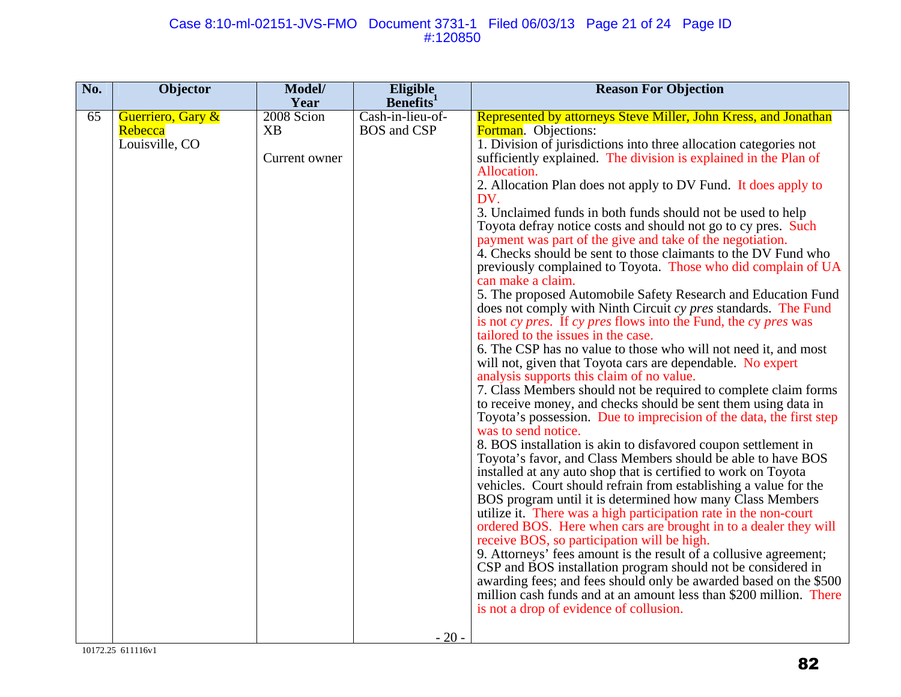# Case 8:10-ml-02151-JVS-FMO Document 3731-1 Filed 06/03/13 Page 21 of 24 Page ID #:120850

|     | Case 8:10-ml-02151-JVS-FMO Document 3731-1 Filed 06/03/13 Page 21 of 24 Page ID<br>#:120850 |                                   |                                                  |                                                                                                                                                                                                                                                                                                                                                                                                                                                                                                                                                                                                                                                                                                                                                                                                                                                                                                                                                                                                                                                                                                                                                                                                                                                                                                                                                                                                                                                                                                                                                                                                                                                                                                                                                                                                                                                                                                                                                                                                                                                                                                                                                                                                           |  |
|-----|---------------------------------------------------------------------------------------------|-----------------------------------|--------------------------------------------------|-----------------------------------------------------------------------------------------------------------------------------------------------------------------------------------------------------------------------------------------------------------------------------------------------------------------------------------------------------------------------------------------------------------------------------------------------------------------------------------------------------------------------------------------------------------------------------------------------------------------------------------------------------------------------------------------------------------------------------------------------------------------------------------------------------------------------------------------------------------------------------------------------------------------------------------------------------------------------------------------------------------------------------------------------------------------------------------------------------------------------------------------------------------------------------------------------------------------------------------------------------------------------------------------------------------------------------------------------------------------------------------------------------------------------------------------------------------------------------------------------------------------------------------------------------------------------------------------------------------------------------------------------------------------------------------------------------------------------------------------------------------------------------------------------------------------------------------------------------------------------------------------------------------------------------------------------------------------------------------------------------------------------------------------------------------------------------------------------------------------------------------------------------------------------------------------------------------|--|
| No. | Objector                                                                                    | Model/<br>Year                    | Eligible<br>Benefits <sup>1</sup>                | <b>Reason For Objection</b>                                                                                                                                                                                                                                                                                                                                                                                                                                                                                                                                                                                                                                                                                                                                                                                                                                                                                                                                                                                                                                                                                                                                                                                                                                                                                                                                                                                                                                                                                                                                                                                                                                                                                                                                                                                                                                                                                                                                                                                                                                                                                                                                                                               |  |
| 65  | Guerriero, Gary &<br>Rebecca<br>Louisville, CO                                              | 2008 Scion<br>XB<br>Current owner | Cash-in-lieu-of-<br><b>BOS</b> and CSP<br>$-20-$ | Represented by attorneys Steve Miller, John Kress, and Jonathan<br><b>Fortman.</b> Objections:<br>1. Division of jurisdictions into three allocation categories not<br>sufficiently explained. The division is explained in the Plan of<br>Allocation.<br>2. Allocation Plan does not apply to DV Fund. It does apply to<br>DV.<br>3. Unclaimed funds in both funds should not be used to help<br>Toyota defray notice costs and should not go to cy pres. Such<br>payment was part of the give and take of the negotiation.<br>4. Checks should be sent to those claimants to the DV Fund who<br>previously complained to Toyota. Those who did complain of UA<br>can make a claim.<br>5. The proposed Automobile Safety Research and Education Fund<br>does not comply with Ninth Circuit cy pres standards. The Fund<br>is not cy pres. If cy pres flows into the Fund, the cy pres was<br>tailored to the issues in the case.<br>6. The CSP has no value to those who will not need it, and most<br>will not, given that Toyota cars are dependable. No expert<br>analysis supports this claim of no value.<br>7. Class Members should not be required to complete claim forms<br>to receive money, and checks should be sent them using data in<br>Toyota's possession. Due to imprecision of the data, the first step<br>was to send notice.<br>8. BOS installation is akin to disfavored coupon settlement in<br>Toyota's favor, and Class Members should be able to have BOS<br>installed at any auto shop that is certified to work on Toyota<br>vehicles. Court should refrain from establishing a value for the<br>BOS program until it is determined how many Class Members<br>utilize it. There was a high participation rate in the non-court<br>ordered BOS. Here when cars are brought in to a dealer they will<br>receive BOS, so participation will be high.<br>9. Attorneys' fees amount is the result of a collusive agreement;<br>CSP and BOS installation program should not be considered in<br>awarding fees; and fees should only be awarded based on the \$500<br>million cash funds and at an amount less than \$200 million. There<br>is not a drop of evidence of collusion. |  |
|     | 10172.25 611116v1                                                                           |                                   |                                                  | 82                                                                                                                                                                                                                                                                                                                                                                                                                                                                                                                                                                                                                                                                                                                                                                                                                                                                                                                                                                                                                                                                                                                                                                                                                                                                                                                                                                                                                                                                                                                                                                                                                                                                                                                                                                                                                                                                                                                                                                                                                                                                                                                                                                                                        |  |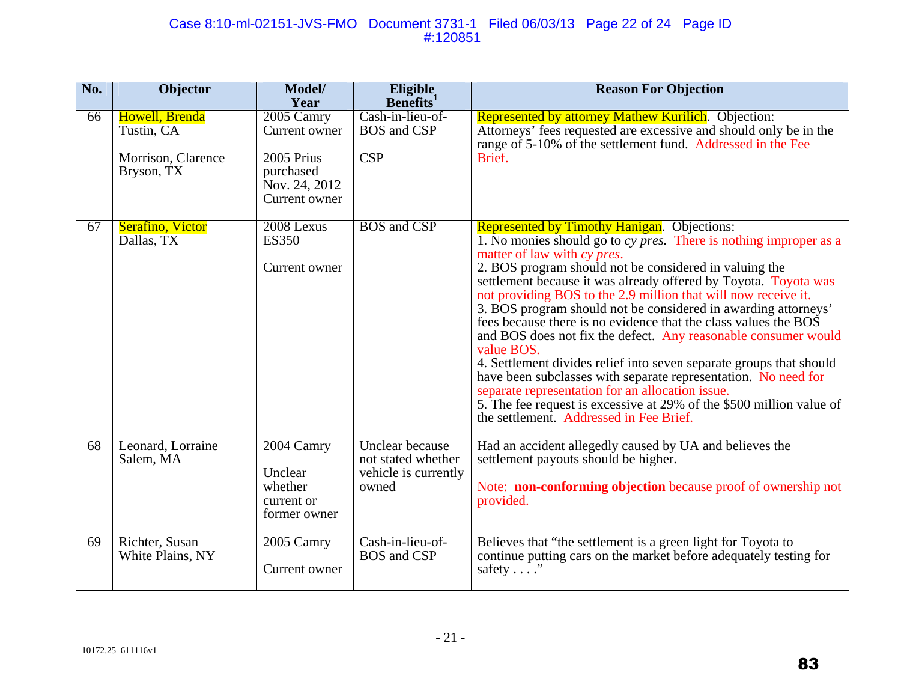# Case 8:10-ml-02151-JVS-FMO Document 3731-1 Filed 06/03/13 Page 22 of 24 Page ID #:120851

| No. | Objector                                                         | Model/<br>Year                                                                           | Eligible<br>Benefits <sup>1</sup>                                      | <b>Reason For Objection</b>                                                                                                                                                                                                                                                                                                                                                                                                                                                                                                                                                                                                                                                                                                                                                                                                                                                                |
|-----|------------------------------------------------------------------|------------------------------------------------------------------------------------------|------------------------------------------------------------------------|--------------------------------------------------------------------------------------------------------------------------------------------------------------------------------------------------------------------------------------------------------------------------------------------------------------------------------------------------------------------------------------------------------------------------------------------------------------------------------------------------------------------------------------------------------------------------------------------------------------------------------------------------------------------------------------------------------------------------------------------------------------------------------------------------------------------------------------------------------------------------------------------|
| 66  | Howell, Brenda<br>Tustin, CA<br>Morrison, Clarence<br>Bryson, TX | 2005 Camry<br>Current owner<br>2005 Prius<br>purchased<br>Nov. 24, 2012<br>Current owner | Cash-in-lieu-of-<br><b>BOS</b> and CSP<br><b>CSP</b>                   | <b>Represented by attorney Mathew Kurilich.</b> Objection:<br>Attorneys' fees requested are excessive and should only be in the<br>range of 5-10% of the settlement fund. Addressed in the Fee<br>Brief.                                                                                                                                                                                                                                                                                                                                                                                                                                                                                                                                                                                                                                                                                   |
| 67  | <b>Serafino</b> , Victor<br>Dallas, TX                           | $2008$ Lexus<br><b>ES350</b><br>Current owner                                            | <b>BOS</b> and CSP                                                     | <b>Represented by Timothy Hanigan.</b> Objections:<br>1. No monies should go to cy pres. There is nothing improper as a<br>matter of law with cy pres.<br>2. BOS program should not be considered in valuing the<br>settlement because it was already offered by Toyota. Toyota was<br>not providing BOS to the 2.9 million that will now receive it.<br>3. BOS program should not be considered in awarding attorneys'<br>fees because there is no evidence that the class values the BOS<br>and BOS does not fix the defect. Any reasonable consumer would<br>value BOS.<br>4. Settlement divides relief into seven separate groups that should<br>have been subclasses with separate representation. No need for<br>separate representation for an allocation issue.<br>5. The fee request is excessive at 29% of the \$500 million value of<br>the settlement. Addressed in Fee Brief. |
| 68  | Leonard, Lorraine<br>Salem, MA                                   | 2004 Camry<br>Unclear<br>whether<br>current or<br>former owner                           | Unclear because<br>not stated whether<br>vehicle is currently<br>owned | Had an accident allegedly caused by UA and believes the<br>settlement payouts should be higher.<br>Note: non-conforming objection because proof of ownership not<br>provided.                                                                                                                                                                                                                                                                                                                                                                                                                                                                                                                                                                                                                                                                                                              |
| 69  | Richter, Susan<br>White Plains, NY                               | 2005 Camry<br>Current owner                                                              | Cash-in-lieu-of-<br><b>BOS</b> and CSP                                 | Believes that "the settlement is a green light for Toyota to<br>continue putting cars on the market before adequately testing for<br>safety $\dots$ .                                                                                                                                                                                                                                                                                                                                                                                                                                                                                                                                                                                                                                                                                                                                      |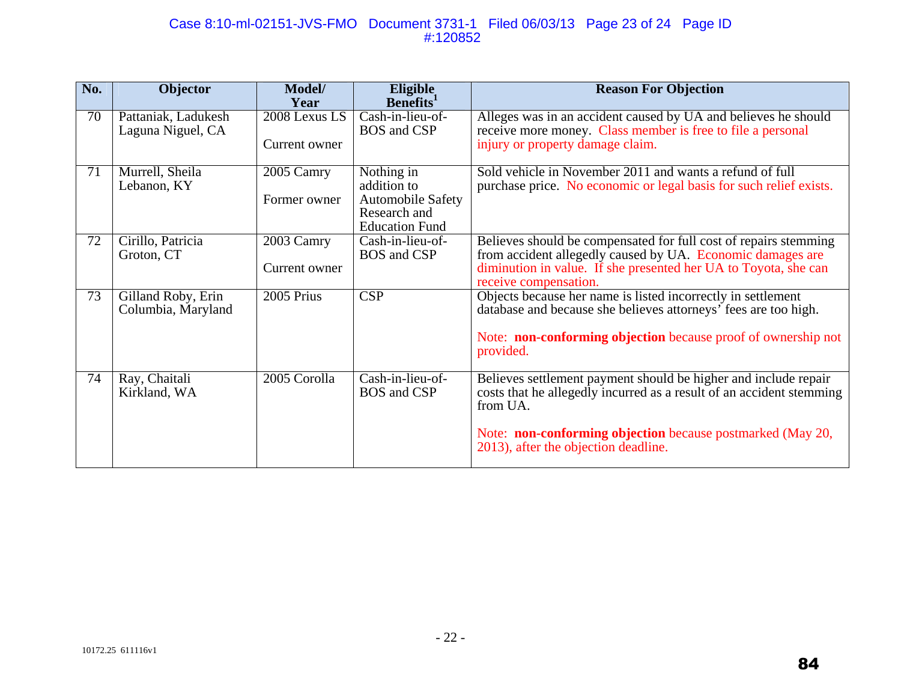# Case 8:10-ml-02151-JVS-FMO Document 3731-1 Filed 06/03/13 Page 23 of 24 Page ID #:120852

|                   | Case 8:10-ml-02151-JVS-FMO Document 3731-1 Filed 06/03/13 Page 23 of 24 Page ID<br>#:120852 |                                |                                                                                                |                                                                                                                                                                                                                                                           |  |  |
|-------------------|---------------------------------------------------------------------------------------------|--------------------------------|------------------------------------------------------------------------------------------------|-----------------------------------------------------------------------------------------------------------------------------------------------------------------------------------------------------------------------------------------------------------|--|--|
|                   |                                                                                             |                                |                                                                                                |                                                                                                                                                                                                                                                           |  |  |
| No.               | <b>Objector</b>                                                                             | Model/<br>Year                 | Eligible<br>Benefits <sup>1</sup>                                                              | <b>Reason For Objection</b>                                                                                                                                                                                                                               |  |  |
| 70                | Pattaniak, Ladukesh<br>Laguna Niguel, CA                                                    | 2008 Lexus LS<br>Current owner | Cash-in-lieu-of-<br><b>BOS</b> and CSP                                                         | Alleges was in an accident caused by UA and believes he should<br>receive more money. Class member is free to file a personal<br>injury or property damage claim.                                                                                         |  |  |
| 71                | Murrell, Sheila<br>Lebanon, KY                                                              | 2005 Camry<br>Former owner     | Nothing in<br>addition to<br><b>Automobile Safety</b><br>Research and<br><b>Education Fund</b> | Sold vehicle in November 2011 and wants a refund of full<br>purchase price. No economic or legal basis for such relief exists.                                                                                                                            |  |  |
| 72                | Cirillo, Patricia<br>Groton, CT                                                             | 2003 Camry<br>Current owner    | Cash-in-lieu-of-<br><b>BOS</b> and CSP                                                         | Believes should be compensated for full cost of repairs stemming<br>from accident allegedly caused by UA. Economic damages are<br>diminution in value. If she presented her UA to Toyota, she can<br>receive compensation.                                |  |  |
| 73                | Gilland Roby, Erin<br>Columbia, Maryland                                                    | 2005 Prius                     | CSP                                                                                            | Objects because her name is listed incorrectly in settlement<br>database and because she believes attorneys' fees are too high.<br>Note: non-conforming objection because proof of ownership not<br>provided.                                             |  |  |
| 74                | Ray, Chaitali<br>Kirkland, WA                                                               | 2005 Corolla                   | Cash-in-lieu-of-<br><b>BOS</b> and CSP                                                         | Believes settlement payment should be higher and include repair<br>costs that he allegedly incurred as a result of an accident stemming<br>from UA.<br>Note: non-conforming objection because postmarked (May 20,<br>2013), after the objection deadline. |  |  |
|                   |                                                                                             |                                | $-22-$                                                                                         |                                                                                                                                                                                                                                                           |  |  |
| 10172.25 611116v1 |                                                                                             |                                |                                                                                                | 84                                                                                                                                                                                                                                                        |  |  |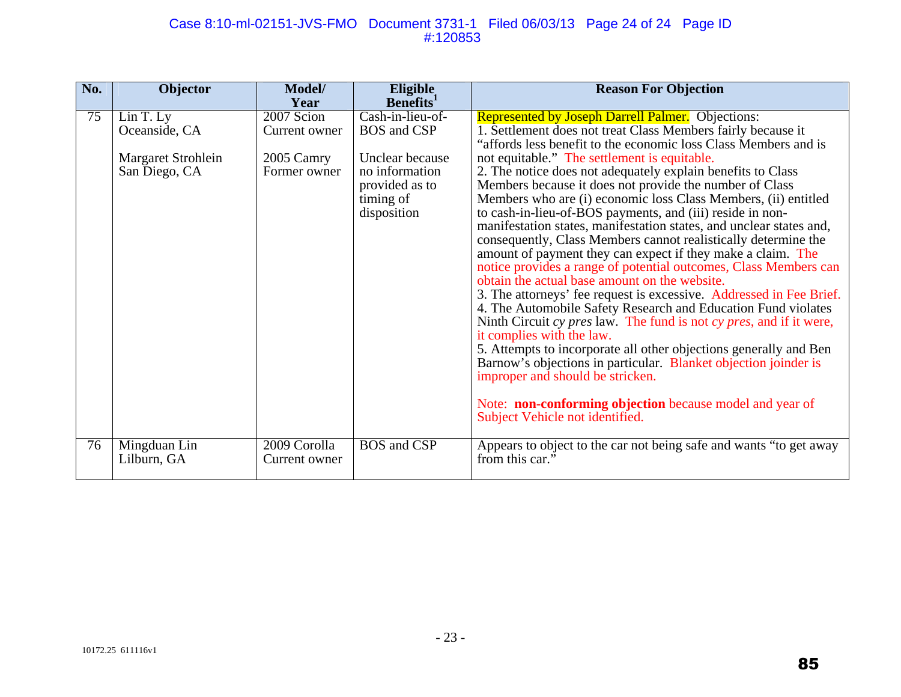# Case 8:10-ml-02151-JVS-FMO Document 3731-1 Filed 06/03/13 Page 24 of 24 Page ID #:120853

|                   | Case 8:10-ml-02151-JVS-FMO Document 3731-1 Filed 06/03/13 Page 24 of 24 Page ID<br>#:120853 |                                                                   |                                                                                                                                                    |                                                                                                                                                                                                                                                                                                                                                                                                                                                                                                                                                                                                                                                                                                                                                                                                                                                                                                                                                                                                                                                                                                                                                                                                                                                                                                                                                       |  |
|-------------------|---------------------------------------------------------------------------------------------|-------------------------------------------------------------------|----------------------------------------------------------------------------------------------------------------------------------------------------|-------------------------------------------------------------------------------------------------------------------------------------------------------------------------------------------------------------------------------------------------------------------------------------------------------------------------------------------------------------------------------------------------------------------------------------------------------------------------------------------------------------------------------------------------------------------------------------------------------------------------------------------------------------------------------------------------------------------------------------------------------------------------------------------------------------------------------------------------------------------------------------------------------------------------------------------------------------------------------------------------------------------------------------------------------------------------------------------------------------------------------------------------------------------------------------------------------------------------------------------------------------------------------------------------------------------------------------------------------|--|
| No.               | Objector                                                                                    | Model/                                                            | Eligible                                                                                                                                           | <b>Reason For Objection</b>                                                                                                                                                                                                                                                                                                                                                                                                                                                                                                                                                                                                                                                                                                                                                                                                                                                                                                                                                                                                                                                                                                                                                                                                                                                                                                                           |  |
| 75                | Lin T. Ly<br>Oceanside, CA<br>Margaret Strohlein<br>San Diego, CA                           | Year<br>2007 Scion<br>Current owner<br>2005 Camry<br>Former owner | Benefits <sup>1</sup><br>Cash-in-lieu-of-<br><b>BOS</b> and CSP<br>Unclear because<br>no information<br>provided as to<br>timing of<br>disposition | Represented by Joseph Darrell Palmer. Objections:<br>1. Settlement does not treat Class Members fairly because it<br>"affords less benefit to the economic loss Class Members and is<br>not equitable." The settlement is equitable.<br>2. The notice does not adequately explain benefits to Class<br>Members because it does not provide the number of Class<br>Members who are (i) economic loss Class Members, (ii) entitled<br>to cash-in-lieu-of-BOS payments, and (iii) reside in non-<br>manifestation states, manifestation states, and unclear states and,<br>consequently, Class Members cannot realistically determine the<br>amount of payment they can expect if they make a claim. The<br>notice provides a range of potential outcomes, Class Members can<br>obtain the actual base amount on the website.<br>3. The attorneys' fee request is excessive. Addressed in Fee Brief.<br>4. The Automobile Safety Research and Education Fund violates<br>Ninth Circuit $cy$ pres law. The fund is not $cy$ pres, and if it were,<br>it complies with the law.<br>5. Attempts to incorporate all other objections generally and Ben<br>Barnow's objections in particular. Blanket objection joinder is<br>improper and should be stricken.<br>Note: non-conforming objection because model and year of<br>Subject Vehicle not identified. |  |
| 76                | Mingduan Lin<br>Lilburn, GA                                                                 | 2009 Corolla<br>Current owner                                     | <b>BOS</b> and CSP                                                                                                                                 | Appears to object to the car not being safe and wants "to get away<br>from this car."                                                                                                                                                                                                                                                                                                                                                                                                                                                                                                                                                                                                                                                                                                                                                                                                                                                                                                                                                                                                                                                                                                                                                                                                                                                                 |  |
|                   |                                                                                             |                                                                   | $-23-$                                                                                                                                             |                                                                                                                                                                                                                                                                                                                                                                                                                                                                                                                                                                                                                                                                                                                                                                                                                                                                                                                                                                                                                                                                                                                                                                                                                                                                                                                                                       |  |
| 10172.25 611116v1 |                                                                                             |                                                                   | 85                                                                                                                                                 |                                                                                                                                                                                                                                                                                                                                                                                                                                                                                                                                                                                                                                                                                                                                                                                                                                                                                                                                                                                                                                                                                                                                                                                                                                                                                                                                                       |  |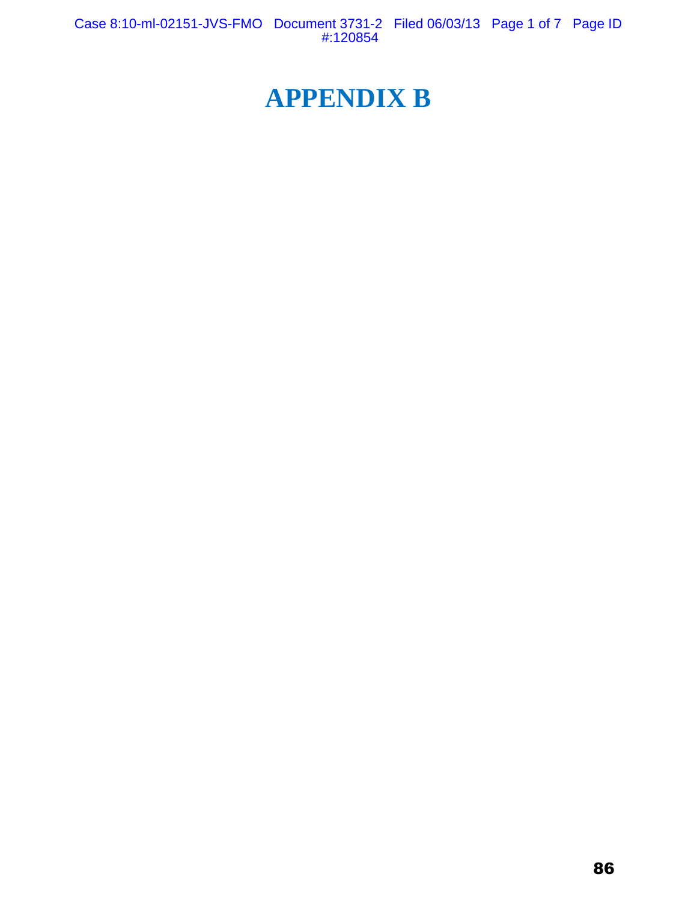#### **APPENDIX B**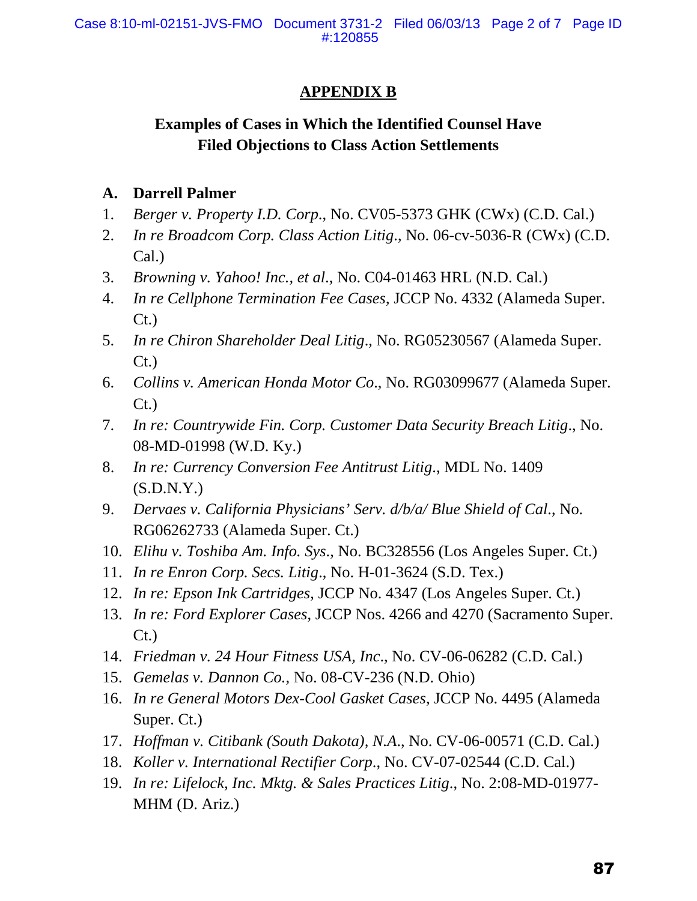#### **APPENDIX B**

#### **Examples of Cases in Which the Identified Counsel Have Filed Objections to Class Action Settlements**

#### **A. Darrell Palmer**

- 1. *Berger v. Property I.D. Corp*., No. CV05-5373 GHK (CWx) (C.D. Cal.)
- 2. *In re Broadcom Corp. Class Action Litig*., No. 06-cv-5036-R (CWx) (C.D. Cal.)
- 3. *Browning v. Yahoo! Inc., et al*., No. C04-01463 HRL (N.D. Cal.)
- 4. *In re Cellphone Termination Fee Cases*, JCCP No. 4332 (Alameda Super. Ct.)
- 5. *In re Chiron Shareholder Deal Litig*., No. RG05230567 (Alameda Super. Ct.)
- 6. *Collins v. American Honda Motor Co*., No. RG03099677 (Alameda Super. Ct.)
- 7. *In re: Countrywide Fin. Corp. Customer Data Security Breach Litig*., No. 08-MD-01998 (W.D. Ky.)
- 8. *In re: Currency Conversion Fee Antitrust Litig*., MDL No. 1409  $(S.D.N.Y.)$
- 9. *Dervaes v. California Physicians' Serv. d/b/a/ Blue Shield of Cal*., No. RG06262733 (Alameda Super. Ct.)
- 10. *Elihu v. Toshiba Am. Info. Sys*., No. BC328556 (Los Angeles Super. Ct.)
- 11. *In re Enron Corp. Secs. Litig*., No. H-01-3624 (S.D. Tex.)
- 12. *In re: Epson Ink Cartridges*, JCCP No. 4347 (Los Angeles Super. Ct.)
- 13. *In re: Ford Explorer Cases*, JCCP Nos. 4266 and 4270 (Sacramento Super.  $C_{t.}$ )
- 14. *Friedman v. 24 Hour Fitness USA, Inc*., No. CV-06-06282 (C.D. Cal.)
- 15. *Gemelas v. Dannon Co.*, No. 08-CV-236 (N.D. Ohio)
- 16. *In re General Motors Dex-Cool Gasket Cases*, JCCP No. 4495 (Alameda Super. Ct.)
- 17. *Hoffman v. Citibank (South Dakota), N.A*., No. CV-06-00571 (C.D. Cal.)
- 18. *Koller v. International Rectifier Corp*., No. CV-07-02544 (C.D. Cal.)
- 19. *In re: Lifelock, Inc. Mktg. & Sales Practices Litig*., No. 2:08-MD-01977- MHM (D. Ariz.)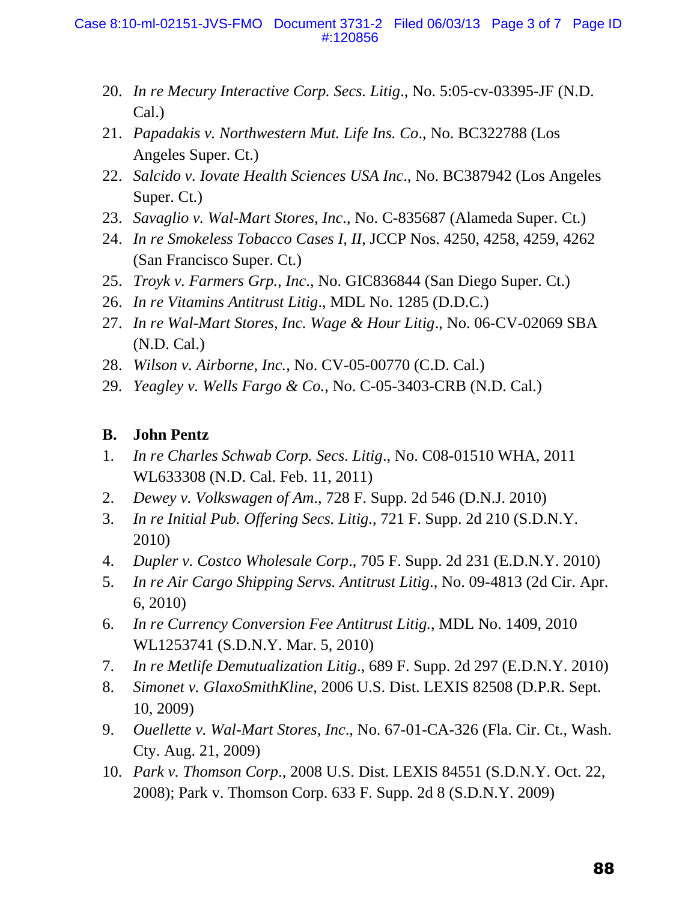- 20. *In re Mecury Interactive Corp. Secs. Litig*., No. 5:05-cv-03395-JF (N.D. Cal.)
- 21. *Papadakis v. Northwestern Mut. Life Ins. Co*., No. BC322788 (Los Angeles Super. Ct.)
- 22. *Salcido v. Iovate Health Sciences USA Inc*., No. BC387942 (Los Angeles Super. Ct.)
- 23. *Savaglio v. Wal-Mart Stores, Inc*., No. C-835687 (Alameda Super. Ct.)
- 24. *In re Smokeless Tobacco Cases I, II*, JCCP Nos. 4250, 4258, 4259, 4262 (San Francisco Super. Ct.)
- 25. *Troyk v. Farmers Grp., Inc*., No. GIC836844 (San Diego Super. Ct.)
- 26. *In re Vitamins Antitrust Litig*., MDL No. 1285 (D.D.C.)
- 27. *In re Wal-Mart Stores, Inc. Wage & Hour Litig*., No. 06-CV-02069 SBA (N.D. Cal.)
- 28. *Wilson v. Airborne, Inc.*, No. CV-05-00770 (C.D. Cal.)
- 29. *Yeagley v. Wells Fargo & Co.*, No. C-05-3403-CRB (N.D. Cal.)

#### **B. John Pentz**

- 1. *In re Charles Schwab Corp. Secs. Litig*., No. C08-01510 WHA, 2011 WL633308 (N.D. Cal. Feb. 11, 2011)
- 2. *Dewey v. Volkswagen of Am*., 728 F. Supp. 2d 546 (D.N.J. 2010)
- 3. *In re Initial Pub. Offering Secs. Litig*., 721 F. Supp. 2d 210 (S.D.N.Y. 2010)
- 4. *Dupler v. Costco Wholesale Corp*., 705 F. Supp. 2d 231 (E.D.N.Y. 2010)
- 5. *In re Air Cargo Shipping Servs. Antitrust Litig*., No. 09-4813 (2d Cir. Apr. 6, 2010)
- 6. *In re Currency Conversion Fee Antitrust Litig.*, MDL No. 1409, 2010 WL1253741 (S.D.N.Y. Mar. 5, 2010)
- 7. *In re Metlife Demutualization Litig*., 689 F. Supp. 2d 297 (E.D.N.Y. 2010)
- 8. *Simonet v. GlaxoSmithKline*, 2006 U.S. Dist. LEXIS 82508 (D.P.R. Sept. 10, 2009)
- 9. *Ouellette v. Wal-Mart Stores, Inc*., No. 67-01-CA-326 (Fla. Cir. Ct., Wash. Cty. Aug. 21, 2009)
- 10. *Park v. Thomson Corp*., 2008 U.S. Dist. LEXIS 84551 (S.D.N.Y. Oct. 22, 2008); Park v. Thomson Corp. 633 F. Supp. 2d 8 (S.D.N.Y. 2009)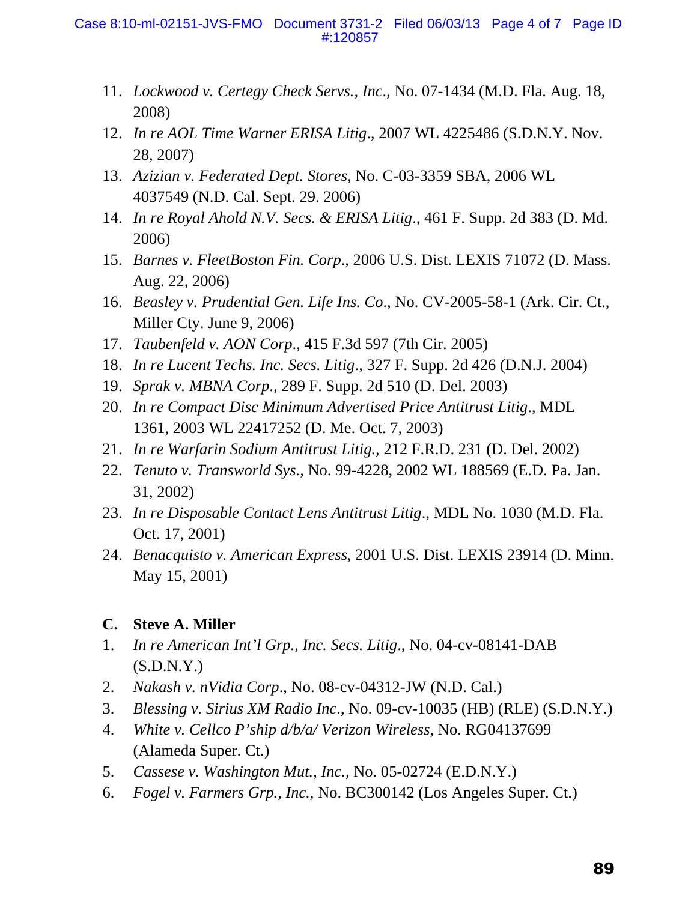- 11. *Lockwood v. Certegy Check Servs., Inc*., No. 07-1434 (M.D. Fla. Aug. 18, 2008)
- 12. *In re AOL Time Warner ERISA Litig*., 2007 WL 4225486 (S.D.N.Y. Nov. 28, 2007)
- 13. *Azizian v. Federated Dept. Stores,* No. C-03-3359 SBA, 2006 WL 4037549 (N.D. Cal. Sept. 29. 2006)
- 14. *In re Royal Ahold N.V. Secs. & ERISA Litig*., 461 F. Supp. 2d 383 (D. Md. 2006)
- 15. *Barnes v. FleetBoston Fin. Corp*., 2006 U.S. Dist. LEXIS 71072 (D. Mass. Aug. 22, 2006)
- 16. *Beasley v. Prudential Gen. Life Ins. Co*., No. CV-2005-58-1 (Ark. Cir. Ct., Miller Cty. June 9, 2006)
- 17. *Taubenfeld v. AON Corp*., 415 F.3d 597 (7th Cir. 2005)
- 18. *In re Lucent Techs. Inc. Secs. Litig*., 327 F. Supp. 2d 426 (D.N.J. 2004)
- 19. *Sprak v. MBNA Corp*., 289 F. Supp. 2d 510 (D. Del. 2003)
- 20. *In re Compact Disc Minimum Advertised Price Antitrust Litig*., MDL 1361, 2003 WL 22417252 (D. Me. Oct. 7, 2003)
- 21. *In re Warfarin Sodium Antitrust Litig.,* 212 F.R.D. 231 (D. Del. 2002)
- 22. *Tenuto v. Transworld Sys.,* No. 99-4228, 2002 WL 188569 (E.D. Pa. Jan. 31, 2002)
- 23. *In re Disposable Contact Lens Antitrust Litig*., MDL No. 1030 (M.D. Fla. Oct. 17, 2001)
- 24. *Benacquisto v. American Express*, 2001 U.S. Dist. LEXIS 23914 (D. Minn. May 15, 2001)

#### **C. Steve A. Miller**

- 1. *In re American Int'l Grp., Inc. Secs. Litig*., No. 04-cv-08141-DAB  $(S.D.N.Y.)$
- 2. *Nakash v. nVidia Corp*., No. 08-cv-04312-JW (N.D. Cal.)
- 3. *Blessing v. Sirius XM Radio Inc*., No. 09-cv-10035 (HB) (RLE) (S.D.N.Y.)
- 4. *White v. Cellco P'ship d/b/a/ Verizon Wireless*, No. RG04137699 (Alameda Super. Ct.)
- 5. *Cassese v. Washington Mut., Inc.,* No. 05-02724 (E.D.N.Y.)
- 6. *Fogel v. Farmers Grp., Inc.,* No. BC300142 (Los Angeles Super. Ct.)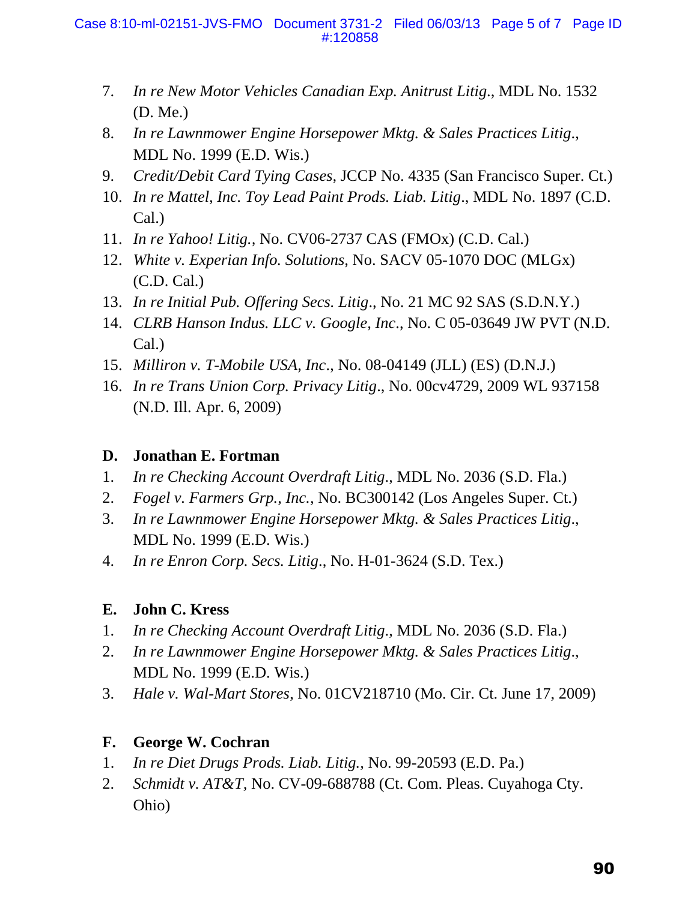- 7. *In re New Motor Vehicles Canadian Exp. Anitrust Litig*., MDL No. 1532 (D. Me.)
- 8. *In re Lawnmower Engine Horsepower Mktg. & Sales Practices Litig*., MDL No. 1999 (E.D. Wis.)
- 9. *Credit/Debit Card Tying Cases,* JCCP No. 4335 (San Francisco Super. Ct.)
- 10. *In re Mattel, Inc. Toy Lead Paint Prods. Liab. Litig*., MDL No. 1897 (C.D. Cal.)
- 11. *In re Yahoo! Litig.,* No. CV06-2737 CAS (FMOx) (C.D. Cal.)
- 12. *White v. Experian Info. Solutions,* No. SACV 05-1070 DOC (MLGx) (C.D. Cal.)
- 13. *In re Initial Pub. Offering Secs. Litig*., No. 21 MC 92 SAS (S.D.N.Y.)
- 14. *CLRB Hanson Indus. LLC v. Google, Inc*., No. C 05-03649 JW PVT (N.D. Cal.)
- 15. *Milliron v. T-Mobile USA, Inc*., No. 08-04149 (JLL) (ES) (D.N.J.)
- 16. *In re Trans Union Corp. Privacy Litig*., No. 00cv4729, 2009 WL 937158 (N.D. Ill. Apr. 6, 2009)

#### **D. Jonathan E. Fortman**

- 1. *In re Checking Account Overdraft Litig*., MDL No. 2036 (S.D. Fla.)
- 2. *Fogel v. Farmers Grp., Inc.,* No. BC300142 (Los Angeles Super. Ct.)
- 3. *In re Lawnmower Engine Horsepower Mktg. & Sales Practices Litig*., MDL No. 1999 (E.D. Wis.)
- 4. *In re Enron Corp. Secs. Litig*., No. H-01-3624 (S.D. Tex.)

#### **E. John C. Kress**

- 1. *In re Checking Account Overdraft Litig*., MDL No. 2036 (S.D. Fla.)
- 2. *In re Lawnmower Engine Horsepower Mktg. & Sales Practices Litig*., MDL No. 1999 (E.D. Wis.)
- 3. *Hale v. Wal-Mart Stores*, No. 01CV218710 (Mo. Cir. Ct. June 17, 2009)

#### **F. George W. Cochran**

- 1. *In re Diet Drugs Prods. Liab. Litig.,* No. 99-20593 (E.D. Pa.)
- 2. *Schmidt v. AT&T,* No. CV-09-688788 (Ct. Com. Pleas. Cuyahoga Cty. Ohio)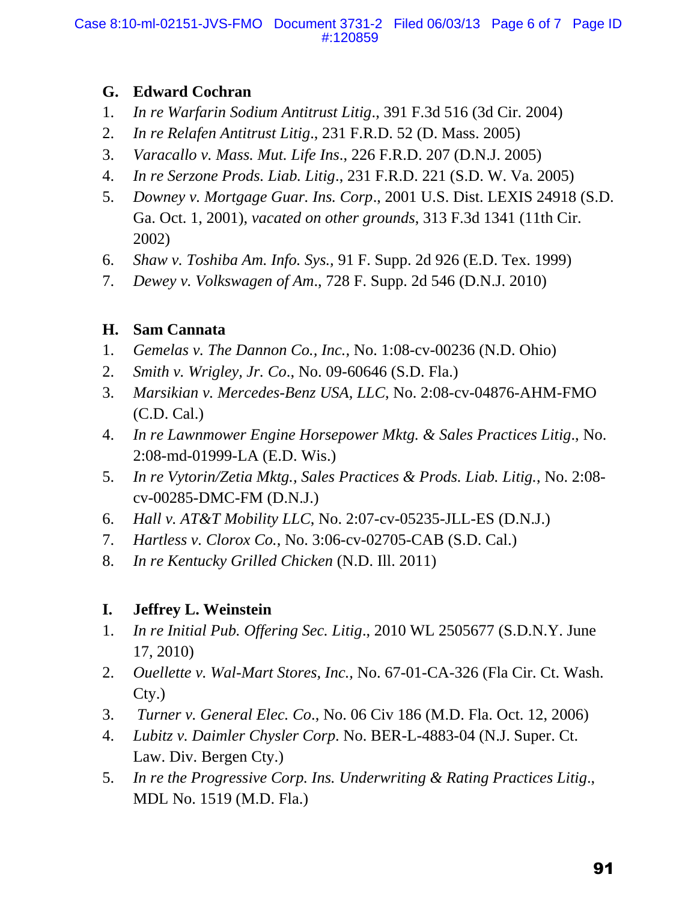#### **G. Edward Cochran**

- 1. *In re Warfarin Sodium Antitrust Litig*., 391 F.3d 516 (3d Cir. 2004)
- 2. *In re Relafen Antitrust Litig*., 231 F.R.D. 52 (D. Mass. 2005)
- 3. *Varacallo v. Mass. Mut. Life Ins*., 226 F.R.D. 207 (D.N.J. 2005)
- 4. *In re Serzone Prods. Liab. Litig*., 231 F.R.D. 221 (S.D. W. Va. 2005)
- 5. *Downey v. Mortgage Guar. Ins. Corp*., 2001 U.S. Dist. LEXIS 24918 (S.D. Ga. Oct. 1, 2001), *vacated on other grounds*, 313 F.3d 1341 (11th Cir. 2002)
- 6. *Shaw v. Toshiba Am. Info. Sys.,* 91 F. Supp. 2d 926 (E.D. Tex. 1999)
- 7. *Dewey v. Volkswagen of Am*., 728 F. Supp. 2d 546 (D.N.J. 2010)

#### **H. Sam Cannata**

- 1. *Gemelas v. The Dannon Co., Inc.,* No. 1:08-cv-00236 (N.D. Ohio)
- 2. *Smith v. Wrigley, Jr. Co*., No. 09-60646 (S.D. Fla.)
- 3. *Marsikian v. Mercedes-Benz USA, LLC*, No. 2:08-cv-04876-AHM-FMO (C.D. Cal.)
- 4. *In re Lawnmower Engine Horsepower Mktg. & Sales Practices Litig*., No. 2:08-md-01999-LA (E.D. Wis.)
- 5. *In re Vytorin/Zetia Mktg., Sales Practices & Prods. Liab. Litig.*, No. 2:08 cv-00285-DMC-FM (D.N.J.)
- 6. *Hall v. AT&T Mobility LLC*, No. 2:07-cv-05235-JLL-ES (D.N.J.)
- 7. *Hartless v. Clorox Co.*, No. 3:06-cv-02705-CAB (S.D. Cal.)
- 8. *In re Kentucky Grilled Chicken* (N.D. Ill. 2011)

#### **I. Jeffrey L. Weinstein**

- 1. *In re Initial Pub. Offering Sec. Litig*., 2010 WL 2505677 (S.D.N.Y. June 17, 2010)
- 2. *Ouellette v. Wal-Mart Stores, Inc.,* No. 67-01-CA-326 (Fla Cir. Ct. Wash. Cty.)
- 3. *Turner v. General Elec. Co*., No. 06 Civ 186 (M.D. Fla. Oct. 12, 2006)
- 4. *Lubitz v. Daimler Chysler Corp*. No. BER-L-4883-04 (N.J. Super. Ct. Law. Div. Bergen Cty.)
- 5. *In re the Progressive Corp. Ins. Underwriting & Rating Practices Litig*., MDL No. 1519 (M.D. Fla.)